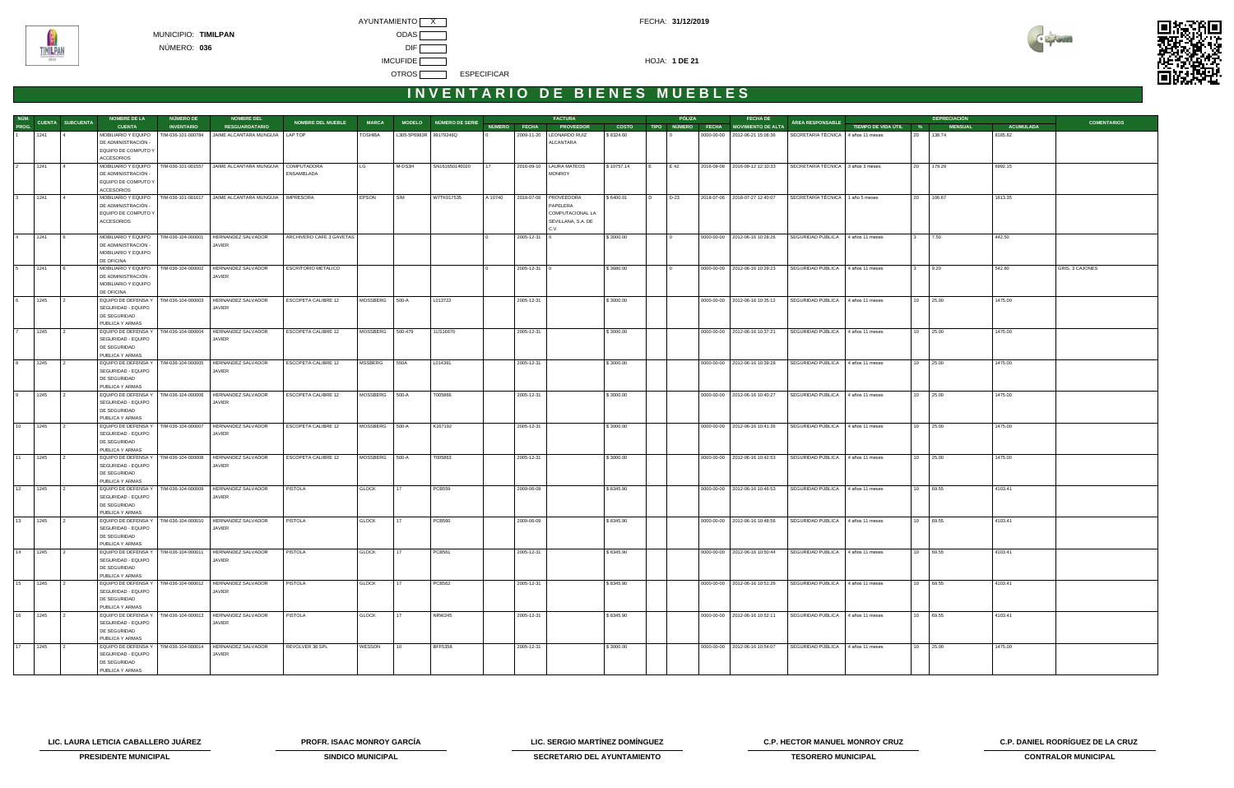



| NÚM.  |           |                         | <b>NOMBRE DE LA</b>                                            | NÚMERO DE          | <b>NOMBRE DEL</b>                                             |                            |                |                        |                        |              |              | <b>FACTURA</b>             |              |    | PÓLIZA | <b>FECHA DE</b>                      |                                    |                       |    | <b>DEPRECIACIÓN</b> |                  |                    |
|-------|-----------|-------------------------|----------------------------------------------------------------|--------------------|---------------------------------------------------------------|----------------------------|----------------|------------------------|------------------------|--------------|--------------|----------------------------|--------------|----|--------|--------------------------------------|------------------------------------|-----------------------|----|---------------------|------------------|--------------------|
| PROG. |           | <b>CUENTA SUBCUENTA</b> | <b>CUENTA</b>                                                  | <b>INVENTARIO</b>  | <b>RESGUARDATARIO</b>                                         | <b>NOMBRE DEL MUEBLE</b>   | <b>MARCA</b>   |                        | MODELO NÚMERO DE SERIE | NÚMERO FECHA |              | <b>PROVEEDOR</b>           | <b>COSTO</b> |    |        | TIPO NÚMERO FECHA MOVIMIENTO DE ALTA | ÁREA RESPONSABLE                   | TIEMPO DE VIDA ÚTIL % |    | <b>MENSUAL</b>      | <b>ACUMULADA</b> | <b>COMENTARIOS</b> |
|       | 1241      |                         | MOBILIARIO Y EQUIPO<br>DE ADMINISTRACIÓN -                     | TIM-036-101-000784 | JAIME ALCANTARA MUNGUIA   LAP TOP                             |                            | <b>TOSHIBA</b> | L305-5P6983R 99179246Q |                        |              | 2009-11-20   | LEONARDO RUIZ<br>ALCANTARA | \$8324.60    |    |        | 0000-00-00 2012-06-21 15:06:36       | SECRETARÍA TÉCNICA 4 años 11 meses |                       | 20 | 138.74              | 8185.82          |                    |
|       |           |                         | EQUIPO DE COMPUTO Y<br><b>ACCESORIOS</b>                       |                    |                                                               |                            |                |                        |                        |              |              |                            |              |    |        |                                      |                                    |                       |    |                     |                  |                    |
|       | 1241      |                         | MOBILIARIO Y EQUIPO                                            | TIM-036-101-001557 | JAIME ALCANTARA MUNGUIA                                       | COMPUTADORA                | LG             | M-DS3H                 | SN161650146020         |              |              | 2016-09-10   LAURA MATEOS  | \$10757.14   |    | E 42   | 2016-09-08 2016-09-12 12:10:33       | SECRETARÍA TÉCNICA 3 años 3 meses  |                       | 20 | 179.29              | 6992.15          |                    |
|       |           |                         | DE ADMINISTRACIÓN -<br>EQUIPO DE COMPUTO Y                     |                    |                                                               | ENSAMBLADA                 |                |                        |                        |              |              | <b>MONROY</b>              |              |    |        |                                      |                                    |                       |    |                     |                  |                    |
|       |           |                         | <b>ACCESORIOS</b>                                              |                    |                                                               |                            |                |                        |                        |              |              |                            |              |    |        |                                      |                                    |                       |    |                     |                  |                    |
|       | 1241      | $\overline{4}$          | MOBILIARIO Y EQUIPO                                            | TIM-036-101-001617 | JAIME ALCANTARA MUNGUIA   IMPRESORA                           |                            | EPSON          | S/M                    | W7TK017535             | A 10740      |              | 2018-07-06 PROVEEDORA      | \$6400.01    | חו | D-23   | 2018-07-06 2018-07-27 12:40:07       | SECRETARÍA TÉCNICA 1 año 5 meses   |                       | 20 | 106.67              | 1813.35          |                    |
|       |           |                         | DE ADMINISTRACIÓN -                                            |                    |                                                               |                            |                |                        |                        |              |              | PAPELERA                   |              |    |        |                                      |                                    |                       |    |                     |                  |                    |
|       |           |                         | EQUIPO DE COMPUTO Y<br>ACCESORIOS                              |                    |                                                               |                            |                |                        |                        |              |              | COMPUTACIONAL LA           |              |    |        |                                      |                                    |                       |    |                     |                  |                    |
|       |           |                         |                                                                |                    |                                                               |                            |                |                        |                        |              |              | SEVILLANA, S.A. DE<br>C.V. |              |    |        |                                      |                                    |                       |    |                     |                  |                    |
|       | 1241      |                         | MOBILIARIO Y EQUIPO                                            | TIM-036-104-000001 | HERNANDEZ SALVADOR                                            | ARCHIVERO CAFE 3 GAVETAS   |                |                        |                        |              | 2005-12-31   |                            | \$3000.00    |    |        | 0000-00-00 2012-06-16 10:28:26       | SEGURIDAD PÚBLICA 4 años 11 meses  |                       |    | 7.50                | 442.50           |                    |
|       |           |                         | DE ADMINISTRACIÓN -<br>MOBILIARIO Y EQUIPO                     |                    | JAVIER                                                        |                            |                |                        |                        |              |              |                            |              |    |        |                                      |                                    |                       |    |                     |                  |                    |
|       |           |                         | DE OFICINA                                                     |                    |                                                               |                            |                |                        |                        |              |              |                            |              |    |        |                                      |                                    |                       |    |                     |                  |                    |
|       | 1241      |                         | MOBILIARIO Y EQUIPO                                            | TIM-036-104-000002 | HERNANDEZ SALVADOR                                            | <b>ESCRITORIO METALICO</b> |                |                        |                        |              | 2005-12-31 ( |                            | \$3680.00    |    |        | 0000-00-00   2012-06-16 10:29:23     | SEGURIDAD PÚBLICA 4 años 11 meses  |                       |    | 9.20                | 542.80           | GRIS, 3 CAJONES    |
|       |           |                         | DE ADMINISTRACIÓN -                                            |                    | JAVIER                                                        |                            |                |                        |                        |              |              |                            |              |    |        |                                      |                                    |                       |    |                     |                  |                    |
|       |           |                         | MOBILIARIO Y EQUIPO<br>DE OFICINA                              |                    |                                                               |                            |                |                        |                        |              |              |                            |              |    |        |                                      |                                    |                       |    |                     |                  |                    |
|       | 1245      | $\overline{2}$          | EQUIPO DE DEFENSA Y   TIM-036-104-000003                       |                    | HERNANDEZ SALVADOR                                            | <b>ESCOPETA CALIBRE 12</b> | MOSSBERG 500-A |                        | L013722                |              | 2005-12-31   |                            | \$3000.00    |    |        | 0000-00-00   2012-06-16 10:35:12     | SEGURIDAD PÚBLICA 4 años 11 meses  |                       | 10 | 25.00               | 1475.00          |                    |
|       |           |                         | SEGURIDAD - EQUIPO                                             |                    | JAVIER                                                        |                            |                |                        |                        |              |              |                            |              |    |        |                                      |                                    |                       |    |                     |                  |                    |
|       |           |                         | DE SEGURIDAD<br>PUBLICA Y ARMAS                                |                    |                                                               |                            |                |                        |                        |              |              |                            |              |    |        |                                      |                                    |                       |    |                     |                  |                    |
|       | 1245      |                         | EQUIPO DE DEFENSA Y   TIM-036-104-000004                       |                    | HERNANDEZ SALVADOR                                            | ESCOPETA CALIBRE 12        | MOSSBERG       | 500-479                | 1US16670               |              | 2005-12-31   |                            | \$3000.00    |    |        | 0000-00-00 2012-06-16 10:37:21       | SEGURIDAD PÚBLICA 4 años 11 meses  |                       |    | 10 25.00            | 1475.00          |                    |
|       |           |                         | SEGURIDAD - EQUIPO                                             |                    | JAVIER                                                        |                            |                |                        |                        |              |              |                            |              |    |        |                                      |                                    |                       |    |                     |                  |                    |
|       |           |                         | DE SEGURIDAD                                                   |                    |                                                               |                            |                |                        |                        |              |              |                            |              |    |        |                                      |                                    |                       |    |                     |                  |                    |
|       | 1245      |                         | PUBLICA Y ARMAS<br>EQUIPO DE DEFENSA Y                         | TIM-036-104-000005 | HERNANDEZ SALVADOR                                            | ESCOPETA CALIBRE 12        | MSSBERG        | 550A                   | L014391                |              | 2005-12-31   |                            | \$3000.00    |    |        | 0000-00-00   2012-06-16 10:39:28     | SEGURIDAD PÚBLICA                  | 4 años 11 meses       | 10 | 25.00               | 1475.00          |                    |
|       |           |                         | SEGURIDAD - EQUIPO                                             |                    | JAVIER                                                        |                            |                |                        |                        |              |              |                            |              |    |        |                                      |                                    |                       |    |                     |                  |                    |
|       |           |                         | DE SEGURIDAD                                                   |                    |                                                               |                            |                |                        |                        |              |              |                            |              |    |        |                                      |                                    |                       |    |                     |                  |                    |
|       | 1245      |                         | PUBLICA Y ARMAS<br>EQUIPO DE DEFENSA Y   TIM-036-104-000006    |                    | HERNANDEZ SALVADOR                                            | <b>ESCOPETA CALIBRE 12</b> | MOSSBERG 500-A |                        | T005866                |              | 2005-12-31   |                            | \$3000.00    |    |        | 0000-00-00   2012-06-16 10:40:27     | SEGURIDAD PÚBLICA 4 años 11 meses  |                       | 10 | 25.00               | 1475.00          |                    |
|       |           |                         | SEGURIDAD - EQUIPO                                             |                    | JAVIER                                                        |                            |                |                        |                        |              |              |                            |              |    |        |                                      |                                    |                       |    |                     |                  |                    |
|       |           |                         | DE SEGURIDAD                                                   |                    |                                                               |                            |                |                        |                        |              |              |                            |              |    |        |                                      |                                    |                       |    |                     |                  |                    |
|       |           |                         | PUBLICA Y ARMAS                                                |                    |                                                               |                            |                | 500-A                  |                        |              |              |                            |              |    |        |                                      | SEGURIDAD PÚBLICA                  |                       |    | 10 25.00            |                  |                    |
| 10    | 1245      |                         | EQUIPO DE DEFENSA Y   TIM-036-104-000007<br>SEGURIDAD - EQUIPO |                    | HERNANDEZ SALVADOR<br>JAVIER                                  | ESCOPETA CALIBRE 12        | MOSSBERG       |                        | K167192                |              | 2005-12-31   |                            | \$3000.00    |    |        | 0000-00-00 2012-06-16 10:41:36       |                                    | 4 años 11 meses       |    |                     | 1475.00          |                    |
|       |           |                         | DE SEGURIDAD                                                   |                    |                                                               |                            |                |                        |                        |              |              |                            |              |    |        |                                      |                                    |                       |    |                     |                  |                    |
|       |           |                         | PUBLICA Y ARMAS                                                |                    |                                                               |                            |                |                        |                        |              |              |                            |              |    |        |                                      |                                    |                       |    |                     |                  |                    |
| 11    | 1245      |                         | EQUIPO DE DEFENSA Y   TIM-036-104-000008<br>SEGURIDAD - EQUIPO |                    | HERNANDEZ SALVADOR<br>JAVIER                                  | ESCOPETA CALIBRE 12        | MOSSBERG       | 500-A                  | T005863                |              | 2005-12-31   |                            | \$3000.00    |    |        | 0000-00-00   2012-06-16 10:42:53     | SEGURIDAD PÚBLICA                  | 4 años 11 meses       | 10 | 25.00               | 1475.00          |                    |
|       |           |                         | DE SEGURIDAD                                                   |                    |                                                               |                            |                |                        |                        |              |              |                            |              |    |        |                                      |                                    |                       |    |                     |                  |                    |
|       |           |                         | PUBLICA Y ARMAS                                                |                    |                                                               |                            |                |                        |                        |              |              |                            |              |    |        |                                      |                                    |                       |    |                     |                  |                    |
| 12    | 1245      |                         | EQUIPO DE DEFENSA Y   TIM-036-104-000009<br>SEGURIDAD - EQUIPO |                    | HERNANDEZ SALVADOR<br>JAVIER                                  | PISTOLA                    | <b>GLOCK</b>   | 17                     | <b>PCB559</b>          |              | 2009-06-09   |                            | \$8345.90    |    |        | 0000-00-00   2012-06-16 10:46:53     | SEGURIDAD PÚBLICA 4 años 11 meses  |                       | 10 | 69.55               | 4103.41          |                    |
|       |           |                         | DE SEGURIDAD                                                   |                    |                                                               |                            |                |                        |                        |              |              |                            |              |    |        |                                      |                                    |                       |    |                     |                  |                    |
|       |           |                         | PUBLICA Y ARMAS                                                |                    |                                                               |                            |                |                        |                        |              |              |                            |              |    |        |                                      |                                    |                       |    |                     |                  |                    |
| 13    | 1245      |                         | EQUIPO DE DEFENSA Y   TIM-036-104-000010                       |                    | <b>HERNANDEZ SALVADOR</b>                                     | <b>PISTOLA</b>             | <b>GLOCK</b>   | 17                     | <b>PCB560</b>          |              | 2009-06-09   |                            | \$8345.90    |    |        | 0000-00-00   2012-06-16 10:48:56     | SEGURIDAD PÚBLICA                  | 4 años 11 meses       | 10 | 69.55               | 4103.41          |                    |
|       |           |                         | SEGURIDAD - EQUIPO<br>DE SEGURIDAD                             |                    | JAVIER                                                        |                            |                |                        |                        |              |              |                            |              |    |        |                                      |                                    |                       |    |                     |                  |                    |
|       |           |                         | PUBLICA Y ARMAS                                                |                    |                                                               |                            |                |                        |                        |              |              |                            |              |    |        |                                      |                                    |                       |    |                     |                  |                    |
|       | 14 1245   |                         | EQUIPO DE DEFENSA Y   TIM-036-104-000011                       |                    | HERNANDEZ SALVADOR                                            | PISTOLA                    | <b>GLOCK</b>   | 17                     | <b>PCB561</b>          |              | 2005-12-31   |                            | \$8345.90    |    |        | 0000-00-00   2012-06-16 10:50:44     | SEGURIDAD PÚBLICA 4 años 11 meses  |                       |    | 10 69.55            | 4103.41          |                    |
|       |           |                         | SEGURIDAD - EQUIPO<br>DE SEGURIDAD                             |                    | JAVIER                                                        |                            |                |                        |                        |              |              |                            |              |    |        |                                      |                                    |                       |    |                     |                  |                    |
|       |           |                         | PUBLICA Y ARMAS                                                |                    |                                                               |                            |                |                        |                        |              |              |                            |              |    |        |                                      |                                    |                       |    |                     |                  |                    |
|       | 15 1245   | $\overline{2}$          |                                                                |                    | EQUIPO DE DEFENSA Y   TIM-036-104-000012   HERNANDEZ SALVADOR | PISTOLA                    | <b>GLOCK</b>   | 17                     | <b>PCB562</b>          |              | 2005-12-31   |                            | \$8345.90    |    |        | 0000-00-00   2012-06-16 10:51:26     | SEGURIDAD PÚBLICA 4 años 11 meses  |                       |    | 10 69.55            | 4103.41          |                    |
|       |           |                         | SEGURIDAD - EQUIPO<br>DE SEGURIDAD                             |                    | JAVIER                                                        |                            |                |                        |                        |              |              |                            |              |    |        |                                      |                                    |                       |    |                     |                  |                    |
|       |           |                         | PUBLICA Y ARMAS                                                |                    |                                                               |                            |                |                        |                        |              |              |                            |              |    |        |                                      |                                    |                       |    |                     |                  |                    |
|       | 16 1245 2 |                         | EQUIPO DE DEFENSA Y   TIM-036-104-000013                       |                    | HERNANDEZ SALVADOR                                            | PISTOLA                    | <b>GLOCK</b>   | 17                     | <b>NRW245</b>          |              | 2005-12-31   |                            | \$8345.90    |    |        | 0000-00-00 2012-06-16 10:52:11       | SEGURIDAD PÚBLICA 4 años 11 meses  |                       |    | 10 69.55            | 4103.41          |                    |
|       |           |                         | SEGURIDAD - EQUIPO<br>DE SEGURIDAD                             |                    | JAVIER                                                        |                            |                |                        |                        |              |              |                            |              |    |        |                                      |                                    |                       |    |                     |                  |                    |
|       |           |                         | PUBLICA Y ARMAS                                                |                    |                                                               |                            |                |                        |                        |              |              |                            |              |    |        |                                      |                                    |                       |    |                     |                  |                    |
|       | 17 1245   | $\frac{1}{2}$           | EQUIPO DE DEFENSA Y   TIM-036-104-000014                       |                    | HERNANDEZ SALVADOR                                            | REVOLVER 38 SPL            | WESSON         | 10                     | <b>BFF5358</b>         |              | 2005-12-31   |                            | \$3000.00    |    |        | 0000-00-00 2012-06-16 10:54:07       | SEGURIDAD PÚBLICA 4 años 11 meses  |                       |    | 10 25.00            | 1475.00          |                    |
|       |           |                         | SEGURIDAD - EQUIPO<br>DE SEGURIDAD                             |                    | JAVIER                                                        |                            |                |                        |                        |              |              |                            |              |    |        |                                      |                                    |                       |    |                     |                  |                    |
|       |           |                         | PUBLICA Y ARMAS                                                |                    |                                                               |                            |                |                        |                        |              |              |                            |              |    |        |                                      |                                    |                       |    |                     |                  |                    |
|       |           |                         |                                                                |                    |                                                               |                            |                |                        |                        |              |              |                            |              |    |        |                                      |                                    |                       |    |                     |                  |                    |

**LIC. LAURA LETICIA CABALLERO JUÁREZ PROFR. ISAAC MONROY GARCÍA LIC. SERGIO MARTÍNEZ DOMÍNGUEZ C.P. HECTOR MANUEL MONROY CRUZ C.P. DANIEL RODRÍGUEZ DE LA CRUZ** 



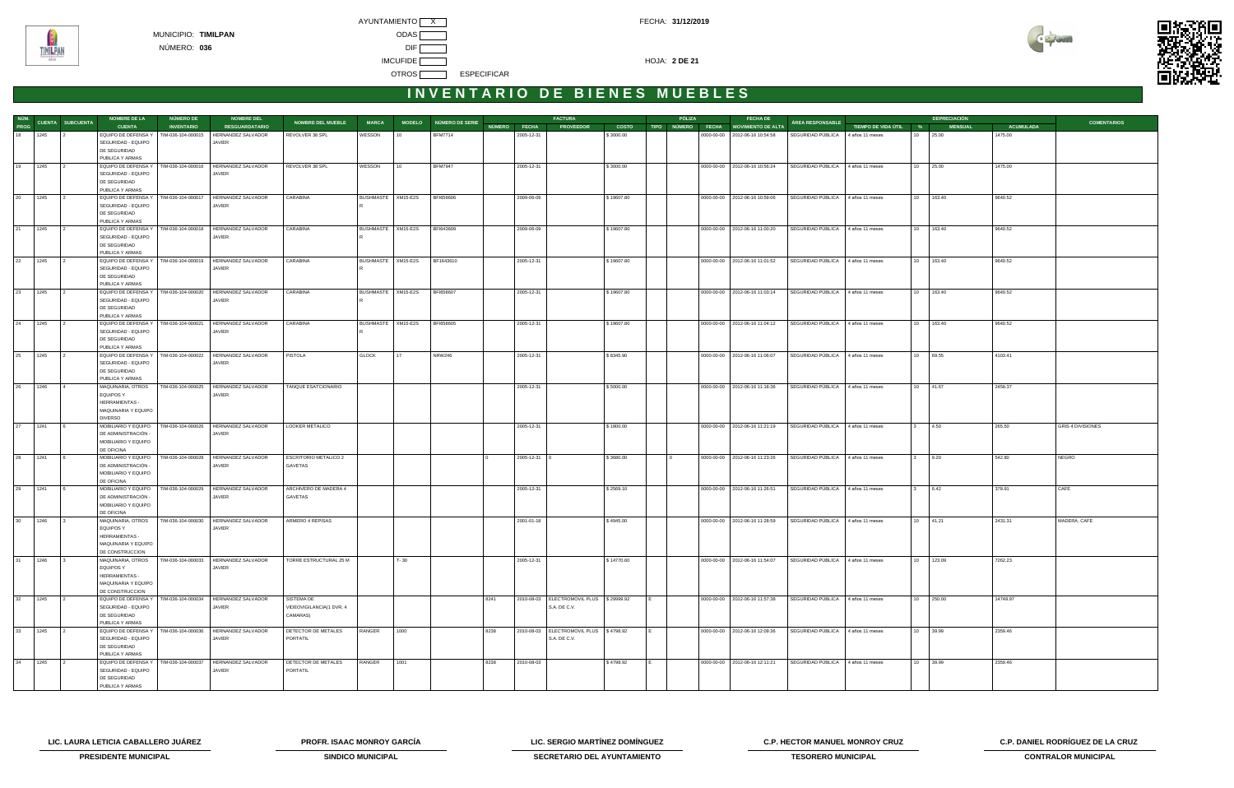



| NÚM.      |      |                         | <b>NOMBRE DE LA</b>                      | <b>NÚMERO DE</b>   | <b>NOMBRE DEL</b>                                             |                              |              |                      |                        |              | <b>FACTURA</b>                               |              | PÓLIZA | <b>FECHA DE</b>                      |                                   |                       |              | <b>DEPRECIACIÓN</b> |                  |                          |
|-----------|------|-------------------------|------------------------------------------|--------------------|---------------------------------------------------------------|------------------------------|--------------|----------------------|------------------------|--------------|----------------------------------------------|--------------|--------|--------------------------------------|-----------------------------------|-----------------------|--------------|---------------------|------------------|--------------------------|
| PROG      |      | <b>CUENTA SUBCUENTA</b> | <b>CUENTA</b>                            | <b>INVENTARIO</b>  | <b>RESGUARDATARIO</b>                                         | <b>NOMBRE DEL MUEBLE</b>     | <b>MARCA</b> |                      | MODELO NÚMERO DE SERIE | NÚMERO FECHA | <b>PROVEEDOR</b>                             | <b>COSTO</b> |        | TIPO NÚMERO FECHA MOVIMIENTO DE ALTA | ÁREA RESPONSABLE                  | TIEMPO DE VIDA ÚTIL % |              | <b>MENSUAL</b>      | <b>ACUMULADA</b> | <b>COMENTARIOS</b>       |
| $18$ 1245 |      |                         | EQUIPO DE DEFENSA Y                      | TIM-036-104-000015 | HERNANDEZ SALVADOR                                            | REVOLVER 38 SPL              | WESSON       |                      | <b>BFM7714</b>         | 2005-12-31   |                                              | \$3000.00    |        | 0000-00-00 2012-06-16 10:54:58       | SEGURIDAD PÚBLICA 4 años 11 meses |                       | 10           | 25.00               | 1475.00          |                          |
|           |      |                         | SEGURIDAD - EQUIPO                       |                    | JAVIER                                                        |                              |              |                      |                        |              |                                              |              |        |                                      |                                   |                       |              |                     |                  |                          |
|           |      |                         | DE SEGURIDAD                             |                    |                                                               |                              |              |                      |                        |              |                                              |              |        |                                      |                                   |                       |              |                     |                  |                          |
|           |      |                         | PUBLICA Y ARMAS                          |                    |                                                               |                              |              |                      |                        |              |                                              |              |        |                                      |                                   |                       |              |                     |                  |                          |
| 19 1245   |      |                         |                                          |                    | EQUIPO DE DEFENSA Y   TIM-036-104-000016   HERNANDEZ SALVADOR | REVOLVER 38 SPL              | WESSON       | 110                  | <b>BFM7947</b>         | 2005-12-31   |                                              | \$3000.00    |        | 0000-00-00   2012-06-16 10:56:24     | SEGURIDAD PÚBLICA 4 años 11 meses |                       |              | 10 25.00            | 1475.00          |                          |
|           |      |                         | SEGURIDAD - EQUIPO                       |                    | <b>JAVIER</b>                                                 |                              |              |                      |                        |              |                                              |              |        |                                      |                                   |                       |              |                     |                  |                          |
|           |      |                         | DE SEGURIDAD                             |                    |                                                               |                              |              |                      |                        |              |                                              |              |        |                                      |                                   |                       |              |                     |                  |                          |
|           |      |                         | PUBLICA Y ARMAS                          |                    |                                                               |                              |              |                      |                        |              |                                              |              |        |                                      |                                   |                       |              |                     |                  |                          |
| 20 1245   |      |                         | EQUIPO DE DEFENSA Y                      | TIM-036-104-000017 | <b>HERNANDEZ SALVADOR</b>                                     | CARABINA                     |              | BUSHMASTE XM15-E2S   | BFI658606              | 2009-06-09   |                                              | \$19607.80   |        | 0000-00-00   2012-06-16 10:59:06     | SEGURIDAD PÚBLICA 4 años 11 meses |                       |              | 10 163.40           | 9640.52          |                          |
|           |      |                         | SEGURIDAD - EQUIPO                       |                    | JAVIER                                                        |                              |              |                      |                        |              |                                              |              |        |                                      |                                   |                       |              |                     |                  |                          |
|           |      |                         | DE SEGURIDAD                             |                    |                                                               |                              |              |                      |                        |              |                                              |              |        |                                      |                                   |                       |              |                     |                  |                          |
|           |      |                         | PUBLICA Y ARMAS                          |                    |                                                               |                              |              |                      |                        |              |                                              |              |        |                                      |                                   |                       |              |                     |                  |                          |
| 21 1245   |      |                         | EQUIPO DE DEFENSA Y                      | TIM-036-104-000018 | HERNANDEZ SALVADOR                                            | CARABINA                     |              | BUSHMASTE   XM15-E2S | BFI643609              | 2009-06-09   |                                              | \$19607.80   |        | 0000-00-00   2012-06-16 11:00:20     | SEGURIDAD PÚBLICA                 | 4 años 11 meses       |              | 10 163.40           | 9640.52          |                          |
|           |      |                         | SEGURIDAD - EQUIPO                       |                    | JAVIER                                                        |                              |              |                      |                        |              |                                              |              |        |                                      |                                   |                       |              |                     |                  |                          |
|           |      |                         | DE SEGURIDAD                             |                    |                                                               |                              |              |                      |                        |              |                                              |              |        |                                      |                                   |                       |              |                     |                  |                          |
|           |      |                         | PUBLICA Y ARMAS                          |                    |                                                               |                              |              |                      |                        |              |                                              |              |        |                                      |                                   |                       |              |                     |                  |                          |
| 22 1245   |      |                         |                                          |                    | EQUIPO DE DEFENSA Y   TIM-036-104-000019   HERNANDEZ SALVADOR | CARABINA                     |              | BUSHMASTE XM15-E2S   | BF1643610              | 2005-12-31   |                                              | \$19607.80   |        | 0000-00-00   2012-06-16 11:01:52     | SEGURIDAD PÚBLICA 4 años 11 meses |                       |              | 10 163.40           | 9640.52          |                          |
|           |      |                         | SEGURIDAD - EQUIPO                       |                    | <b>JAVIER</b>                                                 |                              |              |                      |                        |              |                                              |              |        |                                      |                                   |                       |              |                     |                  |                          |
|           |      |                         | DE SEGURIDAD                             |                    |                                                               |                              |              |                      |                        |              |                                              |              |        |                                      |                                   |                       |              |                     |                  |                          |
|           |      |                         | PUBLICA Y ARMAS                          |                    |                                                               |                              |              |                      |                        |              |                                              |              |        |                                      |                                   |                       |              |                     |                  |                          |
| 23 1245   |      |                         | EQUIPO DE DEFENSA Y                      | TIM-036-104-000020 | HERNANDEZ SALVADOR                                            | CARABINA                     |              | BUSHMASTE   XM15-E2S | BFI658607              | 2005-12-31   |                                              | \$19607.80   |        | 0000-00-00 2012-06-16 11:03:14       | SEGURIDAD PÚBLICA 4 años 11 meses |                       |              | 10 163.40           | 9640.52          |                          |
|           |      |                         | SEGURIDAD - EQUIPO                       |                    | JAVIER                                                        |                              |              |                      |                        |              |                                              |              |        |                                      |                                   |                       |              |                     |                  |                          |
|           |      |                         | DE SEGURIDAD                             |                    |                                                               |                              |              |                      |                        |              |                                              |              |        |                                      |                                   |                       |              |                     |                  |                          |
|           |      |                         | PUBLICA Y ARMAS                          |                    |                                                               |                              |              |                      |                        |              |                                              |              |        |                                      |                                   |                       |              |                     |                  |                          |
| 24 1245   |      |                         | EQUIPO DE DEFENSA Y                      | TIM-036-104-000021 | HERNANDEZ SALVADOR                                            | CARABINA                     |              | BUSHMASTE XM15-E2S   | BFI658605              | 2005-12-31   |                                              | \$19607.80   |        | 0000-00-00 2012-06-16 11:04:12       | SEGURIDAD PÚBLICA                 | 4 años 11 meses       |              | 10 163.40           | 9640.52          |                          |
|           |      |                         | SEGURIDAD - EQUIPO                       |                    | JAVIER                                                        |                              |              |                      |                        |              |                                              |              |        |                                      |                                   |                       |              |                     |                  |                          |
|           |      |                         | DE SEGURIDAD                             |                    |                                                               |                              |              |                      |                        |              |                                              |              |        |                                      |                                   |                       |              |                     |                  |                          |
|           |      |                         | PUBLICA Y ARMAS                          |                    |                                                               |                              |              |                      |                        |              |                                              |              |        |                                      |                                   |                       |              |                     |                  |                          |
| 25 1245   |      |                         |                                          |                    | EQUIPO DE DEFENSA Y   TIM-036-104-000022   HERNANDEZ SALVADOR | PISTOLA                      | <b>GLOCK</b> | 117                  | <b>NRW246</b>          | 2005-12-31   |                                              | \$8345.90    |        | 0000-00-00   2012-06-16 11:06:07     | SEGURIDAD PÚBLICA 4 años 11 meses |                       |              | 10 69.55            | 4103.41          |                          |
|           |      |                         | SEGURIDAD - EQUIPO                       |                    | JAVIER                                                        |                              |              |                      |                        |              |                                              |              |        |                                      |                                   |                       |              |                     |                  |                          |
|           |      |                         | DE SEGURIDAD                             |                    |                                                               |                              |              |                      |                        |              |                                              |              |        |                                      |                                   |                       |              |                     |                  |                          |
|           |      |                         | PUBLICA Y ARMAS                          |                    |                                                               |                              |              |                      |                        |              |                                              |              |        |                                      |                                   |                       |              |                     |                  |                          |
| 26 1246   |      |                         | MAQUINARIA, OTROS                        |                    | TIM-036-104-000025 HERNANDEZ SALVADOR                         | TANQUE ESATCIONARIO          |              |                      |                        | 2005-12-31   |                                              | \$5000.00    |        | 0000-00-00 2012-06-16 11:18:36       | SEGURIDAD PÚBLICA 4 años 11 meses |                       |              | 10 41.67            | 2458.37          |                          |
|           |      |                         | EQUIPOS Y                                |                    | JAVIER                                                        |                              |              |                      |                        |              |                                              |              |        |                                      |                                   |                       |              |                     |                  |                          |
|           |      |                         | <b>HERRAMIENTAS -</b>                    |                    |                                                               |                              |              |                      |                        |              |                                              |              |        |                                      |                                   |                       |              |                     |                  |                          |
|           |      |                         | MAQUINARIA Y EQUIPO                      |                    |                                                               |                              |              |                      |                        |              |                                              |              |        |                                      |                                   |                       |              |                     |                  |                          |
|           |      |                         | <b>DIVERSO</b>                           |                    |                                                               |                              |              |                      |                        |              |                                              |              |        |                                      |                                   |                       |              |                     |                  |                          |
| 27 1241   |      |                         | MOBILIARIO Y EQUIPO                      | TIM-036-104-000026 | HERNANDEZ SALVADOR                                            | LOOKER METALICO              |              |                      |                        | 2005-12-31   |                                              | \$1800.00    |        | 0000-00-00 2012-06-16 11:21:19       | SEGURIDAD PÚBLICA                 | 4 años 11 meses       |              | 4.50                | 265.50           | <b>GRIS 4 DIVISIONES</b> |
|           |      |                         | DE ADMINISTRACIÓN -                      |                    | JAVIER                                                        |                              |              |                      |                        |              |                                              |              |        |                                      |                                   |                       |              |                     |                  |                          |
|           |      |                         | MOBILIARIO Y EQUIPO                      |                    |                                                               |                              |              |                      |                        |              |                                              |              |        |                                      |                                   |                       |              |                     |                  |                          |
|           |      |                         | DE OFICINA                               |                    |                                                               |                              |              |                      |                        |              |                                              |              |        |                                      |                                   |                       |              |                     |                  |                          |
| 28 1241   |      |                         | MOBILIARIO Y EQUIPO                      | TIM-036-104-000028 | HERNANDEZ SALVADOR                                            | <b>ESCRITORIO METALICO 2</b> |              |                      |                        | 2005-12-31 0 |                                              | \$3680.00    |        | 0000-00-00   2012-06-16 11:23:26     | SEGURIDAD PÚBLICA 4 años 11 meses |                       | $\mathbf{3}$ | 9.20                | 542.80           | <b>NEGRO</b>             |
|           |      |                         | DE ADMINISTRACIÓN -                      |                    | JAVIER                                                        | GAVETAS                      |              |                      |                        |              |                                              |              |        |                                      |                                   |                       |              |                     |                  |                          |
|           |      |                         | MOBILIARIO Y EQUIPO                      |                    |                                                               |                              |              |                      |                        |              |                                              |              |        |                                      |                                   |                       |              |                     |                  |                          |
|           |      |                         | DE OFICINA                               |                    |                                                               |                              |              |                      |                        |              |                                              |              |        |                                      |                                   |                       |              |                     |                  |                          |
| 29 1241   |      |                         | MOBILIARIO Y EQUIPO                      |                    | TIM-036-104-000029   HERNANDEZ SALVADOR                       | ARCHIVERO DE MADERA 4        |              |                      |                        | 2005-12-31   |                                              | \$2569.10    |        | 0000-00-00 2012-06-16 11:26:51       | SEGURIDAD PÚBLICA 4 años 11 meses |                       |              | 6.42                | 378.91           | CAFE                     |
|           |      |                         | DE ADMINISTRACIÓN -                      |                    | JAVIER                                                        | GAVETAS                      |              |                      |                        |              |                                              |              |        |                                      |                                   |                       |              |                     |                  |                          |
|           |      |                         | MOBILIARIO Y EQUIPO                      |                    |                                                               |                              |              |                      |                        |              |                                              |              |        |                                      |                                   |                       |              |                     |                  |                          |
|           |      |                         | DE OFICINA                               |                    |                                                               |                              |              |                      |                        |              |                                              |              |        |                                      |                                   |                       |              |                     |                  |                          |
| 30 1246   |      |                         |                                          |                    | MAQUINARIA, OTROS   TIM-036-104-000030   HERNANDEZ SALVADOR   | ARMERO 4 REPISAS             |              |                      |                        | 2001-01-18   |                                              | \$4945.00    |        | 0000-00-00 2012-06-16 11:28:59       | SEGURIDAD PÚBLICA 4 años 11 meses |                       | 10           | 41.21               | 2431.31          | MADERA, CAFE             |
|           |      |                         | EQUIPOS Y                                |                    | JAVIER                                                        |                              |              |                      |                        |              |                                              |              |        |                                      |                                   |                       |              |                     |                  |                          |
|           |      |                         | HERRAMIENTAS -                           |                    |                                                               |                              |              |                      |                        |              |                                              |              |        |                                      |                                   |                       |              |                     |                  |                          |
|           |      |                         | MAQUINARIA Y EQUIPO                      |                    |                                                               |                              |              |                      |                        |              |                                              |              |        |                                      |                                   |                       |              |                     |                  |                          |
|           |      |                         | DE CONSTRUCCION                          |                    |                                                               |                              |              |                      |                        |              |                                              |              |        |                                      |                                   |                       |              |                     |                  |                          |
| 31        | 1246 |                         | MAQUINARIA, OTROS                        |                    | TIM-036-104-000033 HERNANDEZ SALVADOR                         | TORRE ESTRUCTURAL 25 M       |              | $T - 30$             |                        | 2005-12-31   |                                              | \$14770.60   |        | 0000-00-00   2012-06-16 11:54:07     | SEGURIDAD PÚBLICA 4 años 11 meses |                       |              | 10 123.09           | 7262.23          |                          |
|           |      |                         | <b>EQUIPOS Y</b>                         |                    | JAVIER                                                        |                              |              |                      |                        |              |                                              |              |        |                                      |                                   |                       |              |                     |                  |                          |
|           |      |                         | HERRAMIENTAS -                           |                    |                                                               |                              |              |                      |                        |              |                                              |              |        |                                      |                                   |                       |              |                     |                  |                          |
|           |      |                         | MAQUINARIA Y EQUIPO                      |                    |                                                               |                              |              |                      |                        |              |                                              |              |        |                                      |                                   |                       |              |                     |                  |                          |
|           |      |                         | DE CONSTRUCCION                          |                    |                                                               |                              |              |                      |                        |              |                                              |              |        |                                      |                                   |                       |              |                     |                  |                          |
| 32 1245   |      |                         |                                          |                    | EQUIPO DE DEFENSA Y   TIM-036-104-000034   HERNANDEZ SALVADOR | SISTEMA DE                   |              |                      | 8241                   |              | 2010-08-03   ELECTROMOVIL PLUS   \$ 29999.92 |              |        | 0000-00-00 2012-06-16 11:57:38       | SEGURIDAD PÚBLICA 4 años 11 meses |                       |              | 10 250.00           | 14749.97         |                          |
|           |      |                         | SEGURIDAD - EQUIPO                       |                    | JAVIER                                                        | VIDEOVIGILANCIA(1 DVR, 4     |              |                      |                        |              | S.A. DE C.V.                                 |              |        |                                      |                                   |                       |              |                     |                  |                          |
|           |      |                         | DE SEGURIDAD                             |                    |                                                               | CAMARAS)                     |              |                      |                        |              |                                              |              |        |                                      |                                   |                       |              |                     |                  |                          |
|           |      |                         | PUBLICA Y ARMAS                          |                    |                                                               |                              |              |                      |                        |              |                                              |              |        |                                      |                                   |                       |              |                     |                  |                          |
| 33 1245   |      |                         |                                          |                    | EQUIPO DE DEFENSA Y   TIM-036-104-000036   HERNANDEZ SALVADOR | DETECTOR DE METALES          | RANGER       | 1000                 | 8238                   |              | 2010-08-03   ELECTROMOVIL PLUS   \$4798.92   |              |        | 0000-00-00   2012-06-16 12:09:36     | SEGURIDAD PÚBLICA 4 años 11 meses |                       |              | 10 39.99            | 2359.46          |                          |
|           |      |                         | SEGURIDAD - EQUIPO                       |                    | JAVIER                                                        | PORTATIL                     |              |                      |                        |              | S.A. DE C.V.                                 |              |        |                                      |                                   |                       |              |                     |                  |                          |
|           |      |                         | DE SEGURIDAD                             |                    |                                                               |                              |              |                      |                        |              |                                              |              |        |                                      |                                   |                       |              |                     |                  |                          |
|           |      |                         | PUBLICA Y ARMAS                          |                    |                                                               |                              |              |                      |                        |              |                                              |              |        |                                      |                                   |                       |              |                     |                  |                          |
| 34        | 1245 |                         | EQUIPO DE DEFENSA Y   TIM-036-104-000037 |                    | HERNANDEZ SALVADOR                                            | DETECTOR DE METALES          | RANGER       | 1001                 | 8238                   | 2010-08-03   |                                              | \$4798.92    |        | 0000-00-00   2012-06-16 12:11:21     | SEGURIDAD PÚBLICA 4 años 11 meses |                       |              | 10 39.99            | 2359.46          |                          |
|           |      |                         | SEGURIDAD - EQUIPO<br>DE SEGURIDAD       |                    | JAVIER                                                        | PORTATIL                     |              |                      |                        |              |                                              |              |        |                                      |                                   |                       |              |                     |                  |                          |
|           |      |                         | PUBLICA Y ARMAS                          |                    |                                                               |                              |              |                      |                        |              |                                              |              |        |                                      |                                   |                       |              |                     |                  |                          |
|           |      |                         |                                          |                    |                                                               |                              |              |                      |                        |              |                                              |              |        |                                      |                                   |                       |              |                     |                  |                          |

**LIC. LAURA LETICIA CABALLERO JUÁREZ PROFR. ISAAC MONROY GARCÍA LIC. SERGIO MARTÍNEZ DOMÍNGUEZ C.P. HECTOR MANUEL MONROY CRUZ C.P. DANIEL RODRÍGUEZ DE LA CRUZ** 



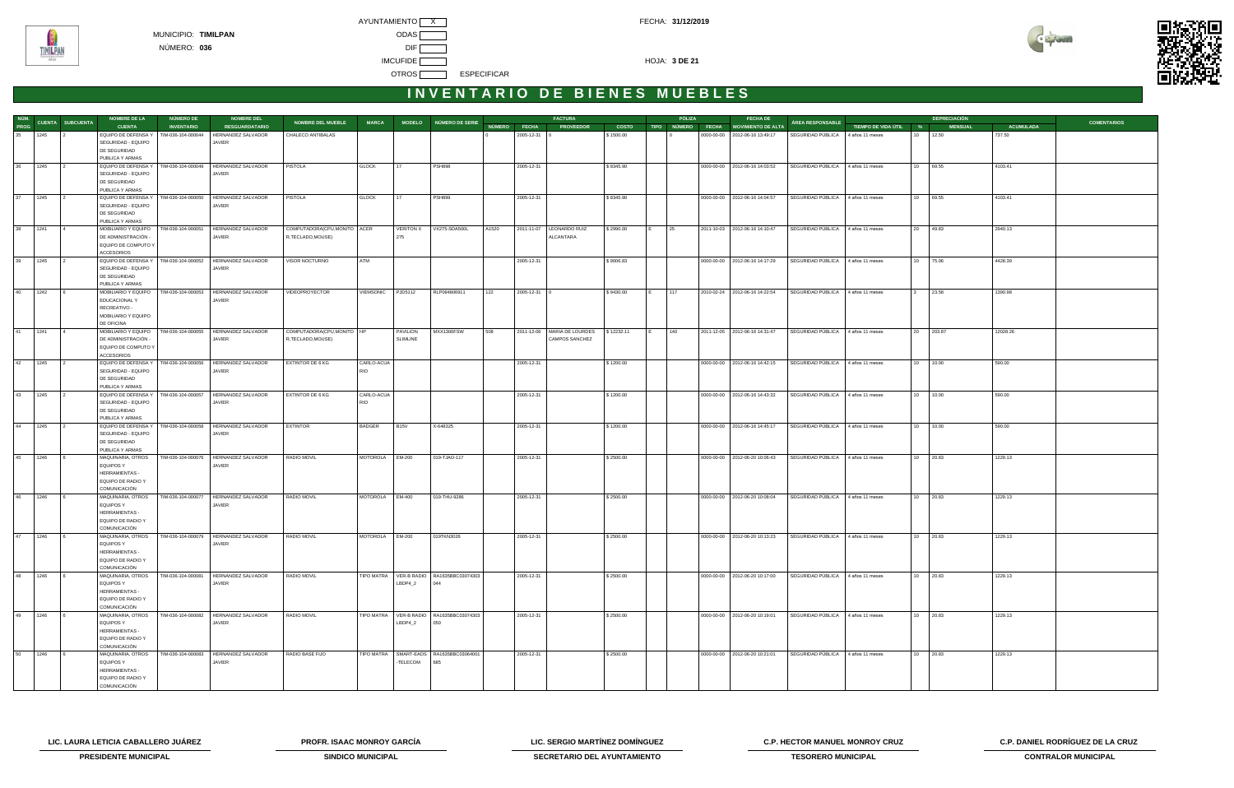



|         |      |                               | <b>NOMBRE DE LA</b>                       | NÚMERO DE          | <b>NOMBRE DEL</b>                       |                              |                 |                  |                                          |       |                    | <b>FACTURA</b>                |              |     | PÓLIZA       | <b>FECHA DE</b>                      |                                   |                       |              | <b>DEPRECIACIÓN</b> |                  |                    |
|---------|------|-------------------------------|-------------------------------------------|--------------------|-----------------------------------------|------------------------------|-----------------|------------------|------------------------------------------|-------|--------------------|-------------------------------|--------------|-----|--------------|--------------------------------------|-----------------------------------|-----------------------|--------------|---------------------|------------------|--------------------|
|         |      | NÚM.<br>PROG CUENTA SUBCUENTA | <b>CUENTA</b>                             | <b>INVENTARIO</b>  | <b>RESGUARDATARIO</b>                   | <b>NOMBRE DEL MUEBLE</b>     | <b>MARCA</b>    |                  | MODELO NÚMERO DE SERIE                   |       | NÚMERO FECHA       | <b>PROVEEDOR</b>              | <b>COSTO</b> |     |              | TIPO NÚMERO FECHA MOVIMIENTO DE ALTA | <b>ÁREA RESPONSABLE</b>           | TIEMPO DE VIDA ÚTIL % |              | <b>MENSUAL</b>      | <b>ACUMULADA</b> | <b>COMENTARIOS</b> |
| 35 1245 |      |                               | EQUIPO DE DEFENSA Y                       | TIM-036-104-000044 | HERNANDEZ SALVADOR                      | CHALECO ANTIBALAS            |                 |                  |                                          |       | 2005-12-31         |                               | \$1500.00    |     |              | 0000-00-00   2012-06-16 13:49:17     | SEGURIDAD PÚBLICA                 | 4 años 11 meses       | 10 12.50     |                     | 737.50           |                    |
|         |      |                               | SEGURIDAD - EQUIPO                        |                    | <b>JAVIER</b>                           |                              |                 |                  |                                          |       |                    |                               |              |     |              |                                      |                                   |                       |              |                     |                  |                    |
|         |      |                               | DE SEGURIDAD                              |                    |                                         |                              |                 |                  |                                          |       |                    |                               |              |     |              |                                      |                                   |                       |              |                     |                  |                    |
|         |      |                               | PUBLICA Y ARMAS                           |                    |                                         |                              |                 |                  |                                          |       |                    |                               |              |     |              |                                      |                                   |                       |              |                     |                  |                    |
| 36      | 1245 |                               | EQUIPO DE DEFENSA Y                       |                    | TIM-036-104-000049 HERNANDEZ SALVADOR   | <b>PISTOLA</b>               | <b>GLOCK</b>    | 17               | <b>PSH898</b>                            |       | 2005-12-31         |                               | \$8345.90    |     |              | 0000-00-00   2012-06-16 14:03:52     | SEGURIDAD PÚBLICA 4 años 11 meses |                       | 10 69.55     |                     | 4103.41          |                    |
|         |      |                               | SEGURIDAD - EQUIPO                        |                    | <b>JAVIER</b>                           |                              |                 |                  |                                          |       |                    |                               |              |     |              |                                      |                                   |                       |              |                     |                  |                    |
|         |      |                               | DE SEGURIDAD                              |                    |                                         |                              |                 |                  |                                          |       |                    |                               |              |     |              |                                      |                                   |                       |              |                     |                  |                    |
|         |      |                               | PUBLICA Y ARMAS                           | TIM-036-104-000050 |                                         |                              |                 |                  |                                          |       |                    |                               |              |     |              |                                      |                                   |                       |              |                     |                  |                    |
| 37      | 1245 |                               | EQUIPO DE DEFENSA Y<br>SEGURIDAD - EQUIPO |                    | HERNANDEZ SALVADOR<br>JAVIER            | PISTOLA                      | <b>GLOCK</b>    | 17               | <b>PSH899</b>                            |       | 2005-12-31         |                               | \$8345.90    |     |              | 0000-00-00 2012-06-16 14:04:57       | SEGURIDAD PÚBLICA 4 años 11 meses |                       | 10 69.55     |                     | 4103.41          |                    |
|         |      |                               | DE SEGURIDAD                              |                    |                                         |                              |                 |                  |                                          |       |                    |                               |              |     |              |                                      |                                   |                       |              |                     |                  |                    |
|         |      |                               | PUBLICA Y ARMAS                           |                    |                                         |                              |                 |                  |                                          |       |                    |                               |              |     |              |                                      |                                   |                       |              |                     |                  |                    |
| 38 1241 |      |                               | MOBILIARIO Y EQUIPO                       | TIM-036-104-000051 | HERNANDEZ SALVADOR                      | COMPUTADORA(CPU,MONITO ACER  |                 | <b>VERITON X</b> | VX275-SDA500L                            | A1520 |                    | 2011-11-07   LEONARDO RUIZ    | \$2990.00    | IE. | $ 25\rangle$ | 2011-10-03 2012-06-16 14:10:47       | SEGURIDAD PÚBLICA 4 años 11 meses |                       | 20 49.83     |                     | 2940.13          |                    |
|         |      |                               | DE ADMINISTRACIÓN -                       |                    | <b>JAVIER</b>                           | R, TECLADO, MOUSE)           |                 | 275              |                                          |       |                    | ALCANTARA                     |              |     |              |                                      |                                   |                       |              |                     |                  |                    |
|         |      |                               | EQUIPO DE COMPUTO Y                       |                    |                                         |                              |                 |                  |                                          |       |                    |                               |              |     |              |                                      |                                   |                       |              |                     |                  |                    |
|         |      |                               | <b>ACCESORIOS</b>                         |                    |                                         |                              |                 |                  |                                          |       |                    |                               |              |     |              |                                      |                                   |                       |              |                     |                  |                    |
| 39      | 1245 |                               | EQUIPO DE DEFENSA Y                       |                    | TIM-036-104-000052 HERNANDEZ SALVADOR   | VISOR NOCTURNO               | ATM             |                  |                                          |       | 2005-12-31         |                               | \$9006.83    |     |              | 0000-00-00   2012-06-16 14:17:29     | SEGURIDAD PÚBLICA 4 años 11 meses |                       | 10 75.06     |                     | 4428.39          |                    |
|         |      |                               | SEGURIDAD - EQUIPO                        |                    | JAVIER                                  |                              |                 |                  |                                          |       |                    |                               |              |     |              |                                      |                                   |                       |              |                     |                  |                    |
|         |      |                               | DE SEGURIDAD                              |                    |                                         |                              |                 |                  |                                          |       |                    |                               |              |     |              |                                      |                                   |                       |              |                     |                  |                    |
|         |      |                               | PUBLICA Y ARMAS                           |                    |                                         |                              |                 |                  |                                          |       |                    |                               |              |     |              |                                      |                                   |                       |              |                     |                  |                    |
| 40      | 1242 |                               | MOBILIARIO Y EQUIPO                       | TIM-036-104-000053 | HERNANDEZ SALVADOR                      | <b>VIDEOPROYECTOR</b>        | VIEMSONIC       | PJD5112          | RLP094806911                             | 122   | $2005 - 12 - 31$ 0 |                               | \$9430.00    |     | 117          | 2010-02-24 2012-06-16 14:22:54       | SEGURIDAD PÚBLICA 4 años 11 meses |                       | $\mathbf{3}$ | 23.58               | 1390.98          |                    |
|         |      |                               | EDUCACIONAL Y<br>RECREATIVO -             |                    | JAVIER                                  |                              |                 |                  |                                          |       |                    |                               |              |     |              |                                      |                                   |                       |              |                     |                  |                    |
|         |      |                               | MOBILIARIO Y EQUIPO                       |                    |                                         |                              |                 |                  |                                          |       |                    |                               |              |     |              |                                      |                                   |                       |              |                     |                  |                    |
|         |      |                               | DE OFICINA                                |                    |                                         |                              |                 |                  |                                          |       |                    |                               |              |     |              |                                      |                                   |                       |              |                     |                  |                    |
| 41      | 1241 |                               | MOBILIARIO Y EQUIPO                       | TIM-036-104-000055 | HERNANDEZ SALVADOR                      | COMPUTADORA(CPU, MONITO   HP |                 | <b>PAVILION</b>  | MXX1300FSW                               | 508   |                    | 2011-12-06   MARIA DE LOURDES | \$12232.11   |     | 140          | 2011-12-05 2012-06-16 14:31:47       | SEGURIDAD PÚBLICA 4 años 11 meses |                       | 20 203.87    |                     | 12028.26         |                    |
|         |      |                               | DE ADMINISTRACIÓN -                       |                    | <b>JAVIER</b>                           | R,TECLADO,MOUSE)             |                 | <b>SLIMLINE</b>  |                                          |       |                    | CAMPOS SANCHEZ                |              |     |              |                                      |                                   |                       |              |                     |                  |                    |
|         |      |                               | EQUIPO DE COMPUTO Y                       |                    |                                         |                              |                 |                  |                                          |       |                    |                               |              |     |              |                                      |                                   |                       |              |                     |                  |                    |
|         |      |                               | <b>ACCESORIOS</b>                         |                    |                                         |                              |                 |                  |                                          |       |                    |                               |              |     |              |                                      |                                   |                       |              |                     |                  |                    |
| 42      | 1245 |                               | EQUIPO DE DEFENSA Y                       |                    | TIM-036-104-000056   HERNANDEZ SALVADOR | <b>EXTINTOR DE 6 KG</b>      | CARLO-ACUA      |                  |                                          |       | 2005-12-31         |                               | \$1200.00    |     |              | 0000-00-00 2012-06-16 14:42:15       | SEGURIDAD PÚBLICA 4 años 11 meses |                       | 10 10.00     |                     | 590.00           |                    |
|         |      |                               | SEGURIDAD - EQUIPO                        |                    | JAVIER                                  |                              | <b>RIO</b>      |                  |                                          |       |                    |                               |              |     |              |                                      |                                   |                       |              |                     |                  |                    |
|         |      |                               | DE SEGURIDAD                              |                    |                                         |                              |                 |                  |                                          |       |                    |                               |              |     |              |                                      |                                   |                       |              |                     |                  |                    |
|         |      |                               | PUBLICA Y ARMAS                           |                    |                                         |                              |                 |                  |                                          |       |                    |                               |              |     |              |                                      |                                   |                       |              |                     |                  |                    |
| 43      | 1245 |                               | EQUIPO DE DEFENSA Y                       |                    | TIM-036-104-000057 HERNANDEZ SALVADOR   | EXTINTOR DE 6 KG             | CARLO-ACUA      |                  |                                          |       | 2005-12-31         |                               | \$1200.00    |     |              | 0000-00-00   2012-06-16 14:43:32     | SEGURIDAD PÚBLICA 4 años 11 meses |                       | 10 10.00     |                     | 590.00           |                    |
|         |      |                               | SEGURIDAD - EQUIPO                        |                    | <b>JAVIER</b>                           |                              | <b>RIO</b>      |                  |                                          |       |                    |                               |              |     |              |                                      |                                   |                       |              |                     |                  |                    |
|         |      |                               | DE SEGURIDAD<br>PUBLICA Y ARMAS           |                    |                                         |                              |                 |                  |                                          |       |                    |                               |              |     |              |                                      |                                   |                       |              |                     |                  |                    |
| 44      | 1245 |                               | EQUIPO DE DEFENSA Y                       | TIM-036-104-000058 | HERNANDEZ SALVADOR                      | <b>EXTINTOR</b>              | <b>BADGER</b>   | <b>B15V</b>      | X-648325                                 |       | 2005-12-31         |                               | \$1200.00    |     |              | 0000-00-00 2012-06-16 14:45:17       | SEGURIDAD PÚBLICA                 | 4 años 11 meses       | 10 10.00     |                     | 590.00           |                    |
|         |      |                               | SEGURIDAD - EQUIPO                        |                    | <b>JAVIER</b>                           |                              |                 |                  |                                          |       |                    |                               |              |     |              |                                      |                                   |                       |              |                     |                  |                    |
|         |      |                               | DE SEGURIDAD                              |                    |                                         |                              |                 |                  |                                          |       |                    |                               |              |     |              |                                      |                                   |                       |              |                     |                  |                    |
|         |      |                               | PUBLICA Y ARMAS                           |                    |                                         |                              |                 |                  |                                          |       |                    |                               |              |     |              |                                      |                                   |                       |              |                     |                  |                    |
| 45      | 1246 |                               | MAQUINARIA, OTROS                         |                    | TIM-036-104-000076 HERNANDEZ SALVADOR   | RADIO MOVIL                  | MOTOROLA EM-200 |                  | 019-TJAO-117                             |       | 2005-12-31         |                               | \$2500.00    |     |              | 0000-00-00   2012-06-20 10:06:43     | SEGURIDAD PÚBLICA 4 años 11 meses |                       | 10 20.83     |                     | 1229.13          |                    |
|         |      |                               | <b>EQUIPOS Y</b>                          |                    | <b>JAVIER</b>                           |                              |                 |                  |                                          |       |                    |                               |              |     |              |                                      |                                   |                       |              |                     |                  |                    |
|         |      |                               | HERRAMIENTAS -                            |                    |                                         |                              |                 |                  |                                          |       |                    |                               |              |     |              |                                      |                                   |                       |              |                     |                  |                    |
|         |      |                               | EQUIPO DE RADIO Y                         |                    |                                         |                              |                 |                  |                                          |       |                    |                               |              |     |              |                                      |                                   |                       |              |                     |                  |                    |
|         |      |                               | COMUNICACIÓN                              |                    |                                         |                              |                 |                  |                                          |       |                    |                               |              |     |              |                                      |                                   |                       |              |                     |                  |                    |
| 46      | 1246 |                               | MAQUINARIA, OTROS                         |                    | TIM-036-104-000077 HERNANDEZ SALVADOR   | RADIO MOVIL                  | MOTOROLA        | EM-400           | 019-THU-9286                             |       | 2005-12-31         |                               | \$2500.00    |     |              | 0000-00-00   2012-06-20 10:08:04     | SEGURIDAD PÚBLICA 4 años 11 meses |                       | 10 20.83     |                     | 1229.13          |                    |
|         |      |                               | EQUIPOS Y                                 |                    | <b>JAVIER</b>                           |                              |                 |                  |                                          |       |                    |                               |              |     |              |                                      |                                   |                       |              |                     |                  |                    |
|         |      |                               | HERRAMIENTAS -                            |                    |                                         |                              |                 |                  |                                          |       |                    |                               |              |     |              |                                      |                                   |                       |              |                     |                  |                    |
|         |      |                               | EQUIPO DE RADIO Y                         |                    |                                         |                              |                 |                  |                                          |       |                    |                               |              |     |              |                                      |                                   |                       |              |                     |                  |                    |
| 47      |      |                               | COMUNICACIÓN<br>MAQUINARIA, OTROS         | TIM-036-104-000079 | HERNANDEZ SALVADOR                      | RADIO MOVIL                  |                 |                  |                                          |       |                    |                               |              |     |              |                                      |                                   |                       | 10 20.83     |                     |                  |                    |
|         | 1246 |                               | <b>EQUIPOS Y</b>                          |                    | JAVIER                                  |                              | MOTOROLA        | EM-200           | 019TKN3026                               |       | 2005-12-31         |                               | \$2500.00    |     |              | 0000-00-00 2012-06-20 10:13:23       | SEGURIDAD PÚBLICA 4 años 11 meses |                       |              |                     | 1229.13          |                    |
|         |      |                               | <b>HERRAMIENTAS -</b>                     |                    |                                         |                              |                 |                  |                                          |       |                    |                               |              |     |              |                                      |                                   |                       |              |                     |                  |                    |
|         |      |                               | EQUIPO DE RADIO Y                         |                    |                                         |                              |                 |                  |                                          |       |                    |                               |              |     |              |                                      |                                   |                       |              |                     |                  |                    |
|         |      |                               | COMUNICACIÓN                              |                    |                                         |                              |                 |                  |                                          |       |                    |                               |              |     |              |                                      |                                   |                       |              |                     |                  |                    |
| 48      | 1246 |                               | MAQUINARIA, OTROS                         |                    | TIM-036-104-000081 HERNANDEZ SALVADOR   | RADIO MOVIL                  |                 |                  | TIPO MATRA VER-B RADIO RA1635BBC03074303 |       | 2005-12-31         |                               | \$2500.00    |     |              | 0000-00-00   2012-06-20 10:17:00     | SEGURIDAD PÚBLICA 4 años 11 meses |                       | 10 20.83     |                     | 1229.13          |                    |
|         |      |                               | <b>EQUIPOS Y</b>                          |                    | JAVIER                                  |                              |                 | LBDP4_2          |                                          |       |                    |                               |              |     |              |                                      |                                   |                       |              |                     |                  |                    |
|         |      |                               | HERRAMIENTAS -                            |                    |                                         |                              |                 |                  |                                          |       |                    |                               |              |     |              |                                      |                                   |                       |              |                     |                  |                    |
|         |      |                               | EQUIPO DE RADIO Y                         |                    |                                         |                              |                 |                  |                                          |       |                    |                               |              |     |              |                                      |                                   |                       |              |                     |                  |                    |
|         |      |                               | COMUNICACIÓN                              |                    |                                         |                              |                 |                  |                                          |       |                    |                               |              |     |              |                                      |                                   |                       |              |                     |                  |                    |
| 49      | 1246 |                               | MAQUINARIA, OTROS                         | TIM-036-104-000082 | HERNANDEZ SALVADOR                      | RADIO MOVIL                  | TIPO MATRA      |                  | VER-B RADIO RA1635BBC03074303            |       | 2005-12-31         |                               | \$2500.00    |     |              | 0000-00-00   2012-06-20 10:19:01     | SEGURIDAD PÚBLICA 4 años 11 meses |                       | 10 20.83     |                     | 1229.13          |                    |
|         |      |                               | <b>EQUIPOS Y</b>                          |                    | <b>JAVIER</b>                           |                              |                 | LBDP4_2          | 050                                      |       |                    |                               |              |     |              |                                      |                                   |                       |              |                     |                  |                    |
|         |      |                               | HERRAMIENTAS -                            |                    |                                         |                              |                 |                  |                                          |       |                    |                               |              |     |              |                                      |                                   |                       |              |                     |                  |                    |
|         |      |                               | EQUIPO DE RADIO Y<br>COMUNICACIÓN         |                    |                                         |                              |                 |                  |                                          |       |                    |                               |              |     |              |                                      |                                   |                       |              |                     |                  |                    |
| 50      | 1246 |                               | MAQUINARIA, OTROS                         |                    | TIM-036-104-000083 HERNANDEZ SALVADOR   | RADIO BASE FIJO              |                 |                  | TIPO MATRA SMART-EADS RA1635BBC03064001  |       | 2005-12-31         |                               | \$2500.00    |     |              | 0000-00-00 2012-06-20 10:21:01       | SEGURIDAD PÚBLICA 4 años 11 meses |                       | 10 20.83     |                     | 1229.13          |                    |
|         |      |                               | EQUIPOS Y                                 |                    | JAVIER                                  |                              |                 | -TELECOM         | 685                                      |       |                    |                               |              |     |              |                                      |                                   |                       |              |                     |                  |                    |
|         |      |                               | <b>HERRAMIENTAS -</b>                     |                    |                                         |                              |                 |                  |                                          |       |                    |                               |              |     |              |                                      |                                   |                       |              |                     |                  |                    |
|         |      |                               | EQUIPO DE RADIO Y                         |                    |                                         |                              |                 |                  |                                          |       |                    |                               |              |     |              |                                      |                                   |                       |              |                     |                  |                    |
|         |      |                               | COMUNICACIÓN                              |                    |                                         |                              |                 |                  |                                          |       |                    |                               |              |     |              |                                      |                                   |                       |              |                     |                  |                    |

**LIC. LAURA LETICIA CABALLERO JUÁREZ PROFR. ISAAC MONROY GARCÍA LIC. SERGIO MARTÍNEZ DOMÍNGUEZ C.P. HECTOR MANUEL MONROY CRUZ C.P. DANIEL RODRÍGUEZ DE LA CRUZ** 



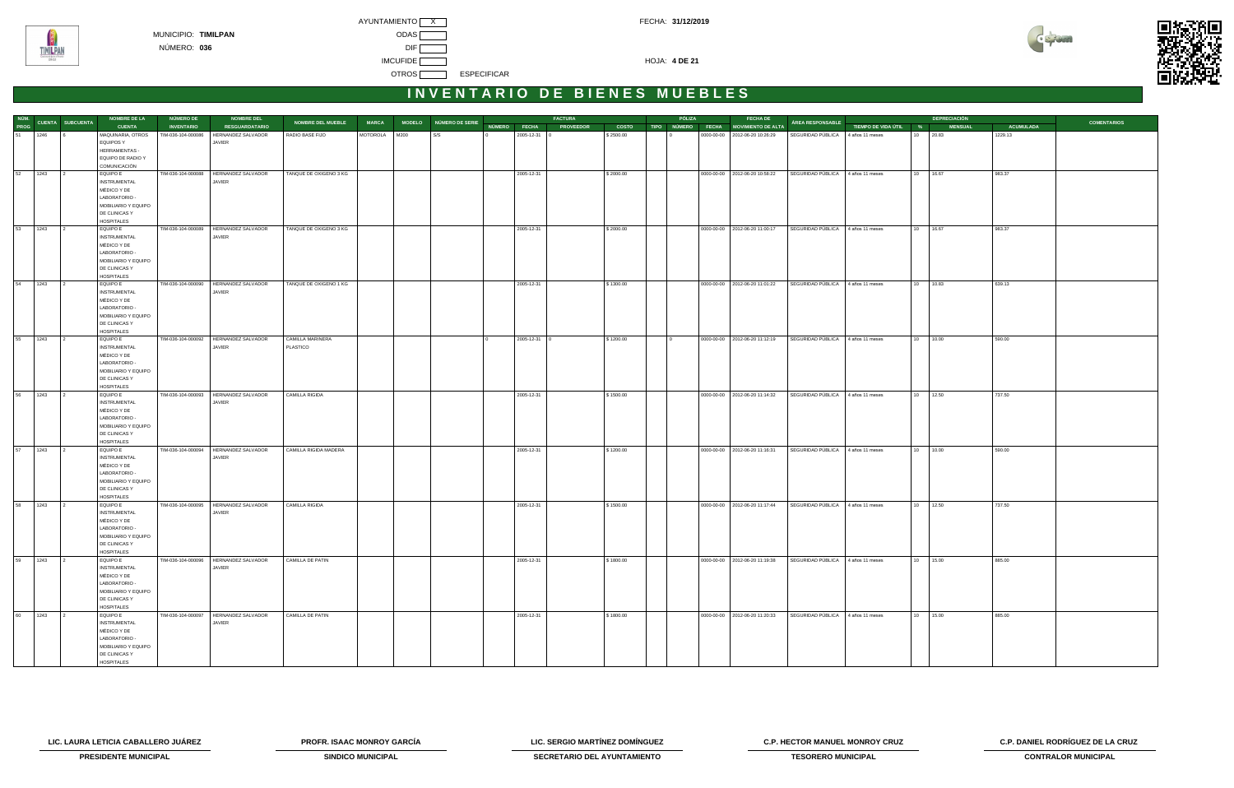



|         |      | NÚM.<br>PROG CUENTA SUBCUENTA<br>51 1246 6<br><b>NOMBRE DE LA</b> | <b>NÚMERO DE</b>   | <b>NOMBRE DEL</b>                       | NOMBRE DEL MUEBLE      | <b>MARCA</b>  | MODELO NÚMERO DE SERIE |              | <b>FACTURA</b>   |              | PÓLIZA            | <b>FECHA DE</b>                  | <b>ÁREA RESPONSABLE</b>           |                       |    | <b>DEPRECIACIÓN</b> |                  | <b>COMENTARIOS</b> |  |
|---------|------|-------------------------------------------------------------------|--------------------|-----------------------------------------|------------------------|---------------|------------------------|--------------|------------------|--------------|-------------------|----------------------------------|-----------------------------------|-----------------------|----|---------------------|------------------|--------------------|--|
|         |      | <b>CUENTA</b>                                                     | <b>INVENTARIO</b>  | <b>RESGUARDATARIO</b>                   |                        |               |                        | NÚMERO FECHA | <b>PROVEEDOR</b> | <b>COSTO</b> | TIPO NÚMERO FECHA | MOVIMIENTO DE ALTA               |                                   | TIEMPO DE VIDA ÚTIL % |    | <b>MENSUAL</b>      | <b>ACUMULADA</b> |                    |  |
|         |      | MAQUINARIA, OTROS                                                 | TIM-036-104-000086 | HERNANDEZ SALVADOR                      | RADIO BASE FIJO        | MOTOROLA M200 | S/S                    | 2005-12-31 0 | \$2500.00        |              |                   | 0000-00-00   2012-06-20 10:26:29 | SEGURIDAD PÚBLICA 4 años 11 meses |                       | 10 | 20.83               | 1229.13          |                    |  |
|         |      | <b>EQUIPOS Y</b>                                                  |                    | JAVIER                                  |                        |               |                        |              |                  |              |                   |                                  |                                   |                       |    |                     |                  |                    |  |
|         |      | HERRAMIENTAS -                                                    |                    |                                         |                        |               |                        |              |                  |              |                   |                                  |                                   |                       |    |                     |                  |                    |  |
|         |      | EQUIPO DE RADIO Y                                                 |                    |                                         |                        |               |                        |              |                  |              |                   |                                  |                                   |                       |    |                     |                  |                    |  |
|         |      | COMUNICACIÓN                                                      |                    |                                         |                        |               |                        |              |                  |              |                   |                                  |                                   |                       |    |                     |                  |                    |  |
| 52 1243 |      | <b>EQUIPO E</b>                                                   | TIM-036-104-000088 | HERNANDEZ SALVADOR                      | TANQUE DE OXIGENO 3 KG |               |                        | 2005-12-31   | \$2000.00        |              |                   | 0000-00-00 2012-06-20 10:58:22   | SEGURIDAD PÚBLICA 4 años 11 meses |                       |    | 10 16.67            | 983.37           |                    |  |
|         |      | <b>INSTRUMENTAL</b>                                               |                    | JAVIER                                  |                        |               |                        |              |                  |              |                   |                                  |                                   |                       |    |                     |                  |                    |  |
|         |      | MÉDICO Y DE                                                       |                    |                                         |                        |               |                        |              |                  |              |                   |                                  |                                   |                       |    |                     |                  |                    |  |
|         |      | LABORATORIO -                                                     |                    |                                         |                        |               |                        |              |                  |              |                   |                                  |                                   |                       |    |                     |                  |                    |  |
|         |      | MOBILIARIO Y EQUIPO                                               |                    |                                         |                        |               |                        |              |                  |              |                   |                                  |                                   |                       |    |                     |                  |                    |  |
|         |      | DE CLINICAS Y                                                     |                    |                                         |                        |               |                        |              |                  |              |                   |                                  |                                   |                       |    |                     |                  |                    |  |
|         |      | <b>HOSPITALES</b>                                                 |                    |                                         |                        |               |                        |              |                  |              |                   |                                  |                                   |                       |    |                     |                  |                    |  |
| 53 1243 |      | <b>EQUIPO E</b>                                                   |                    | TIM-036-104-000089   HERNANDEZ SALVADOR | TANQUE DE OXIGENO 3 KG |               |                        | 2005-12-31   | \$2000.00        |              |                   | 0000-00-00 2012-06-20 11:00:17   | SEGURIDAD PÚBLICA 4 años 11 meses |                       |    | 10 16.67            | 983.37           |                    |  |
|         |      | <b>INSTRUMENTAL</b>                                               |                    | JAVIER                                  |                        |               |                        |              |                  |              |                   |                                  |                                   |                       |    |                     |                  |                    |  |
|         |      | MÉDICO Y DE                                                       |                    |                                         |                        |               |                        |              |                  |              |                   |                                  |                                   |                       |    |                     |                  |                    |  |
|         |      | LABORATORIO -                                                     |                    |                                         |                        |               |                        |              |                  |              |                   |                                  |                                   |                       |    |                     |                  |                    |  |
|         |      | MOBILIARIO Y EQUIPO                                               |                    |                                         |                        |               |                        |              |                  |              |                   |                                  |                                   |                       |    |                     |                  |                    |  |
|         |      | DE CLINICAS Y                                                     |                    |                                         |                        |               |                        |              |                  |              |                   |                                  |                                   |                       |    |                     |                  |                    |  |
|         |      | <b>HOSPITALES</b>                                                 |                    |                                         |                        |               |                        |              |                  |              |                   |                                  |                                   |                       |    |                     |                  |                    |  |
| 54 1243 |      | <b>EQUIPO E</b>                                                   |                    | TIM-036-104-000090 HERNANDEZ SALVADOR   | TANQUE DE OXIGENO 1 KG |               |                        | 2005-12-31   | \$1300.00        |              |                   | 0000-00-00   2012-06-20 11:01:22 | SEGURIDAD PÚBLICA 4 años 11 meses |                       |    | $\boxed{10}$ 10.83  | 639.13           |                    |  |
|         |      | <b>INSTRUMENTAL</b>                                               |                    | JAVIER                                  |                        |               |                        |              |                  |              |                   |                                  |                                   |                       |    |                     |                  |                    |  |
|         |      | MÉDICO Y DE                                                       |                    |                                         |                        |               |                        |              |                  |              |                   |                                  |                                   |                       |    |                     |                  |                    |  |
|         |      | LABORATORIO -                                                     |                    |                                         |                        |               |                        |              |                  |              |                   |                                  |                                   |                       |    |                     |                  |                    |  |
|         |      | MOBILIARIO Y EQUIPO                                               |                    |                                         |                        |               |                        |              |                  |              |                   |                                  |                                   |                       |    |                     |                  |                    |  |
|         |      | DE CLINICAS Y                                                     |                    |                                         |                        |               |                        |              |                  |              |                   |                                  |                                   |                       |    |                     |                  |                    |  |
|         |      | <b>HOSPITALES</b>                                                 |                    |                                         |                        |               |                        |              |                  |              |                   |                                  |                                   |                       |    |                     |                  |                    |  |
| 55 1243 |      | <b>EQUIPO E</b>                                                   |                    | TIM-036-104-000092 HERNANDEZ SALVADOR   | CAMILLA MARINERA       |               |                        | 2005-12-31 0 | \$1200.00        |              |                   | 0000-00-00 2012-06-20 11:12:19   | SEGURIDAD PÚBLICA 4 años 11 meses |                       |    | 10 10.00            | 590.00           |                    |  |
|         |      | <b>INSTRUMENTAL</b>                                               |                    | JAVIER                                  | PLASTICO               |               |                        |              |                  |              |                   |                                  |                                   |                       |    |                     |                  |                    |  |
|         |      | MÉDICO Y DE                                                       |                    |                                         |                        |               |                        |              |                  |              |                   |                                  |                                   |                       |    |                     |                  |                    |  |
|         |      | LABORATORIO -                                                     |                    |                                         |                        |               |                        |              |                  |              |                   |                                  |                                   |                       |    |                     |                  |                    |  |
|         |      | MOBILIARIO Y EQUIPO                                               |                    |                                         |                        |               |                        |              |                  |              |                   |                                  |                                   |                       |    |                     |                  |                    |  |
|         |      | DE CLINICAS Y                                                     |                    |                                         |                        |               |                        |              |                  |              |                   |                                  |                                   |                       |    |                     |                  |                    |  |
|         |      | <b>HOSPITALES</b>                                                 |                    |                                         |                        |               |                        |              |                  |              |                   |                                  |                                   |                       |    |                     |                  |                    |  |
| 56 1243 |      | <b>EQUIPO E</b>                                                   |                    | TIM-036-104-000093 HERNANDEZ SALVADOR   | CAMILLA RIGIDA         |               |                        | 2005-12-31   | \$1500.00        |              |                   | 0000-00-00 2012-06-20 11:14:32   | SEGURIDAD PÚBLICA 4 años 11 meses |                       |    | 10 12.50            | 737.50           |                    |  |
|         |      | <b>INSTRUMENTAL</b>                                               |                    | JAVIER                                  |                        |               |                        |              |                  |              |                   |                                  |                                   |                       |    |                     |                  |                    |  |
|         |      | MÉDICO Y DE                                                       |                    |                                         |                        |               |                        |              |                  |              |                   |                                  |                                   |                       |    |                     |                  |                    |  |
|         |      | LABORATORIO -                                                     |                    |                                         |                        |               |                        |              |                  |              |                   |                                  |                                   |                       |    |                     |                  |                    |  |
|         |      | MOBILIARIO Y EQUIPO                                               |                    |                                         |                        |               |                        |              |                  |              |                   |                                  |                                   |                       |    |                     |                  |                    |  |
|         |      | DE CLINICAS Y                                                     |                    |                                         |                        |               |                        |              |                  |              |                   |                                  |                                   |                       |    |                     |                  |                    |  |
|         |      | <b>HOSPITALES</b>                                                 |                    |                                         |                        |               |                        |              |                  |              |                   |                                  |                                   |                       |    |                     |                  |                    |  |
| 57 1243 |      | EQUIPO E                                                          |                    | TIM-036-104-000094 HERNANDEZ SALVADOR   | CAMILLA RIGIDA MADERA  |               |                        | 2005-12-31   | \$1200.00        |              |                   | 0000-00-00 2012-06-20 11:16:31   | SEGURIDAD PÚBLICA 4 años 11 meses |                       |    | 10 10.00            | 590.00           |                    |  |
|         |      | <b>INSTRUMENTAL</b>                                               |                    | JAVIER                                  |                        |               |                        |              |                  |              |                   |                                  |                                   |                       |    |                     |                  |                    |  |
|         |      | MÉDICO Y DE                                                       |                    |                                         |                        |               |                        |              |                  |              |                   |                                  |                                   |                       |    |                     |                  |                    |  |
|         |      | LABORATORIO -                                                     |                    |                                         |                        |               |                        |              |                  |              |                   |                                  |                                   |                       |    |                     |                  |                    |  |
|         |      | MOBILIARIO Y EQUIPO                                               |                    |                                         |                        |               |                        |              |                  |              |                   |                                  |                                   |                       |    |                     |                  |                    |  |
|         |      | DE CLINICAS Y                                                     |                    |                                         |                        |               |                        |              |                  |              |                   |                                  |                                   |                       |    |                     |                  |                    |  |
|         |      | <b>HOSPITALES</b>                                                 |                    |                                         |                        |               |                        |              |                  |              |                   |                                  |                                   |                       |    |                     |                  |                    |  |
| 58 1243 |      | EQUIPO E                                                          | TIM-036-104-000095 | HERNANDEZ SALVADOR                      | CAMILLA RIGIDA         |               |                        | 2005-12-31   | \$1500.00        |              |                   | 0000-00-00   2012-06-20 11:17:44 | SEGURIDAD PÚBLICA 4 años 11 meses |                       |    | 10 12.50            | 737.50           |                    |  |
|         |      | <b>INSTRUMENTAL</b>                                               |                    | JAVIER                                  |                        |               |                        |              |                  |              |                   |                                  |                                   |                       |    |                     |                  |                    |  |
|         |      | MÉDICO Y DE                                                       |                    |                                         |                        |               |                        |              |                  |              |                   |                                  |                                   |                       |    |                     |                  |                    |  |
|         |      | LABORATORIO -                                                     |                    |                                         |                        |               |                        |              |                  |              |                   |                                  |                                   |                       |    |                     |                  |                    |  |
|         |      | MOBILIARIO Y EQUIPO                                               |                    |                                         |                        |               |                        |              |                  |              |                   |                                  |                                   |                       |    |                     |                  |                    |  |
|         |      | DE CLINICAS Y                                                     |                    |                                         |                        |               |                        |              |                  |              |                   |                                  |                                   |                       |    |                     |                  |                    |  |
|         |      | <b>HOSPITALES</b>                                                 |                    |                                         |                        |               |                        |              |                  |              |                   |                                  |                                   |                       |    |                     |                  |                    |  |
| 59      | 1243 | <b>EQUIPO E</b>                                                   |                    | TIM-036-104-000096   HERNANDEZ SALVADOR | CAMILLA DE PATIN       |               |                        | 2005-12-31   | \$1800.00        |              |                   | 0000-00-00   2012-06-20 11:19:38 | SEGURIDAD PÚBLICA 4 años 11 meses |                       |    | 10 15.00            | 885.00           |                    |  |
|         |      | <b>INSTRUMENTAL</b>                                               |                    | <b>JAVIER</b>                           |                        |               |                        |              |                  |              |                   |                                  |                                   |                       |    |                     |                  |                    |  |
|         |      | MÉDICO Y DE                                                       |                    |                                         |                        |               |                        |              |                  |              |                   |                                  |                                   |                       |    |                     |                  |                    |  |
|         |      | LABORATORIO -                                                     |                    |                                         |                        |               |                        |              |                  |              |                   |                                  |                                   |                       |    |                     |                  |                    |  |
|         |      | MOBILIARIO Y EQUIPO                                               |                    |                                         |                        |               |                        |              |                  |              |                   |                                  |                                   |                       |    |                     |                  |                    |  |
|         |      | DE CLINICAS Y                                                     |                    |                                         |                        |               |                        |              |                  |              |                   |                                  |                                   |                       |    |                     |                  |                    |  |
|         |      | <b>HOSPITALES</b>                                                 |                    |                                         |                        |               |                        |              |                  |              |                   |                                  |                                   |                       |    |                     |                  |                    |  |
| 60      | 1243 | EQUIPO E                                                          |                    | TIM-036-104-000097 HERNANDEZ SALVADOR   | CAMILLA DE PATIN       |               |                        | 2005-12-31   | \$1800.00        |              |                   | 0000-00-00   2012-06-20 11:20:33 | SEGURIDAD PÚBLICA 4 años 11 meses |                       | 10 | 15.00               | 885.00           |                    |  |
|         |      | <b>INSTRUMENTAL</b>                                               |                    | <b>JAVIER</b>                           |                        |               |                        |              |                  |              |                   |                                  |                                   |                       |    |                     |                  |                    |  |
|         |      | MÉDICO Y DE                                                       |                    |                                         |                        |               |                        |              |                  |              |                   |                                  |                                   |                       |    |                     |                  |                    |  |
|         |      | LABORATORIO -                                                     |                    |                                         |                        |               |                        |              |                  |              |                   |                                  |                                   |                       |    |                     |                  |                    |  |
|         |      | MOBILIARIO Y EQUIPO                                               |                    |                                         |                        |               |                        |              |                  |              |                   |                                  |                                   |                       |    |                     |                  |                    |  |
|         |      | DE CLINICAS Y                                                     |                    |                                         |                        |               |                        |              |                  |              |                   |                                  |                                   |                       |    |                     |                  |                    |  |
|         |      | <b>HOSPITALES</b>                                                 |                    |                                         |                        |               |                        |              |                  |              |                   |                                  |                                   |                       |    |                     |                  |                    |  |

**PRESIDENTE MUNICIPAL CONTRALOR MUNICIPAL SINDICO MUNICIPAL SECRETARIO DEL AYUNTAMIENTO TESORERO MUNICIPAL CONTRALOR MUNICIPAL** 





**LIC. LAURA LETICIA CABALLERO JUÁREZ PROFR. ISAAC MONROY GARCÍA LIC. SERGIO MARTÍNEZ DOMÍNGUEZ C.P. HECTOR MANUEL MONROY CRUZ C.P. DANIEL RODRÍGUEZ DE LA CRUZ**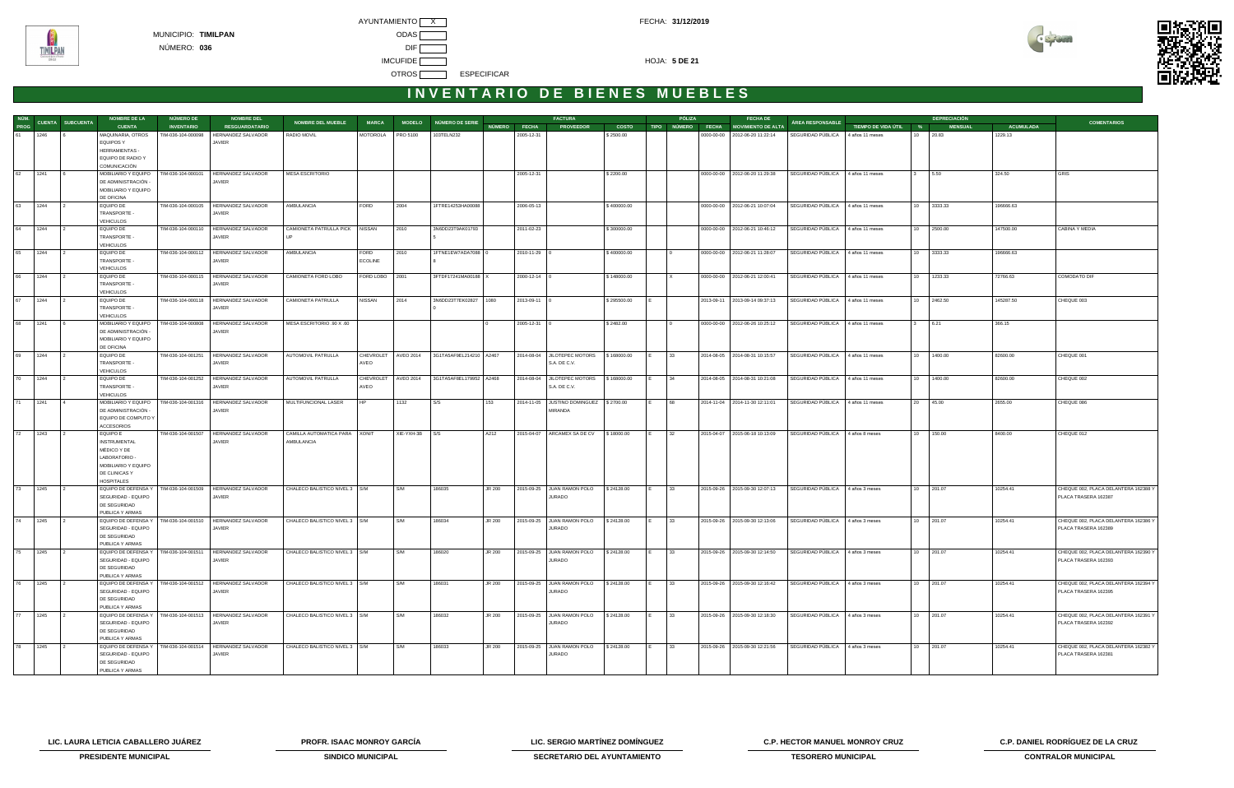

| NÚM. |         |                         | <b>NOMBRE DE LA</b>                        | NÚMERO DE          | <b>NOMBRE DEL</b>                                             |                                 |                |                |                                                   |              |                | <b>FACTURA</b>                                 |              | PÓLIZA                   | <b>FECHA DE</b>                  |                                   |                       |          | <b>DEPRECIACIÓN</b> |                  |                                                              |
|------|---------|-------------------------|--------------------------------------------|--------------------|---------------------------------------------------------------|---------------------------------|----------------|----------------|---------------------------------------------------|--------------|----------------|------------------------------------------------|--------------|--------------------------|----------------------------------|-----------------------------------|-----------------------|----------|---------------------|------------------|--------------------------------------------------------------|
| PROG |         | <b>CUENTA SUBCUENTA</b> | <b>CUENTA</b>                              | <b>INVENTARIO</b>  | <b>RESGUARDATARIO</b>                                         | <b>NOMBRE DEL MUEBLE</b>        | <b>MARCA</b>   |                | MODELO NÚMERO DE SERIE                            | NÚMERO FECHA |                | <b>PROVEEDOR</b>                               | <b>COSTO</b> | TIPO NÚMERO <u>FECHA</u> | <b>MOVIMIENTO DE ALTA</b>        | ÁREA RESPONSABLE                  | TIEMPO DE VIDA ÚTIL % |          | <b>MENSUAL</b>      | <b>ACUMULADA</b> | <b>COMENTARIOS</b>                                           |
|      | 61 1246 |                         | MAQUINARIA, OTROS                          | TIM-036-104-000098 | HERNANDEZ SALVADOR                                            | RADIO MOVIL                     | MOTOROLA       | PRO 5100       | 103TELN232                                        |              | 2005-12-31     |                                                | \$2500.00    |                          | 0000-00-00 2012-06-20 11:22:14   | SEGURIDAD PÚBLICA                 | 4 años 11 meses       | 10 20.83 |                     | 1229.13          |                                                              |
|      |         |                         | <b>EQUIPOS Y</b>                           |                    | JAVIER                                                        |                                 |                |                |                                                   |              |                |                                                |              |                          |                                  |                                   |                       |          |                     |                  |                                                              |
|      |         |                         | <b>HERRAMIENTAS -</b>                      |                    |                                                               |                                 |                |                |                                                   |              |                |                                                |              |                          |                                  |                                   |                       |          |                     |                  |                                                              |
|      |         |                         | EQUIPO DE RADIO Y                          |                    |                                                               |                                 |                |                |                                                   |              |                |                                                |              |                          |                                  |                                   |                       |          |                     |                  |                                                              |
|      |         |                         | COMUNICACIÓN                               |                    |                                                               |                                 |                |                |                                                   |              |                |                                                |              |                          |                                  |                                   |                       |          |                     |                  |                                                              |
|      | 62 1241 |                         | MOBILIARIO Y EQUIPO                        | TIM-036-104-000101 | HERNANDEZ SALVADOR                                            | <b>MESA ESCRITORIO</b>          |                |                |                                                   |              | 2005-12-31     |                                                | \$2200.00    |                          | 0000-00-00   2012-06-20 11:29:38 | SEGURIDAD PÚBLICA 4 años 11 meses |                       | 3 5.50   |                     | 324.50           | GRIS                                                         |
|      |         |                         | DE ADMINISTRACIÓN -                        |                    | JAVIER                                                        |                                 |                |                |                                                   |              |                |                                                |              |                          |                                  |                                   |                       |          |                     |                  |                                                              |
|      |         |                         | MOBILIARIO Y EQUIPO<br>DE OFICINA          |                    |                                                               |                                 |                |                |                                                   |              |                |                                                |              |                          |                                  |                                   |                       |          |                     |                  |                                                              |
| 63   | 1244    |                         | EQUIPO DE                                  | TIM-036-104-000105 | HERNANDEZ SALVADOR                                            | <b>AMBULANCIA</b>               | FORD           | 2004           | 1FTRE14253HA00088                                 |              | 2006-05-13     |                                                | \$400000.00  |                          | 0000-00-00   2012-06-21 10:07:04 | SEGURIDAD PÚBLICA                 | 4 años 11 meses       |          | 10 3333.33          | 196666.63        |                                                              |
|      |         |                         | TRANSPORTE -                               |                    | JAVIER                                                        |                                 |                |                |                                                   |              |                |                                                |              |                          |                                  |                                   |                       |          |                     |                  |                                                              |
|      |         |                         | <b>VEHICULOS</b>                           |                    |                                                               |                                 |                |                |                                                   |              |                |                                                |              |                          |                                  |                                   |                       |          |                     |                  |                                                              |
| 64   | 1244    |                         | EQUIPO DE                                  |                    | TIM-036-104-000110   HERNANDEZ SALVADOR                       | CAMIONETA PATRULLA PICK NISSAN  |                | 2010           | 3N6DD23T9AK01793                                  |              | 2011-02-23     |                                                | \$300000.00  |                          | 0000-00-00 2012-06-21 10:46:12   | SEGURIDAD PÚBLICA                 | 4 años 11 meses       | 10       | 2500.00             | 147500.00        | CABINA Y MEDIA                                               |
|      |         |                         | TRANSPORTE -                               |                    | <b>JAVIER</b>                                                 |                                 |                |                |                                                   |              |                |                                                |              |                          |                                  |                                   |                       |          |                     |                  |                                                              |
|      |         |                         | VEHICULOS                                  |                    |                                                               |                                 |                |                |                                                   |              |                |                                                |              |                          |                                  |                                   |                       |          |                     |                  |                                                              |
|      | 65 1244 |                         | EQUIPO DE                                  | TIM-036-104-000112 | HERNANDEZ SALVADOR                                            | AMBULANCIA                      | FORD           | 2010           | 1FTNE1EW7ADA7088 0                                |              | 2010-11-29 0   |                                                | \$400000.00  |                          | 0000-00-00   2012-06-21 11:28:07 | SEGURIDAD PÚBLICA                 | 4 años 11 meses       |          | 10 3333.33          | 196666.63        |                                                              |
|      |         |                         | TRANSPORTE -                               |                    | JAVIER                                                        |                                 | <b>ECOLINE</b> |                |                                                   |              |                |                                                |              |                          |                                  |                                   |                       |          |                     |                  |                                                              |
|      |         |                         | <b>VEHICULOS</b>                           |                    |                                                               |                                 |                |                |                                                   |              |                |                                                |              |                          |                                  |                                   |                       |          |                     |                  |                                                              |
|      | 66 1244 |                         | EQUIPO DE                                  | TIM-036-104-000115 | HERNANDEZ SALVADOR                                            | CAMIONETA FORD LOBO             | FORD LOBO 2001 |                | 3FTDF17241MA00188 X                               |              | $2000-12-14$ 0 |                                                | \$148000.00  | $\mathsf{I} \times$      | 0000-00-00 2012-06-21 12:00:41   | SEGURIDAD PÚBLICA                 | 4 años 11 meses       |          | 10 1233.33          | 72766.63         | COMODATO DIF                                                 |
|      |         |                         | TRANSPORTE -                               |                    | JAVIER                                                        |                                 |                |                |                                                   |              |                |                                                |              |                          |                                  |                                   |                       |          |                     |                  |                                                              |
|      |         |                         | VEHICULOS                                  |                    |                                                               |                                 |                |                |                                                   |              |                |                                                |              |                          |                                  |                                   |                       |          |                     |                  |                                                              |
| 67   | 1244    |                         | EQUIPO DE<br>TRANSPORTE -                  |                    | TIM-036-104-000118   HERNANDEZ SALVADOR<br>JAVIER             | CAMIONETA PATRULLA              | NISSAN         | 2014           | 3N6DD23T7EK02827 1080                             |              | 2013-09-11 0   |                                                | \$295500.00  |                          | 2013-09-11 2013-09-14 09:37:13   | SEGURIDAD PÚBLICA 4 años 11 meses |                       |          | 10 2462.50          | 145287.50        | CHEQUE 003                                                   |
|      |         |                         | <b>VEHICULOS</b>                           |                    |                                                               |                                 |                |                |                                                   |              |                |                                                |              |                          |                                  |                                   |                       |          |                     |                  |                                                              |
| 68   | 1241    |                         | MOBILIARIO Y EQUIPO                        | TIM-036-104-000808 | <b>HERNANDEZ SALVADOR</b>                                     | MESA ESCRITORIO .90 X .60       |                |                |                                                   |              | 2005-12-31     |                                                | \$2482.00    |                          | 0000-00-00 2012-06-26 10:25:12   | SEGURIDAD PÚBLICA 4 años 11 meses |                       |          | 6.21                | 366.15           |                                                              |
|      |         |                         | DE ADMINISTRACIÓN ·                        |                    | JAVIER                                                        |                                 |                |                |                                                   |              |                |                                                |              |                          |                                  |                                   |                       |          |                     |                  |                                                              |
|      |         |                         | MOBILIARIO Y EQUIPO                        |                    |                                                               |                                 |                |                |                                                   |              |                |                                                |              |                          |                                  |                                   |                       |          |                     |                  |                                                              |
|      |         |                         | DE OFICINA                                 |                    |                                                               |                                 |                |                |                                                   |              |                |                                                |              |                          |                                  |                                   |                       |          |                     |                  |                                                              |
| 69   | 1244    |                         | EQUIPO DE                                  | TIM-036-104-001251 | HERNANDEZ SALVADOR                                            | AUTOMOVIL PATRULLA              |                |                | CHEVROLET   AVEO 2014   3G1TA5AF9EL214210   A2467 |              |                | 2014-08-04 JILOTEPEC MOTORS                    | \$168000.00  | 33                       | 2014-08-05 2014-08-31 10:15:57   | SEGURIDAD PÚBLICA                 | 4 años 11 meses       |          | 10 1400.00          | 82600.00         | CHEQUE 001                                                   |
|      |         |                         | TRANSPORTE -                               |                    | <b>JAVIER</b>                                                 |                                 | AVEO           |                |                                                   |              |                | S.A. DE C.V.                                   |              |                          |                                  |                                   |                       |          |                     |                  |                                                              |
|      |         |                         | <b>VEHICULOS</b>                           |                    |                                                               |                                 |                |                |                                                   |              |                |                                                |              |                          |                                  |                                   |                       |          |                     |                  |                                                              |
|      | 70 1244 |                         | EQUIPO DE                                  |                    | TIM-036-104-001252   HERNANDEZ SALVADOR                       | AUTOMOVIL PATRULLA              |                |                | CHEVROLET AVEO 2014 3G1TA5AF8EL179952 A2468       |              |                | 2014-08-04 JILOTEPEC MOTORS \$168000.00        |              | 34                       | 2014-08-05 2014-08-31 10:21:08   | SEGURIDAD PÚBLICA 4 años 11 meses |                       |          | 10 1400.00          | 82600.00         | CHEQUE 002                                                   |
|      |         |                         | TRANSPORTE -                               |                    | JAVIER                                                        |                                 | AVEO           |                |                                                   |              |                | S.A. DE C.V.                                   |              |                          |                                  |                                   |                       |          |                     |                  |                                                              |
|      |         |                         | <b>VEHICULOS</b>                           |                    |                                                               |                                 |                |                |                                                   |              |                |                                                |              | 68                       |                                  |                                   |                       |          |                     |                  |                                                              |
| 71   | 1241    |                         | MOBILIARIO Y EQUIPO                        | TIM-036-104-001316 | HERNANDEZ SALVADOR                                            | MULTIFUNCIONAL LASER            |                | 1132           | S/S                                               | 153          | 2014-11-05     | JUSTINO DOMINGUEZ \\$2700.00<br><b>MIRANDA</b> |              |                          | 2014-11-04 2014-11-30 12:11:01   | SEGURIDAD PÚBLICA                 | 4 años 11 meses       | 20       | 45.00               | 2655.00          | CHEQUE 086                                                   |
|      |         |                         | DE ADMINISTRACIÓN -<br>EQUIPO DE COMPUTO Y |                    | JAVIER                                                        |                                 |                |                |                                                   |              |                |                                                |              |                          |                                  |                                   |                       |          |                     |                  |                                                              |
|      |         |                         | <b>ACCESORIOS</b>                          |                    |                                                               |                                 |                |                |                                                   |              |                |                                                |              |                          |                                  |                                   |                       |          |                     |                  |                                                              |
|      | 72 1243 |                         | <b>EQUIPO E</b>                            |                    | TIM-036-104-001507   HERNANDEZ SALVADOR                       | CAMILLA AUTOMATICA PARA XONIT   |                | XIE-YXH-3B S/S |                                                   | A212         |                | 2015-04-07   ARCAMEX SA DE CV                  | \$18000.00   | 32                       | 2015-04-07 2015-06-18 10:13:09   | SEGURIDAD PÚBLICA 4 años 8 meses  |                       |          | 10 150.00           | 8400.00          | CHEQUE 012                                                   |
|      |         |                         | <b>INSTRUMENTAL</b>                        |                    | JAVIER                                                        | AMBULANCIA                      |                |                |                                                   |              |                |                                                |              |                          |                                  |                                   |                       |          |                     |                  |                                                              |
|      |         |                         | MÉDICO Y DE                                |                    |                                                               |                                 |                |                |                                                   |              |                |                                                |              |                          |                                  |                                   |                       |          |                     |                  |                                                              |
|      |         |                         | LABORATORIO -                              |                    |                                                               |                                 |                |                |                                                   |              |                |                                                |              |                          |                                  |                                   |                       |          |                     |                  |                                                              |
|      |         |                         | MOBILIARIO Y EQUIPO                        |                    |                                                               |                                 |                |                |                                                   |              |                |                                                |              |                          |                                  |                                   |                       |          |                     |                  |                                                              |
|      |         |                         | DE CLINICAS Y                              |                    |                                                               |                                 |                |                |                                                   |              |                |                                                |              |                          |                                  |                                   |                       |          |                     |                  |                                                              |
|      |         |                         | <b>HOSPITALES</b>                          |                    |                                                               |                                 |                |                |                                                   |              |                |                                                |              |                          |                                  |                                   |                       |          |                     |                  |                                                              |
|      | 73 1245 |                         |                                            |                    | EQUIPO DE DEFENSA Y   TIM-036-104-001509   HERNANDEZ SALVADOR | CHALECO BALISTICO NIVEL 3   S/M |                | I S/M          | 186035                                            | JR 200       |                | 2015-09-25 JUAN RAMON POLO                     | \$24128.00   | 33                       | 2015-09-26 2015-09-30 12:07:13   | SEGURIDAD PÚBLICA 4 años 3 meses  |                       |          | 10 201.07           | 10254.41         | CHEQUE 002, PLACA DELANTERA 162388 Y                         |
|      |         |                         | SEGURIDAD - EQUIPO                         |                    | JAVIER                                                        |                                 |                |                |                                                   |              |                | <b>JURADO</b>                                  |              |                          |                                  |                                   |                       |          |                     |                  | PLACA TRASERA 162387                                         |
|      |         |                         | DE SEGURIDAD                               |                    |                                                               |                                 |                |                |                                                   |              |                |                                                |              |                          |                                  |                                   |                       |          |                     |                  |                                                              |
|      | 74 1245 |                         | PUBLICA Y ARMAS                            |                    | EQUIPO DE DEFENSA Y   TIM-036-104-001510   HERNANDEZ SALVADOR | CHALECO BALISTICO NIVEL 3 S/M   |                | S/M            | 186034                                            | JR 200       |                | 2015-09-25 JUAN RAMON POLO                     | \$24128.00   | 33                       | 2015-09-26 2015-09-30 12:13:06   | SEGURIDAD PÚBLICA                 | 4 años 3 meses        |          | 10 201.07           | 10254.41         | CHEQUE 002, PLACA DELANTERA 162386 Y                         |
|      |         |                         | SEGURIDAD - EQUIPO                         |                    | JAVIER                                                        |                                 |                |                |                                                   |              |                | JURADO                                         |              |                          |                                  |                                   |                       |          |                     |                  | PLACA TRASERA 162389                                         |
|      |         |                         | DE SEGURIDAD                               |                    |                                                               |                                 |                |                |                                                   |              |                |                                                |              |                          |                                  |                                   |                       |          |                     |                  |                                                              |
|      |         |                         | PUBLICA Y ARMAS                            |                    |                                                               |                                 |                |                |                                                   |              |                |                                                |              |                          |                                  |                                   |                       |          |                     |                  |                                                              |
|      | 75 1245 |                         |                                            |                    | EQUIPO DE DEFENSA Y   TIM-036-104-001511   HERNANDEZ SALVADOR | CHALECO BALISTICO NIVEL 3   S/M |                | S/M            | 186020                                            | JR 200       |                | 2015-09-25 JUAN RAMON POLO                     | \$24128.00   | 33                       | 2015-09-26 2015-09-30 12:14:50   | SEGURIDAD PÚBLICA 4 años 3 meses  |                       |          | 10 201.07           | 10254.41         | CHEQUE 002, PLACA DELANTERA 162390 Y                         |
|      |         |                         | SEGURIDAD - EQUIPO                         |                    | JAVIER                                                        |                                 |                |                |                                                   |              |                | JURADO                                         |              |                          |                                  |                                   |                       |          |                     |                  | PLACA TRASERA 162393                                         |
|      |         |                         | DE SEGURIDAD                               |                    |                                                               |                                 |                |                |                                                   |              |                |                                                |              |                          |                                  |                                   |                       |          |                     |                  |                                                              |
|      |         |                         | PUBLICA Y ARMAS                            |                    |                                                               |                                 |                |                |                                                   |              |                |                                                |              |                          |                                  |                                   |                       |          |                     |                  |                                                              |
|      | 76 1245 |                         |                                            |                    | EQUIPO DE DEFENSA Y   TIM-036-104-001512   HERNANDEZ SALVADOR | CHALECO BALISTICO NIVEL 3   S/M |                | S/M            | 186031                                            | JR 200       |                | 2015-09-25 JUAN RAMON POLO                     | \$24128.00   | 33                       | 2015-09-26 2015-09-30 12:16:42   | SEGURIDAD PÚBLICA 4 años 3 meses  |                       |          | 10 201.07           | 10254.41         | CHEQUE 002, PLACA DELANTERA 162394 Y                         |
|      |         |                         | SEGURIDAD - EQUIPO                         |                    | JAVIER                                                        |                                 |                |                |                                                   |              |                | JURADO                                         |              |                          |                                  |                                   |                       |          |                     |                  | PLACA TRASERA 162395                                         |
|      |         |                         | DE SEGURIDAD                               |                    |                                                               |                                 |                |                |                                                   |              |                |                                                |              |                          |                                  |                                   |                       |          |                     |                  |                                                              |
|      |         |                         | PUBLICA Y ARMAS                            |                    |                                                               |                                 |                |                |                                                   |              |                |                                                |              |                          |                                  |                                   |                       |          |                     |                  |                                                              |
|      | 77 1245 |                         | EQUIPO DE DEFENSA Y<br>SEGURIDAD - EQUIPO  |                    | TIM-036-104-001513 HERNANDEZ SALVADOR<br>JAVIER               | CHALECO BALISTICO NIVEL 3 S/M   |                | S/M            | 186032                                            | JR 200       |                | 2015-09-25 JUAN RAMON POLO<br>JURADO           | \$24128.00   | 33                       | 2015-09-26 2015-09-30 12:18:30   | SEGURIDAD PÚBLICA 4 años 3 meses  |                       |          | 10 201.07           | 10254.41         | CHEQUE 002, PLACA DELANTERA 162391 Y<br>PLACA TRASERA 162392 |
|      |         |                         | DE SEGURIDAD                               |                    |                                                               |                                 |                |                |                                                   |              |                |                                                |              |                          |                                  |                                   |                       |          |                     |                  |                                                              |
|      |         |                         | PUBLICA Y ARMAS                            |                    |                                                               |                                 |                |                |                                                   |              |                |                                                |              |                          |                                  |                                   |                       |          |                     |                  |                                                              |
|      | 78 1245 |                         | EQUIPO DE DEFENSA Y                        | TIM-036-104-001514 | HERNANDEZ SALVADOR                                            | CHALECO BALISTICO NIVEL 3   S/M |                | S/M            | 186033                                            | JR 200       |                | 2015-09-25 JUAN RAMON POLO                     | \$24128.00   | 33                       | 2015-09-26 2015-09-30 12:21:56   | SEGURIDAD PÚBLICA 4 años 3 meses  |                       |          | 10 201.07           | 10254.41         | CHEQUE 002, PLACA DELANTERA 162382 Y                         |
|      |         |                         | SEGURIDAD - EQUIPO                         |                    | JAVIER                                                        |                                 |                |                |                                                   |              |                | JURADO                                         |              |                          |                                  |                                   |                       |          |                     |                  | PLACA TRASERA 162381                                         |
|      |         |                         | DE SEGURIDAD                               |                    |                                                               |                                 |                |                |                                                   |              |                |                                                |              |                          |                                  |                                   |                       |          |                     |                  |                                                              |
|      |         |                         | PUBLICA Y ARMAS                            |                    |                                                               |                                 |                |                |                                                   |              |                |                                                |              |                          |                                  |                                   |                       |          |                     |                  |                                                              |

**LIC. LAURA LETICIA CABALLERO JUÁREZ PROFR. ISAAC MONROY GARCÍA LIC. SERGIO MARTÍNEZ DOMÍNGUEZ C.P. HECTOR MANUEL MONROY CRUZ C.P. DANIEL RODRÍGUEZ DE LA CRUZ** 



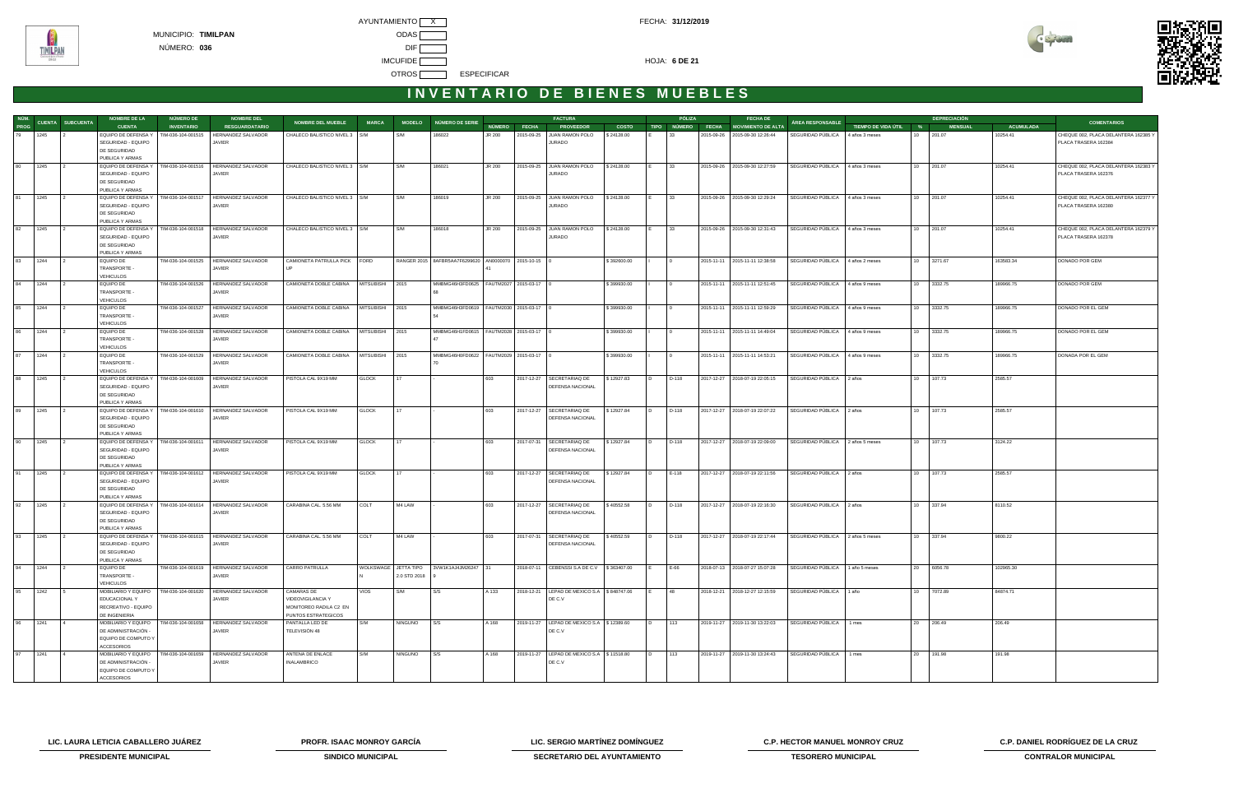



| NÚM. |      |                  | <b>NOMBRE DE LA</b>                    | NÚMERO DE          | <b>NOMBRE DEL</b>                                             |                                 |                   |                      |                                              |               |                        | <b>FACTURA</b>                                 |              |             | <b>PÓLIZA</b> | <b>FECHA DE</b>                 |                                   |                       |                  | <b>DEPRECIACIÓN</b> |                  |                                                              |
|------|------|------------------|----------------------------------------|--------------------|---------------------------------------------------------------|---------------------------------|-------------------|----------------------|----------------------------------------------|---------------|------------------------|------------------------------------------------|--------------|-------------|---------------|---------------------------------|-----------------------------------|-----------------------|------------------|---------------------|------------------|--------------------------------------------------------------|
| PROG |      | CUENTA SUBCUENTA | <b>CUENTA</b>                          | <b>INVENTARIO</b>  | <b>RESGUARDATARIO</b>                                         | <b>NOMBRE DEL MUEBLE</b>        | <b>MARCA</b>      |                      | MODELO NÚMERO DE SERIE                       | <b>NÚMERO</b> | <b>FECHA</b>           | <b>PROVEEDOR</b>                               | <b>COSTO</b> | <b>TIPO</b> |               | NÚMERO FECHA MOVIMIENTO DE ALTA | <b>ÁREA RESPONSABLE</b>           | TIEMPO DE VIDA ÚTIL % |                  | <b>MENSUAL</b>      | <b>ACUMULADA</b> | <b>COMENTARIOS</b>                                           |
| 79   | 1245 |                  | EQUIPO DE DEFENSA Y                    | TIM-036-104-001515 | HERNANDEZ SALVADOR                                            | CHALECO BALISTICO NIVEL 3   S/M |                   | S/M                  | 186022                                       | JR 200        | 2015-09-25             | JUAN RAMON POLO                                | \$24128.00   |             | 33            | 2015-09-26 2015-09-30 12:26:44  | SEGURIDAD PÚBLICA                 | 4 años 3 meses        | 10               | 201.07              | 10254.41         | CHEQUE 002, PLACA DELANTERA 162385 Y                         |
|      |      |                  | SEGURIDAD - EQUIPO                     |                    | JAVIER                                                        |                                 |                   |                      |                                              |               |                        | <b>JURADO</b>                                  |              |             |               |                                 |                                   |                       |                  |                     |                  | PLACA TRASERA 162384                                         |
|      |      |                  | DE SEGURIDAD                           |                    |                                                               |                                 |                   |                      |                                              |               |                        |                                                |              |             |               |                                 |                                   |                       |                  |                     |                  |                                                              |
|      |      |                  | PUBLICA Y ARMAS                        |                    |                                                               |                                 |                   |                      |                                              |               |                        |                                                |              |             |               |                                 |                                   |                       |                  |                     |                  |                                                              |
| 80   | 1245 |                  | EQUIPO DE DEFENSA Y                    | TIM-036-104-001516 | HERNANDEZ SALVADOR                                            | CHALECO BALISTICO NIVEL 3   S/M |                   | S/M                  | 186021                                       | JR 200        |                        | 2015-09-25 JUAN RAMON POLO                     | \$24128.00   |             | 33            | 2015-09-26 2015-09-30 12:27:59  | SEGURIDAD PÚBLICA 4 años 3 meses  |                       | 10               | 201.07              | 10254.41         | CHEQUE 002, PLACA DELANTERA 162383 Y                         |
|      |      |                  | SEGURIDAD - EQUIPO                     |                    | JAVIER                                                        |                                 |                   |                      |                                              |               |                        | JURADO                                         |              |             |               |                                 |                                   |                       |                  |                     |                  | PLACA TRASERA 162376                                         |
|      |      |                  | DE SEGURIDAD                           |                    |                                                               |                                 |                   |                      |                                              |               |                        |                                                |              |             |               |                                 |                                   |                       |                  |                     |                  |                                                              |
| 81   |      |                  | PUBLICA Y ARMAS<br>EQUIPO DE DEFENSA Y | TIM-036-104-001517 | HERNANDEZ SALVADOR                                            |                                 |                   | S/M                  |                                              |               |                        | 2015-09-25 JUAN RAMON POLO                     |              |             | 33            | 2015-09-26 2015-09-30 12:29:24  |                                   |                       | 10               | 201.07              |                  |                                                              |
|      | 1245 |                  | SEGURIDAD - EQUIPO                     |                    | JAVIER                                                        | CHALECO BALISTICO NIVEL 3   S/M |                   |                      | 186019                                       | JR 200        |                        | JURADO                                         | \$24128.00   |             |               |                                 | SEGURIDAD PÚBLICA                 | 4 años 3 meses        |                  |                     | 10254.41         | CHEQUE 002, PLACA DELANTERA 162377 Y<br>PLACA TRASERA 162380 |
|      |      |                  | DE SEGURIDAD                           |                    |                                                               |                                 |                   |                      |                                              |               |                        |                                                |              |             |               |                                 |                                   |                       |                  |                     |                  |                                                              |
|      |      |                  | PUBLICA Y ARMAS                        |                    |                                                               |                                 |                   |                      |                                              |               |                        |                                                |              |             |               |                                 |                                   |                       |                  |                     |                  |                                                              |
| 82   | 1245 |                  | EQUIPO DE DEFENSA Y                    | TIM-036-104-001518 | HERNANDEZ SALVADOR                                            | CHALECO BALISTICO NIVEL 3   S/M |                   | S/M                  | 186018                                       | JR 200        |                        | 2015-09-25 JUAN RAMON POLO                     | \$24128.00   |             | 33            | 2015-09-26 2015-09-30 12:31:43  | SEGURIDAD PÚBLICA                 | 4 años 3 meses        | 10               | 201.07              | 10254.41         | CHEQUE 002, PLACA DELANTERA 162379 Y                         |
|      |      |                  | SEGURIDAD - EQUIPO                     |                    | JAVIER                                                        |                                 |                   |                      |                                              |               |                        | <b>JURADO</b>                                  |              |             |               |                                 |                                   |                       |                  |                     |                  | PLACA TRASERA 162378                                         |
|      |      |                  | DE SEGURIDAD                           |                    |                                                               |                                 |                   |                      |                                              |               |                        |                                                |              |             |               |                                 |                                   |                       |                  |                     |                  |                                                              |
|      |      |                  | PUBLICA Y ARMAS                        |                    |                                                               |                                 |                   |                      |                                              |               |                        |                                                |              |             |               |                                 |                                   |                       |                  |                     |                  |                                                              |
| 83   | 1244 |                  | EQUIPO DE                              | TIM-036-104-001525 | <b>HERNANDEZ SALVADOR</b>                                     | CAMIONETA PATRULLA PICK FORD    |                   |                      | RANGER 2015   8AFBR5AA7F6299620              |               | AN0000070 2015-10-15 0 |                                                | \$392600.00  |             |               | 2015-11-11 2015-11-11 12:38:58  | SEGURIDAD PÚBLICA                 | 4 años 2 meses        | 10 <sup>1</sup>  | 3271.67             | 163583.34        | DONADO POR GEM                                               |
|      |      |                  | TRANSPORTE                             |                    | JAVIER                                                        |                                 |                   |                      |                                              |               |                        |                                                |              |             |               |                                 |                                   |                       |                  |                     |                  |                                                              |
|      |      |                  | <b>VEHICULOS</b>                       |                    |                                                               |                                 |                   |                      |                                              |               |                        |                                                |              |             |               |                                 |                                   |                       |                  |                     |                  |                                                              |
| 84   | 1244 |                  | <b>EQUIPO DE</b>                       | TIM-036-104-001526 | HERNANDEZ SALVADOR                                            | CAMIONETA DOBLE CABINA          | <b>MITSUBISHI</b> | 2015                 | MMBMG46H3FD0625   FAUTM2027   2015-03-17   0 |               |                        |                                                | \$399930.00  |             |               | 2015-11-11 2015-11-11 12:51:45  | SEGURIDAD PÚBLICA                 | 4 años 9 meses        | 10               | 3332.75             | 189966.75        | DONADO POR GEM                                               |
|      |      |                  | TRANSPORTE -                           |                    | JAVIER                                                        |                                 |                   |                      |                                              |               |                        |                                                |              |             |               |                                 |                                   |                       |                  |                     |                  |                                                              |
|      |      |                  | <b>VEHICULOS</b>                       |                    |                                                               |                                 |                   |                      |                                              |               |                        |                                                |              |             |               |                                 |                                   |                       |                  |                     |                  |                                                              |
| 85   | 1244 |                  | EQUIPO DE                              | TIM-036-104-001527 | HERNANDEZ SALVADOR                                            | CAMIONETA DOBLE CABINA          | MITSUBISHI 2015   |                      | MMBMG46H3FD0619   FAUTM2030   2015-03-17   0 |               |                        |                                                | \$399930.00  |             |               | 2015-11-11 2015-11-11 12:59:29  | SEGURIDAD PÚBLICA                 | 4 años 9 meses        | 10 <sup>10</sup> | 3332.75             | 189966.75        | DONADO POR EL GEM                                            |
|      |      |                  | TRANSPORTE                             |                    | JAVIER                                                        |                                 |                   |                      |                                              |               |                        |                                                |              |             |               |                                 |                                   |                       |                  |                     |                  |                                                              |
| 86   | 1244 |                  | <b>VEHICULOS</b><br><b>EQUIPO DE</b>   | TIM-036-104-001528 | <b>HERNANDEZ SALVADOR</b>                                     | CAMIONETA DOBLE CABINA          | MITSUBISHI 2015   |                      | MMBMG46H1FD0615   FAUTM2028   2015-03-17   0 |               |                        |                                                | \$399930.00  |             |               |                                 | SEGURIDAD PÚBLICA                 |                       | 10 3332.75       |                     | 189966.75        | DONADO POR EL GEM                                            |
|      |      |                  | <b>TRANSPORTE</b>                      |                    | JAVIER                                                        |                                 |                   |                      |                                              |               |                        |                                                |              |             |               | 2015-11-11 2015-11-11 14:49:04  |                                   | 4 años 9 meses        |                  |                     |                  |                                                              |
|      |      |                  | <b>VEHICULOS</b>                       |                    |                                                               |                                 |                   |                      |                                              |               |                        |                                                |              |             |               |                                 |                                   |                       |                  |                     |                  |                                                              |
| 87   | 1244 |                  | EQUIPO DE                              | TIM-036-104-001529 | <b>HERNANDEZ SALVADOR</b>                                     | CAMIONETA DOBLE CABINA          | <b>MITSUBISHI</b> | 2015                 | MMBMG46H0FD0622   FAUTM2029   2015-03-17   0 |               |                        |                                                | \$399930.00  |             |               | 2015-11-11 2015-11-11 14:53:21  | SEGURIDAD PÚBLICA 4 años 9 meses  |                       | 10 <sup>10</sup> | 3332.75             | 189966.75        | DONADA POR EL GEM                                            |
|      |      |                  | TRANSPORTE                             |                    | JAVIER                                                        |                                 |                   |                      |                                              |               |                        |                                                |              |             |               |                                 |                                   |                       |                  |                     |                  |                                                              |
|      |      |                  | <b>VEHICULOS</b>                       |                    |                                                               |                                 |                   |                      |                                              |               |                        |                                                |              |             |               |                                 |                                   |                       |                  |                     |                  |                                                              |
| 88   | 1245 |                  | EQUIPO DE DEFENSA Y                    | TIM-036-104-001609 | HERNANDEZ SALVADOR                                            | PISTOLA CAL 9X19 MM             | <b>GLOCK</b>      | 17                   |                                              | 603           |                        | 2017-12-27   SECRETARIAQ DE                    | \$12927.83   |             | D-118         | 2017-12-27 2018-07-19 22:05:15  | SEGURIDAD PÚBLICA   2 años        |                       | 10               | 107.73              | 2585.57          |                                                              |
|      |      |                  | SEGURIDAD - EQUIPO                     |                    | JAVIER                                                        |                                 |                   |                      |                                              |               |                        | <b>DEFENSA NACIONAL</b>                        |              |             |               |                                 |                                   |                       |                  |                     |                  |                                                              |
|      |      |                  | DE SEGURIDAD                           |                    |                                                               |                                 |                   |                      |                                              |               |                        |                                                |              |             |               |                                 |                                   |                       |                  |                     |                  |                                                              |
|      |      |                  | PUBLICA Y ARMAS                        |                    |                                                               |                                 |                   |                      |                                              |               |                        |                                                |              |             |               |                                 |                                   |                       |                  |                     |                  |                                                              |
| 89   | 1245 |                  | EQUIPO DE DEFENSA Y                    | TIM-036-104-001610 | <b>HERNANDEZ SALVADOR</b>                                     | PISTOLA CAL 9X19 MM             | <b>GLOCK</b>      | 17                   |                                              | 603           |                        | 2017-12-27 SECRETARIAQ DE                      | \$12927.84   |             | D-118         | 2017-12-27 2018-07-19 22:07:22  | SEGURIDAD PÚBLICA   2 años        |                       | 10 107.73        |                     | 2585.57          |                                                              |
|      |      |                  | SEGURIDAD - EQUIPO                     |                    | JAVIER                                                        |                                 |                   |                      |                                              |               |                        | DEFENSA NACIONAL                               |              |             |               |                                 |                                   |                       |                  |                     |                  |                                                              |
|      |      |                  | DE SEGURIDAD                           |                    |                                                               |                                 |                   |                      |                                              |               |                        |                                                |              |             |               |                                 |                                   |                       |                  |                     |                  |                                                              |
|      |      |                  | PUBLICA Y ARMAS                        |                    |                                                               |                                 |                   |                      |                                              |               |                        |                                                |              |             |               |                                 |                                   |                       |                  |                     |                  |                                                              |
| 90   | 1245 |                  | EQUIPO DE DEFENSA Y                    | TIM-036-104-001611 | HERNANDEZ SALVADOR                                            | PISTOLA CAL 9X19 MM             | <b>GLOCK</b>      | 17                   |                                              | 603           |                        | 2017-07-31   SECRETARIAQ DE                    | \$12927.84   |             | D-118         | 2017-12-27 2018-07-19 22:09:00  | SEGURIDAD PÚBLICA                 | 2 años 5 meses        | 10               | 107.73              | 3124.22          |                                                              |
|      |      |                  | SEGURIDAD - EQUIPO                     |                    | JAVIER                                                        |                                 |                   |                      |                                              |               |                        | DEFENSA NACIONAL                               |              |             |               |                                 |                                   |                       |                  |                     |                  |                                                              |
|      |      |                  | DE SEGURIDAD<br>PUBLICA Y ARMAS        |                    |                                                               |                                 |                   |                      |                                              |               |                        |                                                |              |             |               |                                 |                                   |                       |                  |                     |                  |                                                              |
| 91   | 1245 |                  | EQUIPO DE DEFENSA Y                    |                    | TIM-036-104-001612 HERNANDEZ SALVADOR                         | PISTOLA CAL 9X19 MM             | <b>GLOCK</b>      | 17                   |                                              | 603           |                        | 2017-12-27   SECRETARIAQ DE                    | \$12927.84   | I D.        | E-118         | 2017-12-27 2018-07-19 22:11:56  | SEGURIDAD PÚBLICA 2 años          |                       | 10               | 107.73              | 2585.57          |                                                              |
|      |      |                  | SEGURIDAD - EQUIPO                     |                    | JAVIER                                                        |                                 |                   |                      |                                              |               |                        | <b>DEFENSA NACIONAL</b>                        |              |             |               |                                 |                                   |                       |                  |                     |                  |                                                              |
|      |      |                  | DE SEGURIDAD                           |                    |                                                               |                                 |                   |                      |                                              |               |                        |                                                |              |             |               |                                 |                                   |                       |                  |                     |                  |                                                              |
|      |      |                  | PUBLICA Y ARMAS                        |                    |                                                               |                                 |                   |                      |                                              |               |                        |                                                |              |             |               |                                 |                                   |                       |                  |                     |                  |                                                              |
| 92   | 1245 |                  | EQUIPO DE DEFENSA Y                    | TIM-036-104-001614 | <b>HERNANDEZ SALVADOR</b>                                     | CARABINA CAL. 5.56 MM           | COLT              | M4 LAW               |                                              | 603           |                        | 2017-12-27   SECRETARIAQ DE                    | \$40552.58   |             | D-118         | 2017-12-27 2018-07-19 22:16:30  | SEGURIDAD PÚBLICA   2 años        |                       | 10 337.94        |                     | 8110.52          |                                                              |
|      |      |                  | SEGURIDAD - EQUIPO                     |                    | JAVIER                                                        |                                 |                   |                      |                                              |               |                        | DEFENSA NACIONAL                               |              |             |               |                                 |                                   |                       |                  |                     |                  |                                                              |
|      |      |                  | DE SEGURIDAD                           |                    |                                                               |                                 |                   |                      |                                              |               |                        |                                                |              |             |               |                                 |                                   |                       |                  |                     |                  |                                                              |
|      |      |                  | PUBLICA Y ARMAS                        |                    |                                                               |                                 |                   |                      |                                              |               |                        |                                                |              |             |               |                                 |                                   |                       |                  |                     |                  |                                                              |
| 93   | 1245 |                  | EQUIPO DE DEFENSA Y                    | TIM-036-104-001615 | <b>HERNANDEZ SALVADOR</b>                                     | CARABINA CAL. 5.56 MM           | COLT              | M4 LAW               |                                              | 603           | 2017-07-31             | SECRETARIAQ DE                                 | \$40552.59   |             | D-118         | 2017-12-27 2018-07-19 22:17:44  | SEGURIDAD PÚBLICA 2 años 5 meses  |                       | 10               | 337.94              | 9800.22          |                                                              |
|      |      |                  | SEGURIDAD - EQUIPO                     |                    | JAVIER                                                        |                                 |                   |                      |                                              |               |                        | DEFENSA NACIONAL                               |              |             |               |                                 |                                   |                       |                  |                     |                  |                                                              |
|      |      |                  | DE SEGURIDAD                           |                    |                                                               |                                 |                   |                      |                                              |               |                        |                                                |              |             |               |                                 |                                   |                       |                  |                     |                  |                                                              |
|      |      |                  | PUBLICA Y ARMAS                        |                    |                                                               |                                 |                   |                      |                                              |               |                        |                                                |              |             |               |                                 |                                   |                       |                  |                     |                  |                                                              |
| 94   | 1244 |                  | EQUIPO DE                              |                    | TIM-036-104-001619   HERNANDEZ SALVADOR                       | CARRO PATRULLA                  |                   | WOLKSWAGE JETTA TIPO | 3VW1K1AJ4JM26247 31                          |               |                        | 2018-07-11 CEBENSSIS.A DE C.V \$363407.00      |              |             | E-66          | 2018-07-13 2018-07-27 15:07:28  | SEGURIDAD PÚBLICA   1 año 5 meses |                       |                  | 20 6056.78          | 102965.30        |                                                              |
|      |      |                  | TRANSPORTE -<br><b>VEHICULOS</b>       |                    | JAVIER                                                        |                                 |                   | 2.0 STD 2018         |                                              |               |                        |                                                |              |             |               |                                 |                                   |                       |                  |                     |                  |                                                              |
| 95   | 1242 |                  |                                        | TIM-036-104-001620 | HERNANDEZ SALVADOR                                            | CAMARAS DE                      | VIOS              | S/M                  | S/S                                          | A 133         |                        | 2018-12-21   LEPAD DE MEXICO S.A   \$848747.06 |              |             | 48            |                                 | SEGURIDAD PÚBLICA 1 año           |                       | 10               | 7072.89             | 84874.71         |                                                              |
|      |      |                  | MOBILIARIO Y EQUIPO<br>EDUCACIONAL Y   |                    | JAVIER                                                        | VIDEOVIGILANCIA Y               |                   |                      |                                              |               |                        | DE C.V                                         |              |             |               | 2018-12-21 2018-12-27 12:15:59  |                                   |                       |                  |                     |                  |                                                              |
|      |      |                  | RECREATIVO - EQUIPO                    |                    |                                                               | MONITOREO RADILA C2 EN          |                   |                      |                                              |               |                        |                                                |              |             |               |                                 |                                   |                       |                  |                     |                  |                                                              |
|      |      |                  | DE INGENIERIA                          |                    |                                                               | PUNTOS ESTRATEGICOS             |                   |                      |                                              |               |                        |                                                |              |             |               |                                 |                                   |                       |                  |                     |                  |                                                              |
| 96   | 1241 |                  |                                        |                    | MOBILIARIO Y EQUIPO   TIM-036-104-001658   HERNANDEZ SALVADOR | PANTALLA LED DE                 | S/M               | <b>NINGUNO</b>       | S/S                                          | A 168         |                        | 2019-11-27   LEPAD DE MEXICO S.A   \$12389.60  |              |             | 113           | 2019-11-27 2019-11-30 13:22:03  | SEGURIDAD PÚBLICA   1 mes         |                       | 20 206.49        |                     | 206.49           |                                                              |
|      |      |                  | DE ADMINISTRACIÓN -                    |                    | JAVIER                                                        | TELEVISIÓN 48                   |                   |                      |                                              |               |                        | DE C.V                                         |              |             |               |                                 |                                   |                       |                  |                     |                  |                                                              |
|      |      |                  | EQUIPO DE COMPUTO Y                    |                    |                                                               |                                 |                   |                      |                                              |               |                        |                                                |              |             |               |                                 |                                   |                       |                  |                     |                  |                                                              |
|      |      |                  | <b>ACCESORIOS</b>                      |                    |                                                               |                                 |                   |                      |                                              |               |                        |                                                |              |             |               |                                 |                                   |                       |                  |                     |                  |                                                              |
| 97   | 1241 |                  | MOBILIARIO Y EQUIPO                    | TIM-036-104-001659 | HERNANDEZ SALVADOR                                            | ANTENA DE ENLACE                | S/M               | <b>NINGUNO</b>       | S/S                                          | A 168         |                        | 2019-11-27   LEPAD DE MEXICO S.A   \$11518.80  |              |             | 113           | 2019-11-27 2019-11-30 13:24:43  | SEGURIDAD PÚBLICA   1 mes         |                       | 20 191.98        |                     | 191.98           |                                                              |
|      |      |                  | DE ADMINISTRACIÓN -                    |                    | JAVIER                                                        | INALAMBRICO                     |                   |                      |                                              |               |                        | DE C.V                                         |              |             |               |                                 |                                   |                       |                  |                     |                  |                                                              |
|      |      |                  | EQUIPO DE COMPUTO Y                    |                    |                                                               |                                 |                   |                      |                                              |               |                        |                                                |              |             |               |                                 |                                   |                       |                  |                     |                  |                                                              |
|      |      |                  | <b>ACCESORIOS</b>                      |                    |                                                               |                                 |                   |                      |                                              |               |                        |                                                |              |             |               |                                 |                                   |                       |                  |                     |                  |                                                              |

**LIC. LAURA LETICIA CABALLERO JUÁREZ PROFR. ISAAC MONROY GARCÍA LIC. SERGIO MARTÍNEZ DOMÍNGUEZ C.P. HECTOR MANUEL MONROY CRUZ C.P. DANIEL RODRÍGUEZ DE LA CRUZ** 



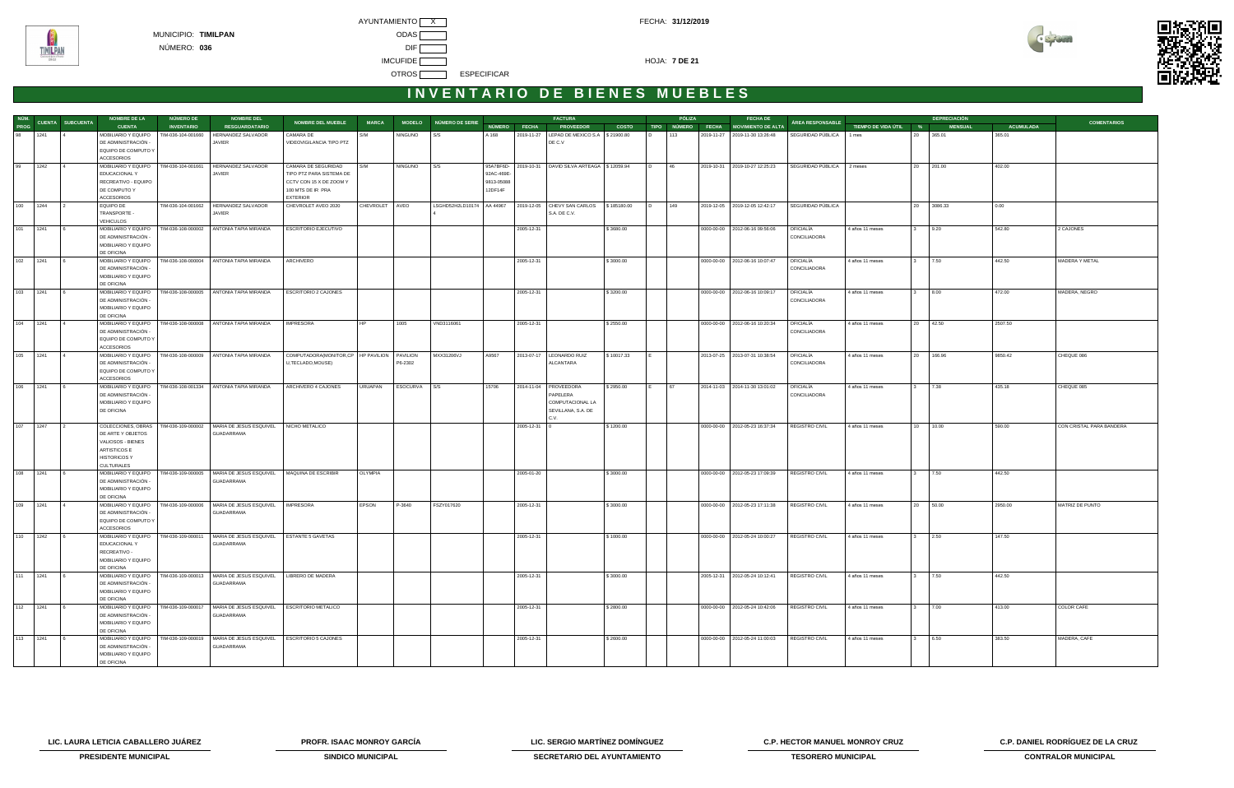



|          |          |                       | <b>NOMBRE DE LA</b>                                                                                                      | NÚMERO DE          | <b>NOMBRE DEL</b>                                                                |                                                                                                                    |                |                |                             |                                    |              | <b>FACTURA</b>                                                                        |              |                | PÓLIZA | <b>FECHA DE</b>                      |                           |                       |     | <b>DEPRECIACIÓN</b> |                  |                          |
|----------|----------|-----------------------|--------------------------------------------------------------------------------------------------------------------------|--------------------|----------------------------------------------------------------------------------|--------------------------------------------------------------------------------------------------------------------|----------------|----------------|-----------------------------|------------------------------------|--------------|---------------------------------------------------------------------------------------|--------------|----------------|--------|--------------------------------------|---------------------------|-----------------------|-----|---------------------|------------------|--------------------------|
| PROG     |          | NÚM. CUENTA SUBCUENTA | <b>CUENTA</b>                                                                                                            | <b>INVENTARIO</b>  | <b>RESGUARDATARIO</b>                                                            | <b>NOMBRE DEL MUEBLE</b>                                                                                           | <b>MARCA</b>   |                | MODELO NÚMERO DE SERIE      |                                    | NÚMERO FECHA | <b>PROVEEDOR</b>                                                                      | <b>COSTO</b> |                |        | TIPO NÚMERO FECHA MOVIMIENTO DE ALTA | ÁREA RESPONSABLE          | TIEMPO DE VIDA ÚTIL % |     | <b>MENSUAL</b>      | <b>ACUMULADA</b> | <b>COMENTARIOS</b>       |
| 98 1241  |          |                       | MOBILIARIO Y EQUIPO<br>DE ADMINISTRACIÓN -<br>EQUIPO DE COMPUTO Y<br><b>ACCESORIOS</b>                                   | TIM-036-104-001660 | HERNANDEZ SALVADOR<br>JAVIER                                                     | CAMARA DE<br>VIDEOVIGILANCIA TIPO PTZ                                                                              | S/M            | <b>NINGUNO</b> | S/S                         | A 168                              |              | 2019-11-27   LEPAD DE MEXICO S.A   \$ 21900.80<br>DE C.V                              |              | I D.           | 113    | 2019-11-27 2019-11-30 13:26:48       | SEGURIDAD PÚBLICA         | 1 mes                 | 20  | 365.01              | 365.01           |                          |
| 99       | 1242     |                       | MOBILIARIO Y EQUIPO<br>EDUCACIONAL Y<br>RECREATIVO - EQUIPO<br>DE COMPUTO Y<br><b>ACCESORIOS</b>                         | TIM-036-104-001661 | HERNANDEZ SALVADOR<br>JAVIER                                                     | CAMARA DE SEGURIDAD<br>TIPO PTZ PARA SISTEMA DE<br>CCTV CON 15 X DE ZOOM Y<br>100 MTS DE IR PRA<br><b>EXTERIOR</b> | S/M            | <b>NINGUNO</b> | S/S                         | 92AC-469E<br>9813-05088<br>12DF14F |              | 95A7BF6D- 2019-10-31 DAVID SILVA ARTEAGA \$12059.94                                   |              | $\overline{D}$ | 46     | 2019-10-31 2019-10-27 12:25:23       | SEGURIDAD PÚBLICA         | 2 meses               |     | 20 201.00           | 402.00           |                          |
| 100      | 1244     |                       | <b>EQUIPO DE</b><br>TRANSPORTE -<br><b>VEHICULOS</b>                                                                     |                    | TIM-036-104-001662 HERNANDEZ SALVADOR<br>JAVIER                                  | CHEVROLET AVEO 2020                                                                                                | CHEVROLET AVEO |                | LSGHD52H2LD10174   AA 44967 |                                    |              | 2019-12-05 CHEVY SAN CARLOS<br>S.A. DE C.V.                                           | \$185180.00  |                | 149    | 2019-12-05 2019-12-05 12:42:17       | SEGURIDAD PÚBLICA         |                       | 20  | 3086.33             | 0.00             |                          |
| 101 1241 |          |                       | MOBILIARIO Y EQUIPO<br>DE ADMINISTRACIÓN<br>MOBILIARIO Y EQUIPO<br>DE OFICINA                                            | TIM-036-108-000002 | ANTONIA TAPIA MIRANDA                                                            | ESCRITORIO EJECUTIVO                                                                                               |                |                |                             |                                    | 2005-12-31   |                                                                                       | \$3680.00    |                |        | 0000-00-00   2012-06-16 09:56:06     | OFICIALÍA<br>CONCILIADORA | 4 años 11 meses       |     | 9.20                | 542.80           | 2 CAJONES                |
| 102 1241 |          |                       | MOBILIARIO Y EQUIPO<br>DE ADMINISTRACIÓN<br>MOBILIARIO Y EQUIPO<br>DE OFICINA                                            |                    | TIM-036-108-000004 ANTONIA TAPIA MIRANDA                                         | ARCHIVERO                                                                                                          |                |                |                             |                                    | 2005-12-31   |                                                                                       | \$3000.00    |                |        | 0000-00-00   2012-06-16 10:07:47     | OFICIALÍA<br>CONCILIADORA | 4 años 11 meses       |     | 7.50                | 442.50           | MADERA Y METAL           |
| 103      | 1241     |                       | MOBILIARIO Y EQUIPO<br>DE ADMINISTRACIÓN -<br>MOBILIARIO Y EQUIPO<br>DE OFICINA                                          |                    | TIM-036-108-000005 ANTONIA TAPIA MIRANDA                                         | <b>ESCRITORIO 2 CAJONES</b>                                                                                        |                |                |                             |                                    | 2005-12-31   |                                                                                       | \$3200.00    |                |        | 0000-00-00 2012-06-16 10:09:17       | OFICIALÍA<br>CONCILIADORA | 4 años 11 meses       |     | 8.00                | 472.00           | MADERA, NEGRO            |
| 104      | 1241     |                       | MOBILIARIO Y EQUIPO<br>DE ADMINISTRACIÓN -<br>EQUIPO DE COMPUTO Y<br><b>ACCESORIOS</b>                                   |                    | TIM-036-108-000008 ANTONIA TAPIA MIRANDA                                         | <b>IMPRESORA</b>                                                                                                   | <b>HP</b>      | 1005           | VND3116061                  |                                    | 2005-12-31   |                                                                                       | \$2550.00    |                |        | 0000-00-00 2012-06-16 10:20:34       | OFICIALÍA<br>CONCILIADORA | 4 años 11 meses       | 20  | 42.50               | 2507.50          |                          |
| 105      | 1241     |                       | DE ADMINISTRACIÓN<br>EQUIPO DE COMPUTO Y<br><b>ACCESORIOS</b>                                                            |                    | MOBILIARIO Y EQUIPO   TIM-036-108-000009   ANTONIA TAPIA MIRANDA                 | COMPUTADORA (MONITOR, CP   HP PAVILION   PAVILION<br>U,TECLADO,MOUSE)                                              |                | P6-2302        | MXX31206VJ                  | A9567                              |              | 2013-07-17   LEONARDO RUIZ<br>ALCANTARA                                               | \$10017.33   |                |        | 2013-07-25 2013-07-31 10:38:54       | OFICIALÍA<br>CONCILIADORA | 4 años 11 meses       | 20  | 166.96              | 9850.42          | CHEQUE 086               |
| 106 1241 |          |                       | MOBILIARIO Y EQUIPO<br>DE ADMINISTRACIÓN<br>MOBILIARIO Y EQUIPO<br>DE OFICINA                                            |                    | TIM-036-108-001334 ANTONIA TAPIA MIRANDA                                         | ARCHIVERO 4 CAJONES                                                                                                | URUAPAN        | ESOCURVA       | I S/S                       | 15706                              |              | 2014-11-04   PROVEEDORA<br>PAPELERA<br>COMPUTACIONAL LA<br>SEVILLANA, S.A. DE<br>C.V. | \$2950.00    | I F.           | 67     | 2014-11-03 2014-11-30 13:01:02       | OFICIALÍA<br>CONCILIADORA | 4 años 11 meses       |     | 7.38                | 435.18           | CHEQUE 085               |
| 107      | 1247     |                       | COLECCIONES, OBRAS<br>DE ARTE Y OBJETOS<br>VALIOSOS - BIENES<br>ARTISTICOS E<br><b>HISTORICOS Y</b><br><b>CULTURALES</b> | TIM-036-109-000002 | MARIA DE JESUS ESQUIVEL<br>GUADARRAMA                                            | NICHO METALICO                                                                                                     |                |                |                             |                                    | 2005-12-31   |                                                                                       | \$1200.00    |                |        | 0000-00-00 2012-05-23 16:37:34       | REGISTRO CIVIL            | 4 años 11 meses       | 10  | 10.00               | 590.00           | CON CRISTAL PARA BANDERA |
| 108 1241 |          |                       | MOBILIARIO Y EQUIPO<br>DE ADMINISTRACIÓN -<br>MOBILIARIO Y EQUIPO<br>DE OFICINA                                          |                    | TIM-036-109-000005   MARIA DE JESUS ESQUIVEL<br>GUADARRAMA                       | MAQUINA DE ESCRIBIR                                                                                                | <b>OLYMPIA</b> |                |                             |                                    | 2005-01-20   |                                                                                       | \$3000.00    |                |        | 0000-00-00 2012-05-23 17:09:39       | REGISTRO CIVIL            | 4 años 11 meses       |     | 7.50                | 442.50           |                          |
| 109 1241 |          |                       | MOBILIARIO Y EQUIPO<br>DE ADMINISTRACIÓN -<br>EQUIPO DE COMPUTO Y<br>ACCESORIOS                                          |                    | TIM-036-109-000006   MARIA DE JESUS ESQUIVEL<br>GUADARRAMA                       | <b>IMPRESORA</b>                                                                                                   | <b>EPSON</b>   | P-3640         | FSZY017620                  |                                    | 2005-12-31   |                                                                                       | \$3000.00    |                |        | 0000-00-00 2012-05-23 17:11:38       | <b>REGISTRO CIVIL</b>     | 4 años 11 meses       |     | 20 50.00            | 2950.00          | MATRIZ DE PUNTO          |
| 110      | 1242     |                       | MOBILIARIO Y EQUIPO   TIM-036-109-000011<br>EDUCACIONAL Y<br>RECREATIVO -<br>MOBILIARIO Y EQUIPO<br>DE OFICINA           |                    | MARIA DE JESUS ESQUIVEL<br>GUADARRAMA                                            | <b>ESTANTE 5 GAVETAS</b>                                                                                           |                |                |                             |                                    | 2005-12-31   |                                                                                       | \$1000.00    |                |        | 0000-00-00 2012-05-24 10:00:27       | REGISTRO CIVIL            | 4 años 11 meses       |     | 2.50                | 147.50           |                          |
| 111 1241 |          |                       | DE ADMINISTRACIÓN -<br>MOBILIARIO Y EQUIPO<br>DE OFICINA                                                                 |                    | MOBILIARIO Y EQUIPO   TIM-036-109-000013   MARIA DE JESUS ESQUIVEL<br>GUADARRAMA | LIBRERO DE MADERA                                                                                                  |                |                |                             |                                    | 2005-12-31   |                                                                                       | \$3000.00    |                |        | 2005-12-31 2012-05-24 10:12:41       | REGISTRO CIVIL            | 4 años 11 meses       |     | 7.50                | 442.50           |                          |
|          | 112 1241 | $\sqrt{6}$            | MOBILIARIO Y EQUIPO<br>DE ADMINISTRACIÓN -<br>MOBILIARIO Y EQUIPO<br>DE OFICINA                                          |                    | TIM-036-109-000017   MARIA DE JESUS ESQUIVEL<br>GUADARRAMA                       | ESCRITORIO METALICO                                                                                                |                |                |                             |                                    | 2005-12-31   |                                                                                       | \$2800.00    |                |        | 0000-00-00 2012-05-24 10:42:06       | <b>REGISTRO CIVIL</b>     | 4 años 11 meses       | I З | 7.00                | 413.00           | COLOR CAFE               |
| 113 1241 |          |                       | DE ADMINISTRACIÓN -<br>MOBILIARIO Y EQUIPO<br>DE OFICINA                                                                 |                    | MOBILIARIO Y EQUIPO   TIM-036-109-000019   MARIA DE JESUS ESQUIVEL<br>GUADARRAMA | ESCRITORIO 5 CAJONES                                                                                               |                |                |                             |                                    | 2005-12-31   |                                                                                       | \$2600.00    |                |        | 0000-00-00 2012-05-24 11:00:03       | <b>REGISTRO CIVIL</b>     | 4 años 11 meses       |     | 6.50                | 383.50           | MADERA, CAFE             |

**LIC. LAURA LETICIA CABALLERO JUÁREZ PROFR. ISAAC MONROY GARCÍA LIC. SERGIO MARTÍNEZ DOMÍNGUEZ C.P. HECTOR MANUEL MONROY CRUZ C.P. DANIEL RODRÍGUEZ DE LA CRUZ** 



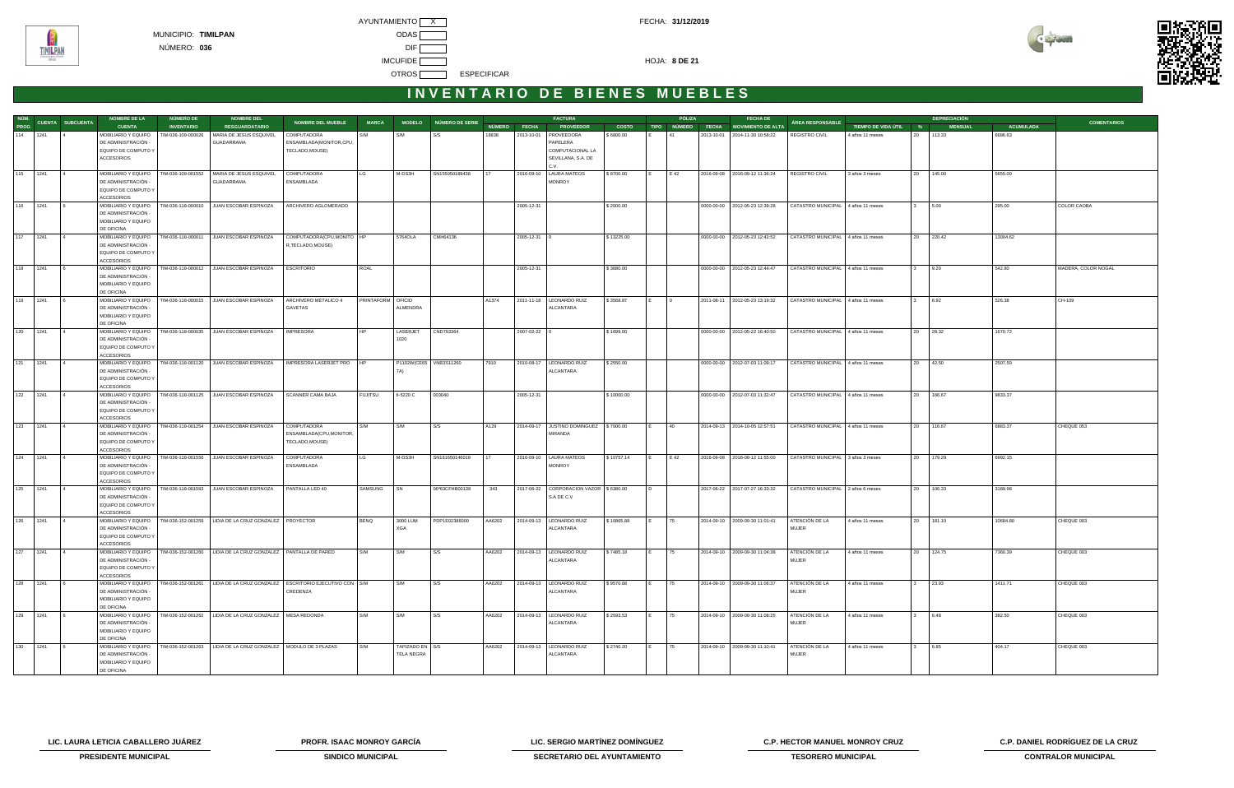



|     |          |                               | <b>NOMBRE DE LA</b>                                                                    | <b>NÚMERO DE</b>   | <b>NOMBRE DEL</b>                                                                |                                                            |                   |                                      |                        |                 |              | <b>FACTURA</b>                                       |              |                | PÓLIZA         | <b>FECHA DE</b>                      |                                    |                       |              | <b>DEPRECIACIÓN</b> |                  |                     |
|-----|----------|-------------------------------|----------------------------------------------------------------------------------------|--------------------|----------------------------------------------------------------------------------|------------------------------------------------------------|-------------------|--------------------------------------|------------------------|-----------------|--------------|------------------------------------------------------|--------------|----------------|----------------|--------------------------------------|------------------------------------|-----------------------|--------------|---------------------|------------------|---------------------|
|     |          | NÚM.<br>PROG CUENTA SUBCUENTA | <b>CUENTA</b>                                                                          | <b>INVENTARIO</b>  | <b>RESGUARDATARIO</b>                                                            | <b>NOMBRE DEL MUEBLE</b>                                   | <b>MARCA</b>      |                                      | MODELO NÚMERO DE SERIE |                 | NÚMERO FECHA | <b>PROVEEDOR</b>                                     | <b>COSTO</b> |                |                | TIPO NÚMERO FECHA MOVIMIENTO DE ALTA | ÁREA RESPONSABLE                   | TIEMPO DE VIDA ÚTIL % |              | <b>MENSUAL</b>      | <b>ACUMULADA</b> | <b>COMENTARIOS</b>  |
|     | 114 1241 |                               | MOBILIARIO Y EQUIPO<br>DE ADMINISTRACIÓN -<br>EQUIPO DE COMPUTO Y                      | TIM-036-109-000026 | MARIA DE JESUS ESQUIVEL<br>GUADARRAMA                                            | COMPUTADORA<br>ENSAMBLADA(MONITOR,CPU,<br>TECLADO, MOUSE)  | S/M               | S/M                                  | S/S                    | 18838           | 2013-10-01   | <b>PROVEEDORA</b><br>PAPELERA<br>COMPUTACIONAL LA    | \$6800.00    |                | l 41           | 2013-10-01 2014-11-30 10:58:22       | <b>REGISTRO CIVIL</b>              | 4 años 11 meses       |              | 20 113.33           | 6686.63          |                     |
|     |          |                               | ACCESORIOS                                                                             |                    |                                                                                  |                                                            |                   |                                      |                        |                 |              | SEVILLANA, S.A. DE<br>C.V.                           |              |                |                |                                      |                                    |                       |              |                     |                  |                     |
|     | 115 1241 |                               | DE ADMINISTRACIÓN -<br>EQUIPO DE COMPUTO Y                                             |                    | MOBILIARIO Y EQUIPO   TIM-036-109-001552   MARIA DE JESUS ESQUIVEL<br>GUADARRAMA | <b>COMPUTADORA</b><br>ENSAMBLADA                           | LG                | M-DS3H                               | SN155050189438         | 17              |              | 2016-09-10   LAURA MATEOS<br><b>MONROY</b>           | \$8700.00    | I E I          | E 42           | 2016-09-08 2016-09-12 11:36:24       | REGISTRO CIVIL                     | 3 años 3 meses        |              | 20 145.00           | 5655.00          |                     |
|     | 116 1241 |                               | <b>ACCESORIOS</b><br>MOBILIARIO Y EQUIPO                                               |                    | TIM-036-118-000010 JUAN ESCOBAR ESPINOZA                                         | ARCHIVERO AGLOMERADO                                       |                   |                                      |                        |                 | 2005-12-31   |                                                      | \$2000.00    |                |                | 0000-00-00   2012-05-23 12:39:28     | CATASTRO MUNICIPAL 4 años 11 meses |                       |              | 5.00                | 295.00           | COLOR CAOBA         |
|     |          |                               | DE ADMINISTRACIÓN -<br>MOBILIARIO Y EQUIPO<br>DE OFICINA                               |                    |                                                                                  |                                                            |                   |                                      |                        |                 |              |                                                      |              |                |                |                                      |                                    |                       |              |                     |                  |                     |
|     | 117 1241 |                               | MOBILIARIO Y EQUIPO<br>DE ADMINISTRACIÓN -<br>EQUIPO DE COMPUTO Y<br><b>ACCESORIOS</b> | TIM-036-118-000011 | JUAN ESCOBAR ESPINOZA                                                            | COMPUTADORA(CPU, MONITO   HP<br>R, TECLADO, MOUSE)         |                   | 5764OLA                              | CMH64136               |                 | 2005-12-31   |                                                      | \$13225.00   |                |                | 0000-00-00   2012-05-23 12:42:52     | CATASTRO MUNICIPAL 4 años 11 meses |                       |              | 20 220.42           | 13004.62         |                     |
|     | 118 1241 |                               | DE ADMINISTRACIÓN -<br>MOBILIARIO Y EQUIPO<br>DE OFICINA                               |                    | MOBILIARIO Y EQUIPO   TIM-036-118-000012   JUAN ESCOBAR ESPINOZA                 | <b>ESCRITORIO</b>                                          | ROAL              |                                      |                        |                 | 2005-12-31   |                                                      | \$3680.00    |                |                | 0000-00-00   2012-05-23 12:44:47     | CATASTRO MUNICIPAL 4 años 11 meses |                       | 3 9.20       |                     | 542.80           | MADERA, COLOR NOGAL |
|     | 119 1241 |                               | MOBILIARIO Y EQUIPO<br>DE ADMINISTRACIÓN -<br>MOBILIARIO Y EQUIPO<br>DE OFICINA        |                    | TIM-036-118-000015 JUAN ESCOBAR ESPINOZA                                         | ARCHIVERO METALICO 4<br>GAVETAS                            | PRINTAFORM OFICIO | ALMENDRA                             |                        | A1374           |              | 2011-11-18   LEONARDO RUIZ<br>ALCANTARA              | \$3568.87    |                | $\overline{0}$ | 2011-08-11 2012-05-23 13:19:32       | CATASTRO MUNICIPAL 4 años 11 meses |                       |              | 8.92                | 526.38           | CH-109              |
|     | 120 1241 |                               | MOBILIARIO Y EQUIPO<br>DE ADMINISTRACIÓN -<br>EQUIPO DE COMPUTO Y<br><b>ACCESORIOS</b> |                    | TIM-036-118-000035 JUAN ESCOBAR ESPINOZA                                         | <b>IMPRESORA</b>                                           |                   | LASERJET<br>1020                     | CND793364              |                 | 2007-02-22   |                                                      | \$1699.00    |                |                | 0000-00-00 2012-05-22 16:40:50       | CATASTRO MUNICIPAL 4 años 11 meses |                       |              | 20 28.32            | 1670.72          |                     |
|     | 121 1241 |                               | MOBILIARIO Y EQUIPO<br>DE ADMINISTRACIÓN -<br>EQUIPO DE COMPUTO Y<br><b>ACCESORIOS</b> |                    | TIM-036-118-001120 JUAN ESCOBAR ESPINOZA                                         | IMPRESORA LASERJET PRO   HP                                |                   | P1102W(CE65   VNB3S11260<br>7A)      |                        | 7910            |              | 2010-08-17   LEONARDO RUIZ<br>ALCANTARA              | \$2550.00    |                |                | 0000-00-00   2012-07-03 11:09:17     | CATASTRO MUNICIPAL 4 años 11 meses |                       |              | 20 42.50            | 2507.50          |                     |
|     | 122 1241 |                               | MOBILIARIO Y EQUIPO<br>DE ADMINISTRACIÓN -<br>EQUIPO DE COMPUTO Y<br><b>ACCESORIOS</b> |                    | TIM-036-118-001125 JUAN ESCOBAR ESPINOZA                                         | SCANNER CAMA BAJA                                          | <b>FUJITSU</b>    | fi-5220 C                            | 003040                 |                 | 2005-12-31   |                                                      | \$10000.00   |                |                | 0000-00-00 2012-07-03 11:32:47       | CATASTRO MUNICIPAL 4 años 11 meses |                       |              | 20 166.67           | 9833.37          |                     |
|     | 123 1241 |                               | MOBILIARIO Y EQUIPO<br>DE ADMINISTRACIÓN -<br>EQUIPO DE COMPUTO Y<br><b>ACCESORIOS</b> |                    | TIM-036-118-001254 JUAN ESCOBAR ESPINOZA                                         | COMPUTADORA<br>ENSAMBLADA(CPU, MONITOR,<br>TECLADO, MOUSE) | S/M               | S/M                                  | S/S                    | A129            |              | 2014-09-17 JUSTINO DOMINGUEZ \\$7000.00<br>MIRANDA   |              |                | 40             | 2014-09-13 2014-10-05 12:57:51       | CATASTRO MUNICIPAL 4 años 11 meses |                       |              | 20 116.67           | 6883.37          | CHEQUE 053          |
|     | 124 1241 |                               | MOBILIARIO Y EQUIPO<br>DE ADMINISTRACIÓN -<br>EQUIPO DE COMPUTO Y<br><b>ACCESORIOS</b> |                    | TIM-036-118-001556 JUAN ESCOBAR ESPINOZA                                         | COMPUTADORA<br>ENSAMBLADA                                  |                   | M-DS3H                               | SN161650146019         | 17 <sup>2</sup> |              | 2016-09-10   LAURA MATEOS<br><b>MONROY</b>           | \$10757.14   | IE.            | E 42           | 2016-09-08 2016-09-12 11:55:00       | CATASTRO MUNICIPAL 3 años 3 meses  |                       |              | 20 179.29           | 6992.15          |                     |
|     | 125 1241 |                               | MOBILIARIO Y EQUIPO<br>DE ADMINISTRACIÓN<br>EQUIPO DE COMPUTO Y<br><b>ACCESORIOS</b>   |                    | TIM-036-118-001593 JUAN ESCOBAR ESPINOZA                                         | PANTALLA LED 40                                            | SAMSUNG           | I SN                                 | 06ª63CFHB00139         | 343             |              | 2017-06-22 CORPORACION VAZOR \$6380.00<br>S.A DE C.V |              | $\overline{D}$ |                | 2017-06-22 2017-07-27 16:33:32       | CATASTRO MUNICIPAL 2 años 6 meses  |                       |              | 20 106.33           | 3189.98          |                     |
|     | 126 1241 |                               | DE ADMINISTRACIÓN -<br>EQUIPO DE COMPUTO Y<br>ACCESORIOS                               |                    | MOBILIARIO Y EQUIPO   TIM-036-152-001259   LIDIA DE LA CRUZ GONZALEZ   PROYECTOR |                                                            | <b>BENQ</b>       | 3000 LUM<br>XGA                      | PDP1E02386000          | AA6202          |              | 2014-09-13   LEONARDO RUIZ<br>ALCANTARA              | \$10865.88   | IE.            | 75             | 2014-09-10   2009-09-30 11:01:41     | ATENCIÓN DE LA<br>MUJER            | 4 años 11 meses       |              | 20 181.10           | 10684.80         | CHEQUE 003          |
|     | 127 1241 |                               | MOBILIARIO Y EQUIPO<br>DE ADMINISTRACIÓN -<br>EQUIPO DE COMPUTO Y<br>ACCESORIOS        |                    | TIM-036-152-001260   LIDIA DE LA CRUZ GONZALEZ   PANTALLA DE PARED               |                                                            | S/M               | S/M                                  | S/S                    | AA6202          |              | 2014-09-13   LEONARDO RUIZ<br>ALCANTARA              | \$7485.18    |                | 175            | 2014-09-10   2009-09-30 11:04:38     | ATENCIÓN DE LA<br><b>MUJER</b>     | 4 años 11 meses       |              | 20 124.75           | 7360.39          | CHEQUE 003          |
| 128 | 1241     |                               | MOBILIARIO Y EQUIPO<br>DE ADMINISTRACIÓN -<br>MOBILIARIO Y EQUIPO<br>DE OFICINA        |                    | TIM-036-152-001261   LIDIA DE LA CRUZ GONZALEZ   ESCRITORIO EJECUTIVO CON   S/M  | CREDENZA                                                   |                   | S/M                                  | S/S                    | AA6202          |              | 2014-09-13   LEONARDO RUIZ<br>ALCANTARA              | \$9570.68    |                | 75             | 2014-09-10   2009-09-30 11:06:37     | ATENCIÓN DE LA<br><b>MUJER</b>     | 4 años 11 meses       |              | 23.93               | 1411.71          | CHEQUE 003          |
| 129 | 1241     |                               | MOBILIARIO Y EQUIPO<br>DE ADMINISTRACIÓN -<br>MOBILIARIO Y EQUIPO<br>DE OFICINA        |                    | TIM-036-152-001262   LIDIA DE LA CRUZ GONZALEZ   MESA REDONDA                    |                                                            | S/M               | S/M                                  | S/S                    | AA6202          |              | 2014-09-13   LEONARDO RUIZ<br>ALCANTARA              | \$2593.53    |                | 75             | 2014-09-10 2009-09-30 11:08:25       | ATENCIÓN DE LA<br><b>MUJER</b>     | 4 años 11 meses       |              | 6.48                | 382.50           | CHEQUE 003          |
|     | 130 1241 |                               | MOBILIARIO Y EQUIPO<br>DE ADMINISTRACIÓN -<br>MOBILIARIO Y EQUIPO<br>DE OFICINA        |                    | TIM-036-152-001263   LIDIA DE LA CRUZ GONZALEZ   MODULO DE 3 PLAZAS              |                                                            | S/M               | TAPIZADO EN S/S<br><b>TELA NEGRA</b> |                        | AA6202          |              | 2014-09-13   LEONARDO RUIZ<br>ALCANTARA              | \$2740.20    | E              | 75             | 2014-09-10   2009-09-30 11:10:41     | ATENCIÓN DE LA<br><b>MUJER</b>     | 4 años 11 meses       | $\mathbf{3}$ | 6.85                | 404.17           | CHEQUE 003          |

**LIC. LAURA LETICIA CABALLERO JUÁREZ PROFR. ISAAC MONROY GARCÍA LIC. SERGIO MARTÍNEZ DOMÍNGUEZ C.P. HECTOR MANUEL MONROY CRUZ C.P. DANIEL RODRÍGUEZ DE LA CRUZ** 



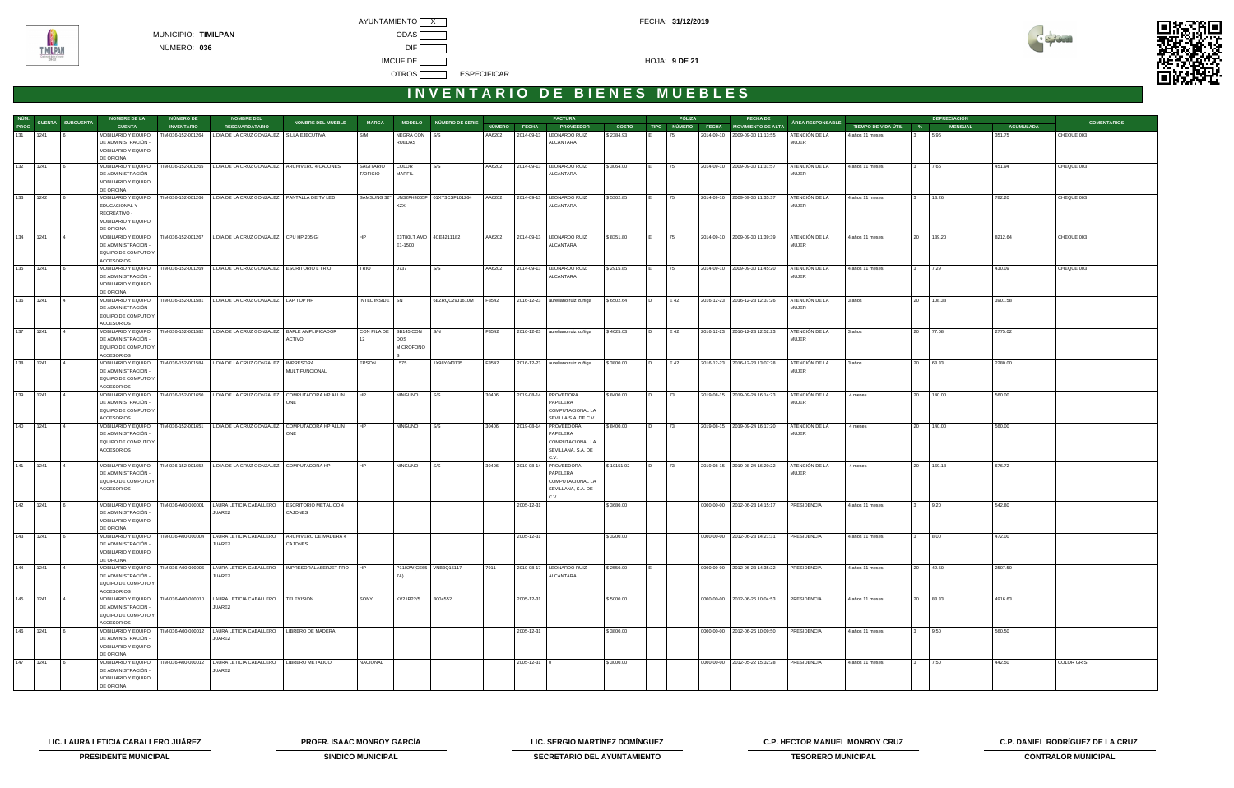



# INVENTARIO DE BIENES MUEBLES

| NÚM.     |              |                         | <b>NOMBRE DE LA</b>                         | NÚMERO DE          | <b>NOMBRE DEL</b>                                                                           |                              |                 |                           |                                        |        |              | <b>FACTURA</b>                          |              |                | PÓLIZA | <b>FECHA DE</b>                      |                                |                       |                         | <b>DEPRECIACIÓN</b> |                  |                    |
|----------|--------------|-------------------------|---------------------------------------------|--------------------|---------------------------------------------------------------------------------------------|------------------------------|-----------------|---------------------------|----------------------------------------|--------|--------------|-----------------------------------------|--------------|----------------|--------|--------------------------------------|--------------------------------|-----------------------|-------------------------|---------------------|------------------|--------------------|
| PROG     |              | <b>CUENTA SUBCUENTA</b> | <b>CUENTA</b>                               | <b>INVENTARIO</b>  | <b>RESGUARDATARIO</b>                                                                       | <b>NOMBRE DEL MUEBLE</b>     | <b>MARCA</b>    |                           | MODELO NÚMERO DE SERIE                 |        | NÚMERO FECHA | <b>PROVEEDOR</b>                        | <b>COSTO</b> |                |        | TIPO NÚMERO FECHA MOVIMIENTO DE ALTA | ÁREA RESPONSABLE               | TIEMPO DE VIDA ÚTIL % |                         | <b>MENSUAL</b>      | <b>ACUMULADA</b> | <b>COMENTARIOS</b> |
|          | 131 1241     |                         | MOBILIARIO Y EQUIPO                         | TIM-036-152-001264 | LIDIA DE LA CRUZ GONZALEZ   SILLA EJECUTIVA                                                 |                              | S/M             | NEGRA CON S/S             |                                        | AA6202 |              | 2014-09-13   LEONARDO RUIZ              | \$2384.93    |                |        | 2014-09-10   2009-09-30 11:13:55     | ATENCIÓN DE LA                 | 4 años 11 meses       |                         | 5.96                | 351.75           | CHEQUE 003         |
|          |              |                         | DE ADMINISTRACIÓN -                         |                    |                                                                                             |                              |                 | RUEDAS                    |                                        |        |              | ALCANTARA                               |              |                |        |                                      | <b>MUJER</b>                   |                       |                         |                     |                  |                    |
|          |              |                         | MOBILIARIO Y EQUIPO                         |                    |                                                                                             |                              |                 |                           |                                        |        |              |                                         |              |                |        |                                      |                                |                       |                         |                     |                  |                    |
|          |              |                         | DE OFICINA                                  |                    |                                                                                             |                              |                 |                           |                                        |        |              |                                         |              |                |        |                                      |                                |                       |                         |                     |                  |                    |
|          | 132 1241     |                         | MOBILIARIO Y EQUIPO                         |                    | TIM-036-152-001265   LIDIA DE LA CRUZ GONZALEZ   ARCHIVERO 4 CAJONES                        |                              | SAGITARIO       | COLOR                     | S/S                                    | AA6202 |              | 2014-09-13   LEONARDO RUIZ              | \$3064.00    |                | 75     | 2014-09-10 2009-09-30 11:31:57       | ATENCIÓN DE LA                 | 4 años 11 meses       | $\overline{\mathbf{3}}$ | 7.66                | 451.94           | CHEQUE 003         |
|          |              |                         | DE ADMINISTRACIÓN -                         |                    |                                                                                             |                              | T/OFICIO        | MARFIL                    |                                        |        |              | ALCANTARA                               |              |                |        |                                      | <b>MUJER</b>                   |                       |                         |                     |                  |                    |
|          |              |                         | MOBILIARIO Y EQUIPO                         |                    |                                                                                             |                              |                 |                           |                                        |        |              |                                         |              |                |        |                                      |                                |                       |                         |                     |                  |                    |
|          |              |                         | DE OFICINA                                  |                    |                                                                                             |                              |                 |                           |                                        |        |              |                                         |              |                |        |                                      |                                |                       |                         |                     |                  |                    |
|          | 133 1242     |                         | MOBILIARIO Y EQUIPO<br><b>EDUCACIONAL Y</b> |                    | TIM-036-152-001266   LIDIA DE LA CRUZ GONZALEZ   PANTALLA DE TV LED                         |                              |                 | XZX                       | SAMSUNG 32" UN32FH4005F 01XY3CSF101264 | AA6202 |              | 2014-09-13   LEONARDO RUIZ<br>ALCANTARA | \$5302.85    |                | 75     | 2014-09-10 2009-09-30 11:35:37       | ATENCIÓN DE LA<br><b>MUJER</b> | 4 años 11 meses       |                         | 13.26               | 782.20           | CHEQUE 003         |
|          |              |                         | RECREATIVO -                                |                    |                                                                                             |                              |                 |                           |                                        |        |              |                                         |              |                |        |                                      |                                |                       |                         |                     |                  |                    |
|          |              |                         | MOBILIARIO Y EQUIPO                         |                    |                                                                                             |                              |                 |                           |                                        |        |              |                                         |              |                |        |                                      |                                |                       |                         |                     |                  |                    |
|          |              |                         | DE OFICINA                                  |                    |                                                                                             |                              |                 |                           |                                        |        |              |                                         |              |                |        |                                      |                                |                       |                         |                     |                  |                    |
| 134 1241 |              |                         | MOBILIARIO Y EQUIPO                         |                    | TIM-036-152-001267   LIDIA DE LA CRUZ GONZALEZ   CPU HP 205 GI                              |                              |                 | E3T80LT AMD 4CE4211182    |                                        | AA6202 |              | 2014-09-13   LEONARDO RUIZ              | \$8351.80    |                | 75     | 2014-09-10   2009-09-30 11:39:39     | ATENCIÓN DE LA                 | 4 años 11 meses       | 20                      | 139.20              | 8212.64          | CHEQUE 003         |
|          |              |                         | DE ADMINISTRACIÓN -                         |                    |                                                                                             |                              |                 | E1-1500                   |                                        |        |              | ALCANTARA                               |              |                |        |                                      | <b>MUJER</b>                   |                       |                         |                     |                  |                    |
|          |              |                         | EQUIPO DE COMPUTO Y                         |                    |                                                                                             |                              |                 |                           |                                        |        |              |                                         |              |                |        |                                      |                                |                       |                         |                     |                  |                    |
|          |              |                         | <b>ACCESORIOS</b>                           |                    |                                                                                             |                              |                 |                           |                                        |        |              |                                         |              |                |        |                                      |                                |                       |                         |                     |                  |                    |
|          | 135 1241     |                         | MOBILIARIO Y EQUIPO                         |                    | TIM-036-152-001269   LIDIA DE LA CRUZ GONZALEZ   ESCRITORIO L TRIO                          |                              | TRIO            | 0737                      | S/S                                    | AA6202 |              | 2014-09-13   LEONARDO RUIZ              | \$2915.85    |                | 75     | 2014-09-10   2009-09-30 11:45:20     | ATENCIÓN DE LA                 | 4 años 11 meses       |                         | 7.29                | 430.09           | CHEQUE 003         |
|          |              |                         | DE ADMINISTRACIÓN -                         |                    |                                                                                             |                              |                 |                           |                                        |        |              | ALCANTARA                               |              |                |        |                                      | <b>MUJER</b>                   |                       |                         |                     |                  |                    |
|          |              |                         | MOBILIARIO Y EQUIPO                         |                    |                                                                                             |                              |                 |                           |                                        |        |              |                                         |              |                |        |                                      |                                |                       |                         |                     |                  |                    |
|          |              |                         | DE OFICINA                                  |                    |                                                                                             |                              |                 |                           | 6EZRQC29J1610M F3542                   |        |              |                                         |              |                |        |                                      |                                |                       |                         |                     |                  |                    |
|          | 136 1241     |                         | DE ADMINISTRACIÓN -                         |                    | MOBILIARIO Y EQUIPO   TIM-036-152-001581   LIDIA DE LA CRUZ GONZALEZ   LAP TOP HP           |                              | INTEL INSIDE SN |                           |                                        |        |              | 2016-12-23 aureliano ruiz zuñiga        | \$6502.64    | $\overline{D}$ | E 42   | 2016-12-23 2016-12-23 12:37:26       | ATENCIÓN DE LA<br><b>MUJER</b> | 3 años                | 20                      | 108.38              | 3901.58          |                    |
|          |              |                         | EQUIPO DE COMPUTO Y                         |                    |                                                                                             |                              |                 |                           |                                        |        |              |                                         |              |                |        |                                      |                                |                       |                         |                     |                  |                    |
|          |              |                         | <b>ACCESORIOS</b>                           |                    |                                                                                             |                              |                 |                           |                                        |        |              |                                         |              |                |        |                                      |                                |                       |                         |                     |                  |                    |
|          | 137 1241     |                         | MOBILIARIO Y EQUIPO                         |                    | TIM-036-152-001582   LIDIA DE LA CRUZ GONZALEZ   BAFLE AMPLIFICADOR                         |                              |                 | CON PILA DE SB145 CON S/N |                                        | F3542  |              | 2016-12-23 aureliano ruiz zuñiga        | \$4625.03    | I D.           | E 42   | 2016-12-23 2016-12-23 12:52:23       | ATENCIÓN DE LA                 | 3 años                |                         | 20 77.08            | 2775.02          |                    |
|          |              |                         | DE ADMINISTRACIÓN -                         |                    |                                                                                             | ACTIVO                       | 12              | <b>DOS</b>                |                                        |        |              |                                         |              |                |        |                                      | MUJER                          |                       |                         |                     |                  |                    |
|          |              |                         | EQUIPO DE COMPUTO Y                         |                    |                                                                                             |                              |                 | <b>MICROFONO</b>          |                                        |        |              |                                         |              |                |        |                                      |                                |                       |                         |                     |                  |                    |
|          |              |                         | <b>ACCESORIOS</b>                           |                    |                                                                                             |                              |                 |                           |                                        |        |              |                                         |              |                |        |                                      |                                |                       |                         |                     |                  |                    |
|          | 138 1241     |                         | MOBILIARIO Y EQUIPO                         |                    | TIM-036-152-001584   LIDIA DE LA CRUZ GONZALEZ   IMPRESORA                                  |                              | EPSON           | L575                      | 1X98Y043135                            | F3542  |              | 2016-12-23 aureliano ruiz zuñiga        | \$3800.00    | I D            | E 42   | 2016-12-23 2016-12-23 13:07:28       | ATENCIÓN DE LA                 | 3 años                |                         | 20 63.33            | 2280.00          |                    |
|          |              |                         | DE ADMINISTRACIÓN -                         |                    |                                                                                             | MULTIFUNCIONAL               |                 |                           |                                        |        |              |                                         |              |                |        |                                      | <b>MUJER</b>                   |                       |                         |                     |                  |                    |
|          |              |                         | EQUIPO DE COMPUTO Y                         |                    |                                                                                             |                              |                 |                           |                                        |        |              |                                         |              |                |        |                                      |                                |                       |                         |                     |                  |                    |
|          |              |                         | <b>ACCESORIOS</b>                           |                    |                                                                                             |                              |                 |                           |                                        |        |              |                                         |              |                |        |                                      |                                |                       |                         |                     |                  |                    |
|          | 139 1241     |                         | DE ADMINISTRACIÓN -                         |                    | MOBILIARIO Y EQUIPO   TIM-036-152-001650   LIDIA DE LA CRUZ GONZALEZ   COMPUTADORA HP ALLIN | <b>ONE</b>                   |                 | <b>NINGUNO</b>            | S/S                                    | 30406  |              | 2019-08-14   PROVEDORA<br>PAPELERA      | \$8400.00    | $\overline{D}$ | 73     | 2019-08-15 2019-09-24 16:14:23       | ATENCIÓN DE LA<br><b>MUJER</b> | 4 meses               |                         | 20 140.00           | 560.00           |                    |
|          |              |                         | EQUIPO DE COMPUTO Y                         |                    |                                                                                             |                              |                 |                           |                                        |        |              | COMPUTACIONAL LA                        |              |                |        |                                      |                                |                       |                         |                     |                  |                    |
|          |              |                         | <b>ACCESORIOS</b>                           |                    |                                                                                             |                              |                 |                           |                                        |        |              | SEVILLA S.A. DE C.V.                    |              |                |        |                                      |                                |                       |                         |                     |                  |                    |
| 140 1241 |              |                         | MOBILIARIO Y EQUIPO                         |                    | TIM-036-152-001651   LIDIA DE LA CRUZ GONZALEZ                                              | COMPUTADORA HP ALLIN         |                 | <b>NINGUNO</b>            | I S/S                                  | 30406  | 2019-08-14   | <b>PROVEEDORA</b>                       | \$8400.00    | $\overline{D}$ | 73     | 2019-08-15 2019-09-24 16:17:20       | ATENCIÓN DE LA                 | 4 meses               | 20                      | 140.00              | 560.00           |                    |
|          |              |                         | DE ADMINISTRACIÓN -                         |                    |                                                                                             | ONE                          |                 |                           |                                        |        |              | PAPELERA                                |              |                |        |                                      | MUJER                          |                       |                         |                     |                  |                    |
|          |              |                         | EQUIPO DE COMPUTO Y                         |                    |                                                                                             |                              |                 |                           |                                        |        |              | COMPUTACIONAL LA                        |              |                |        |                                      |                                |                       |                         |                     |                  |                    |
|          |              |                         | <b>ACCESORIOS</b>                           |                    |                                                                                             |                              |                 |                           |                                        |        |              | SEVILLANA, S.A. DE                      |              |                |        |                                      |                                |                       |                         |                     |                  |                    |
|          |              |                         |                                             |                    |                                                                                             |                              |                 |                           |                                        |        |              | C.V.                                    |              |                |        |                                      |                                |                       |                         |                     |                  |                    |
| 141      | 1241         |                         |                                             |                    | MOBILIARIO Y EQUIPO   TIM-036-152-001652   LIDIA DE LA CRUZ GONZALEZ   COMPUTADORA HP       |                              |                 | <b>NINGUNO</b>            | S/S                                    | 30406  | 2019-08-14   | PROVEEDORA                              | \$10151.02   | I D            | 73     | 2019-08-15 2019-08-24 16:20:22       | ATENCIÓN DE LA                 | 4 meses               |                         | 20 169.18           | 676.72           |                    |
|          |              |                         | DE ADMINISTRACIÓN -                         |                    |                                                                                             |                              |                 |                           |                                        |        |              | PAPELERA                                |              |                |        |                                      | <b>MUJER</b>                   |                       |                         |                     |                  |                    |
|          |              |                         | EQUIPO DE COMPUTO Y                         |                    |                                                                                             |                              |                 |                           |                                        |        |              | COMPUTACIONAL LA                        |              |                |        |                                      |                                |                       |                         |                     |                  |                    |
|          |              |                         | <b>ACCESORIOS</b>                           |                    |                                                                                             |                              |                 |                           |                                        |        |              | SEVILLANA, S.A. DE<br>C.V.              |              |                |        |                                      |                                |                       |                         |                     |                  |                    |
|          | 142 1241     |                         | MOBILIARIO Y EQUIPO                         | TIM-036-A00-000001 | LAURA LETICIA CABALLERO                                                                     | <b>ESCRITORIO METALICO 4</b> |                 |                           |                                        |        | 2005-12-31   |                                         | \$3680.00    |                |        | 0000-00-00 2012-06-23 14:15:17       | PRESIDENCIA                    | 4 años 11 meses       |                         | 9.20                | 542.80           |                    |
|          |              |                         | DE ADMINISTRACIÓN -                         |                    | JUAREZ                                                                                      | CAJONES                      |                 |                           |                                        |        |              |                                         |              |                |        |                                      |                                |                       |                         |                     |                  |                    |
|          |              |                         | MOBILIARIO Y EQUIPO                         |                    |                                                                                             |                              |                 |                           |                                        |        |              |                                         |              |                |        |                                      |                                |                       |                         |                     |                  |                    |
|          |              |                         | <b>DE OFICINA</b>                           |                    |                                                                                             |                              |                 |                           |                                        |        |              |                                         |              |                |        |                                      |                                |                       |                         |                     |                  |                    |
|          | $143$ $1241$ |                         |                                             |                    | MOBILIARIO Y EQUIPO   TIM-036-A00-000004   LAURA LETICIA CABALLERO                          | ARCHIVERO DE MADERA 4        |                 |                           |                                        |        | 2005-12-31   |                                         | \$3200.00    |                |        | 0000-00-00 2012-06-23 14:21:31       | PRESIDENCIA                    | 4 años 11 meses       | <sup>3</sup>            | 8.00                | 472.00           |                    |
|          |              |                         | DE ADMINISTRACIÓN -                         |                    | JUAREZ                                                                                      | CAJONES                      |                 |                           |                                        |        |              |                                         |              |                |        |                                      |                                |                       |                         |                     |                  |                    |
|          |              |                         | MOBILIARIO Y EQUIPO                         |                    |                                                                                             |                              |                 |                           |                                        |        |              |                                         |              |                |        |                                      |                                |                       |                         |                     |                  |                    |
|          |              |                         | DE OFICINA                                  |                    |                                                                                             |                              |                 |                           |                                        |        |              |                                         |              |                |        |                                      |                                |                       |                         |                     |                  |                    |
|          | 144 1241     |                         | DE ADMINISTRACIÓN -                         |                    | MOBILIARIO Y EQUIPO   TIM-036-A00-000006   LAURA LETICIA CABALLERO<br>JUAREZ                | IMPRESORALASERJET PRO HP     |                 | 7A)                       | P1102W(CE65 VNB3Q15117                 | 7911   |              | 2010-08-17   LEONARDO RUIZ<br>ALCANTARA | \$2550.00    |                |        | 0000-00-00 2012-06-23 14:35:22       | PRESIDENCIA                    | 4 años 11 meses       |                         | 20 42.50            | 2507.50          |                    |
|          |              |                         | EQUIPO DE COMPUTO Y                         |                    |                                                                                             |                              |                 |                           |                                        |        |              |                                         |              |                |        |                                      |                                |                       |                         |                     |                  |                    |
|          |              |                         | <b>ACCESORIOS</b>                           |                    |                                                                                             |                              |                 |                           |                                        |        |              |                                         |              |                |        |                                      |                                |                       |                         |                     |                  |                    |
|          | 145 1241     |                         |                                             |                    | MOBILIARIO Y EQUIPO   TIM-036-A00-000010   LAURA LETICIA CABALLERO                          | <b>TELEVISION</b>            | SONY            | KV21R22/5                 | B004552                                |        | 2005-12-31   |                                         | \$5000.00    |                |        | 0000-00-00 2012-06-26 10:04:53       | PRESIDENCIA                    | 4 años 11 meses       | 20                      | 83.33               | 4916.63          |                    |
|          |              |                         | DE ADMINISTRACIÓN -                         |                    | JUAREZ                                                                                      |                              |                 |                           |                                        |        |              |                                         |              |                |        |                                      |                                |                       |                         |                     |                  |                    |
|          |              |                         | EQUIPO DE COMPUTO Y                         |                    |                                                                                             |                              |                 |                           |                                        |        |              |                                         |              |                |        |                                      |                                |                       |                         |                     |                  |                    |
|          |              |                         | <b>ACCESORIOS</b>                           |                    |                                                                                             |                              |                 |                           |                                        |        |              |                                         |              |                |        |                                      |                                |                       |                         |                     |                  |                    |
|          | 146 1241     |                         |                                             |                    | MOBILIARIO Y EQUIPO   TIM-036-A00-000012   LAURA LETICIA CABALLERO                          | LIBRERO DE MADERA            |                 |                           |                                        |        | 2005-12-31   |                                         | \$3800.00    |                |        | 0000-00-00   2012-06-26 10:09:50     | PRESIDENCIA                    | 4 años 11 meses       | 3                       | 9.50                | 560.50           |                    |
|          |              |                         | DE ADMINISTRACIÓN -                         |                    | JUAREZ                                                                                      |                              |                 |                           |                                        |        |              |                                         |              |                |        |                                      |                                |                       |                         |                     |                  |                    |
|          |              |                         | MOBILIARIO Y EQUIPO                         |                    |                                                                                             |                              |                 |                           |                                        |        |              |                                         |              |                |        |                                      |                                |                       |                         |                     |                  |                    |
|          |              |                         | DE OFICINA                                  |                    |                                                                                             |                              |                 |                           |                                        |        |              |                                         |              |                |        |                                      |                                |                       |                         |                     |                  |                    |
| 147      | 1241         |                         |                                             |                    | MOBILIARIO Y EQUIPO   TIM-036-A00-000012   LAURA LETICIA CABALLERO   LIBRERO METALICO       |                              | NACIONAL        |                           |                                        |        | 2005-12-31 0 |                                         | \$3000.00    |                |        | 0000-00-00   2012-05-22 15:32:28     | PRESIDENCIA                    | 4 años 11 meses       |                         | 7.50                | 442.50           | <b>COLOR GRIS</b>  |
|          |              |                         | DE ADMINISTRACIÓN -<br>MOBILIARIO Y EQUIPO  |                    | JUAREZ                                                                                      |                              |                 |                           |                                        |        |              |                                         |              |                |        |                                      |                                |                       |                         |                     |                  |                    |
|          |              |                         | DE OFICINA                                  |                    |                                                                                             |                              |                 |                           |                                        |        |              |                                         |              |                |        |                                      |                                |                       |                         |                     |                  |                    |
|          |              |                         |                                             |                    |                                                                                             |                              |                 |                           |                                        |        |              |                                         |              |                |        |                                      |                                |                       |                         |                     |                  |                    |

**LIC. LAURA LETICIA CABALLERO JUÁREZ PROFR. ISAAC MONROY GARCÍA LIC. SERGIO MARTÍNEZ DOMÍNGUEZ C.P. HECTOR MANUEL MONROY CRUZ C.P. DANIEL RODRÍGUEZ DE LA CRUZ** 



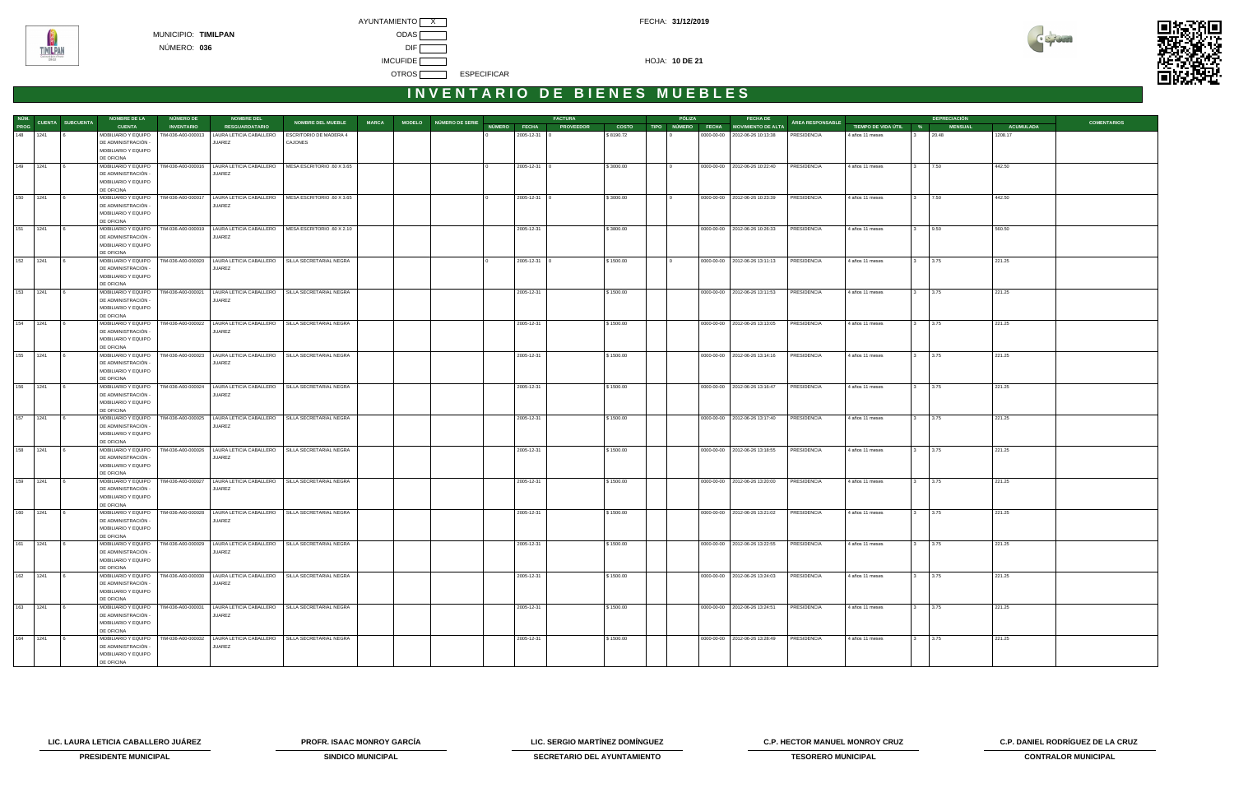



| NÚM.<br>PROG CUENTA SUBCUENTA<br>MODELO NÚMERO DE SERIE<br>NÚMERO FECHA PROVEEDOR<br><b>RESGUARDATARIO</b><br>COSTO TIPO NÚMERO FECHA MOVIMIENTO DE ALTA<br><b>ACUMULADA</b><br><b>CUENTA</b><br><b>INVENTARIO</b><br>TIEMPO DE VIDA ÚTIL %<br><b>MENSUAL</b><br>148 1241<br>MOBILIARIO Y EQUIPO<br>TIM-036-A00-000013<br>LAURA LETICIA CABALLERO<br><b>ESCRITORIO DE MADERA 4</b><br>2005-12-31<br>\$8190.72<br>0000-00-00   2012-06-26 10:13:38<br>1208.17<br>PRESIDENCIA<br>4 años 11 meses<br>20.48<br>DE ADMINISTRACIÓN -<br>CAJONES<br>JUAREZ<br>MOBILIARIO Y EQUIPO<br>DE OFICINA<br>149 1241<br>MOBILIARIO Y EQUIPO   TIM-036-A00-000016   LAURA LETICIA CABALLERO   MESA ESCRITORIO .60 X 3.65<br>$2005 - 12 - 31$ 0<br>0000-00-00   2012-06-26 10:22:40<br>PRESIDENCIA<br>\$3000.00<br>4 años 11 meses<br>7.50<br>442.50<br>DE ADMINISTRACIÓN -<br>JUAREZ<br>MOBILIARIO Y EQUIPO<br>DE OFICINA<br>150 1241<br>MOBILIARIO Y EQUIPO<br>TIM-036-A00-000017<br>LAURA LETICIA CABALLERO   MESA ESCRITORIO .60 X 3.65<br>2005-12-31 0<br>0000-00-00   2012-06-26 10:23:39<br>PRESIDENCIA<br>7.50<br>442.50<br>\$3000.00<br>4 años 11 meses<br>$\mathbf{3}$<br>DE ADMINISTRACIÓN -<br>JUAREZ<br>MOBILIARIO Y EQUIPO<br>DE OFICINA<br>151 1241<br>MOBILIARIO Y EQUIPO<br>TIM-036-A00-000019   LAURA LETICIA CABALLERO   MESA ESCRITORIO .60 X 2.10<br>0000-00-00   2012-06-26 10:26:33<br>9.50<br>560.50<br>2005-12-31<br>\$3800.00<br>PRESIDENCIA<br>4 años 11 meses<br>$3^{\circ}$<br>DE ADMINISTRACIÓN -<br><b>JUAREZ</b><br>MOBILIARIO Y EQUIPO<br>DE OFICINA<br>152 1241<br>MOBILIARIO Y EQUIPO<br>TIM-036-A00-000020   LAURA LETICIA CABALLERO   SILLA SECRETARIAL NEGRA<br>2005-12-31 0<br>0000-00-00   2012-06-26 13:11:13<br>PRESIDENCIA<br>221.25<br>\$1500.00<br>4 años 11 meses<br>3.75<br>3<br>DE ADMINISTRACIÓN -<br>JUAREZ<br>MOBILIARIO Y EQUIPO<br>DE OFICINA<br>153 1241<br>MOBILIARIO Y EQUIPO<br>TIM-036-A00-000021<br>LAURA LETICIA CABALLERO   SILLA SECRETARIAL NEGRA<br>0000-00-00   2012-06-26 13:11:53<br>PRESIDENCIA<br>221.25<br>2005-12-31<br>\$1500.00<br>4 años 11 meses<br>3.75<br>$\mathbf{3}$<br>DE ADMINISTRACIÓN -<br>JUAREZ<br>MOBILIARIO Y EQUIPO<br>DE OFICINA<br>154 1241<br>MOBILIARIO Y EQUIPO<br>TIM-036-A00-000022 LAURA LETICIA CABALLERO SILLA SECRETARIAL NEGRA<br>0000-00-00   2012-06-26 13:13:05<br>3.75<br>221.25<br>2005-12-31<br>\$1500.00<br>PRESIDENCIA<br>4 años 11 meses<br>$3^{\circ}$<br>DE ADMINISTRACIÓN -<br><b>JUAREZ</b><br>MOBILIARIO Y EQUIPO<br>DE OFICINA<br>MOBILIARIO Y EQUIPO   TIM-036-A00-000023   LAURA LETICIA CABALLERO   SILLA SECRETARIAL NEGRA<br>155 1241<br>2005-12-31<br>0000-00-00   2012-06-26 13:14:16<br>PRESIDENCIA<br>221.25<br>\$1500.00<br>4 años 11 meses<br>3.75<br>3<br>DE ADMINISTRACIÓN -<br>JUAREZ<br>MOBILIARIO Y EQUIPO<br>DE OFICINA<br>156 1241<br>MOBILIARIO Y EQUIPO<br>TIM-036-A00-000024   LAURA LETICIA CABALLERO   SILLA SECRETARIAL NEGRA<br>2005-12-31<br>0000-00-00   2012-06-26 13:16:47<br>PRESIDENCIA<br>221.25<br>\$1500.00<br>4 años 11 meses<br>3.75<br>$\mathbf{3}$<br>DE ADMINISTRACIÓN -<br>JUAREZ<br>MOBILIARIO Y EQUIPO<br>DE OFICINA<br>157 1241<br>MOBILIARIO Y EQUIPO<br>TIM-036-A00-000025<br>LAURA LETICIA CABALLERO   SILLA SECRETARIAL NEGRA<br>0000-00-00   2012-06-26 13:17:40<br>3.75<br>221.25<br>2005-12-31<br>\$1500.00<br>PRESIDENCIA<br>4 años 11 meses<br>$3^{\circ}$<br>DE ADMINISTRACIÓN<br>JUAREZ<br>MOBILIARIO Y EQUIPO<br>DE OFICINA<br>158 1241<br>MOBILIARIO Y EQUIPO<br>TIM-036-A00-000026<br>LAURA LETICIA CABALLERO   SILLA SECRETARIAL NEGRA<br>221.25<br>2005-12-31<br>\$1500.00<br>0000-00-00 2012-06-26 13:18:55<br>PRESIDENCIA<br>4 años 11 meses<br>3.75<br>DE ADMINISTRACIÓN -<br>JUAREZ<br>MOBILIARIO Y EQUIPO<br>DE OFICINA<br>159 1241<br>MOBILIARIO Y EQUIPO<br>TIM-036-A00-000027   LAURA LETICIA CABALLERO   SILLA SECRETARIAL NEGRA<br>0000-00-00   2012-06-26 13:20:00<br>PRESIDENCIA<br>2005-12-31<br>\$1500.00<br>4 años 11 meses<br>3.75<br>221.25<br>$\mathbf{3}$<br>DE ADMINISTRACIÓN -<br>JUAREZ<br>MOBILIARIO Y EQUIPO<br>DE OFICINA<br>160 1241<br>MOBILIARIO Y EQUIPO<br>TIM-036-A00-000028   LAURA LETICIA CABALLERO   SILLA SECRETARIAL NEGRA<br>0000-00-00   2012-06-26 13:21:02<br>221.25<br>2005-12-31<br>\$1500.00<br>PRESIDENCIA<br>4 años 11 meses<br>3.75<br>$\mathbf{3}$<br>DE ADMINISTRACIÓN -<br>JUAREZ<br>MOBILIARIO Y EQUIPO<br>DE OFICINA<br>161 1241<br>MOBILIARIO Y EQUIPO   TIM-036-A00-000029   LAURA LETICIA CABALLERO   SILLA SECRETARIAL NEGRA<br>2005-12-31<br>\$1500.00<br>0000-00-00 2012-06-26 13:22:55<br>PRESIDENCIA<br>3.75<br>221.25<br>4 años 11 meses<br>DE ADMINISTRACIÓN -<br>JUAREZ<br>MOBILIARIO Y EQUIPO<br>DE OFICINA<br>162 1241<br>MOBILIARIO Y EQUIPO   TIM-036-A00-000030   LAURA LETICIA CABALLERO   SILLA SECRETARIAL NEGRA<br>2005-12-31<br>\$1500.00<br>0000-00-00   2012-06-26 13:24:03<br>PRESIDENCIA<br>4 años 11 meses<br>3.75<br>221.25<br>DE ADMINISTRACIÓN -<br>JUAREZ<br>MOBILIARIO Y EQUIPO<br>DE OFICINA<br>163 1241<br>MOBILIARIO Y EQUIPO   TIM-036-A00-000031   LAURA LETICIA CABALLERO   SILLA SECRETARIAL NEGRA<br>2005-12-31<br>\$1500.00<br>0000-00-00 2012-06-26 13:24:51<br>PRESIDENCIA<br>4 años 11 meses<br>3.75<br>221.25<br>3<br><b>16</b><br>DE ADMINISTRACIÓN -<br>JUAREZ<br>MOBILIARIO Y EQUIPO<br>DE OFICINA<br>164<br>1241<br>MOBILIARIO Y EQUIPO   TIM-036-A00-000032   LAURA LETICIA CABALLERO   SILLA SECRETARIAL NEGRA<br>0000-00-00   2012-06-26 13:28:49<br>221.25<br>2005-12-31<br>\$1500.00<br>PRESIDENCIA<br>4 años 11 meses<br>3.75<br>DE ADMINISTRACIÓN -<br>JUAREZ<br>MOBILIARIO Y EQUIPO |  | <b>NOMBRE DE LA</b> | <b>NÚMERO DE</b> | <b>NOMBRE DEL</b> |                          |              |  | <b>FACTURA</b> |  | PÓLIZA | <b>FECHA DE</b> |                  |  | <b>DEPRECIACIÓN</b> |                    |
|-------------------------------------------------------------------------------------------------------------------------------------------------------------------------------------------------------------------------------------------------------------------------------------------------------------------------------------------------------------------------------------------------------------------------------------------------------------------------------------------------------------------------------------------------------------------------------------------------------------------------------------------------------------------------------------------------------------------------------------------------------------------------------------------------------------------------------------------------------------------------------------------------------------------------------------------------------------------------------------------------------------------------------------------------------------------------------------------------------------------------------------------------------------------------------------------------------------------------------------------------------------------------------------------------------------------------------------------------------------------------------------------------------------------------------------------------------------------------------------------------------------------------------------------------------------------------------------------------------------------------------------------------------------------------------------------------------------------------------------------------------------------------------------------------------------------------------------------------------------------------------------------------------------------------------------------------------------------------------------------------------------------------------------------------------------------------------------------------------------------------------------------------------------------------------------------------------------------------------------------------------------------------------------------------------------------------------------------------------------------------------------------------------------------------------------------------------------------------------------------------------------------------------------------------------------------------------------------------------------------------------------------------------------------------------------------------------------------------------------------------------------------------------------------------------------------------------------------------------------------------------------------------------------------------------------------------------------------------------------------------------------------------------------------------------------------------------------------------------------------------------------------------------------------------------------------------------------------------------------------------------------------------------------------------------------------------------------------------------------------------------------------------------------------------------------------------------------------------------------------------------------------------------------------------------------------------------------------------------------------------------------------------------------------------------------------------------------------------------------------------------------------------------------------------------------------------------------------------------------------------------------------------------------------------------------------------------------------------------------------------------------------------------------------------------------------------------------------------------------------------------------------------------------------------------------------------------------------------------------------------------------------------------------------------------------------------------------------------------------------------------------------------------------------------------------------------------------------------------------------------------------------------------------------------------------------------------------------------------------------------------------------------------------------------------------------------------------------------------------------------------------------------------------------------------------------------------------------------------------------------------------------------------------------------------------------------------------------------------------------------------------------------------------------------------------------------------------------------------------------------------------------------------------------------------------------------------------------------------------------------------------------------------------------------------------------------------------------------------------------------------------------------------------------------------------------------------------------------------------------------------------------------------------------------------------------------------------------------------------------------------------------------------------|--|---------------------|------------------|-------------------|--------------------------|--------------|--|----------------|--|--------|-----------------|------------------|--|---------------------|--------------------|
|                                                                                                                                                                                                                                                                                                                                                                                                                                                                                                                                                                                                                                                                                                                                                                                                                                                                                                                                                                                                                                                                                                                                                                                                                                                                                                                                                                                                                                                                                                                                                                                                                                                                                                                                                                                                                                                                                                                                                                                                                                                                                                                                                                                                                                                                                                                                                                                                                                                                                                                                                                                                                                                                                                                                                                                                                                                                                                                                                                                                                                                                                                                                                                                                                                                                                                                                                                                                                                                                                                                                                                                                                                                                                                                                                                                                                                                                                                                                                                                                                                                                                                                                                                                                                                                                                                                                                                                                                                                                                                                                                                                                                                                                                                                                                                                                                                                                                                                                                                                                                                                                                                                                                                                                                                                                                                                                                                                                                                                                                                                                                                                                                                                             |  |                     |                  |                   | <b>NOMBRE DEL MUEBLE</b> | <b>MARCA</b> |  |                |  |        |                 | ÁREA RESPONSABLE |  |                     | <b>COMENTARIOS</b> |
|                                                                                                                                                                                                                                                                                                                                                                                                                                                                                                                                                                                                                                                                                                                                                                                                                                                                                                                                                                                                                                                                                                                                                                                                                                                                                                                                                                                                                                                                                                                                                                                                                                                                                                                                                                                                                                                                                                                                                                                                                                                                                                                                                                                                                                                                                                                                                                                                                                                                                                                                                                                                                                                                                                                                                                                                                                                                                                                                                                                                                                                                                                                                                                                                                                                                                                                                                                                                                                                                                                                                                                                                                                                                                                                                                                                                                                                                                                                                                                                                                                                                                                                                                                                                                                                                                                                                                                                                                                                                                                                                                                                                                                                                                                                                                                                                                                                                                                                                                                                                                                                                                                                                                                                                                                                                                                                                                                                                                                                                                                                                                                                                                                                             |  |                     |                  |                   |                          |              |  |                |  |        |                 |                  |  |                     |                    |
|                                                                                                                                                                                                                                                                                                                                                                                                                                                                                                                                                                                                                                                                                                                                                                                                                                                                                                                                                                                                                                                                                                                                                                                                                                                                                                                                                                                                                                                                                                                                                                                                                                                                                                                                                                                                                                                                                                                                                                                                                                                                                                                                                                                                                                                                                                                                                                                                                                                                                                                                                                                                                                                                                                                                                                                                                                                                                                                                                                                                                                                                                                                                                                                                                                                                                                                                                                                                                                                                                                                                                                                                                                                                                                                                                                                                                                                                                                                                                                                                                                                                                                                                                                                                                                                                                                                                                                                                                                                                                                                                                                                                                                                                                                                                                                                                                                                                                                                                                                                                                                                                                                                                                                                                                                                                                                                                                                                                                                                                                                                                                                                                                                                             |  |                     |                  |                   |                          |              |  |                |  |        |                 |                  |  |                     |                    |
|                                                                                                                                                                                                                                                                                                                                                                                                                                                                                                                                                                                                                                                                                                                                                                                                                                                                                                                                                                                                                                                                                                                                                                                                                                                                                                                                                                                                                                                                                                                                                                                                                                                                                                                                                                                                                                                                                                                                                                                                                                                                                                                                                                                                                                                                                                                                                                                                                                                                                                                                                                                                                                                                                                                                                                                                                                                                                                                                                                                                                                                                                                                                                                                                                                                                                                                                                                                                                                                                                                                                                                                                                                                                                                                                                                                                                                                                                                                                                                                                                                                                                                                                                                                                                                                                                                                                                                                                                                                                                                                                                                                                                                                                                                                                                                                                                                                                                                                                                                                                                                                                                                                                                                                                                                                                                                                                                                                                                                                                                                                                                                                                                                                             |  |                     |                  |                   |                          |              |  |                |  |        |                 |                  |  |                     |                    |
|                                                                                                                                                                                                                                                                                                                                                                                                                                                                                                                                                                                                                                                                                                                                                                                                                                                                                                                                                                                                                                                                                                                                                                                                                                                                                                                                                                                                                                                                                                                                                                                                                                                                                                                                                                                                                                                                                                                                                                                                                                                                                                                                                                                                                                                                                                                                                                                                                                                                                                                                                                                                                                                                                                                                                                                                                                                                                                                                                                                                                                                                                                                                                                                                                                                                                                                                                                                                                                                                                                                                                                                                                                                                                                                                                                                                                                                                                                                                                                                                                                                                                                                                                                                                                                                                                                                                                                                                                                                                                                                                                                                                                                                                                                                                                                                                                                                                                                                                                                                                                                                                                                                                                                                                                                                                                                                                                                                                                                                                                                                                                                                                                                                             |  |                     |                  |                   |                          |              |  |                |  |        |                 |                  |  |                     |                    |
|                                                                                                                                                                                                                                                                                                                                                                                                                                                                                                                                                                                                                                                                                                                                                                                                                                                                                                                                                                                                                                                                                                                                                                                                                                                                                                                                                                                                                                                                                                                                                                                                                                                                                                                                                                                                                                                                                                                                                                                                                                                                                                                                                                                                                                                                                                                                                                                                                                                                                                                                                                                                                                                                                                                                                                                                                                                                                                                                                                                                                                                                                                                                                                                                                                                                                                                                                                                                                                                                                                                                                                                                                                                                                                                                                                                                                                                                                                                                                                                                                                                                                                                                                                                                                                                                                                                                                                                                                                                                                                                                                                                                                                                                                                                                                                                                                                                                                                                                                                                                                                                                                                                                                                                                                                                                                                                                                                                                                                                                                                                                                                                                                                                             |  |                     |                  |                   |                          |              |  |                |  |        |                 |                  |  |                     |                    |
|                                                                                                                                                                                                                                                                                                                                                                                                                                                                                                                                                                                                                                                                                                                                                                                                                                                                                                                                                                                                                                                                                                                                                                                                                                                                                                                                                                                                                                                                                                                                                                                                                                                                                                                                                                                                                                                                                                                                                                                                                                                                                                                                                                                                                                                                                                                                                                                                                                                                                                                                                                                                                                                                                                                                                                                                                                                                                                                                                                                                                                                                                                                                                                                                                                                                                                                                                                                                                                                                                                                                                                                                                                                                                                                                                                                                                                                                                                                                                                                                                                                                                                                                                                                                                                                                                                                                                                                                                                                                                                                                                                                                                                                                                                                                                                                                                                                                                                                                                                                                                                                                                                                                                                                                                                                                                                                                                                                                                                                                                                                                                                                                                                                             |  |                     |                  |                   |                          |              |  |                |  |        |                 |                  |  |                     |                    |
|                                                                                                                                                                                                                                                                                                                                                                                                                                                                                                                                                                                                                                                                                                                                                                                                                                                                                                                                                                                                                                                                                                                                                                                                                                                                                                                                                                                                                                                                                                                                                                                                                                                                                                                                                                                                                                                                                                                                                                                                                                                                                                                                                                                                                                                                                                                                                                                                                                                                                                                                                                                                                                                                                                                                                                                                                                                                                                                                                                                                                                                                                                                                                                                                                                                                                                                                                                                                                                                                                                                                                                                                                                                                                                                                                                                                                                                                                                                                                                                                                                                                                                                                                                                                                                                                                                                                                                                                                                                                                                                                                                                                                                                                                                                                                                                                                                                                                                                                                                                                                                                                                                                                                                                                                                                                                                                                                                                                                                                                                                                                                                                                                                                             |  |                     |                  |                   |                          |              |  |                |  |        |                 |                  |  |                     |                    |
|                                                                                                                                                                                                                                                                                                                                                                                                                                                                                                                                                                                                                                                                                                                                                                                                                                                                                                                                                                                                                                                                                                                                                                                                                                                                                                                                                                                                                                                                                                                                                                                                                                                                                                                                                                                                                                                                                                                                                                                                                                                                                                                                                                                                                                                                                                                                                                                                                                                                                                                                                                                                                                                                                                                                                                                                                                                                                                                                                                                                                                                                                                                                                                                                                                                                                                                                                                                                                                                                                                                                                                                                                                                                                                                                                                                                                                                                                                                                                                                                                                                                                                                                                                                                                                                                                                                                                                                                                                                                                                                                                                                                                                                                                                                                                                                                                                                                                                                                                                                                                                                                                                                                                                                                                                                                                                                                                                                                                                                                                                                                                                                                                                                             |  |                     |                  |                   |                          |              |  |                |  |        |                 |                  |  |                     |                    |
|                                                                                                                                                                                                                                                                                                                                                                                                                                                                                                                                                                                                                                                                                                                                                                                                                                                                                                                                                                                                                                                                                                                                                                                                                                                                                                                                                                                                                                                                                                                                                                                                                                                                                                                                                                                                                                                                                                                                                                                                                                                                                                                                                                                                                                                                                                                                                                                                                                                                                                                                                                                                                                                                                                                                                                                                                                                                                                                                                                                                                                                                                                                                                                                                                                                                                                                                                                                                                                                                                                                                                                                                                                                                                                                                                                                                                                                                                                                                                                                                                                                                                                                                                                                                                                                                                                                                                                                                                                                                                                                                                                                                                                                                                                                                                                                                                                                                                                                                                                                                                                                                                                                                                                                                                                                                                                                                                                                                                                                                                                                                                                                                                                                             |  |                     |                  |                   |                          |              |  |                |  |        |                 |                  |  |                     |                    |
|                                                                                                                                                                                                                                                                                                                                                                                                                                                                                                                                                                                                                                                                                                                                                                                                                                                                                                                                                                                                                                                                                                                                                                                                                                                                                                                                                                                                                                                                                                                                                                                                                                                                                                                                                                                                                                                                                                                                                                                                                                                                                                                                                                                                                                                                                                                                                                                                                                                                                                                                                                                                                                                                                                                                                                                                                                                                                                                                                                                                                                                                                                                                                                                                                                                                                                                                                                                                                                                                                                                                                                                                                                                                                                                                                                                                                                                                                                                                                                                                                                                                                                                                                                                                                                                                                                                                                                                                                                                                                                                                                                                                                                                                                                                                                                                                                                                                                                                                                                                                                                                                                                                                                                                                                                                                                                                                                                                                                                                                                                                                                                                                                                                             |  |                     |                  |                   |                          |              |  |                |  |        |                 |                  |  |                     |                    |
|                                                                                                                                                                                                                                                                                                                                                                                                                                                                                                                                                                                                                                                                                                                                                                                                                                                                                                                                                                                                                                                                                                                                                                                                                                                                                                                                                                                                                                                                                                                                                                                                                                                                                                                                                                                                                                                                                                                                                                                                                                                                                                                                                                                                                                                                                                                                                                                                                                                                                                                                                                                                                                                                                                                                                                                                                                                                                                                                                                                                                                                                                                                                                                                                                                                                                                                                                                                                                                                                                                                                                                                                                                                                                                                                                                                                                                                                                                                                                                                                                                                                                                                                                                                                                                                                                                                                                                                                                                                                                                                                                                                                                                                                                                                                                                                                                                                                                                                                                                                                                                                                                                                                                                                                                                                                                                                                                                                                                                                                                                                                                                                                                                                             |  |                     |                  |                   |                          |              |  |                |  |        |                 |                  |  |                     |                    |
|                                                                                                                                                                                                                                                                                                                                                                                                                                                                                                                                                                                                                                                                                                                                                                                                                                                                                                                                                                                                                                                                                                                                                                                                                                                                                                                                                                                                                                                                                                                                                                                                                                                                                                                                                                                                                                                                                                                                                                                                                                                                                                                                                                                                                                                                                                                                                                                                                                                                                                                                                                                                                                                                                                                                                                                                                                                                                                                                                                                                                                                                                                                                                                                                                                                                                                                                                                                                                                                                                                                                                                                                                                                                                                                                                                                                                                                                                                                                                                                                                                                                                                                                                                                                                                                                                                                                                                                                                                                                                                                                                                                                                                                                                                                                                                                                                                                                                                                                                                                                                                                                                                                                                                                                                                                                                                                                                                                                                                                                                                                                                                                                                                                             |  |                     |                  |                   |                          |              |  |                |  |        |                 |                  |  |                     |                    |
|                                                                                                                                                                                                                                                                                                                                                                                                                                                                                                                                                                                                                                                                                                                                                                                                                                                                                                                                                                                                                                                                                                                                                                                                                                                                                                                                                                                                                                                                                                                                                                                                                                                                                                                                                                                                                                                                                                                                                                                                                                                                                                                                                                                                                                                                                                                                                                                                                                                                                                                                                                                                                                                                                                                                                                                                                                                                                                                                                                                                                                                                                                                                                                                                                                                                                                                                                                                                                                                                                                                                                                                                                                                                                                                                                                                                                                                                                                                                                                                                                                                                                                                                                                                                                                                                                                                                                                                                                                                                                                                                                                                                                                                                                                                                                                                                                                                                                                                                                                                                                                                                                                                                                                                                                                                                                                                                                                                                                                                                                                                                                                                                                                                             |  |                     |                  |                   |                          |              |  |                |  |        |                 |                  |  |                     |                    |
|                                                                                                                                                                                                                                                                                                                                                                                                                                                                                                                                                                                                                                                                                                                                                                                                                                                                                                                                                                                                                                                                                                                                                                                                                                                                                                                                                                                                                                                                                                                                                                                                                                                                                                                                                                                                                                                                                                                                                                                                                                                                                                                                                                                                                                                                                                                                                                                                                                                                                                                                                                                                                                                                                                                                                                                                                                                                                                                                                                                                                                                                                                                                                                                                                                                                                                                                                                                                                                                                                                                                                                                                                                                                                                                                                                                                                                                                                                                                                                                                                                                                                                                                                                                                                                                                                                                                                                                                                                                                                                                                                                                                                                                                                                                                                                                                                                                                                                                                                                                                                                                                                                                                                                                                                                                                                                                                                                                                                                                                                                                                                                                                                                                             |  |                     |                  |                   |                          |              |  |                |  |        |                 |                  |  |                     |                    |
|                                                                                                                                                                                                                                                                                                                                                                                                                                                                                                                                                                                                                                                                                                                                                                                                                                                                                                                                                                                                                                                                                                                                                                                                                                                                                                                                                                                                                                                                                                                                                                                                                                                                                                                                                                                                                                                                                                                                                                                                                                                                                                                                                                                                                                                                                                                                                                                                                                                                                                                                                                                                                                                                                                                                                                                                                                                                                                                                                                                                                                                                                                                                                                                                                                                                                                                                                                                                                                                                                                                                                                                                                                                                                                                                                                                                                                                                                                                                                                                                                                                                                                                                                                                                                                                                                                                                                                                                                                                                                                                                                                                                                                                                                                                                                                                                                                                                                                                                                                                                                                                                                                                                                                                                                                                                                                                                                                                                                                                                                                                                                                                                                                                             |  |                     |                  |                   |                          |              |  |                |  |        |                 |                  |  |                     |                    |
|                                                                                                                                                                                                                                                                                                                                                                                                                                                                                                                                                                                                                                                                                                                                                                                                                                                                                                                                                                                                                                                                                                                                                                                                                                                                                                                                                                                                                                                                                                                                                                                                                                                                                                                                                                                                                                                                                                                                                                                                                                                                                                                                                                                                                                                                                                                                                                                                                                                                                                                                                                                                                                                                                                                                                                                                                                                                                                                                                                                                                                                                                                                                                                                                                                                                                                                                                                                                                                                                                                                                                                                                                                                                                                                                                                                                                                                                                                                                                                                                                                                                                                                                                                                                                                                                                                                                                                                                                                                                                                                                                                                                                                                                                                                                                                                                                                                                                                                                                                                                                                                                                                                                                                                                                                                                                                                                                                                                                                                                                                                                                                                                                                                             |  |                     |                  |                   |                          |              |  |                |  |        |                 |                  |  |                     |                    |
|                                                                                                                                                                                                                                                                                                                                                                                                                                                                                                                                                                                                                                                                                                                                                                                                                                                                                                                                                                                                                                                                                                                                                                                                                                                                                                                                                                                                                                                                                                                                                                                                                                                                                                                                                                                                                                                                                                                                                                                                                                                                                                                                                                                                                                                                                                                                                                                                                                                                                                                                                                                                                                                                                                                                                                                                                                                                                                                                                                                                                                                                                                                                                                                                                                                                                                                                                                                                                                                                                                                                                                                                                                                                                                                                                                                                                                                                                                                                                                                                                                                                                                                                                                                                                                                                                                                                                                                                                                                                                                                                                                                                                                                                                                                                                                                                                                                                                                                                                                                                                                                                                                                                                                                                                                                                                                                                                                                                                                                                                                                                                                                                                                                             |  |                     |                  |                   |                          |              |  |                |  |        |                 |                  |  |                     |                    |
|                                                                                                                                                                                                                                                                                                                                                                                                                                                                                                                                                                                                                                                                                                                                                                                                                                                                                                                                                                                                                                                                                                                                                                                                                                                                                                                                                                                                                                                                                                                                                                                                                                                                                                                                                                                                                                                                                                                                                                                                                                                                                                                                                                                                                                                                                                                                                                                                                                                                                                                                                                                                                                                                                                                                                                                                                                                                                                                                                                                                                                                                                                                                                                                                                                                                                                                                                                                                                                                                                                                                                                                                                                                                                                                                                                                                                                                                                                                                                                                                                                                                                                                                                                                                                                                                                                                                                                                                                                                                                                                                                                                                                                                                                                                                                                                                                                                                                                                                                                                                                                                                                                                                                                                                                                                                                                                                                                                                                                                                                                                                                                                                                                                             |  |                     |                  |                   |                          |              |  |                |  |        |                 |                  |  |                     |                    |
|                                                                                                                                                                                                                                                                                                                                                                                                                                                                                                                                                                                                                                                                                                                                                                                                                                                                                                                                                                                                                                                                                                                                                                                                                                                                                                                                                                                                                                                                                                                                                                                                                                                                                                                                                                                                                                                                                                                                                                                                                                                                                                                                                                                                                                                                                                                                                                                                                                                                                                                                                                                                                                                                                                                                                                                                                                                                                                                                                                                                                                                                                                                                                                                                                                                                                                                                                                                                                                                                                                                                                                                                                                                                                                                                                                                                                                                                                                                                                                                                                                                                                                                                                                                                                                                                                                                                                                                                                                                                                                                                                                                                                                                                                                                                                                                                                                                                                                                                                                                                                                                                                                                                                                                                                                                                                                                                                                                                                                                                                                                                                                                                                                                             |  |                     |                  |                   |                          |              |  |                |  |        |                 |                  |  |                     |                    |
|                                                                                                                                                                                                                                                                                                                                                                                                                                                                                                                                                                                                                                                                                                                                                                                                                                                                                                                                                                                                                                                                                                                                                                                                                                                                                                                                                                                                                                                                                                                                                                                                                                                                                                                                                                                                                                                                                                                                                                                                                                                                                                                                                                                                                                                                                                                                                                                                                                                                                                                                                                                                                                                                                                                                                                                                                                                                                                                                                                                                                                                                                                                                                                                                                                                                                                                                                                                                                                                                                                                                                                                                                                                                                                                                                                                                                                                                                                                                                                                                                                                                                                                                                                                                                                                                                                                                                                                                                                                                                                                                                                                                                                                                                                                                                                                                                                                                                                                                                                                                                                                                                                                                                                                                                                                                                                                                                                                                                                                                                                                                                                                                                                                             |  |                     |                  |                   |                          |              |  |                |  |        |                 |                  |  |                     |                    |
|                                                                                                                                                                                                                                                                                                                                                                                                                                                                                                                                                                                                                                                                                                                                                                                                                                                                                                                                                                                                                                                                                                                                                                                                                                                                                                                                                                                                                                                                                                                                                                                                                                                                                                                                                                                                                                                                                                                                                                                                                                                                                                                                                                                                                                                                                                                                                                                                                                                                                                                                                                                                                                                                                                                                                                                                                                                                                                                                                                                                                                                                                                                                                                                                                                                                                                                                                                                                                                                                                                                                                                                                                                                                                                                                                                                                                                                                                                                                                                                                                                                                                                                                                                                                                                                                                                                                                                                                                                                                                                                                                                                                                                                                                                                                                                                                                                                                                                                                                                                                                                                                                                                                                                                                                                                                                                                                                                                                                                                                                                                                                                                                                                                             |  |                     |                  |                   |                          |              |  |                |  |        |                 |                  |  |                     |                    |
|                                                                                                                                                                                                                                                                                                                                                                                                                                                                                                                                                                                                                                                                                                                                                                                                                                                                                                                                                                                                                                                                                                                                                                                                                                                                                                                                                                                                                                                                                                                                                                                                                                                                                                                                                                                                                                                                                                                                                                                                                                                                                                                                                                                                                                                                                                                                                                                                                                                                                                                                                                                                                                                                                                                                                                                                                                                                                                                                                                                                                                                                                                                                                                                                                                                                                                                                                                                                                                                                                                                                                                                                                                                                                                                                                                                                                                                                                                                                                                                                                                                                                                                                                                                                                                                                                                                                                                                                                                                                                                                                                                                                                                                                                                                                                                                                                                                                                                                                                                                                                                                                                                                                                                                                                                                                                                                                                                                                                                                                                                                                                                                                                                                             |  |                     |                  |                   |                          |              |  |                |  |        |                 |                  |  |                     |                    |
|                                                                                                                                                                                                                                                                                                                                                                                                                                                                                                                                                                                                                                                                                                                                                                                                                                                                                                                                                                                                                                                                                                                                                                                                                                                                                                                                                                                                                                                                                                                                                                                                                                                                                                                                                                                                                                                                                                                                                                                                                                                                                                                                                                                                                                                                                                                                                                                                                                                                                                                                                                                                                                                                                                                                                                                                                                                                                                                                                                                                                                                                                                                                                                                                                                                                                                                                                                                                                                                                                                                                                                                                                                                                                                                                                                                                                                                                                                                                                                                                                                                                                                                                                                                                                                                                                                                                                                                                                                                                                                                                                                                                                                                                                                                                                                                                                                                                                                                                                                                                                                                                                                                                                                                                                                                                                                                                                                                                                                                                                                                                                                                                                                                             |  |                     |                  |                   |                          |              |  |                |  |        |                 |                  |  |                     |                    |
|                                                                                                                                                                                                                                                                                                                                                                                                                                                                                                                                                                                                                                                                                                                                                                                                                                                                                                                                                                                                                                                                                                                                                                                                                                                                                                                                                                                                                                                                                                                                                                                                                                                                                                                                                                                                                                                                                                                                                                                                                                                                                                                                                                                                                                                                                                                                                                                                                                                                                                                                                                                                                                                                                                                                                                                                                                                                                                                                                                                                                                                                                                                                                                                                                                                                                                                                                                                                                                                                                                                                                                                                                                                                                                                                                                                                                                                                                                                                                                                                                                                                                                                                                                                                                                                                                                                                                                                                                                                                                                                                                                                                                                                                                                                                                                                                                                                                                                                                                                                                                                                                                                                                                                                                                                                                                                                                                                                                                                                                                                                                                                                                                                                             |  |                     |                  |                   |                          |              |  |                |  |        |                 |                  |  |                     |                    |
|                                                                                                                                                                                                                                                                                                                                                                                                                                                                                                                                                                                                                                                                                                                                                                                                                                                                                                                                                                                                                                                                                                                                                                                                                                                                                                                                                                                                                                                                                                                                                                                                                                                                                                                                                                                                                                                                                                                                                                                                                                                                                                                                                                                                                                                                                                                                                                                                                                                                                                                                                                                                                                                                                                                                                                                                                                                                                                                                                                                                                                                                                                                                                                                                                                                                                                                                                                                                                                                                                                                                                                                                                                                                                                                                                                                                                                                                                                                                                                                                                                                                                                                                                                                                                                                                                                                                                                                                                                                                                                                                                                                                                                                                                                                                                                                                                                                                                                                                                                                                                                                                                                                                                                                                                                                                                                                                                                                                                                                                                                                                                                                                                                                             |  |                     |                  |                   |                          |              |  |                |  |        |                 |                  |  |                     |                    |
|                                                                                                                                                                                                                                                                                                                                                                                                                                                                                                                                                                                                                                                                                                                                                                                                                                                                                                                                                                                                                                                                                                                                                                                                                                                                                                                                                                                                                                                                                                                                                                                                                                                                                                                                                                                                                                                                                                                                                                                                                                                                                                                                                                                                                                                                                                                                                                                                                                                                                                                                                                                                                                                                                                                                                                                                                                                                                                                                                                                                                                                                                                                                                                                                                                                                                                                                                                                                                                                                                                                                                                                                                                                                                                                                                                                                                                                                                                                                                                                                                                                                                                                                                                                                                                                                                                                                                                                                                                                                                                                                                                                                                                                                                                                                                                                                                                                                                                                                                                                                                                                                                                                                                                                                                                                                                                                                                                                                                                                                                                                                                                                                                                                             |  |                     |                  |                   |                          |              |  |                |  |        |                 |                  |  |                     |                    |
|                                                                                                                                                                                                                                                                                                                                                                                                                                                                                                                                                                                                                                                                                                                                                                                                                                                                                                                                                                                                                                                                                                                                                                                                                                                                                                                                                                                                                                                                                                                                                                                                                                                                                                                                                                                                                                                                                                                                                                                                                                                                                                                                                                                                                                                                                                                                                                                                                                                                                                                                                                                                                                                                                                                                                                                                                                                                                                                                                                                                                                                                                                                                                                                                                                                                                                                                                                                                                                                                                                                                                                                                                                                                                                                                                                                                                                                                                                                                                                                                                                                                                                                                                                                                                                                                                                                                                                                                                                                                                                                                                                                                                                                                                                                                                                                                                                                                                                                                                                                                                                                                                                                                                                                                                                                                                                                                                                                                                                                                                                                                                                                                                                                             |  |                     |                  |                   |                          |              |  |                |  |        |                 |                  |  |                     |                    |
|                                                                                                                                                                                                                                                                                                                                                                                                                                                                                                                                                                                                                                                                                                                                                                                                                                                                                                                                                                                                                                                                                                                                                                                                                                                                                                                                                                                                                                                                                                                                                                                                                                                                                                                                                                                                                                                                                                                                                                                                                                                                                                                                                                                                                                                                                                                                                                                                                                                                                                                                                                                                                                                                                                                                                                                                                                                                                                                                                                                                                                                                                                                                                                                                                                                                                                                                                                                                                                                                                                                                                                                                                                                                                                                                                                                                                                                                                                                                                                                                                                                                                                                                                                                                                                                                                                                                                                                                                                                                                                                                                                                                                                                                                                                                                                                                                                                                                                                                                                                                                                                                                                                                                                                                                                                                                                                                                                                                                                                                                                                                                                                                                                                             |  |                     |                  |                   |                          |              |  |                |  |        |                 |                  |  |                     |                    |
|                                                                                                                                                                                                                                                                                                                                                                                                                                                                                                                                                                                                                                                                                                                                                                                                                                                                                                                                                                                                                                                                                                                                                                                                                                                                                                                                                                                                                                                                                                                                                                                                                                                                                                                                                                                                                                                                                                                                                                                                                                                                                                                                                                                                                                                                                                                                                                                                                                                                                                                                                                                                                                                                                                                                                                                                                                                                                                                                                                                                                                                                                                                                                                                                                                                                                                                                                                                                                                                                                                                                                                                                                                                                                                                                                                                                                                                                                                                                                                                                                                                                                                                                                                                                                                                                                                                                                                                                                                                                                                                                                                                                                                                                                                                                                                                                                                                                                                                                                                                                                                                                                                                                                                                                                                                                                                                                                                                                                                                                                                                                                                                                                                                             |  |                     |                  |                   |                          |              |  |                |  |        |                 |                  |  |                     |                    |
|                                                                                                                                                                                                                                                                                                                                                                                                                                                                                                                                                                                                                                                                                                                                                                                                                                                                                                                                                                                                                                                                                                                                                                                                                                                                                                                                                                                                                                                                                                                                                                                                                                                                                                                                                                                                                                                                                                                                                                                                                                                                                                                                                                                                                                                                                                                                                                                                                                                                                                                                                                                                                                                                                                                                                                                                                                                                                                                                                                                                                                                                                                                                                                                                                                                                                                                                                                                                                                                                                                                                                                                                                                                                                                                                                                                                                                                                                                                                                                                                                                                                                                                                                                                                                                                                                                                                                                                                                                                                                                                                                                                                                                                                                                                                                                                                                                                                                                                                                                                                                                                                                                                                                                                                                                                                                                                                                                                                                                                                                                                                                                                                                                                             |  |                     |                  |                   |                          |              |  |                |  |        |                 |                  |  |                     |                    |
|                                                                                                                                                                                                                                                                                                                                                                                                                                                                                                                                                                                                                                                                                                                                                                                                                                                                                                                                                                                                                                                                                                                                                                                                                                                                                                                                                                                                                                                                                                                                                                                                                                                                                                                                                                                                                                                                                                                                                                                                                                                                                                                                                                                                                                                                                                                                                                                                                                                                                                                                                                                                                                                                                                                                                                                                                                                                                                                                                                                                                                                                                                                                                                                                                                                                                                                                                                                                                                                                                                                                                                                                                                                                                                                                                                                                                                                                                                                                                                                                                                                                                                                                                                                                                                                                                                                                                                                                                                                                                                                                                                                                                                                                                                                                                                                                                                                                                                                                                                                                                                                                                                                                                                                                                                                                                                                                                                                                                                                                                                                                                                                                                                                             |  | DE OFICINA          |                  |                   |                          |              |  |                |  |        |                 |                  |  |                     |                    |

**LIC. LAURA LETICIA CABALLERO JUÁREZ PROFR. ISAAC MONROY GARCÍA LIC. SERGIO MARTÍNEZ DOMÍNGUEZ C.P. HECTOR MANUEL MONROY CRUZ C.P. DANIEL RODRÍGUEZ DE LA CRUZ** 



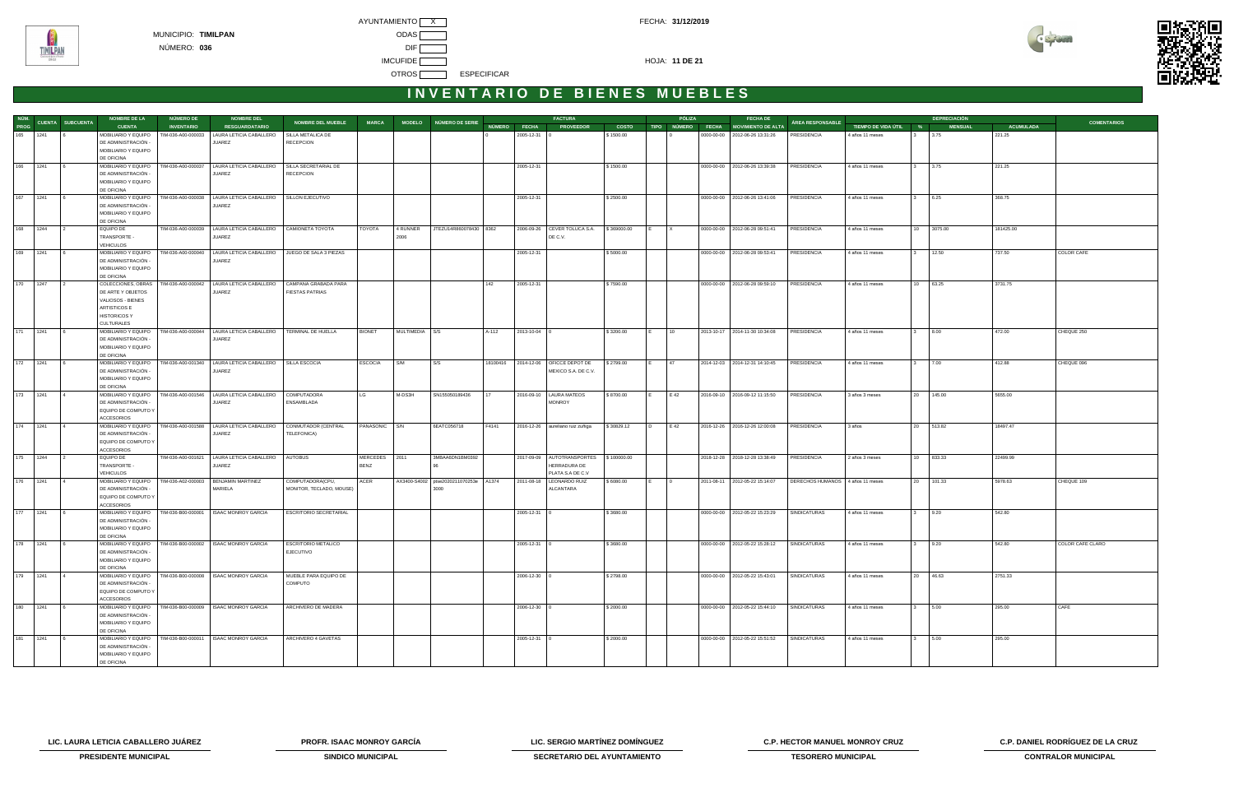**TIMILPAN** 



# **I N V E N T A R I O D E B I E N E S M U E B L E S**

|                |                       | <b>NOMBRE DE LA</b>                                           | NÚMERO DE          | <b>NOMBRE DEL</b>                                                 |                                          |                |                |                          |          |                    | <b>FACTURA</b>                   |              |                | PÓLIZA         | <b>FECHA DE</b>                      |                                  |                       |             | <b>DEPRECIACIÓN</b> |                  |                    |
|----------------|-----------------------|---------------------------------------------------------------|--------------------|-------------------------------------------------------------------|------------------------------------------|----------------|----------------|--------------------------|----------|--------------------|----------------------------------|--------------|----------------|----------------|--------------------------------------|----------------------------------|-----------------------|-------------|---------------------|------------------|--------------------|
|                | NÚM. CUENTA SUBCUENTA | <b>CUENTA</b>                                                 | <b>INVENTARIO</b>  | <b>RESGUARDATARIO</b>                                             | NOMBRE DEL MUEBLE                        | <b>MARCA</b>   |                | MODELO NÚMERO DE SERIE   |          | NÚMERO FECHA       | <b>PROVEEDOR</b>                 | <b>COSTO</b> |                |                | TIPO NÚMERO FECHA MOVIMIENTO DE ALTA | ÁREA RESPONSABLE                 | TIEMPO DE VIDA ÚTIL % |             | <b>MENSUAL</b>      | <b>ACUMULADA</b> | <b>COMENTARIOS</b> |
| 165 1241       |                       | MOBILIARIO Y EQUIPO                                           | TIM-036-A00-000033 | LAURA LETICIA CABALLERO                                           | SILLA METALICA DE                        |                |                |                          |          | $2005 - 12 - 31$ 0 |                                  | \$1500.00    |                |                | 0000-00-00 2012-06-26 13:31:26       | PRESIDENCIA                      | 4 años 11 meses       |             | 3.75                | 221.25           |                    |
|                |                       | DE ADMINISTRACIÓN                                             |                    | JUAREZ                                                            | <b>RECEPCION</b>                         |                |                |                          |          |                    |                                  |              |                |                |                                      |                                  |                       |             |                     |                  |                    |
|                |                       | MOBILIARIO Y EQUIPO                                           |                    |                                                                   |                                          |                |                |                          |          |                    |                                  |              |                |                |                                      |                                  |                       |             |                     |                  |                    |
|                |                       | DE OFICINA                                                    |                    |                                                                   |                                          |                |                |                          |          |                    |                                  |              |                |                |                                      |                                  |                       |             |                     |                  |                    |
| 166 1241       |                       | MOBILIARIO Y EQUIPO<br>DE ADMINISTRACIÓN                      | TIM-036-A00-000037 | LAURA LETICIA CABALLERO<br>JUAREZ                                 | SILLA SECRETARIAL DE<br><b>RECEPCION</b> |                |                |                          |          | 2005-12-31         |                                  | \$1500.00    |                |                | 0000-00-00   2012-06-26 13:39:38     | PRESIDENCIA                      | 4 años 11 meses       |             | 3.75                | 221.25           |                    |
|                |                       | MOBILIARIO Y EQUIPO                                           |                    |                                                                   |                                          |                |                |                          |          |                    |                                  |              |                |                |                                      |                                  |                       |             |                     |                  |                    |
|                |                       | DE OFICINA                                                    |                    |                                                                   |                                          |                |                |                          |          |                    |                                  |              |                |                |                                      |                                  |                       |             |                     |                  |                    |
| 167 1241       |                       | MOBILIARIO Y EQUIPO                                           | TIM-036-A00-000038 | LAURA LETICIA CABALLERO                                           | SILLON EJECUTIVO                         |                |                |                          |          | 2005-12-31         |                                  | \$2500.00    |                |                | 0000-00-00 2012-06-26 13:41:06       | <b>PRESIDENCIA</b>               | 4 años 11 meses       | $3^{\circ}$ | 6.25                | 368.75           |                    |
|                |                       | DE ADMINISTRACIÓN                                             |                    | JUAREZ                                                            |                                          |                |                |                          |          |                    |                                  |              |                |                |                                      |                                  |                       |             |                     |                  |                    |
|                |                       | MOBILIARIO Y EQUIPO                                           |                    |                                                                   |                                          |                |                |                          |          |                    |                                  |              |                |                |                                      |                                  |                       |             |                     |                  |                    |
|                |                       | DE OFICINA                                                    |                    |                                                                   |                                          |                |                |                          |          |                    |                                  |              |                |                |                                      |                                  |                       |             |                     |                  |                    |
| 168 1244       |                       | EQUIPO DE                                                     |                    | TIM-036-A00-000039   LAURA LETICIA CABALLERO   CAMIONETA TOYOTA   |                                          | TOYOTA         | 4 RUNNER       | JTEZU14R860078430 8362   |          |                    | 2006-09-26 CEVER TOLUCA S.A.     | \$369000.00  |                |                | 0000-00-00 2012-06-28 09:51:41       | PRESIDENCIA                      | 4 años 11 meses       |             | 10 3075.00          | 181425.00        |                    |
|                |                       | TRANSPORTE -<br><b>VEHICULOS</b>                              |                    | JUAREZ                                                            |                                          |                | 2006           |                          |          |                    | DE C.V.                          |              |                |                |                                      |                                  |                       |             |                     |                  |                    |
| 169 1241       |                       | MOBILIARIO Y EQUIPO                                           | TIM-036-A00-000040 | LAURA LETICIA CABALLERO   JUEGO DE SALA 3 PIEZAS                  |                                          |                |                |                          |          | 2005-12-31         |                                  | \$5000.00    |                |                | 0000-00-00 2012-06-28 09:53:41       | <b>PRESIDENCIA</b>               | 4 años 11 meses       |             | 12.50               | 737.50           | COLOR CAFE         |
|                |                       | DE ADMINISTRACIÓN                                             |                    | JUAREZ                                                            |                                          |                |                |                          |          |                    |                                  |              |                |                |                                      |                                  |                       |             |                     |                  |                    |
|                |                       | MOBILIARIO Y EQUIPO                                           |                    |                                                                   |                                          |                |                |                          |          |                    |                                  |              |                |                |                                      |                                  |                       |             |                     |                  |                    |
|                |                       | DE OFICINA                                                    |                    |                                                                   |                                          |                |                |                          |          |                    |                                  |              |                |                |                                      |                                  |                       |             |                     |                  |                    |
| 170 1247       |                       |                                                               |                    | COLECCIONES, OBRAS   TIM-036-A00-000042   LAURA LETICIA CABALLERO | CAMPANA GRABADA PARA                     |                |                |                          | 142      | 2005-12-31         |                                  | \$7590.00    |                |                | 0000-00-00 2012-06-28 09:59:10       | PRESIDENCIA                      | 4 años 11 meses       |             | 10 63.25            | 3731.75          |                    |
|                |                       | DE ARTE Y OBJETOS                                             |                    | JUAREZ                                                            | <b>FIESTAS PATRIAS</b>                   |                |                |                          |          |                    |                                  |              |                |                |                                      |                                  |                       |             |                     |                  |                    |
|                |                       | VALIOSOS - BIENES<br>ARTISTICOS E                             |                    |                                                                   |                                          |                |                |                          |          |                    |                                  |              |                |                |                                      |                                  |                       |             |                     |                  |                    |
|                |                       | <b>HISTORICOS Y</b>                                           |                    |                                                                   |                                          |                |                |                          |          |                    |                                  |              |                |                |                                      |                                  |                       |             |                     |                  |                    |
|                |                       | CULTURALES                                                    |                    |                                                                   |                                          |                |                |                          |          |                    |                                  |              |                |                |                                      |                                  |                       |             |                     |                  |                    |
| 171 1241       |                       | MOBILIARIO Y EQUIPO                                           |                    | TIM-036-A00-000044   LAURA LETICIA CABALLERO   TERMINAL DE HUELLA |                                          | <b>BIONET</b>  | MULTIMEDIA S/S |                          | A-112    | $2013 - 10 - 04$ 0 |                                  | \$3200.00    | IE.            | 10             | 2013-10-17 2014-11-30 10:34:08       | PRESIDENCIA                      | 4 años 11 meses       | $3^{\circ}$ | 8.00                | 472.00           | CHEQUE 250         |
|                |                       | DE ADMINISTRACIÓN -                                           |                    | JUAREZ                                                            |                                          |                |                |                          |          |                    |                                  |              |                |                |                                      |                                  |                       |             |                     |                  |                    |
|                |                       | MOBILIARIO Y EQUIPO                                           |                    |                                                                   |                                          |                |                |                          |          |                    |                                  |              |                |                |                                      |                                  |                       |             |                     |                  |                    |
|                |                       | DE OFICINA                                                    |                    |                                                                   |                                          |                |                |                          |          |                    |                                  |              |                |                |                                      |                                  |                       |             |                     |                  |                    |
| 172 1241       |                       | MOBILIARIO Y EQUIPO                                           | TIM-036-A00-001340 | LAURA LETICIA CABALLERO   SILLA ESCOCIA                           |                                          | <b>ESCOCIA</b> | S/M            | S/S                      | 18100416 |                    | 2014-12-06   OFICCE DEPOT DE     | \$2799.00    |                | 47             | 2014-12-03 2014-12-31 14:10:45       | <b>PRESIDENCIA</b>               | 4 años 11 meses       |             | 7.00                | 412.88           | CHEQUE 096         |
|                |                       | DE ADMINISTRACIÓN<br>MOBILIARIO Y EQUIPO                      |                    | JUAREZ                                                            |                                          |                |                |                          |          |                    | MEXICO S.A. DE C.V.              |              |                |                |                                      |                                  |                       |             |                     |                  |                    |
|                |                       | DE OFICINA                                                    |                    |                                                                   |                                          |                |                |                          |          |                    |                                  |              |                |                |                                      |                                  |                       |             |                     |                  |                    |
| 173 1241       |                       | MOBILIARIO Y EQUIPO                                           | TIM-036-A00-001546 | LAURA LETICIA CABALLERO                                           | <b>COMPUTADORA</b>                       | LG             | M-DS3H         | SN155050189436           |          |                    | 2016-09-10   LAURA MATEOS        | \$8700.00    |                | E 42           | 2016-09-10 2016-09-12 11:15:50       | <b>PRESIDENCIA</b>               | 3 años 3 meses        | 20          | 145.00              | 5655.00          |                    |
|                |                       | DE ADMINISTRACIÓN -                                           |                    | JUAREZ                                                            | ENSAMBLADA                               |                |                |                          |          |                    | <b>MONROY</b>                    |              |                |                |                                      |                                  |                       |             |                     |                  |                    |
|                |                       | EQUIPO DE COMPUTO Y                                           |                    |                                                                   |                                          |                |                |                          |          |                    |                                  |              |                |                |                                      |                                  |                       |             |                     |                  |                    |
|                |                       | <b>ACCESORIOS</b>                                             |                    |                                                                   |                                          |                |                |                          |          |                    |                                  |              |                |                |                                      |                                  |                       |             |                     |                  |                    |
| 174 1241       |                       | MOBILIARIO Y EQUIPO   TIM-036-A00-001588<br>DE ADMINISTRACIÓN |                    | LAURA LETICIA CABALLERO                                           | CONMUTADOR (CENTRAL                      | PANASONIC S/N  |                | 6EATC056718              | F4141    |                    | 2016-12-26 aureliano ruiz zuñiga | \$30829.12   | $\overline{D}$ | E 42           | 2016-12-26 2016-12-26 12:00:08       | PRESIDENCIA                      | 3 años                |             | 20 513.82           | 18497.47         |                    |
|                |                       | EQUIPO DE COMPUTO Y                                           |                    | JUAREZ                                                            | TELEFONICA)                              |                |                |                          |          |                    |                                  |              |                |                |                                      |                                  |                       |             |                     |                  |                    |
|                |                       | <b>ACCESORIOS</b>                                             |                    |                                                                   |                                          |                |                |                          |          |                    |                                  |              |                |                |                                      |                                  |                       |             |                     |                  |                    |
| 175 1244       |                       | <b>EQUIPO DE</b>                                              | TIM-036-A00-001621 | LAURA LETICIA CABALLERO   AUTOBUS                                 |                                          | MERCEDES 2011  |                | 3MBAA6DN1BM0392          |          |                    | 2017-09-09   AUTOTRANSPORTES     | \$100000.00  |                |                | 2018-12-28 2018-12-28 13:38:49       | PRESIDENCIA                      | 2 años 3 meses        |             | 10 833.33           | 22499.99         |                    |
|                |                       | TRANSPORTE -                                                  |                    | JUAREZ                                                            |                                          | <b>BENZ</b>    |                |                          |          |                    | HERRADURA DE                     |              |                |                |                                      |                                  |                       |             |                     |                  |                    |
|                |                       | <b>VEHICULOS</b>                                              |                    |                                                                   |                                          |                |                |                          |          |                    | PLATA S.A DE C.V                 |              |                |                |                                      |                                  |                       |             |                     |                  |                    |
| $176$   $1241$ |                       | MOBILIARIO Y EQUIPO                                           | TIM-036-A02-000003 | BENJAMIN MARTINEZ                                                 | COMPUTADORA(CPU,                         | ACER           | AX3400-S4002   | ptse2020211070253e A1374 |          |                    | 2011-08-18   LEONARDO RUIZ       | \$6080.00    | IE.            | $\overline{0}$ | 2011-08-11 2012-05-22 15:14:07       | DERECHOS HUMANOS 4 años 11 meses |                       |             | 20 101.33           | 5978.63          | CHEQUE 109         |
|                |                       | DE ADMINISTRACIÓN                                             |                    | MARIELA                                                           | MONITOR, TECLADO, MOUSE)                 |                |                | 3000                     |          |                    | ALCANTARA                        |              |                |                |                                      |                                  |                       |             |                     |                  |                    |
|                |                       | EQUIPO DE COMPUTO Y<br><b>ACCESORIOS</b>                      |                    |                                                                   |                                          |                |                |                          |          |                    |                                  |              |                |                |                                      |                                  |                       |             |                     |                  |                    |
| 177 1241       |                       |                                                               |                    | MOBILIARIO Y EQUIPO   TIM-036-B00-000001   ISAAC MONROY GARCIA    | ESCRITORIO SECRETARIAL                   |                |                |                          |          | 2005-12-31 0       |                                  | \$3680.00    |                |                | 0000-00-00   2012-05-22 15:23:29     | SINDICATURAS                     | 4 años 11 meses       |             | 9.20                | 542.80           |                    |
|                |                       | DE ADMINISTRACIÓN                                             |                    |                                                                   |                                          |                |                |                          |          |                    |                                  |              |                |                |                                      |                                  |                       |             |                     |                  |                    |
|                |                       | MOBILIARIO Y EQUIPO                                           |                    |                                                                   |                                          |                |                |                          |          |                    |                                  |              |                |                |                                      |                                  |                       |             |                     |                  |                    |
|                |                       | DE OFICINA                                                    |                    |                                                                   |                                          |                |                |                          |          |                    |                                  |              |                |                |                                      |                                  |                       |             |                     |                  |                    |
| 178 1241       |                       |                                                               |                    | MOBILIARIO Y EQUIPO   TIM-036-B00-000002   ISAAC MONROY GARCIA    | <b>ESCRITORIO METALICO</b>               |                |                |                          |          | 2005-12-31 0       |                                  | \$3680.00    |                |                | 0000-00-00 2012-05-22 15:28:12       | SINDICATURAS                     | 4 años 11 meses       |             | 9.20                | 542.80           | COLOR CAFE CLARO   |
|                |                       | DE ADMINISTRACIÓN -<br>MOBILIARIO Y EQUIPO                    |                    |                                                                   | <b>EJECUTIVO</b>                         |                |                |                          |          |                    |                                  |              |                |                |                                      |                                  |                       |             |                     |                  |                    |
|                |                       | DE OFICINA                                                    |                    |                                                                   |                                          |                |                |                          |          |                    |                                  |              |                |                |                                      |                                  |                       |             |                     |                  |                    |
| 179 1241       |                       |                                                               |                    | MOBILIARIO Y EQUIPO   TIM-036-B00-000008   ISAAC MONROY GARCIA    | MUEBLE PARA EQUIPO DE                    |                |                |                          |          | 2006-12-30 0       |                                  | \$2798.00    |                |                | 0000-00-00 2012-05-22 15:43:01       | SINDICATURAS                     | 4 años 11 meses       |             | 20 46.63            | 2751.33          |                    |
|                |                       | DE ADMINISTRACIÓN -                                           |                    |                                                                   | COMPUTO                                  |                |                |                          |          |                    |                                  |              |                |                |                                      |                                  |                       |             |                     |                  |                    |
|                |                       | EQUIPO DE COMPUTO Y                                           |                    |                                                                   |                                          |                |                |                          |          |                    |                                  |              |                |                |                                      |                                  |                       |             |                     |                  |                    |
|                |                       | <b>ACCESORIOS</b>                                             |                    |                                                                   |                                          |                |                |                          |          |                    |                                  |              |                |                |                                      |                                  |                       |             |                     |                  |                    |
| 180 1241       |                       |                                                               |                    | MOBILIARIO Y EQUIPO   TIM-036-B00-000009   ISAAC MONROY GARCIA    | ARCHIVERO DE MADERA                      |                |                |                          |          | 2006-12-30 0       |                                  | \$2000.00    |                |                | 0000-00-00 2012-05-22 15:44:10       | SINDICATURAS                     | 4 años 11 meses       |             | 5.00                | 295.00           | CAFE               |
|                |                       | DE ADMINISTRACIÓN                                             |                    |                                                                   |                                          |                |                |                          |          |                    |                                  |              |                |                |                                      |                                  |                       |             |                     |                  |                    |
|                |                       | MOBILIARIO Y EQUIPO<br>DE OFICINA                             |                    |                                                                   |                                          |                |                |                          |          |                    |                                  |              |                |                |                                      |                                  |                       |             |                     |                  |                    |
| 181 1241       |                       |                                                               |                    | MOBILIARIO Y EQUIPO   TIM-036-B00-000011   ISAAC MONROY GARCIA    | ARCHIVERO 4 GAVETAS                      |                |                |                          |          | 2005-12-31 0       |                                  | \$2000.00    |                |                | 0000-00-00 2012-05-22 15:51:52       | SINDICATURAS                     | 4 años 11 meses       |             | 5.00                | 295.00           |                    |
|                |                       | DE ADMINISTRACIÓN -                                           |                    |                                                                   |                                          |                |                |                          |          |                    |                                  |              |                |                |                                      |                                  |                       |             |                     |                  |                    |
|                |                       | MOBILIARIO Y EQUIPO                                           |                    |                                                                   |                                          |                |                |                          |          |                    |                                  |              |                |                |                                      |                                  |                       |             |                     |                  |                    |
|                |                       | DE OFICINA                                                    |                    |                                                                   |                                          |                |                |                          |          |                    |                                  |              |                |                |                                      |                                  |                       |             |                     |                  |                    |

**LIC. LAURA LETICIA CABALLERO JUÁREZ PROFR. ISAAC MONROY GARCÍA LIC. SERGIO MARTÍNEZ DOMÍNGUEZ C.P. HECTOR MANUEL MONROY CRUZ C.P. DANIEL RODRÍGUEZ DE LA CRUZ** 



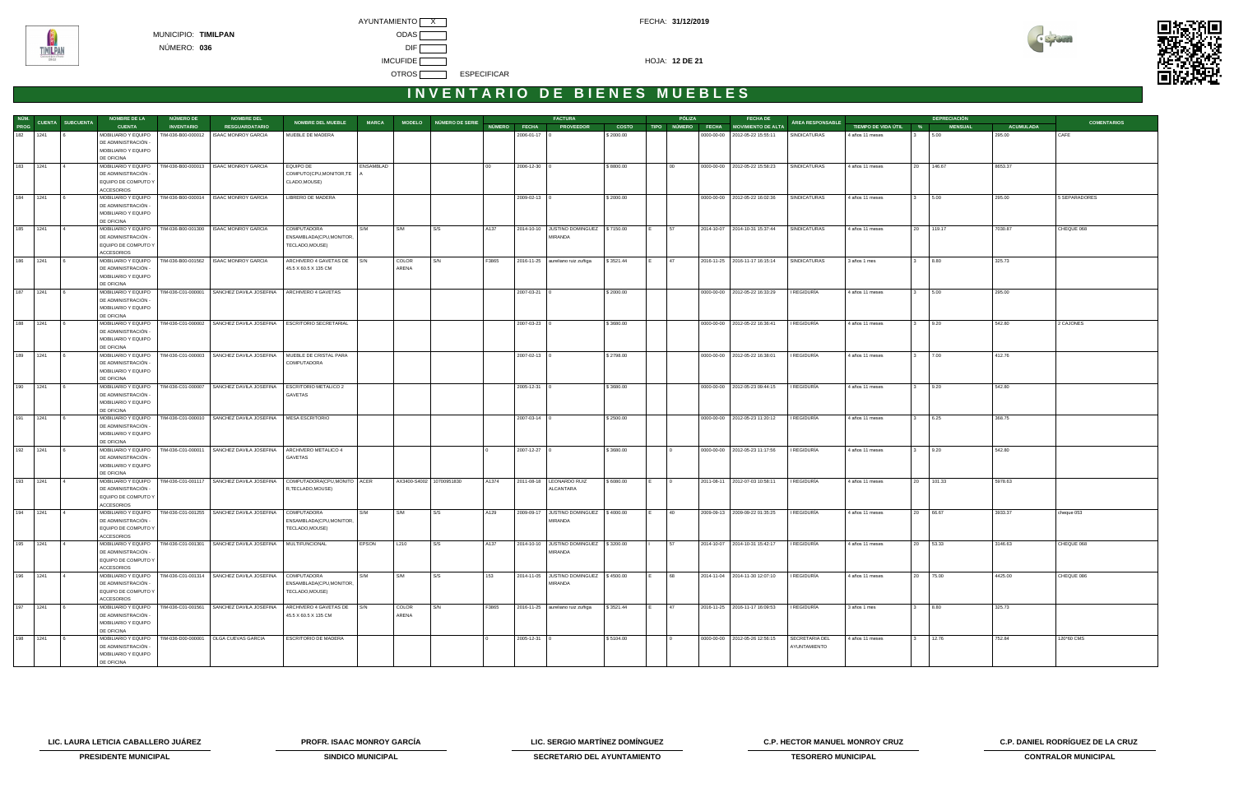



|             |                               | <b>NOMBRE DE LA</b>                                                             | NÚMERO DE          | <b>NOMBRE DEL</b>                                                   |                                                           |              |                          |                        |                 |              | <b>FACTURA</b>                                    |              | PÓLIZA         | <b>FECHA DE</b>                      |                  |                       |              | <b>DEPRECIACIÓN</b> |                  |                    |
|-------------|-------------------------------|---------------------------------------------------------------------------------|--------------------|---------------------------------------------------------------------|-----------------------------------------------------------|--------------|--------------------------|------------------------|-----------------|--------------|---------------------------------------------------|--------------|----------------|--------------------------------------|------------------|-----------------------|--------------|---------------------|------------------|--------------------|
|             | NÚM.<br>PROG CUENTA SUBCUENTA | <b>CUENTA</b>                                                                   | <b>INVENTARIO</b>  | <b>RESGUARDATARIO</b>                                               | <b>NOMBRE DEL MUEBLE</b>                                  | <b>MARCA</b> |                          | MODELO NÚMERO DE SERIE |                 | NÚMERO FECHA | <b>PROVEEDOR</b>                                  | <b>COSTO</b> |                | TIPO NÚMERO FECHA MOVIMIENTO DE ALTA | ÁREA RESPONSABLE | TIEMPO DE VIDA ÚTIL % |              | <b>MENSUAL</b>      | <b>ACUMULADA</b> | <b>COMENTARIOS</b> |
| 182 1241    |                               | MOBILIARIO Y EQUIPO<br>DE ADMINISTRACIÓN -<br>MOBILIARIO Y EQUIPO               | TIM-036-B00-000012 | <b>ISAAC MONROY GARCIA</b>                                          | MUEBLE DE MADERA                                          |              |                          |                        |                 | 2006-01-17   |                                                   | \$2000.00    |                | 0000-00-00 2012-05-22 15:55:11       | SINDICATURAS     | 4 años 11 meses       |              | 5.00                | 295.00           | CAFE               |
|             |                               | DE OFICINA                                                                      |                    |                                                                     |                                                           |              |                          |                        |                 |              |                                                   |              |                |                                      |                  |                       |              |                     |                  |                    |
| 183 1241    |                               | MOBILIARIO Y EQUIPO<br>DE ADMINISTRACIÓN<br>EQUIPO DE COMPUTO Y                 |                    | TIM-036-B00-000013   ISAAC MONROY GARCIA                            | EQUIPO DE<br>COMPUTO(CPU, MONITOR, TE<br>CLADO, MOUSE)    | ENSAMBLAD    |                          |                        | 00 <sup>°</sup> | 2006-12-30 0 |                                                   | \$8800.00    | 00             | 0000-00-00 2012-05-22 15:58:23       | SINDICATURAS     | 4 años 11 meses       |              | 20 146.67           | 8653.37          |                    |
|             |                               | ACCESORIOS                                                                      |                    |                                                                     |                                                           |              |                          |                        |                 |              |                                                   |              |                |                                      |                  |                       |              |                     |                  |                    |
| 184 1241    |                               | MOBILIARIO Y EQUIPO<br>DE ADMINISTRACIÓN -<br>MOBILIARIO Y EQUIPO               |                    | TIM-036-B00-000014   ISAAC MONROY GARCIA                            | LIBRERO DE MADERA                                         |              |                          |                        |                 | 2009-02-13 0 |                                                   | \$2000.00    |                | 0000-00-00 2012-05-22 16:02:36       | SINDICATURAS     | 4 años 11 meses       |              | 5.00                | 295.00           | 5 SEPARADORES      |
|             |                               | DE OFICINA                                                                      |                    |                                                                     |                                                           |              |                          |                        |                 |              |                                                   |              |                |                                      |                  |                       |              |                     |                  |                    |
| 185 1241    |                               | MOBILIARIO Y EQUIPO<br>DE ADMINISTRACIÓN -<br>EQUIPO DE COMPUTO Y               |                    | TIM-036-B00-001300   ISAAC MONROY GARCIA                            | COMPUTADORA<br>ENSAMBLADA(CPU,MONITOR,<br>TECLADO, MOUSE) | S/M          | S/M                      | S/S                    | A137            |              | 2014-10-10 JUSTINO DOMINGUEZ \$7150.00<br>MIRANDA |              | 57<br>IE.      | 2014-10-07 2014-10-31 15:37:44       | SINDICATURAS     | 4 años 11 meses       |              | 20 119.17           | 7030.87          | CHEQUE 068         |
|             |                               | <b>ACCESORIOS</b>                                                               |                    |                                                                     |                                                           |              |                          |                        |                 |              |                                                   |              |                |                                      |                  |                       |              |                     |                  |                    |
| 186 1241    |                               | MOBILIARIO Y EQUIPO<br>DE ADMINISTRACIÓN -<br>MOBILIARIO Y EQUIPO<br>DE OFICINA |                    | TIM-036-B00-001562 ISAAC MONROY GARCIA                              | ARCHIVERO 4 GAVETAS DE S/N<br>45.5 X 60.5 X 135 CM        |              | COLOR<br>ARENA           | S/N                    | F3865           |              | 2016-11-25 aureliano ruiz zuñiga                  | \$3521.44    | 47             | 2016-11-25 2016-11-17 16:15:14       | SINDICATURAS     | 3 años 1 mes          |              | 8.80                | 325.73           |                    |
| 187 1241    |                               | MOBILIARIO Y EQUIPO                                                             |                    | TIM-036-C01-000001 SANCHEZ DAVILA JOSEFINA                          | ARCHIVERO 4 GAVETAS                                       |              |                          |                        |                 | 2007-03-21   |                                                   | \$2000.00    |                | 0000-00-00 2012-05-22 16:33:29       | I REGIDURÍA      | 4 años 11 meses       |              | 5.00                | 295.00           |                    |
|             |                               | DE ADMINISTRACIÓN -<br>MOBILIARIO Y EQUIPO<br>DE OFICINA                        |                    |                                                                     |                                                           |              |                          |                        |                 |              |                                                   |              |                |                                      |                  |                       |              |                     |                  |                    |
| 188 1241    |                               | MOBILIARIO Y EQUIPO                                                             |                    | TIM-036-C01-000002 SANCHEZ DAVILA JOSEFINA   ESCRITORIO SECRETARIAL |                                                           |              |                          |                        |                 | 2007-03-23 0 |                                                   | \$3680.00    |                | 0000-00-00 2012-05-22 16:36:41       | I REGIDURÍA      | 4 años 11 meses       |              | 9.20                | 542.80           | 2 CAJONES          |
|             |                               | DE ADMINISTRACIÓN -<br>MOBILIARIO Y EQUIPO<br>DE OFICINA                        |                    |                                                                     |                                                           |              |                          |                        |                 |              |                                                   |              |                |                                      |                  |                       |              |                     |                  |                    |
| 189 1241    |                               | MOBILIARIO Y EQUIPO                                                             |                    | TIM-036-C01-000003 SANCHEZ DAVILA JOSEFINA                          | MUEBLE DE CRISTAL PARA                                    |              |                          |                        |                 | 2007-02-13 0 |                                                   | \$2798.00    |                | 0000-00-00 2012-05-22 16:38:01       | I REGIDURÍA      | 4 años 11 meses       |              | 7.00                | 412.76           |                    |
|             |                               | DE ADMINISTRACIÓN<br>MOBILIARIO Y EQUIPO<br>DE OFICINA                          |                    |                                                                     | COMPUTADORA                                               |              |                          |                        |                 |              |                                                   |              |                |                                      |                  |                       |              |                     |                  |                    |
| 190 1241    |                               | MOBILIARIO Y EQUIPO                                                             |                    | TIM-036-C01-000007 SANCHEZ DAVILA JOSEFINA                          | ESCRITORIO METALICO 2                                     |              |                          |                        |                 | 2005-12-31   |                                                   | \$3680.00    |                | 0000-00-00 2012-05-23 09:44:15       | I REGIDURÍA      | 4 años 11 meses       |              | 9.20                | 542.80           |                    |
|             |                               | DE ADMINISTRACIÓN -<br>MOBILIARIO Y EQUIPO<br>DE OFICINA                        |                    |                                                                     | GAVETAS                                                   |              |                          |                        |                 |              |                                                   |              |                |                                      |                  |                       |              |                     |                  |                    |
| 191 1241    |                               | MOBILIARIO Y EQUIPO<br>DE ADMINISTRACIÓN -<br>MOBILIARIO Y EQUIPO<br>DE OFICINA |                    | TIM-036-C01-000010 SANCHEZ DAVILA JOSEFINA   MESA ESCRITORIO        |                                                           |              |                          |                        |                 | 2007-03-14 0 |                                                   | \$2500.00    |                | 0000-00-00 2012-05-23 11:20:12       | I REGIDURÍA      | 4 años 11 meses       |              | 6.25                | 368.75           |                    |
| 192 1241    |                               | MOBILIARIO Y EQUIPO<br>DE ADMINISTRACIÓN -<br>MOBILIARIO Y EQUIPO               |                    | TIM-036-C01-000011 SANCHEZ DAVILA JOSEFINA                          | ARCHIVERO METALICO 4<br>GAVETAS                           |              |                          |                        |                 | 2007-12-27 0 |                                                   | \$3680.00    |                | 0000-00-00 2012-05-23 11:17:56       | I REGIDURÍA      | 4 años 11 meses       |              | 9.20                | 542.80           |                    |
|             |                               | DE OFICINA                                                                      |                    |                                                                     |                                                           |              |                          |                        |                 |              |                                                   |              |                |                                      |                  |                       |              |                     |                  |                    |
| 193 1241    |                               | MOBILIARIO Y EQUIPO<br>DE ADMINISTRACIÓN -<br>EQUIPO DE COMPUTO Y<br>ACCESORIOS |                    | TIM-036-C01-001117   SANCHEZ DAVILA JOSEFINA                        | COMPUTADORA(CPU,MONITO ACER<br>R, TECLADO, MOUSE)         |              | AX3400-S4002 10700951830 |                        | A1374           |              | 2011-08-18   LEONARDO RUIZ<br>ALCANTARA           | \$6080.00    | $\overline{0}$ | 2011-08-11 2012-07-03 10:58:11       | I REGIDURÍA      | 4 años 11 meses       |              | 20 101.33           | 5978.63          |                    |
| 194 1241    |                               | MOBILIARIO Y EQUIPO                                                             |                    | TIM-036-C01-001255 SANCHEZ DAVILA JOSEFINA                          | COMPUTADORA                                               | S/M          | S/M                      | S/S                    | A129            |              | 2009-09-17 JUSTINO DOMINGUEZ \$4000.00            |              | 40             | 2009-09-13 2009-09-22 01:35:25       | I REGIDURÍA      | 4 años 11 meses       |              | 20 66.67            | 3933.37          | cheque 053         |
|             |                               | DE ADMINISTRACIÓN -<br>EQUIPO DE COMPUTO Y<br><b>ACCESORIOS</b>                 |                    |                                                                     | ENSAMBLADA(CPU,MONITOR,<br>TECLADO, MOUSE)                |              |                          |                        |                 |              | MIRANDA                                           |              |                |                                      |                  |                       |              |                     |                  |                    |
| 195<br>1241 |                               |                                                                                 |                    | MOBILIARIO Y EQUIPO   TIM-036-C01-001301   SANCHEZ DAVILA JOSEFINA  | MULTIFUNCIONAL                                            | EPSON        | L210                     | S/S                    | A137            |              | 2014-10-10 JUSTINO DOMINGUEZ \$3200.00            |              | 57             | 2014-10-07 2014-10-31 15:42:17       | I REGIDURÍA      | 4 años 11 meses       |              | 20 53.33            | 3146.63          | CHEQUE 068         |
|             |                               | DE ADMINISTRACIÓN -<br>EQUIPO DE COMPUTO Y<br>ACCESORIOS                        |                    |                                                                     |                                                           |              |                          |                        |                 |              | MIRANDA                                           |              |                |                                      |                  |                       |              |                     |                  |                    |
| 196<br>1241 |                               |                                                                                 |                    | MOBILIARIO Y EQUIPO   TIM-036-C01-001314   SANCHEZ DAVILA JOSEFINA  | COMPUTADORA                                               | S/M          | S/M                      | S/S                    | 153             |              | 2014-11-05 JUSTINO DOMINGUEZ \$4500.00            |              | 68             | 2014-11-04 2014-11-30 12:07:10       | I REGIDURÍA      | 4 años 11 meses       |              | 20 75.00            | 4425.00          | CHEQUE 086         |
|             |                               | DE ADMINISTRACIÓN -<br>EQUIPO DE COMPUTO Y<br><b>ACCESORIOS</b>                 |                    |                                                                     | ENSAMBLADA(CPU,MONITOR,<br>TECLADO, MOUSE)                |              |                          |                        |                 |              | MIRANDA                                           |              |                |                                      |                  |                       |              |                     |                  |                    |
| 197 1241    |                               | MOBILIARIO Y EQUIPO<br>DE ADMINISTRACIÓN -<br>MOBILIARIO Y EQUIPO               |                    | TIM-036-C01-001561 SANCHEZ DAVILA JOSEFINA                          | ARCHIVERO 4 GAVETAS DE S/N<br>45.5 X 60.5 X 135 CM        |              | COLOR<br>ARENA           | S/N                    | F3865           |              | 2016-11-25 aureliano ruiz zuñiga                  | \$3521.44    | 47             | 2016-11-25 2016-11-17 16:09:53       | I REGIDURÍA      | 3 años 1 mes          | $\mathbf{3}$ | 8.80                | 325.73           |                    |
| 198<br>1241 |                               | DE OFICINA                                                                      |                    | MOBILIARIO Y EQUIPO   TIM-036-D00-000001   OLGA CUEVAS GARCIA       | ESCRITORIO DE MADERA                                      |              |                          |                        |                 | 2005-12-31 0 |                                                   | \$5104.00    |                | 0000-00-00 2012-05-26 12:56:15       | SECRETARIA DEL   | 4 años 11 meses       |              | 12.76               | 752.84           | 120*60 CMS         |
|             |                               | DE ADMINISTRACIÓN -<br>MOBILIARIO Y EQUIPO<br>DE OFICINA                        |                    |                                                                     |                                                           |              |                          |                        |                 |              |                                                   |              |                |                                      | AYUNTAMIENTO     |                       |              |                     |                  |                    |

**LIC. LAURA LETICIA CABALLERO JUÁREZ PROFR. ISAAC MONROY GARCÍA LIC. SERGIO MARTÍNEZ DOMÍNGUEZ C.P. HECTOR MANUEL MONROY CRUZ C.P. DANIEL RODRÍGUEZ DE LA CRUZ** 



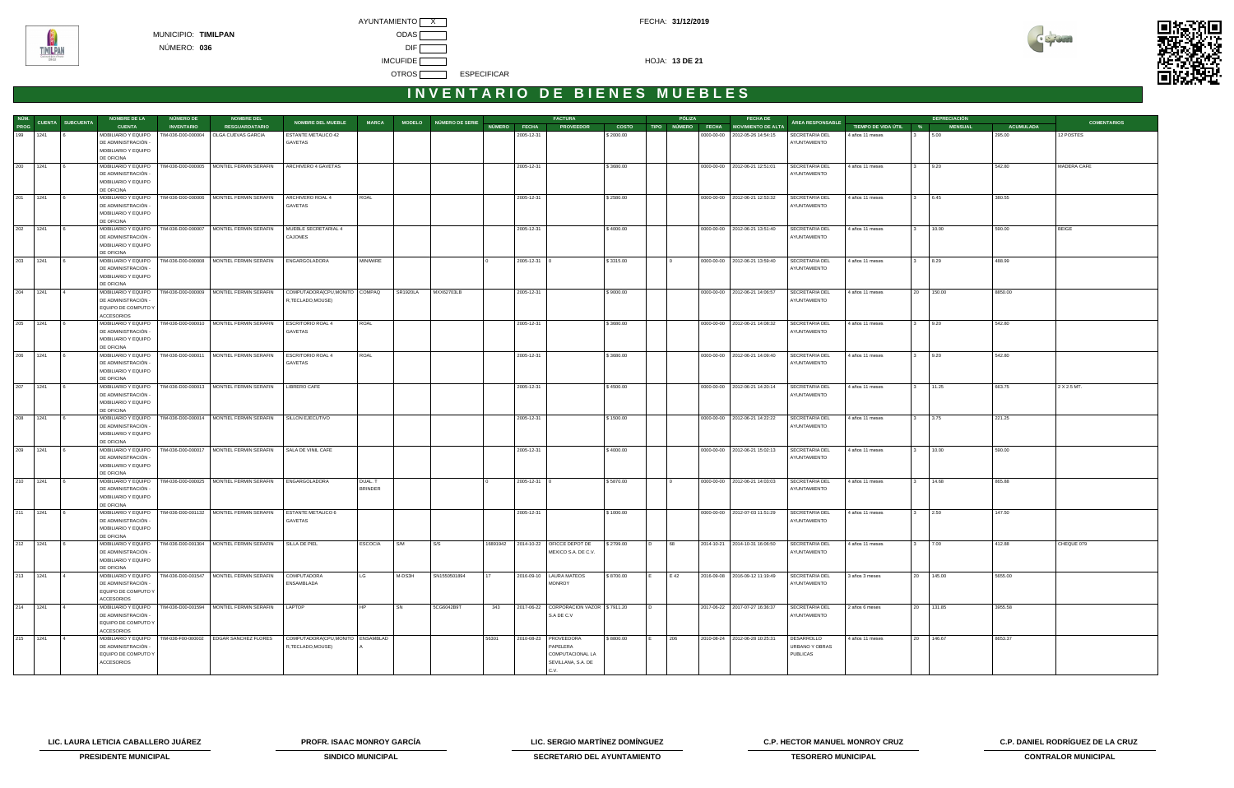AYUNTAMIENTO X CONTROL CONTROL CONTROL CONTROL CONTROL CONTROL CONTROL CONTROL CONTROL CONTROL CONTROL CONTROL CONTROL CONTROL CONTROL CONTROL CONTROL CONTROL CONTROL CONTROL CONTROL CONTROL CONTROL CONTROL CONTROL CONTROL MUNICIPIO: **TIMILPAN** ODAS NÚMERO: **036** DIF **IMCUFIDE HOJA: 13 DE 21** OTROS **ESPECIFICAR** 



#### **I N V E N T A R I O D E B I E N E S M U E B L E S**

|          |            |                               | <b>NOMBRE DE LA</b>                                             | NÚMERO DE          | <b>NOMBRE DEL</b>                                                                 |                                   |                |                 |                        |          |              | <b>FACTURA</b>                         |              |                | PÓLIZA | <b>FECHA DE</b>                      |                                |                       | <b>DEPRECIACIÓN</b>   |                  |                    |
|----------|------------|-------------------------------|-----------------------------------------------------------------|--------------------|-----------------------------------------------------------------------------------|-----------------------------------|----------------|-----------------|------------------------|----------|--------------|----------------------------------------|--------------|----------------|--------|--------------------------------------|--------------------------------|-----------------------|-----------------------|------------------|--------------------|
|          |            | NÚM.<br>2000 CUENTA SUBCUENTA | <b>CUENTA</b>                                                   | <b>INVENTARIO</b>  | <b>RESGUARDATARIO</b>                                                             | <b>NOMBRE DEL MUEBLE</b>          | <b>MARCA</b>   |                 | MODELO NÚMERO DE SERIE |          | NÚMERO FECHA | <b>PROVEEDOR</b>                       | <b>COSTO</b> |                |        | TIPO NÚMERO FECHA MOVIMIENTO DE ALTA | ÁREA RESPONSABLE               | TIEMPO DE VIDA ÚTIL % | <b>MENSUAL</b>        | <b>ACUMULADA</b> | <b>COMENTARIOS</b> |
| 199 1241 |            |                               | MOBILIARIO Y EQUIPO                                             | TIM-036-D00-000004 | OLGA CUEVAS GARCIA                                                                | ESTANTE METALICO 42               |                |                 |                        |          | 2005-12-31   |                                        | \$2000.00    |                |        | 0000-00-00 2012-05-26 14:54:15       | <b>SECRETARIA DEL</b>          | 4 años 11 meses       | 5.00                  | 295.00           | 12 POSTES          |
|          |            |                               | DE ADMINISTRACIÓN -                                             |                    |                                                                                   | GAVETAS                           |                |                 |                        |          |              |                                        |              |                |        |                                      | AYUNTAMIENTO                   |                       |                       |                  |                    |
|          |            |                               | MOBILIARIO Y EQUIPO                                             |                    |                                                                                   |                                   |                |                 |                        |          |              |                                        |              |                |        |                                      |                                |                       |                       |                  |                    |
|          |            |                               | DE OFICINA                                                      |                    |                                                                                   |                                   |                |                 |                        |          |              |                                        |              |                |        |                                      |                                |                       |                       |                  |                    |
| 200 1241 |            |                               | MOBILIARIO Y EQUIPO   TIM-036-D00-000005<br>DE ADMINISTRACIÓN - |                    | MONTIEL FERMIN SERAFIN                                                            | ARCHIVERO 4 GAVETAS               |                |                 |                        |          | 2005-12-31   |                                        | \$3680.00    |                |        | 0000-00-00   2012-06-21 12:51:01     | SECRETARIA DEL<br>AYUNTAMIENTO | 4 años 11 meses       | 9.20                  | 542.80           | MADERA CAFE        |
|          |            |                               | MOBILIARIO Y EQUIPO                                             |                    |                                                                                   |                                   |                |                 |                        |          |              |                                        |              |                |        |                                      |                                |                       |                       |                  |                    |
|          |            |                               | DE OFICINA                                                      |                    |                                                                                   |                                   |                |                 |                        |          |              |                                        |              |                |        |                                      |                                |                       |                       |                  |                    |
|          | 201 1241 6 |                               |                                                                 |                    | MOBILIARIO Y EQUIPO   TIM-036-D00-000006   MONTIEL FERMIN SERAFIN                 | ARCHIVERO ROAL 4                  | ROAL           |                 |                        |          | 2005-12-31   |                                        | \$2580.00    |                |        | 0000-00-00   2012-06-21 12:53:32     | SECRETARIA DEL                 | 4 años 11 meses       | 3 6.45                | 380.55           |                    |
|          |            |                               | DE ADMINISTRACIÓN -                                             |                    |                                                                                   | GAVETAS                           |                |                 |                        |          |              |                                        |              |                |        |                                      | AYUNTAMIENTO                   |                       |                       |                  |                    |
|          |            |                               | MOBILIARIO Y EQUIPO                                             |                    |                                                                                   |                                   |                |                 |                        |          |              |                                        |              |                |        |                                      |                                |                       |                       |                  |                    |
|          |            |                               | DE OFICINA                                                      |                    |                                                                                   |                                   |                |                 |                        |          |              |                                        |              |                |        |                                      |                                |                       |                       |                  |                    |
| 202 1241 |            |                               |                                                                 |                    | MOBILIARIO Y EQUIPO   TIM-036-D00-000007   MONTIEL FERMIN SERAFIN                 | MUEBLE SECRETARIAL 4              |                |                 |                        |          | 2005-12-31   |                                        | \$4000.00    |                |        | 0000-00-00 2012-06-21 13:51:40       | SECRETARIA DEL                 | 4 años 11 meses       | 10.00                 | 590.00           | BEIGE              |
|          |            |                               | DE ADMINISTRACIÓN -                                             |                    |                                                                                   | CAJONES                           |                |                 |                        |          |              |                                        |              |                |        |                                      | AYUNTAMIENTO                   |                       |                       |                  |                    |
|          |            |                               | MOBILIARIO Y EQUIPO<br>DE OFICINA                               |                    |                                                                                   |                                   |                |                 |                        |          |              |                                        |              |                |        |                                      |                                |                       |                       |                  |                    |
| 203 1241 |            |                               | MOBILIARIO Y EQUIPO   TIM-036-D00-000008                        |                    | MONTIEL FERMIN SERAFIN                                                            | ENGARGOLADORA                     | MINIWIRE       |                 |                        |          | 2005-12-31 0 |                                        | \$3315.00    |                |        | 0000-00-00   2012-06-21 13:59:40     | SECRETARIA DEL                 | 4 años 11 meses       | 8.29                  | 488.99           |                    |
|          |            |                               | DE ADMINISTRACIÓN -                                             |                    |                                                                                   |                                   |                |                 |                        |          |              |                                        |              |                |        |                                      | AYUNTAMIENTO                   |                       |                       |                  |                    |
|          |            |                               | MOBILIARIO Y EQUIPO                                             |                    |                                                                                   |                                   |                |                 |                        |          |              |                                        |              |                |        |                                      |                                |                       |                       |                  |                    |
|          |            |                               | DE OFICINA                                                      |                    |                                                                                   |                                   |                |                 |                        |          |              |                                        |              |                |        |                                      |                                |                       |                       |                  |                    |
| 204 1241 |            | $\overline{4}$                |                                                                 |                    | MOBILIARIO Y EQUIPO   TIM-036-D00-000009   MONTIEL FERMIN SERAFIN                 | COMPUTADORA(CPU,MONITO COMPAQ     |                | <b>SR1920LA</b> | MXX62703LB             |          | 2005-12-31   |                                        | \$9000.00    |                |        | 0000-00-00   2012-06-21 14:06:57     | SECRETARIA DEL                 | 4 años 11 meses       | 20 150.00             | 8850.00          |                    |
|          |            |                               | DE ADMINISTRACIÓN -                                             |                    |                                                                                   | R,TECLADO,MOUSE)                  |                |                 |                        |          |              |                                        |              |                |        |                                      | AYUNTAMIENTO                   |                       |                       |                  |                    |
|          |            |                               | EQUIPO DE COMPUTO Y                                             |                    |                                                                                   |                                   |                |                 |                        |          |              |                                        |              |                |        |                                      |                                |                       |                       |                  |                    |
| 205 1241 |            |                               | <b>ACCESORIOS</b><br>MOBILIARIO Y EQUIPO   TIM-036-D00-000010   |                    | MONTIEL FERMIN SERAFIN                                                            | <b>ESCRITORIO ROAL 4</b>          |                |                 |                        |          |              |                                        |              |                |        |                                      |                                |                       |                       |                  |                    |
|          |            |                               | DE ADMINISTRACIÓN -                                             |                    |                                                                                   | GAVETAS                           | ROAL           |                 |                        |          | 2005-12-31   |                                        | \$3680.00    |                |        | 0000-00-00   2012-06-21 14:08:32     | SECRETARIA DEL<br>AYUNTAMIENTO | 4 años 11 meses       | 9.20                  | 542.80           |                    |
|          |            |                               | MOBILIARIO Y EQUIPO                                             |                    |                                                                                   |                                   |                |                 |                        |          |              |                                        |              |                |        |                                      |                                |                       |                       |                  |                    |
|          |            |                               | DE OFICINA                                                      |                    |                                                                                   |                                   |                |                 |                        |          |              |                                        |              |                |        |                                      |                                |                       |                       |                  |                    |
| 206 1241 |            |                               | MOBILIARIO Y EQUIPO   TIM-036-D00-000011                        |                    | MONTIEL FERMIN SERAFIN                                                            | <b>ESCRITORIO ROAL 4</b>          | ROAL           |                 |                        |          | 2005-12-31   |                                        | \$3680.00    |                |        | 0000-00-00 2012-06-21 14:09:40       | SECRETARIA DEL                 | 4 años 11 meses       | 9.20                  | 542.80           |                    |
|          |            |                               | DE ADMINISTRACIÓN -                                             |                    |                                                                                   | GAVETAS                           |                |                 |                        |          |              |                                        |              |                |        |                                      | AYUNTAMIENTO                   |                       |                       |                  |                    |
|          |            |                               | MOBILIARIO Y EQUIPO                                             |                    |                                                                                   |                                   |                |                 |                        |          |              |                                        |              |                |        |                                      |                                |                       |                       |                  |                    |
|          |            |                               | DE OFICINA                                                      |                    |                                                                                   |                                   |                |                 |                        |          |              |                                        |              |                |        |                                      |                                |                       |                       |                  |                    |
| 207 1241 |            |                               |                                                                 |                    | MOBILIARIO Y EQUIPO   TIM-036-D00-000013   MONTIEL FERMIN SERAFIN   LIBRERO CAFE  |                                   |                |                 |                        |          | 2005-12-31   |                                        | \$4500.00    |                |        | 0000-00-00 2012-06-21 14:20:14       | SECRETARIA DEL                 | 4 años 11 meses       | 11.25                 | 663.75           | 2 X 2.5 MT.        |
|          |            |                               | DE ADMINISTRACIÓN -<br>MOBILIARIO Y EQUIPO                      |                    |                                                                                   |                                   |                |                 |                        |          |              |                                        |              |                |        |                                      | AYUNTAMIENTO                   |                       |                       |                  |                    |
|          |            |                               | DE OFICINA                                                      |                    |                                                                                   |                                   |                |                 |                        |          |              |                                        |              |                |        |                                      |                                |                       |                       |                  |                    |
| 208 1241 |            |                               |                                                                 |                    | MOBILIARIO Y EQUIPO   TIM-036-D00-000014   MONTIEL FERMIN SERAFIN                 | SILLON EJECUTIVO                  |                |                 |                        |          | 2005-12-31   |                                        | \$1500.00    |                |        | 0000-00-00   2012-06-21 14:22:22     | SECRETARIA DEL                 | 4 años 11 meses       | 3.75                  | 221.25           |                    |
|          |            |                               | DE ADMINISTRACIÓN -                                             |                    |                                                                                   |                                   |                |                 |                        |          |              |                                        |              |                |        |                                      | AYUNTAMIENTO                   |                       |                       |                  |                    |
|          |            |                               | MOBILIARIO Y EQUIPO                                             |                    |                                                                                   |                                   |                |                 |                        |          |              |                                        |              |                |        |                                      |                                |                       |                       |                  |                    |
|          |            |                               | DE OFICINA                                                      |                    |                                                                                   |                                   |                |                 |                        |          |              |                                        |              |                |        |                                      |                                |                       |                       |                  |                    |
| 209 1241 |            |                               | MOBILIARIO Y EQUIPO   TIM-036-D00-000017                        |                    | MONTIEL FERMIN SERAFIN   SALA DE VINIL CAFE                                       |                                   |                |                 |                        |          | 2005-12-31   |                                        | \$4000.00    |                |        | 0000-00-00 2012-06-21 15:02:13       | SECRETARIA DEL                 | 4 años 11 meses       | 10.00                 | 590.00           |                    |
|          |            |                               | DE ADMINISTRACIÓN -                                             |                    |                                                                                   |                                   |                |                 |                        |          |              |                                        |              |                |        |                                      | AYUNTAMIENTO                   |                       |                       |                  |                    |
|          |            |                               | MOBILIARIO Y EQUIPO<br>DE OFICINA                               |                    |                                                                                   |                                   |                |                 |                        |          |              |                                        |              |                |        |                                      |                                |                       |                       |                  |                    |
| 210 1241 |            |                               |                                                                 |                    | MOBILIARIO Y EQUIPO   TIM-036-D00-000025   MONTIEL FERMIN SERAFIN   ENGARGOLADORA |                                   | DUAL. T        |                 |                        |          | 2005-12-31 0 |                                        | \$5870.00    |                |        | 0000-00-00 2012-06-21 14:03:03       | SECRETARIA DEL                 | 4 años 11 meses       | 14.68<br>$\mathbf{3}$ | 865.88           |                    |
|          |            |                               | DE ADMINISTRACIÓN -                                             |                    |                                                                                   |                                   | <b>BRINDER</b> |                 |                        |          |              |                                        |              |                |        |                                      | AYUNTAMIENTO                   |                       |                       |                  |                    |
|          |            |                               | MOBILIARIO Y EQUIPO                                             |                    |                                                                                   |                                   |                |                 |                        |          |              |                                        |              |                |        |                                      |                                |                       |                       |                  |                    |
|          |            |                               | DE OFICINA                                                      |                    |                                                                                   |                                   |                |                 |                        |          |              |                                        |              |                |        |                                      |                                |                       |                       |                  |                    |
| 211 1241 |            | 6                             |                                                                 |                    | MOBILIARIO Y EQUIPO   TIM-036-D00-001132   MONTIEL FERMIN SERAFIN                 | <b>ESTANTE METALICO 6</b>         |                |                 |                        |          | 2005-12-31   |                                        | \$1000.00    |                |        | 0000-00-00   2012-07-03 11:51:29     | SECRETARIA DEL                 | 4 años 11 meses       | 2.50<br>3             | 147.50           |                    |
|          |            |                               | DE ADMINISTRACIÓN -                                             |                    |                                                                                   | GAVETAS                           |                |                 |                        |          |              |                                        |              |                |        |                                      | AYUNTAMIENTO                   |                       |                       |                  |                    |
|          |            |                               | MOBILIARIO Y EQUIPO<br>DE OFICINA                               |                    |                                                                                   |                                   |                |                 |                        |          |              |                                        |              |                |        |                                      |                                |                       |                       |                  |                    |
| 212 1241 |            |                               |                                                                 |                    | MOBILIARIO Y EQUIPO   TIM-036-D00-001304   MONTIEL FERMIN SERAFIN                 | SILLA DE PIEL                     | <b>ESCOCIA</b> | S/M             | S/S                    | 16891942 |              | 2014-10-22   OFICCE DEPOT DE           | \$2799.00    | $\overline{D}$ | 68     | 2014-10-21 2014-10-31 16:06:50       | SECRETARIA DEL                 | 4 años 11 meses       | 7.00                  | 412.88           | CHEQUE 079         |
|          |            |                               | DE ADMINISTRACIÓN -                                             |                    |                                                                                   |                                   |                |                 |                        |          |              | MEXICO S.A. DE C.V.                    |              |                |        |                                      | AYUNTAMIENTO                   |                       |                       |                  |                    |
|          |            |                               | MOBILIARIO Y EQUIPO                                             |                    |                                                                                   |                                   |                |                 |                        |          |              |                                        |              |                |        |                                      |                                |                       |                       |                  |                    |
|          |            |                               | DE OFICINA                                                      |                    |                                                                                   |                                   |                |                 |                        |          |              |                                        |              |                |        |                                      |                                |                       |                       |                  |                    |
| 213 1241 |            | $\overline{4}$                |                                                                 |                    | MOBILIARIO Y EQUIPO   TIM-036-D00-001547   MONTIEL FERMIN SERAFIN                 | COMPUTADORA                       | LG             | M-DS3H          | SN1550501894           | 17       |              | 2016-09-10   LAURA MATEOS              | \$8700.00    | IE.            | E 42   | 2016-09-08 2016-09-12 11:19:49       | SECRETARIA DEL                 | 3 años 3 meses        | 20 145.00             | 5655.00          |                    |
|          |            |                               | DE ADMINISTRACIÓN -                                             |                    |                                                                                   | ENSAMBLADA                        |                |                 |                        |          |              | <b>MONROY</b>                          |              |                |        |                                      | AYUNTAMIENTO                   |                       |                       |                  |                    |
|          |            |                               | EQUIPO DE COMPUTO Y<br><b>ACCESORIOS</b>                        |                    |                                                                                   |                                   |                |                 |                        |          |              |                                        |              |                |        |                                      |                                |                       |                       |                  |                    |
| 214 1241 |            |                               |                                                                 |                    | MOBILIARIO Y EQUIPO   TIM-036-D00-001594   MONTIEL FERMIN SERAFIN                 | LAPTOP                            | HP             | SN              | 5CG6042B9T             | 343      |              | 2017-06-22 CORPORACION VAZOR \$7911.20 |              | I D            |        | 2017-06-22 2017-07-27 16:36:37       | SECRETARIA DEL                 | 2 años 6 meses        | 20 131.85             | 3955.58          |                    |
|          |            |                               | DE ADMINISTRACIÓN -                                             |                    |                                                                                   |                                   |                |                 |                        |          |              | S.A DE C.V                             |              |                |        |                                      | AYUNTAMIENTO                   |                       |                       |                  |                    |
|          |            |                               | EQUIPO DE COMPUTO Y                                             |                    |                                                                                   |                                   |                |                 |                        |          |              |                                        |              |                |        |                                      |                                |                       |                       |                  |                    |
|          |            |                               | ACCESORIOS                                                      |                    |                                                                                   |                                   |                |                 |                        |          |              |                                        |              |                |        |                                      |                                |                       |                       |                  |                    |
| 215 1241 |            |                               |                                                                 |                    | MOBILIARIO Y EQUIPO   TIM-036-F00-000002   EDGAR SANCHEZ FLORES                   | COMPUTADORA(CPU, MONITO ENSAMBLAD |                |                 |                        | 56301    |              | 2010-08-23   PROVEEDORA                | \$8800.00    |                | 206    | 2010-08-24 2012-06-28 10:25:31       | DESARROLLO                     | 4 años 11 meses       | 20 146.67             | 8653.37          |                    |
|          |            |                               | DE ADMINISTRACIÓN -                                             |                    |                                                                                   | R,TECLADO,MOUSE)                  |                |                 |                        |          |              | PAPELERA                               |              |                |        |                                      | URBANO Y OBRAS                 |                       |                       |                  |                    |
|          |            |                               | EQUIPO DE COMPUTO Y                                             |                    |                                                                                   |                                   |                |                 |                        |          |              | COMPUTACIONAL LA                       |              |                |        |                                      | <b>PUBLICAS</b>                |                       |                       |                  |                    |
|          |            |                               | ACCESORIOS                                                      |                    |                                                                                   |                                   |                |                 |                        |          |              | SEVILLANA, S.A. DE                     |              |                |        |                                      |                                |                       |                       |                  |                    |
|          |            |                               |                                                                 |                    |                                                                                   |                                   |                |                 |                        |          |              | C.V.                                   |              |                |        |                                      |                                |                       |                       |                  |                    |

**LIC. LAURA LETICIA CABALLERO JUÁREZ PROFR. ISAAC MONROY GARCÍA LIC. SERGIO MARTÍNEZ DOMÍNGUEZ C.P. HECTOR MANUEL MONROY CRUZ C.P. DANIEL RODRÍGUEZ DE LA CRUZ** 



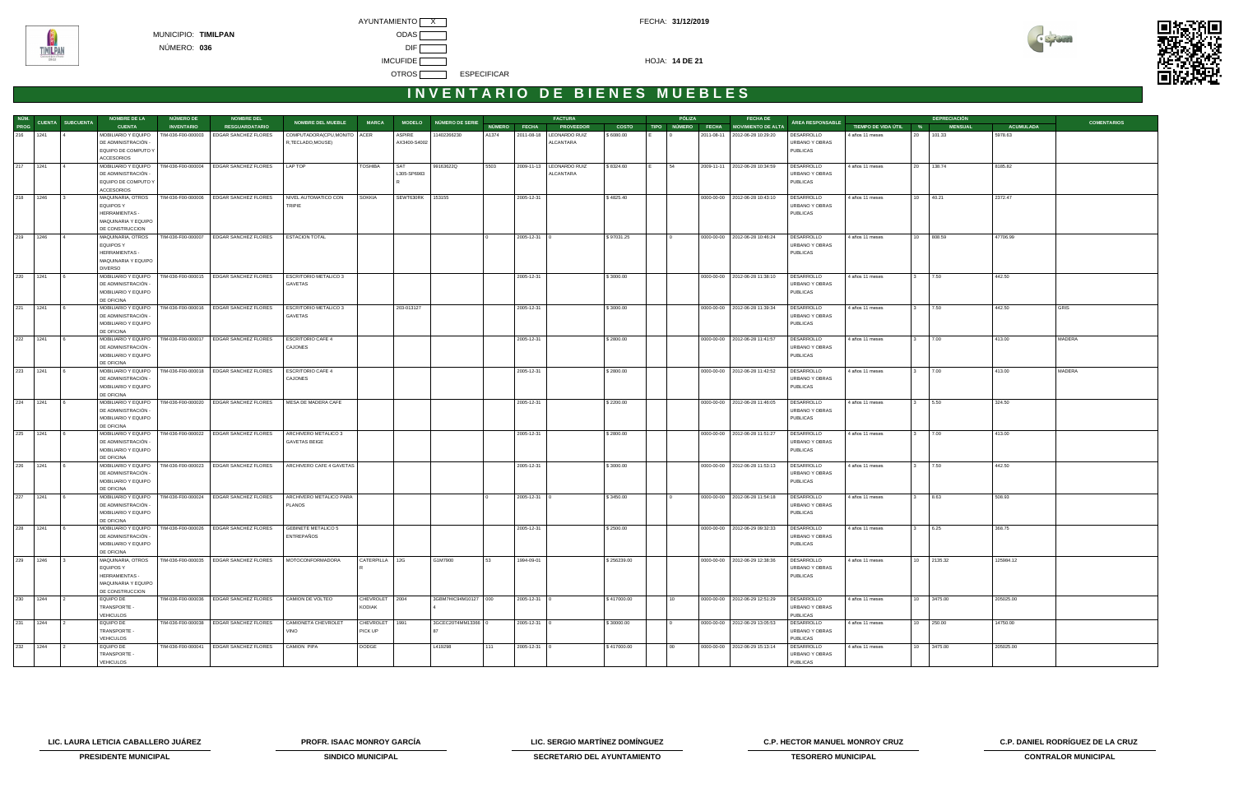AYUNTAMIENTO X CONTROL CONTROL CONTROL CONTROL CONTROL CONTROL CONTROL CONTROL CONTROL CONTROL CONTROL CONTROL CONTROL CONTROL CONTROL CONTROL CONTROL CONTROL CONTROL CONTROL CONTROL CONTROL CONTROL CONTROL CONTROL CONTROL MUNICIPIO: **TIMILPAN** ODAS NÚMERO: **036** DIF **IMCUFIDE HOJA: 14 DE 21** OTROS **ESPECIFICAR** 



# **I N V E N T A R I O D E B I E N E S M U E B L E S**

|          |                               | <b>NOMBRE DE LA</b>                        | <b>NÚMERO DE</b>   | <b>NOMBRE DEL</b>                                                                     |                                       |                |              |                        |       |                    | <b>FACTURA</b>             |              | PÓLIZA           | <b>FECHA DE</b>                           |                                   |                       |                  | <b>DEPRECIACIÓN</b> |           |                    |
|----------|-------------------------------|--------------------------------------------|--------------------|---------------------------------------------------------------------------------------|---------------------------------------|----------------|--------------|------------------------|-------|--------------------|----------------------------|--------------|------------------|-------------------------------------------|-----------------------------------|-----------------------|------------------|---------------------|-----------|--------------------|
|          | NÚM.<br>PROG CUENTA SUBCUENTA | <b>CUENTA</b>                              | <b>INVENTARIO</b>  | <b>RESGUARDATARIO</b>                                                                 | NOMBRE DEL MUEBLE                     | <b>MARCA</b>   |              | MODELO NÚMERO DE SERIE |       | NÚMERO FECHA       | <b>PROVEEDOR</b>           | <b>COSTO</b> |                  | TIPO NÚMERO FECHA MOVIMIENTO DE ALTA      | ÁREA RESPONSABLE                  | TIEMPO DE VIDA ÚTIL % |                  | <b>MENSUAL</b>      | ACUMULADA | <b>COMENTARIOS</b> |
| 216 1241 |                               | MOBILIARIO Y EQUIPO                        | TIM-036-F00-000003 | EDGAR SANCHEZ FLORES                                                                  | COMPUTADORA(CPU, MONITO               | ACER           | ASPIRE       | 1402266230             | A1374 | 2011-08-18         | LEONARDO RUIZ              | \$6080.00    |                  | 2011-08-11 2012-06-28 10:29:20            | DESARROLLO                        | 4 años 11 meses       | 20               | 101.33              | 5978.63   |                    |
|          |                               | DE ADMINISTRACIÓN -                        |                    |                                                                                       | R,TECLADO,MOUSE)                      |                | AX3400-S4002 |                        |       |                    | ALCANTARA                  |              |                  |                                           | URBANO Y OBRAS                    |                       |                  |                     |           |                    |
|          |                               | EQUIPO DE COMPUTO Y                        |                    |                                                                                       |                                       |                |              |                        |       |                    |                            |              |                  |                                           | <b>PUBLICAS</b>                   |                       |                  |                     |           |                    |
|          |                               | <b>ACCESORIOS</b>                          |                    |                                                                                       |                                       |                |              |                        |       |                    |                            |              |                  |                                           |                                   |                       |                  |                     |           |                    |
| 217 1241 | $\vert$ 4                     | MOBILIARIO Y EQUIPO                        |                    | TIM-036-F00-000004 EDGAR SANCHEZ FLORES                                               | LAP TOP                               | <b>TOSHIBA</b> | SAT          | 99163622Q              | 5503  |                    | 2009-11-13   LEONARDO RUIZ | \$8324.60    | 54               | 2009-11-11 2012-06-28 10:34:59            | DESARROLLO                        | 4 años 11 meses       | 20 138.74        |                     | 8185.82   |                    |
|          |                               | DE ADMINISTRACIÓN -                        |                    |                                                                                       |                                       |                | L305-SP6983  |                        |       |                    | ALCANTARA                  |              |                  |                                           | URBANO Y OBRAS                    |                       |                  |                     |           |                    |
|          |                               | EQUIPO DE COMPUTO Y                        |                    |                                                                                       |                                       |                |              |                        |       |                    |                            |              |                  |                                           | <b>PUBLICAS</b>                   |                       |                  |                     |           |                    |
|          |                               | ACCESORIOS                                 |                    |                                                                                       |                                       |                |              |                        |       |                    |                            |              |                  |                                           |                                   |                       |                  |                     |           |                    |
| 218 1246 | $\overline{3}$                | MAQUINARIA, OTROS<br>EQUIPOS Y             | TIM-036-F00-000006 | EDGAR SANCHEZ FLORES                                                                  | NIVEL AUTOMATICO CON<br><b>TRIPIE</b> | <b>SOKKIA</b>  | SEWT630RK    | 153155                 |       | 2005-12-31         |                            | \$4825.40    |                  | 0000-00-00 2012-06-28 10:43:10            | DESARROLLO<br>URBANO Y OBRAS      | 4 años 11 meses       | 10               | 40.21               | 2372.47   |                    |
|          |                               | <b>HERRAMIENTAS -</b>                      |                    |                                                                                       |                                       |                |              |                        |       |                    |                            |              |                  |                                           | <b>PUBLICAS</b>                   |                       |                  |                     |           |                    |
|          |                               | MAQUINARIA Y EQUIPO                        |                    |                                                                                       |                                       |                |              |                        |       |                    |                            |              |                  |                                           |                                   |                       |                  |                     |           |                    |
|          |                               | DE CONSTRUCCION                            |                    |                                                                                       |                                       |                |              |                        |       |                    |                            |              |                  |                                           |                                   |                       |                  |                     |           |                    |
| 219      | 1246                          | MAQUINARIA, OTROS                          |                    | TIM-036-F00-000007 EDGAR SANCHEZ FLORES                                               | <b>ESTACION TOTAL</b>                 |                |              |                        |       | 2005-12-31         |                            | \$97031.25   |                  | 0000-00-00 2012-06-28 10:46:24            | DESARROLLO                        | 4 años 11 meses       | 10 <sup>10</sup> | 808.59              | 47706.99  |                    |
|          |                               | <b>EQUIPOS Y</b>                           |                    |                                                                                       |                                       |                |              |                        |       |                    |                            |              |                  |                                           | URBANO Y OBRAS                    |                       |                  |                     |           |                    |
|          |                               | HERRAMIENTAS -                             |                    |                                                                                       |                                       |                |              |                        |       |                    |                            |              |                  |                                           | <b>PUBLICAS</b>                   |                       |                  |                     |           |                    |
|          |                               | MAQUINARIA Y EQUIPO                        |                    |                                                                                       |                                       |                |              |                        |       |                    |                            |              |                  |                                           |                                   |                       |                  |                     |           |                    |
|          |                               | <b>DIVERSO</b>                             |                    |                                                                                       |                                       |                |              |                        |       |                    |                            |              |                  |                                           |                                   |                       |                  |                     |           |                    |
| 220 1241 | <u> 16</u>                    | MOBILIARIO Y EQUIPO                        |                    | TIM-036-F00-000015 EDGAR SANCHEZ FLORES                                               | <b>ESCRITORIO METALICO 3</b>          |                |              |                        |       | 2005-12-31         |                            | \$3000.00    |                  | 0000-00-00   2012-06-28 11:38:10          | DESARROLLO                        | 4 años 11 meses       |                  | 7.50                | 442.50    |                    |
|          |                               | DE ADMINISTRACIÓN -                        |                    |                                                                                       | GAVETAS                               |                |              |                        |       |                    |                            |              |                  |                                           | URBANO Y OBRAS                    |                       |                  |                     |           |                    |
|          |                               | MOBILIARIO Y EQUIPO                        |                    |                                                                                       |                                       |                |              |                        |       |                    |                            |              |                  |                                           | <b>PUBLICAS</b>                   |                       |                  |                     |           |                    |
|          |                               | DE OFICINA                                 |                    |                                                                                       |                                       |                |              |                        |       |                    |                            |              |                  |                                           |                                   |                       |                  |                     |           |                    |
| 221 1241 | <b>16</b>                     | MOBILIARIO Y EQUIPO                        |                    | TIM-036-F00-000016 EDGAR SANCHEZ FLORES                                               | <b>ESCRITORIO METALICO 3</b>          |                | 203-013127   |                        |       | 2005-12-31         |                            | \$3000.00    |                  | 0000-00-00   2012-06-28 11:39:34          | DESARROLLO                        | 4 años 11 meses       |                  | 7.50                | 442.50    | <b>GRIS</b>        |
|          |                               | DE ADMINISTRACIÓN -<br>MOBILIARIO Y EQUIPO |                    |                                                                                       | GAVETAS                               |                |              |                        |       |                    |                            |              |                  |                                           | URBANO Y OBRAS<br><b>PUBLICAS</b> |                       |                  |                     |           |                    |
|          |                               | DE OFICINA                                 |                    |                                                                                       |                                       |                |              |                        |       |                    |                            |              |                  |                                           |                                   |                       |                  |                     |           |                    |
| 222      | 1241<br><u>  6</u>            | MOBILIARIO Y EQUIPO                        | TIM-036-F00-000017 | EDGAR SANCHEZ FLORES                                                                  | <b>ESCRITORIO CAFE 4</b>              |                |              |                        |       | 2005-12-31         |                            | \$2800.00    |                  | 0000-00-00 2012-06-28 11:41:57            | DESARROLLO                        | 4 años 11 meses       |                  | 7.00                | 413.00    | MADERA             |
|          |                               | DE ADMINISTRACIÓN -                        |                    |                                                                                       | CAJONES                               |                |              |                        |       |                    |                            |              |                  |                                           | URBANO Y OBRAS                    |                       |                  |                     |           |                    |
|          |                               | MOBILIARIO Y EQUIPO                        |                    |                                                                                       |                                       |                |              |                        |       |                    |                            |              |                  |                                           | <b>PUBLICAS</b>                   |                       |                  |                     |           |                    |
|          |                               | DE OFICINA                                 |                    |                                                                                       |                                       |                |              |                        |       |                    |                            |              |                  |                                           |                                   |                       |                  |                     |           |                    |
| 223      | 1241<br>6 <sup>6</sup>        | MOBILIARIO Y EQUIPO                        |                    | TIM-036-F00-000018 EDGAR SANCHEZ FLORES                                               | <b>ESCRITORIO CAFE 4</b>              |                |              |                        |       | 2005-12-31         |                            | \$2800.00    |                  | 0000-00-00   2012-06-28 11:42:52          | DESARROLLO                        | 4 años 11 meses       |                  | 7.00                | 413.00    | MADERA             |
|          |                               | DE ADMINISTRACIÓN -                        |                    |                                                                                       | CAJONES                               |                |              |                        |       |                    |                            |              |                  |                                           | URBANO Y OBRAS                    |                       |                  |                     |           |                    |
|          |                               | MOBILIARIO Y EQUIPO                        |                    |                                                                                       |                                       |                |              |                        |       |                    |                            |              |                  |                                           | <b>PUBLICAS</b>                   |                       |                  |                     |           |                    |
|          |                               | DE OFICINA                                 |                    |                                                                                       |                                       |                |              |                        |       |                    |                            |              |                  |                                           |                                   |                       |                  |                     |           |                    |
| 224      | 1241<br>I 6                   | MOBILIARIO Y EQUIPO                        |                    | TIM-036-F00-000020 EDGAR SANCHEZ FLORES                                               | MESA DE MADERA CAFE                   |                |              |                        |       | 2005-12-31         |                            | \$2200.00    |                  | 0000-00-00   2012-06-28 11:46:05          | DESARROLLO                        | 4 años 11 meses       |                  | 5.50                | 324.50    |                    |
|          |                               | DE ADMINISTRACIÓN -                        |                    |                                                                                       |                                       |                |              |                        |       |                    |                            |              |                  |                                           | URBANO Y OBRAS                    |                       |                  |                     |           |                    |
|          |                               | MOBILIARIO Y EQUIPO<br>DE OFICINA          |                    |                                                                                       |                                       |                |              |                        |       |                    |                            |              |                  |                                           | <b>PUBLICAS</b>                   |                       |                  |                     |           |                    |
| 225      | 1241                          | MOBILIARIO Y EQUIPO                        | TIM-036-F00-000022 | <b>EDGAR SANCHEZ FLORES</b>                                                           | ARCHIVERO METALICO 3                  |                |              |                        |       | 2005-12-31         |                            | \$2800.00    |                  | 0000-00-00 2012-06-28 11:51:27            | DESARROLLO                        | 4 años 11 meses       |                  | 7.00                | 413.00    |                    |
|          |                               | DE ADMINISTRACIÓN -                        |                    |                                                                                       | <b>GAVETAS BEIGE</b>                  |                |              |                        |       |                    |                            |              |                  |                                           | URBANO Y OBRAS                    |                       |                  |                     |           |                    |
|          |                               | MOBILIARIO Y EQUIPO                        |                    |                                                                                       |                                       |                |              |                        |       |                    |                            |              |                  |                                           | <b>PUBLICAS</b>                   |                       |                  |                     |           |                    |
|          |                               | DE OFICINA                                 |                    |                                                                                       |                                       |                |              |                        |       |                    |                            |              |                  |                                           |                                   |                       |                  |                     |           |                    |
| 226 1241 | 6 <sup>6</sup>                | MOBILIARIO Y EQUIPO                        |                    | TIM-036-F00-000023 EDGAR SANCHEZ FLORES                                               | ARCHIVERO CAFE 4 GAVETAS              |                |              |                        |       | 2005-12-31         |                            | \$3000.00    |                  | 0000-00-00   2012-06-28 11:53:13          | DESARROLLO                        | 4 años 11 meses       | $\mathbf{3}$     | 7.50                | 442.50    |                    |
|          |                               | DE ADMINISTRACIÓN -                        |                    |                                                                                       |                                       |                |              |                        |       |                    |                            |              |                  |                                           | URBANO Y OBRAS                    |                       |                  |                     |           |                    |
|          |                               | MOBILIARIO Y EQUIPO                        |                    |                                                                                       |                                       |                |              |                        |       |                    |                            |              |                  |                                           | <b>PUBLICAS</b>                   |                       |                  |                     |           |                    |
|          |                               | DE OFICINA                                 |                    |                                                                                       |                                       |                |              |                        |       |                    |                            |              |                  |                                           |                                   |                       |                  |                     |           |                    |
| 227 1241 | I 6                           | MOBILIARIO Y EQUIPO                        |                    | TIM-036-F00-000024 EDGAR SANCHEZ FLORES                                               | ARCHIVERO METALICO PARA               |                |              |                        |       | 2005-12-31 0       |                            | \$3450.00    |                  | 0000-00-00 2012-06-28 11:54:18            | DESARROLLO                        | 4 años 11 meses       |                  | 8.63                | 508.93    |                    |
|          |                               | DE ADMINISTRACIÓN -                        |                    |                                                                                       | <b>PLANOS</b>                         |                |              |                        |       |                    |                            |              |                  |                                           | URBANO Y OBRAS                    |                       |                  |                     |           |                    |
|          |                               | MOBILIARIO Y EQUIPO                        |                    |                                                                                       |                                       |                |              |                        |       |                    |                            |              |                  |                                           | <b>PUBLICAS</b>                   |                       |                  |                     |           |                    |
|          | $228$ 1241 6                  | DE OFICINA                                 |                    | MOBILIARIO Y EQUIPO   TIM-036-F00-000026   EDGAR SANCHEZ FLORES   GEBINETE METALICO 5 |                                       |                |              |                        |       | 2005-12-31         |                            | \$2500.00    |                  | 0000-00-00 2012-06-29 09:32:33 DESARROLLO |                                   | 4 años 11 meses       | $\mathbf{3}$     | 6.25                | 368.75    |                    |
|          |                               | DE ADMINISTRACIÓN -                        |                    |                                                                                       | <b>ENTREPAÑOS</b>                     |                |              |                        |       |                    |                            |              |                  |                                           | URBANO Y OBRAS                    |                       |                  |                     |           |                    |
|          |                               | MOBILIARIO Y EQUIPO                        |                    |                                                                                       |                                       |                |              |                        |       |                    |                            |              |                  |                                           | <b>PUBLICAS</b>                   |                       |                  |                     |           |                    |
|          |                               | DE OFICINA                                 |                    |                                                                                       |                                       |                |              |                        |       |                    |                            |              |                  |                                           |                                   |                       |                  |                     |           |                    |
| 229 1246 | $\vert$ 3                     | MAQUINARIA, OTROS                          |                    | TIM-036-F00-000035 EDGAR SANCHEZ FLORES                                               | MOTOCONFORMADORA                      | CATERPILLA 12G |              | G1M7900                | 53    | 1994-09-01         |                            | \$256239.00  |                  | 0000-00-00   2012-06-29 12:38:36          | DESARROLLO                        | 4 años 11 meses       | 10 2135.32       |                     | 125984.12 |                    |
|          |                               | <b>EQUIPOS Y</b>                           |                    |                                                                                       |                                       |                |              |                        |       |                    |                            |              |                  |                                           | URBANO Y OBRAS                    |                       |                  |                     |           |                    |
|          |                               | HERRAMIENTAS -                             |                    |                                                                                       |                                       |                |              |                        |       |                    |                            |              |                  |                                           | <b>PUBLICAS</b>                   |                       |                  |                     |           |                    |
|          |                               | MAQUINARIA Y EQUIPO                        |                    |                                                                                       |                                       |                |              |                        |       |                    |                            |              |                  |                                           |                                   |                       |                  |                     |           |                    |
|          |                               | DE CONSTRUCCION                            |                    |                                                                                       |                                       |                |              |                        |       |                    |                            |              |                  |                                           |                                   |                       |                  |                     |           |                    |
| 230 1244 | $\overline{2}$                | EQUIPO DE                                  |                    | TIM-036-F00-000036 EDGAR SANCHEZ FLORES                                               | CAMION DE VOLTEO                      | CHEVROLET 2004 |              | 3GBM7HIC94M10127 000   |       | $2005 - 12 - 31$ 0 |                            | \$417000.00  | 10 <sup>10</sup> | 0000-00-00   2012-06-29 12:51:29          | DESARROLLO                        | 4 años 11 meses       | 10 3475.00       |                     | 205025.00 |                    |
|          |                               | TRANSPORTE -                               |                    |                                                                                       |                                       | KODIAK         |              |                        |       |                    |                            |              |                  |                                           | URBANO Y OBRAS                    |                       |                  |                     |           |                    |
|          | 1244                          | <b>VEHICULOS</b><br>EQUIPO DE              | TIM-036-F00-000038 | EDGAR SANCHEZ FLORES                                                                  | CAMIONETA CHEVROLET                   | CHEVROLET      | 1991         | 3GCEC20T4MM13366       |       | 2005-12-31 0       |                            | \$30000.00   |                  | 0000-00-00   2012-06-29 13:05:53          | <b>PUBLICAS</b>                   |                       | 10 250.00        |                     | 14750.00  |                    |
| 231      |                               | TRANSPORTE -                               |                    |                                                                                       | <b>VINO</b>                           | PICK UP        |              |                        |       |                    |                            |              |                  |                                           | DESARROLLO<br>URBANO Y OBRAS      | 4 años 11 meses       |                  |                     |           |                    |
|          |                               | <b>VEHICULOS</b>                           |                    |                                                                                       |                                       |                |              |                        |       |                    |                            |              |                  |                                           | <b>PUBLICAS</b>                   |                       |                  |                     |           |                    |
| 232      | 1244<br>$\overline{2}$        | EQUIPO DE                                  |                    | TIM-036-F00-000041 EDGAR SANCHEZ FLORES                                               | <b>CAMION PIPA</b>                    | DODGE          |              | L419298                | 111   | $2005 - 12 - 31$ 0 |                            | \$417000.00  | 00 <sub>o</sub>  | 0000-00-00 2012-06-29 15:13:14            | DESARROLLO                        | 4 años 11 meses       | 10 3475.00       |                     | 205025.00 |                    |
|          |                               | TRANSPORTE -                               |                    |                                                                                       |                                       |                |              |                        |       |                    |                            |              |                  |                                           | URBANO Y OBRAS                    |                       |                  |                     |           |                    |
|          |                               | <b>VEHICULOS</b>                           |                    |                                                                                       |                                       |                |              |                        |       |                    |                            |              |                  |                                           | PUBLICAS                          |                       |                  |                     |           |                    |





**LIC. LAURA LETICIA CABALLERO JUÁREZ PROFR. ISAAC MONROY GARCÍA LIC. SERGIO MARTÍNEZ DOMÍNGUEZ C.P. HECTOR MANUEL MONROY CRUZ C.P. DANIEL RODRÍGUEZ DE LA CRUZ**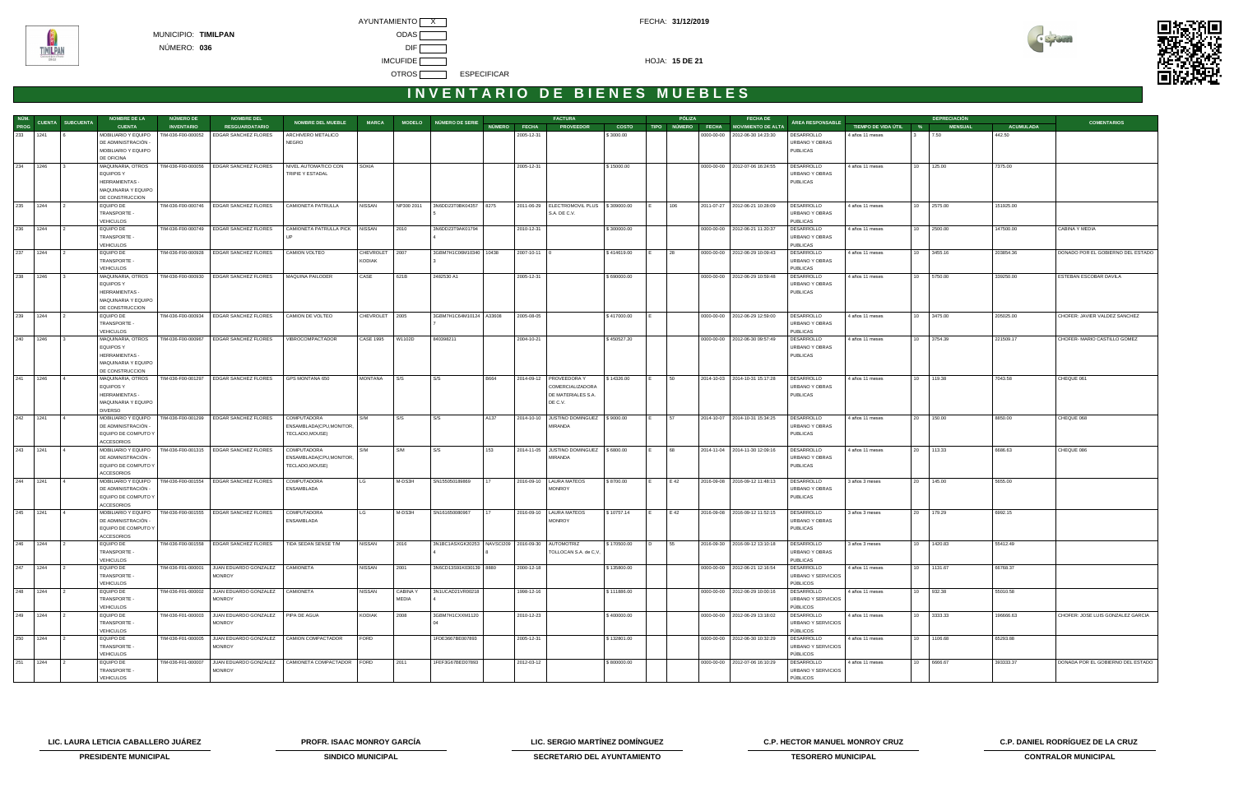



|          | NÚM.<br>PROG CUENTA SUBCUENTA | <b>NOMBRE DE LA</b>                        | NÚMERO DE          | <b>NOMBRE DEL</b>                                               | <b>NOMBRE DEL MUEBLE</b>       | <b>MARCA</b>               |                 | MODELO NÚMERO DE SERIE                                 |              | <b>FACTURA</b>                               |              | PÓLIZA | <b>FECHA DE</b>                      | ÁREA RESPONSABLE             |                       |                 | <b>DEPRECIACIÓN</b> |                  | <b>COMENTARIOS</b>                |
|----------|-------------------------------|--------------------------------------------|--------------------|-----------------------------------------------------------------|--------------------------------|----------------------------|-----------------|--------------------------------------------------------|--------------|----------------------------------------------|--------------|--------|--------------------------------------|------------------------------|-----------------------|-----------------|---------------------|------------------|-----------------------------------|
|          |                               | <b>CUENTA</b>                              | <b>INVENTARIO</b>  | <b>RESGUARDATARIO</b>                                           |                                |                            |                 |                                                        | NÚMERO FECHA | <b>PROVEEDOR</b>                             | <b>COSTO</b> |        | TIPO NÚMERO FECHA MOVIMIENTO DE ALTA |                              | TIEMPO DE VIDA ÚTIL % |                 | <b>MENSUAL</b>      | <b>ACUMULADA</b> |                                   |
| 233 1241 |                               | MOBILIARIO Y EQUIPO                        | TIM-036-F00-000052 | EDGAR SANCHEZ FLORES                                            | ARCHIVERO METALICO             |                            |                 |                                                        | 2005-12-31   |                                              | \$3000.00    |        | 0000-00-00   2012-06-30 14:23:30     | DESARROLLO                   | 4 años 11 meses       |                 | 7.50                | 442.50           |                                   |
|          |                               | DE ADMINISTRACIÓN -<br>MOBILIARIO Y EQUIPO |                    |                                                                 | NEGRO                          |                            |                 |                                                        |              |                                              |              |        |                                      | URBANO Y OBRAS<br>PUBLICAS   |                       |                 |                     |                  |                                   |
|          |                               | DE OFICINA                                 |                    |                                                                 |                                |                            |                 |                                                        |              |                                              |              |        |                                      |                              |                       |                 |                     |                  |                                   |
| 234 1246 |                               | MAQUINARIA, OTROS                          | TIM-036-F00-000056 | <b>EDGAR SANCHEZ FLORES</b>                                     | NIVEL AUTOMATICO CON           | <b>SOKIA</b>               |                 |                                                        | 2005-12-31   |                                              | \$15000.00   |        | 0000-00-00 2012-07-06 16:24:55       | DESARROLLO                   | 4 años 11 meses       | 10              | 125.00              | 7375.00          |                                   |
|          |                               | <b>EQUIPOS Y</b>                           |                    |                                                                 | TRIPIE Y ESTADAL               |                            |                 |                                                        |              |                                              |              |        |                                      | URBANO Y OBRAS               |                       |                 |                     |                  |                                   |
|          |                               | HERRAMIENTAS -                             |                    |                                                                 |                                |                            |                 |                                                        |              |                                              |              |        |                                      | PUBLICAS                     |                       |                 |                     |                  |                                   |
|          |                               | MAQUINARIA Y EQUIPO                        |                    |                                                                 |                                |                            |                 |                                                        |              |                                              |              |        |                                      |                              |                       |                 |                     |                  |                                   |
|          |                               | DE CONSTRUCCION                            |                    |                                                                 |                                |                            |                 |                                                        |              |                                              |              |        |                                      |                              |                       |                 |                     |                  |                                   |
| 235 1244 |                               | <b>EQUIPO DE</b>                           | TIM-036-F00-000746 | <b>EDGAR SANCHEZ FLORES</b>                                     | CAMIONETA PATRULLA             | <b>NISSAN</b>              | NP300 2011      | 3N6DD23T0BK04357 8275                                  |              | 2011-06-29   ELECTROMOVIL PLUS   \$309000.00 |              | 106    | 2011-07-27 2012-06-21 10:28:09       | DESARROLLO                   | 4 años 11 meses       |                 | 10 2575.00          | 151925.00        |                                   |
|          |                               | TRANSPORTE -                               |                    |                                                                 |                                |                            |                 |                                                        |              | S.A. DE C.V.                                 |              |        |                                      | URBANO Y OBRAS               |                       |                 |                     |                  |                                   |
|          |                               | <b>VEHICULOS</b>                           |                    |                                                                 |                                |                            |                 |                                                        |              |                                              |              |        |                                      | PUBLICAS                     |                       |                 |                     |                  |                                   |
| 236 1244 |                               | EQUIPO DE                                  | TIM-036-F00-000749 | <b>EDGAR SANCHEZ FLORES</b>                                     | CAMIONETA PATRULLA PICK NISSAN |                            | 2010            | 3N6DD23T9AK01794                                       | 2010-12-31   |                                              | \$300000.00  |        | 0000-00-00   2012-06-21 11:20:37     | DESARROLLO                   | 4 años 11 meses       |                 | 10 2500.00          | 147500.00        | CABINA Y MEDIA                    |
|          |                               | TRANSPORTE -                               |                    |                                                                 |                                |                            |                 |                                                        |              |                                              |              |        |                                      | URBANO Y OBRAS               |                       |                 |                     |                  |                                   |
|          |                               | <b>VEHICULOS</b>                           |                    |                                                                 |                                |                            |                 |                                                        |              |                                              |              |        |                                      | PUBLICAS                     |                       |                 |                     |                  |                                   |
| 237 1244 |                               | <b>EQUIPO DE</b><br>TRANSPORTE -           | TIM-036-F00-000928 | <b>EDGAR SANCHEZ FLORES</b>                                     | CAMION VOLTEO                  | <b>CHEVROLET</b><br>KODIAK | 2007            | 3GBM7H1C06M10340 10438                                 | 2007-10-11 0 |                                              | \$414619.00  | 28     | 0000-00-00   2012-06-29 10:09:43     | DESARROLLO<br>URBANO Y OBRAS | 4 años 11 meses       | 10              | 3455.16             | 203854.36        | DONADO POR EL GOBIERNO DEL ESTADO |
|          |                               | <b>VEHICULOS</b>                           |                    |                                                                 |                                |                            |                 |                                                        |              |                                              |              |        |                                      | PUBLICAS                     |                       |                 |                     |                  |                                   |
| 238 1246 |                               | MAQUINARIA, OTROS                          | TIM-036-F00-000930 | <b>EDGAR SANCHEZ FLORES</b>                                     | MAQUINA PAILODER               | CASE                       | 621B            | 2482530 A1                                             | 2005-12-31   |                                              | \$690000.00  |        | 0000-00-00 2012-06-29 10:59:48       | DESARROLLO                   | 4 años 11 meses       | 10 <sup>1</sup> | 5750.00             | 339250.00        | ESTEBAN ESCOBAR DAVILA            |
|          |                               | <b>EQUIPOS Y</b>                           |                    |                                                                 |                                |                            |                 |                                                        |              |                                              |              |        |                                      | URBANO Y OBRAS               |                       |                 |                     |                  |                                   |
|          |                               | <b>HERRAMIENTAS -</b>                      |                    |                                                                 |                                |                            |                 |                                                        |              |                                              |              |        |                                      | PUBLICAS                     |                       |                 |                     |                  |                                   |
|          |                               | MAQUINARIA Y EQUIPO                        |                    |                                                                 |                                |                            |                 |                                                        |              |                                              |              |        |                                      |                              |                       |                 |                     |                  |                                   |
|          |                               | DE CONSTRUCCION                            |                    |                                                                 |                                |                            |                 |                                                        |              |                                              |              |        |                                      |                              |                       |                 |                     |                  |                                   |
| 239 1244 |                               | <b>EQUIPO DE</b>                           | TIM-036-F00-000934 | <b>EDGAR SANCHEZ FLORES</b>                                     | CAMION DE VOLTEO               | CHEVROLET 2005             |                 | 3GBM7H1C64M10124 A33608                                | 2005-08-05   |                                              | \$417000.00  |        | 0000-00-00   2012-06-29 12:59:00     | DESARROLLO                   | 4 años 11 meses       |                 | 10 3475.00          | 205025.00        | CHOFER: JAVIER VALDEZ SANCHEZ     |
|          |                               | TRANSPORTE -                               |                    |                                                                 |                                |                            |                 |                                                        |              |                                              |              |        |                                      | URBANO Y OBRAS               |                       |                 |                     |                  |                                   |
|          |                               | VEHICULOS                                  |                    |                                                                 |                                |                            |                 |                                                        |              |                                              |              |        |                                      | PUBLICAS                     |                       |                 |                     |                  |                                   |
| 240 1246 |                               | MAQUINARIA, OTROS                          | TIM-036-F00-000967 | <b>EDGAR SANCHEZ FLORES</b>                                     | VIBROCOMPACTADOR               | <b>CASE 1995</b>           | W1102D          | 840398211                                              | 2004-10-21   |                                              | \$450527.20  |        | 0000-00-00   2012-06-30 09:57:49     | DESARROLLO                   | 4 años 11 meses       |                 | 10 3754.39          | 221509.17        | CHOFER- MARIO CASTILLO GOMEZ      |
|          |                               | <b>EQUIPOS Y</b>                           |                    |                                                                 |                                |                            |                 |                                                        |              |                                              |              |        |                                      | URBANO Y OBRAS               |                       |                 |                     |                  |                                   |
|          |                               | HERRAMIENTAS -                             |                    |                                                                 |                                |                            |                 |                                                        |              |                                              |              |        |                                      | PUBLICAS                     |                       |                 |                     |                  |                                   |
|          |                               | MAQUINARIA Y EQUIPO                        |                    |                                                                 |                                |                            |                 |                                                        |              |                                              |              |        |                                      |                              |                       |                 |                     |                  |                                   |
| 241 1246 |                               | DE CONSTRUCCION<br>MAQUINARIA, OTROS       | TIM-036-F00-001297 | EDGAR SANCHEZ FLORES                                            | GPS MONTANA 650                | MONTANA                    | S/S             | S/S<br>B664                                            |              | 2014-09-12   PROVEEDORA Y                    | \$14326.00   | 50     | 2014-10-03 2014-10-31 15:17:28       | DESARROLLO                   | 4 años 11 meses       |                 | 10 119.38           | 7043.58          | CHEQUE 061                        |
|          |                               | <b>EQUIPOS Y</b>                           |                    |                                                                 |                                |                            |                 |                                                        |              | COMERCIALIZADORA                             |              |        |                                      | URBANO Y OBRAS               |                       |                 |                     |                  |                                   |
|          |                               | <b>HERRAMIENTAS -</b>                      |                    |                                                                 |                                |                            |                 |                                                        |              | DE MATERIALES S.A.                           |              |        |                                      | <b>PUBLICAS</b>              |                       |                 |                     |                  |                                   |
|          |                               | MAQUINARIA Y EQUIPO                        |                    |                                                                 |                                |                            |                 |                                                        |              | DE C.V.                                      |              |        |                                      |                              |                       |                 |                     |                  |                                   |
|          |                               | <b>DIVERSO</b>                             |                    |                                                                 |                                |                            |                 |                                                        |              |                                              |              |        |                                      |                              |                       |                 |                     |                  |                                   |
| 242 1241 |                               | MOBILIARIO Y EQUIPO   TIM-036-F00-001299   |                    | <b>EDGAR SANCHEZ FLORES</b>                                     | COMPUTADORA                    | S/M                        | S/S             | S/S<br>A137                                            |              | 2014-10-10 JUSTINO DOMINGUEZ   \$9000.00     |              | 57     | 2014-10-07 2014-10-31 15:34:25       | DESARROLLO                   | 4 años 11 meses       | 20              | 150.00              | 8850.00          | CHEQUE 068                        |
|          |                               | DE ADMINISTRACIÓN -                        |                    |                                                                 | ENSAMBLADA(CPU, MONITOR,       |                            |                 |                                                        |              | MIRANDA                                      |              |        |                                      | URBANO Y OBRAS               |                       |                 |                     |                  |                                   |
|          |                               | EQUIPO DE COMPUTO Y                        |                    |                                                                 | TECLADO, MOUSE)                |                            |                 |                                                        |              |                                              |              |        |                                      | PUBLICAS                     |                       |                 |                     |                  |                                   |
|          |                               | <b>ACCESORIOS</b>                          |                    |                                                                 |                                |                            |                 |                                                        |              |                                              |              |        |                                      |                              |                       |                 |                     |                  |                                   |
| 243 1241 |                               | MOBILIARIO Y EQUIPO                        | TIM-036-F00-001315 | <b>EDGAR SANCHEZ FLORES</b>                                     | COMPUTADORA                    | S/M                        | S/M             | 153<br>S/S                                             |              | 2014-11-05 JUSTINO DOMINGUEZ   \$6800.00     |              | 68     | 2014-11-04 2014-11-30 12:09:16       | DESARROLLO                   | 4 años 11 meses       | 20              | 113.33              | 6686.63          | CHEQUE 086                        |
|          |                               | DE ADMINISTRACIÓN -                        |                    |                                                                 | ENSAMBLADA(CPU, MONITOR,       |                            |                 |                                                        |              | <b>MIRANDA</b>                               |              |        |                                      | URBANO Y OBRAS               |                       |                 |                     |                  |                                   |
|          |                               | EQUIPO DE COMPUTO Y                        |                    |                                                                 | TECLADO, MOUSE)                |                            |                 |                                                        |              |                                              |              |        |                                      | PUBLICAS                     |                       |                 |                     |                  |                                   |
|          |                               | <b>ACCESORIOS</b>                          |                    |                                                                 |                                |                            |                 |                                                        |              |                                              |              |        |                                      |                              |                       |                 |                     |                  |                                   |
| 244 1241 |                               |                                            |                    | MOBILIARIO Y EQUIPO   TIM-036-F00-001554   EDGAR SANCHEZ FLORES | COMPUTADORA                    | LG                         | M-DS3H          | SN155050189869                                         |              | 2016-09-10   LAURA MATEOS                    | \$8700.00    | E 42   | 2016-09-08 2016-09-12 11:48:13       | DESARROLLO                   | 3 años 3 meses        | 20              | 145.00              | 5655.00          |                                   |
|          |                               | DE ADMINISTRACIÓN -                        |                    |                                                                 | ENSAMBLADA                     |                            |                 |                                                        |              | <b>MONROY</b>                                |              |        |                                      | URBANO Y OBRAS               |                       |                 |                     |                  |                                   |
|          |                               | EQUIPO DE COMPUTO Y<br><b>ACCESORIOS</b>   |                    |                                                                 |                                |                            |                 |                                                        |              |                                              |              |        |                                      | PUBLICAS                     |                       |                 |                     |                  |                                   |
| 245 1241 |                               |                                            |                    | MOBILIARIO Y EQUIPO   TIM-036-F00-001555   EDGAR SANCHEZ FLORES | COMPUTADORA                    | LG                         | M-DS3H          | SN161650080967                                         |              | 2016-09-10   LAURA MATEOS                    | \$10757.14   | E 42   | 2016-09-08 2016-09-12 11:52:15       | DESARROLLO                   | 3 años 3 meses        |                 | 20 179.29           | 6992.15          |                                   |
|          |                               | DE ADMINISTRACIÓN -                        |                    |                                                                 | ENSAMBLADA                     |                            |                 |                                                        |              | <b>MONROY</b>                                |              |        |                                      | URBANO Y OBRAS               |                       |                 |                     |                  |                                   |
|          |                               | EQUIPO DE COMPUTO Y                        |                    |                                                                 |                                |                            |                 |                                                        |              |                                              |              |        |                                      | PUBLICAS                     |                       |                 |                     |                  |                                   |
|          |                               | <b>ACCESORIOS</b>                          |                    |                                                                 |                                |                            |                 |                                                        |              |                                              |              |        |                                      |                              |                       |                 |                     |                  |                                   |
| 246 1244 |                               | EQUIPO DE                                  | TIM-036-F00-001558 | <b>EDGAR SANCHEZ FLORES</b>                                     | TIDA SEDAN SENSE T/M           | <b>NISSAN</b>              | 2016            | 3N1BC1ASXGK20253   NAVSCI209   2016-09-30   AUTOMOTRIZ |              |                                              | \$170500.00  | 55     | 2016-09-30 2016-09-12 13:10:18       | DESARROLLO                   | 3 años 3 meses        | 10              | 1420.83             | 55412.49         |                                   |
|          |                               | TRANSPORTE -                               |                    |                                                                 |                                |                            |                 |                                                        |              | TOLLOCAN S.A. de C,V,                        |              |        |                                      | URBANO Y OBRAS               |                       |                 |                     |                  |                                   |
|          |                               | <b>VEHICULOS</b>                           |                    |                                                                 |                                |                            |                 |                                                        |              |                                              |              |        |                                      | PUBLICAS                     |                       |                 |                     |                  |                                   |
| 247 1244 |                               | EQUIPO DE                                  | TIM-036-F01-000001 | JUAN EDUARDO GONZALEZ                                           | <b>CAMIONETA</b>               | <b>NISSAN</b>              | 2001            | 3N6CD13S91K030139 8880                                 | 2000-12-18   |                                              | \$135800.00  |        | 0000-00-00   2012-06-21 12:16:54     | DESARROLLO                   | 4 años 11 meses       |                 | 10 1131.67          | 66768.37         |                                   |
|          |                               | TRANSPORTE -                               |                    | <b>MONROY</b>                                                   |                                |                            |                 |                                                        |              |                                              |              |        |                                      | URBANO Y SERVICIOS           |                       |                 |                     |                  |                                   |
|          |                               | <b>VEHICULOS</b>                           |                    |                                                                 |                                |                            |                 |                                                        |              |                                              |              |        |                                      | PÚBLICOS                     |                       |                 |                     |                  |                                   |
| 248 1244 |                               | EQUIPO DE                                  | TIM-036-F01-000002 | JUAN EDUARDO GONZALEZ                                           | <b>CAMIONETA</b>               | <b>NISSAN</b>              | <b>CABINA Y</b> | 3N1UCAD21VR00218                                       | 1998-12-16   |                                              | \$111886.00  |        | 0000-00-00 2012-06-29 10:00:16       | DESARROLLO                   | 4 años 11 meses       | 10              | 932.38              | 55010.58         |                                   |
|          |                               | TRANSPORTE -                               |                    | <b>MONROY</b>                                                   |                                |                            | MEDIA           |                                                        |              |                                              |              |        |                                      | URBANO Y SERVICIOS           |                       |                 |                     |                  |                                   |
|          |                               | <b>VEHICULOS</b>                           | TIM-036-F01-000003 | JUAN EDUARDO GONZALEZ                                           | PIPA DE AGUA                   | KODIAK                     |                 | 3GBM7H1CXXM1120                                        |              |                                              |              |        |                                      | PÚBLICOS<br>DESARROLLO       |                       | 10              | 3333.33             |                  | CHOFER: JOSE LUIS GONZALEZ GARCIA |
| 249 1244 |                               | EQUIPO DE<br>TRANSPORTE -                  |                    | <b>MONROY</b>                                                   |                                |                            | 2008            |                                                        | 2010-12-23   |                                              | \$400000.00  |        | 0000-00-00 2012-06-29 13:18:02       | URBANO Y SERVICIOS           | 4 años 11 meses       |                 |                     | 196666.63        |                                   |
|          |                               | <b>VEHICULOS</b>                           |                    |                                                                 |                                |                            |                 |                                                        |              |                                              |              |        |                                      | PÚBLICOS                     |                       |                 |                     |                  |                                   |
| 250 1244 |                               | EQUIPO DE                                  | TIM-036-F01-000005 | JUAN EDUARDO GONZALEZ                                           | CAMION COMPACTADOR             | FORD                       |                 | 1FDE3667BE007893                                       | 2005-12-31   |                                              | \$132801.00  |        | 0000-00-00 2012-06-30 10:32:29       | DESARROLLO                   | 4 años 11 meses       | 10              | 1106.68             | 65293.88         |                                   |
|          |                               | TRANSPORTE -                               |                    | <b>MONROY</b>                                                   |                                |                            |                 |                                                        |              |                                              |              |        |                                      | URBANO Y SERVICIOS           |                       |                 |                     |                  |                                   |
|          |                               | <b>VEHICULOS</b>                           |                    |                                                                 |                                |                            |                 |                                                        |              |                                              |              |        |                                      | PÚBLICOS                     |                       |                 |                     |                  |                                   |
| 251 1244 |                               | EQUIPO DE                                  | TIM-036-F01-000007 | JUAN EDUARDO GONZALEZ                                           | CAMIONETA COMPACTADOR FORD     |                            | 2011            | 1FEF3G67BED07893                                       | 2012-03-12   |                                              | \$800000.00  |        | 0000-00-00   2012-07-06 16:10:29     | DESARROLLO                   | 4 años 11 meses       | 10              | 6666.67             | 393333.37        | DONADA POR EL GOBIERNO DEL ESTADO |
|          |                               | TRANSPORTE -                               |                    | <b>MONROY</b>                                                   |                                |                            |                 |                                                        |              |                                              |              |        |                                      | URBANO Y SERVICIOS           |                       |                 |                     |                  |                                   |
|          |                               | <b>VEHICULOS</b>                           |                    |                                                                 |                                |                            |                 |                                                        |              |                                              |              |        |                                      | PÚBLICOS                     |                       |                 |                     |                  |                                   |

**LIC. LAURA LETICIA CABALLERO JUÁREZ PROFR. ISAAC MONROY GARCÍA LIC. SERGIO MARTÍNEZ DOMÍNGUEZ C.P. HECTOR MANUEL MONROY CRUZ C.P. DANIEL RODRÍGUEZ DE LA CRUZ** 



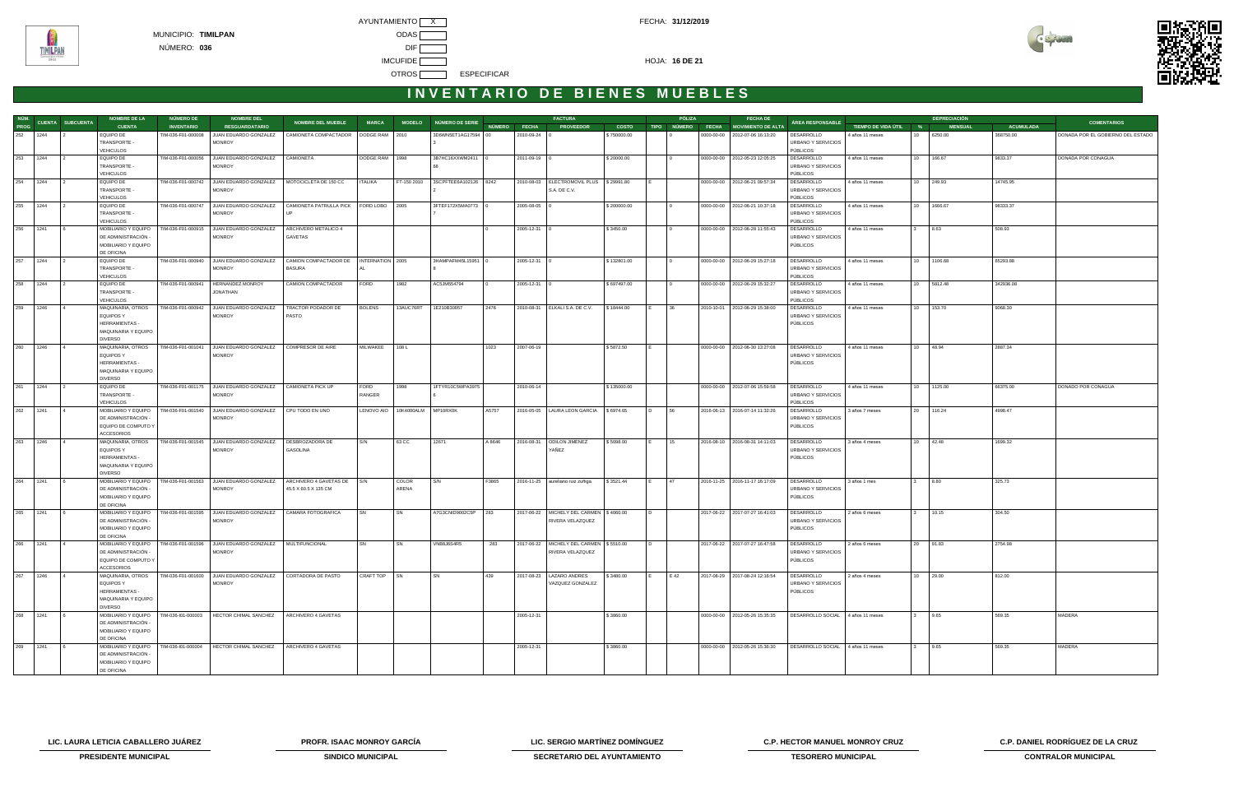AYUNTAMIENTO X CONTROL CONTROL CONTROL CONTROL CONTROL CONTROL CONTROL CONTROL CONTROL CONTROL CONTROL CONTROL CONTROL CONTROL CONTROL CONTROL CONTROL CONTROL CONTROL CONTROL CONTROL CONTROL CONTROL CONTROL CONTROL CONTROL MUNICIPIO: **TIMILPAN** ODAS NÚMERO: **036** DIF **IMCUFIDE 16 DE 21** OTROS **ESPECIFICAR** 



## **I N V E N T A R I O D E B I E N E S M U E B L E S**

|          |          | NÚM. CUENTA SUBCUENTA | <b>NOMBRE DE LA</b>                      | NÚMERO DE          | <b>NOMBRE DEL</b>                                  |                                 |                   |             |                        |        |                    | <b>FACTURA</b>                               |              | PÓLIZA      | <b>FECHA DE</b>                  |                                   |                       |                                 | <b>DEPRECIACIÓN</b> |                  |                                   |
|----------|----------|-----------------------|------------------------------------------|--------------------|----------------------------------------------------|---------------------------------|-------------------|-------------|------------------------|--------|--------------------|----------------------------------------------|--------------|-------------|----------------------------------|-----------------------------------|-----------------------|---------------------------------|---------------------|------------------|-----------------------------------|
| PROG     |          |                       | <b>CUENTA</b>                            | <b>INVENTARIO</b>  | <b>RESGUARDATARIO</b>                              | <b>NOMBRE DEL MUEBLE</b>        | <b>MARCA</b>      |             | MODELO NÚMERO DE SERIE |        | NÚMERO FECHA       | <b>PROVEEDOR</b>                             | <b>COSTO</b> | TIPO NÚMERO | FECHA MOVIMIENTO DE ALTA         | ÁREA RESPONSABLE                  | TIEMPO DE VIDA ÚTIL % |                                 | <b>MENSUAL</b>      | <b>ACUMULADA</b> | <b>COMENTARIOS</b>                |
|          | 252 1244 |                       | EQUIPO DE                                | TIM-036-F01-000008 | JUAN EDUARDO GONZALEZ                              | CAMIONETA COMPACTADOR           | DODGE RAM 2010    |             | 3D6WN5ET1AG17594 00    |        | 2010-09-24 0       |                                              | \$750000.00  |             | 0000-00-00   2012-07-06 16:13:20 | DESARROLLO                        | 4 años 11 meses       | 10                              | 6250.00             | 368750.00        | DONADA POR EL GOBIERNO DEL ESTADO |
|          |          |                       | TRANSPORTE -                             |                    | <b>MONROY</b>                                      |                                 |                   |             |                        |        |                    |                                              |              |             |                                  | URBANO Y SERVICIOS                |                       |                                 |                     |                  |                                   |
|          |          |                       | <b>VEHICULOS</b>                         |                    |                                                    |                                 |                   |             |                        |        |                    |                                              |              |             |                                  | PÚBLICOS                          |                       |                                 |                     |                  |                                   |
| 253 1244 |          |                       | EQUIPO DE<br>TRANSPORTE -                | TIM-036-F01-000056 | JUAN EDUARDO GONZALEZ   CAMIONETA<br><b>MONROY</b> |                                 | DODGE RAM 1998    |             | 3B7HC16XXWM2411        |        | 2011-09-19 0       |                                              | \$20000.00   |             | 0000-00-00 2012-05-23 12:05:25   | DESARROLLO<br>URBANO Y SERVICIOS  | 4 años 11 meses       | 10 <sup>1</sup>                 | 166.67              | 9833.37          | DONADA POR CONAGUA                |
|          |          |                       | <b>VEHICULOS</b>                         |                    |                                                    |                                 |                   |             |                        |        |                    |                                              |              |             |                                  | PÚBLICOS                          |                       |                                 |                     |                  |                                   |
| 254      | 1244     |                       | <b>EQUIPO DE</b>                         | TIM-036-F01-000742 | JUAN EDUARDO GONZALEZ   MOTOCICLETA DE 150 CC      |                                 | <b>ITALIKA</b>    | FT-150 2010 | 3SCPFTEE6A102126 8242  |        |                    | 2010-08-03   ELECTROMOVIL PLUS   \$ 29991.80 |              |             | 0000-00-00 2012-06-21 09:57:34   | DESARROLLO                        | 4 años 11 meses       | 10 249.93                       |                     | 14745.95         |                                   |
|          |          |                       | TRANSPORTE -                             |                    | <b>MONROY</b>                                      |                                 |                   |             |                        |        |                    | S.A. DE C.V.                                 |              |             |                                  | URBANO Y SERVICIOS                |                       |                                 |                     |                  |                                   |
|          |          |                       | <b>VEHICULOS</b>                         |                    |                                                    |                                 |                   |             |                        |        |                    |                                              |              |             |                                  | PÚBLICOS                          |                       |                                 |                     |                  |                                   |
| 255      | 1244     |                       | EQUIPO DE                                | TIM-036-F01-000747 | JUAN EDUARDO GONZALEZ                              | CAMIONETA PATRULLA PICK         | FORD LOBO         | 2005        | 3FTEF172X5MA0773       |        | 2005-08-05         |                                              | \$200000.00  |             | 0000-00-00 2012-06-21 10:37:18   | DESARROLLO                        | 4 años 11 meses       | 10 <sup>10</sup>                | 1666.67             | 98333.37         |                                   |
|          |          |                       | TRANSPORTE -                             |                    | <b>MONROY</b>                                      | UP                              |                   |             |                        |        |                    |                                              |              |             |                                  | <b>URBANO Y SERVICIOS</b>         |                       |                                 |                     |                  |                                   |
|          |          |                       | <b>VEHICULOS</b>                         |                    |                                                    |                                 |                   |             |                        |        |                    |                                              |              |             |                                  | PÚBLICOS                          |                       |                                 |                     |                  |                                   |
| 256 1241 |          |                       | MOBILIARIO Y EQUIPO<br>DE ADMINISTRACIÓN | TIM-036-F01-000915 | JUAN EDUARDO GONZALEZ<br><b>MONROY</b>             | ARCHIVERO METALICO 4<br>GAVETAS |                   |             |                        |        | $2005 - 12 - 31$ 0 |                                              | \$3450.00    |             | 0000-00-00 2012-06-28 11:55:43   | DESARROLLO<br>URBANO Y SERVICIOS  | 4 años 11 meses       |                                 | 8.63                | 508.93           |                                   |
|          |          |                       | MOBILIARIO Y EQUIPO                      |                    |                                                    |                                 |                   |             |                        |        |                    |                                              |              |             |                                  | PÚBLICOS                          |                       |                                 |                     |                  |                                   |
|          |          |                       | DE OFICINA                               |                    |                                                    |                                 |                   |             |                        |        |                    |                                              |              |             |                                  |                                   |                       |                                 |                     |                  |                                   |
| 257      | 1244     |                       | <b>EQUIPO DE</b>                         | TIM-036-F01-000940 | JUAN EDUARDO GONZALEZ                              | CAMION COMPACTADOR DE           | INTERNATION 2005  |             | 3HAMPAFM45L15951       |        | 2005-12-31 0       |                                              | \$132801.00  |             | 0000-00-00 2012-06-29 15:27:18   | DESARROLLO                        | 4 años 11 meses       | 10                              | 1106.68             | 65293.88         |                                   |
|          |          |                       | TRANSPORTE -                             |                    | <b>MONROY</b>                                      | <b>BASURA</b>                   |                   |             |                        |        |                    |                                              |              |             |                                  | URBANO Y SERVICIOS                |                       |                                 |                     |                  |                                   |
|          |          |                       | <b>VEHICULOS</b>                         |                    |                                                    |                                 |                   |             |                        |        |                    |                                              |              |             |                                  | PÚBLICOS                          |                       |                                 |                     |                  |                                   |
| 258      | 1244     |                       | EQUIPO DE                                | TIM-036-F01-000941 | <b>HERNANDEZ MONROY</b>                            | CAMION COMPACTADOR              | FORD              | 1982        | AC5JM554794            |        | $2005 - 12 - 31$ 0 |                                              | \$697497.00  |             | 0000-00-00   2012-06-29 15:32:27 | DESARROLLO                        | 4 años 11 meses       | 10                              | 5812.48             | 342936.08        |                                   |
|          |          |                       | TRANSPORTE -                             |                    | JONATHAN                                           |                                 |                   |             |                        |        |                    |                                              |              |             |                                  | URBANO Y SERVICIOS                |                       |                                 |                     |                  |                                   |
| 259      | 1246     |                       | <b>VEHICULOS</b><br>MAQUINARIA, OTROS    | TIM-036-F01-000942 | JUAN EDUARDO GONZALEZ                              | TRACTOR PODADOR DE              | <b>BOLENS</b>     | 13AUC76RT   | 1E210B30057            | 2476   |                    | 2010-08-31   ELKALI S.A. DE C.V.             | \$18444.00   | 36          | 2010-10-01 2012-06-29 15:38:00   | PÚBLICOS<br>DESARROLLO            | 4 años 11 meses       | 10                              | 153.70              | 9068.30          |                                   |
|          |          |                       | <b>EQUIPOS Y</b>                         |                    | <b>MONROY</b>                                      | PASTO                           |                   |             |                        |        |                    |                                              |              |             |                                  | URBANO Y SERVICIOS                |                       |                                 |                     |                  |                                   |
|          |          |                       | HERRAMIENTAS -                           |                    |                                                    |                                 |                   |             |                        |        |                    |                                              |              |             |                                  | PÚBLICOS                          |                       |                                 |                     |                  |                                   |
|          |          |                       | MAQUINARIA Y EQUIPO                      |                    |                                                    |                                 |                   |             |                        |        |                    |                                              |              |             |                                  |                                   |                       |                                 |                     |                  |                                   |
|          |          |                       | <b>DIVERSO</b>                           |                    |                                                    |                                 |                   |             |                        |        |                    |                                              |              |             |                                  |                                   |                       |                                 |                     |                  |                                   |
| 260      | 1246     |                       | MAQUINARIA, OTROS                        | TIM-036-F01-001041 | JUAN EDUARDO GONZALEZ                              | COMPRESOR DE AIRE               | MILWAKEE          | 108 L       |                        | 1023   | 2007-06-19         |                                              | \$5872.50    |             | 0000-00-00   2012-06-30 13:27:08 | DESARROLLO                        | 4 años 11 meses       | 48.94<br>10 <sup>10</sup>       |                     | 2887.34          |                                   |
|          |          |                       | <b>EQUIPOS Y</b>                         |                    | <b>MONROY</b>                                      |                                 |                   |             |                        |        |                    |                                              |              |             |                                  | URBANO Y SERVICIOS                |                       |                                 |                     |                  |                                   |
|          |          |                       | HERRAMIENTAS -<br>MAQUINARIA Y EQUIPO    |                    |                                                    |                                 |                   |             |                        |        |                    |                                              |              |             |                                  | PÚBLICOS                          |                       |                                 |                     |                  |                                   |
|          |          |                       | <b>DIVERSO</b>                           |                    |                                                    |                                 |                   |             |                        |        |                    |                                              |              |             |                                  |                                   |                       |                                 |                     |                  |                                   |
|          | 261 1244 |                       | EQUIPO DE                                |                    | TIM-036-F01-001175 JUAN EDUARDO GONZALEZ           | CAMIONETA PICK UP               | FORD              | 1998        | 1FTYR10C5WPA3975       |        | 2010-06-14         |                                              | \$135000.00  |             | 0000-00-00 2012-07-06 15:59:58   | DESARROLLO                        | 4 años 11 meses       | 10                              | 1125.00             | 66375.00         | DONADO POR CONAGUA                |
|          |          |                       | TRANSPORTE -                             |                    | <b>MONROY</b>                                      |                                 | RANGER            |             |                        |        |                    |                                              |              |             |                                  | URBANO Y SERVICIOS                |                       |                                 |                     |                  |                                   |
|          |          |                       | <b>VEHICULOS</b>                         |                    |                                                    |                                 |                   |             |                        |        |                    |                                              |              |             |                                  | PÚBLICOS                          |                       |                                 |                     |                  |                                   |
| 262      | 1241     |                       | MOBILIARIO Y EQUIPO                      | TIM-036-F01-001540 | JUAN EDUARDO GONZALEZ                              | CPU TODO EN UNO                 | <b>LENOVO AIO</b> | 10K4000ALM  | MP10RX0K               | A5757  |                    | 2016-05-05   LAURA LEON GARCIA               | \$6974.65    | 56          | 2016-06-13 2016-07-14 11:32:26   | DESARROLLO                        | 3 años 7 meses        | 20                              | 116.24              | 4998.47          |                                   |
|          |          |                       | DE ADMINISTRACIÓN                        |                    | <b>MONROY</b>                                      |                                 |                   |             |                        |        |                    |                                              |              |             |                                  | URBANO Y SERVICIOS                |                       |                                 |                     |                  |                                   |
|          |          |                       | EQUIPO DE COMPUTO Y                      |                    |                                                    |                                 |                   |             |                        |        |                    |                                              |              |             |                                  | PÚBLICOS                          |                       |                                 |                     |                  |                                   |
| 263      | 1246     |                       | <b>ACCESORIOS</b><br>MAQUINARIA, OTROS   | TIM-036-F01-001545 | JUAN EDUARDO GONZALEZ                              | DESBROZADORA DE                 | S/N               | 63 CC       | 12671                  | A 8646 |                    | 2016-08-31   ODILON JIMENEZ                  | \$5098.00    | 15          | 2016-08-10 2016-08-31 14:11:03   | DESARROLLO                        |                       | 10<br>42.48                     |                     | 1699.32          |                                   |
|          |          |                       | <b>EQUIPOS Y</b>                         |                    | <b>MONROY</b>                                      | GASOLINA                        |                   |             |                        |        |                    | YAÑEZ                                        |              |             |                                  | URBANO Y SERVICIOS                | 3 años 4 meses        |                                 |                     |                  |                                   |
|          |          |                       | HERRAMIENTAS -                           |                    |                                                    |                                 |                   |             |                        |        |                    |                                              |              |             |                                  | PÚBLICOS                          |                       |                                 |                     |                  |                                   |
|          |          |                       | MAQUINARIA Y EQUIPO                      |                    |                                                    |                                 |                   |             |                        |        |                    |                                              |              |             |                                  |                                   |                       |                                 |                     |                  |                                   |
|          |          |                       | <b>DIVERSO</b>                           |                    |                                                    |                                 |                   |             |                        |        |                    |                                              |              |             |                                  |                                   |                       |                                 |                     |                  |                                   |
| 264      | 1241     |                       | MOBILIARIO Y EQUIPO                      | TIM-036-F01-001563 | JUAN EDUARDO GONZALEZ                              | ARCHIVERO 4 GAVETAS DE          | S/N               | COLOR       | S/N                    | F3865  |                    | 2016-11-25 aureliano ruiz zuñiga             | \$3521.44    | 47          | 2016-11-25 2016-11-17 16:17:09   | DESARROLLO                        | 3 años 1 mes          | 8.80<br>$\overline{\mathbf{3}}$ |                     | 325.73           |                                   |
|          |          |                       | DE ADMINISTRACIÓN -                      |                    | <b>MONROY</b>                                      | 45.5 X 60.5 X 135 CM            |                   | ARENA       |                        |        |                    |                                              |              |             |                                  | URBANO Y SERVICIOS                |                       |                                 |                     |                  |                                   |
|          |          |                       | MOBILIARIO Y EQUIPO                      |                    |                                                    |                                 |                   |             |                        |        |                    |                                              |              |             |                                  | PÚBLICOS                          |                       |                                 |                     |                  |                                   |
| 265 1241 |          |                       | DE OFICINA<br>MOBILIARIO Y EQUIPO        | TIM-036-F01-001595 | JUAN EDUARDO GONZALEZ                              | CAMARA FOTOGRAFICA              | SN                | SN          | A7G3CNID9002C5P        | 283    |                    | 2017-06-22   MICHELY DEL CARMEN              | \$4060.00    |             | 2017-06-22 2017-07-27 16:41:03   | DESARROLLO                        | 2 años 6 meses        |                                 | 10.15               | 304.50           |                                   |
|          |          |                       | DE ADMINISTRACIÓN                        |                    | <b>MONROY</b>                                      |                                 |                   |             |                        |        |                    | RIVERA VELAZQUEZ                             |              |             |                                  | URBANO Y SERVICIOS                |                       |                                 |                     |                  |                                   |
|          |          |                       | MOBILIARIO Y EQUIPO                      |                    |                                                    |                                 |                   |             |                        |        |                    |                                              |              |             |                                  | PÚBLICOS                          |                       |                                 |                     |                  |                                   |
|          |          |                       | DE OFICINA                               |                    |                                                    |                                 |                   |             |                        |        |                    |                                              |              |             |                                  |                                   |                       |                                 |                     |                  |                                   |
| 266 1241 |          |                       | MOBILIARIO Y EQUIPO                      |                    | TIM-036-F01-001596 JUAN EDUARDO GONZALEZ           | MULTIFUNCIONAL                  | SN                | SN          | VNB8J6S4R5             | 283    |                    | 2017-06-22   MICHELY DEL CARMEN   \$5510.00  |              |             | 2017-06-22 2017-07-27 16:47:58   | DESARROLLO                        | 2 años 6 meses        | 20<br>91.83                     |                     | 2754.98          |                                   |
|          |          |                       | DE ADMINISTRACIÓN -                      |                    | <b>MONROY</b>                                      |                                 |                   |             |                        |        |                    | RIVERA VELAZQUEZ                             |              |             |                                  | URBANO Y SERVICIOS                |                       |                                 |                     |                  |                                   |
|          |          |                       | EQUIPO DE COMPUTO Y                      |                    |                                                    |                                 |                   |             |                        |        |                    |                                              |              |             |                                  | PÚBLICOS                          |                       |                                 |                     |                  |                                   |
| 267 1246 |          |                       | <b>ACCESORIOS</b><br>MAQUINARIA, OTROS   |                    | TIM-036-F01-001600 JUAN EDUARDO GONZALEZ           | CORTADORA DE PASTO              | CRAFT TOP SN      |             | SN                     | 439    |                    | 2017-08-23   LAZARO ANDRES                   | \$3480.00    | E 42        | 2017-08-29 2017-08-24 12:16:54   | DESARROLLO                        | 2 años 4 meses        | 10 29.00                        |                     | 812.00           |                                   |
|          |          |                       | EQUIPOS Y                                |                    | <b>MONROY</b>                                      |                                 |                   |             |                        |        |                    | VAZQUEZ GONZALEZ                             |              |             |                                  | URBANO Y SERVICIOS                |                       |                                 |                     |                  |                                   |
|          |          |                       | HERRAMIENTAS -                           |                    |                                                    |                                 |                   |             |                        |        |                    |                                              |              |             |                                  | PÚBLICOS                          |                       |                                 |                     |                  |                                   |
|          |          |                       | MAQUINARIA Y EQUIPO                      |                    |                                                    |                                 |                   |             |                        |        |                    |                                              |              |             |                                  |                                   |                       |                                 |                     |                  |                                   |
|          |          |                       | <b>DIVERSO</b>                           |                    |                                                    |                                 |                   |             |                        |        |                    |                                              |              |             |                                  |                                   |                       |                                 |                     |                  |                                   |
|          | 268 1241 | $\overline{6}$        | MOBILIARIO Y EQUIPO                      | TIM-036-I01-000003 | HECTOR CHIMAL SANCHEZ   ARCHIVERO 4 GAVETAS        |                                 |                   |             |                        |        | 2005-12-31         |                                              | \$3860.00    |             | 0000-00-00   2012-05-26 15:35:35 | DESARROLLO SOCIAL 4 años 11 meses |                       | 9.65<br>$3^{\circ}$             |                     | 569.35           | MADERA                            |
|          |          |                       | DE ADMINISTRACIÓN                        |                    |                                                    |                                 |                   |             |                        |        |                    |                                              |              |             |                                  |                                   |                       |                                 |                     |                  |                                   |
|          |          |                       | MOBILIARIO Y EQUIPO                      |                    |                                                    |                                 |                   |             |                        |        |                    |                                              |              |             |                                  |                                   |                       |                                 |                     |                  |                                   |
| 269      | 1241     |                       | DE OFICINA<br>MOBILIARIO Y EQUIPO        | TIM-036-I01-000004 | HECTOR CHIMAL SANCHEZ                              | ARCHIVERO 4 GAVETAS             |                   |             |                        |        | 2005-12-31         |                                              | \$3860.00    |             | 0000-00-00 2012-05-26 15:36:30   | DESARROLLO SOCIAL 4 años 11 meses |                       | 9.65<br>$\mathbf{3}$            |                     | 569.35           | MADERA                            |
|          |          |                       | DE ADMINISTRACIÓN                        |                    |                                                    |                                 |                   |             |                        |        |                    |                                              |              |             |                                  |                                   |                       |                                 |                     |                  |                                   |
|          |          |                       | MOBILIARIO Y EQUIPO                      |                    |                                                    |                                 |                   |             |                        |        |                    |                                              |              |             |                                  |                                   |                       |                                 |                     |                  |                                   |
|          |          |                       | DE OFICINA                               |                    |                                                    |                                 |                   |             |                        |        |                    |                                              |              |             |                                  |                                   |                       |                                 |                     |                  |                                   |

**LIC. LAURA LETICIA CABALLERO JUÁREZ PROFR. ISAAC MONROY GARCÍA LIC. SERGIO MARTÍNEZ DOMÍNGUEZ C.P. HECTOR MANUEL MONROY CRUZ C.P. DANIEL RODRÍGUEZ DE LA CRUZ** 



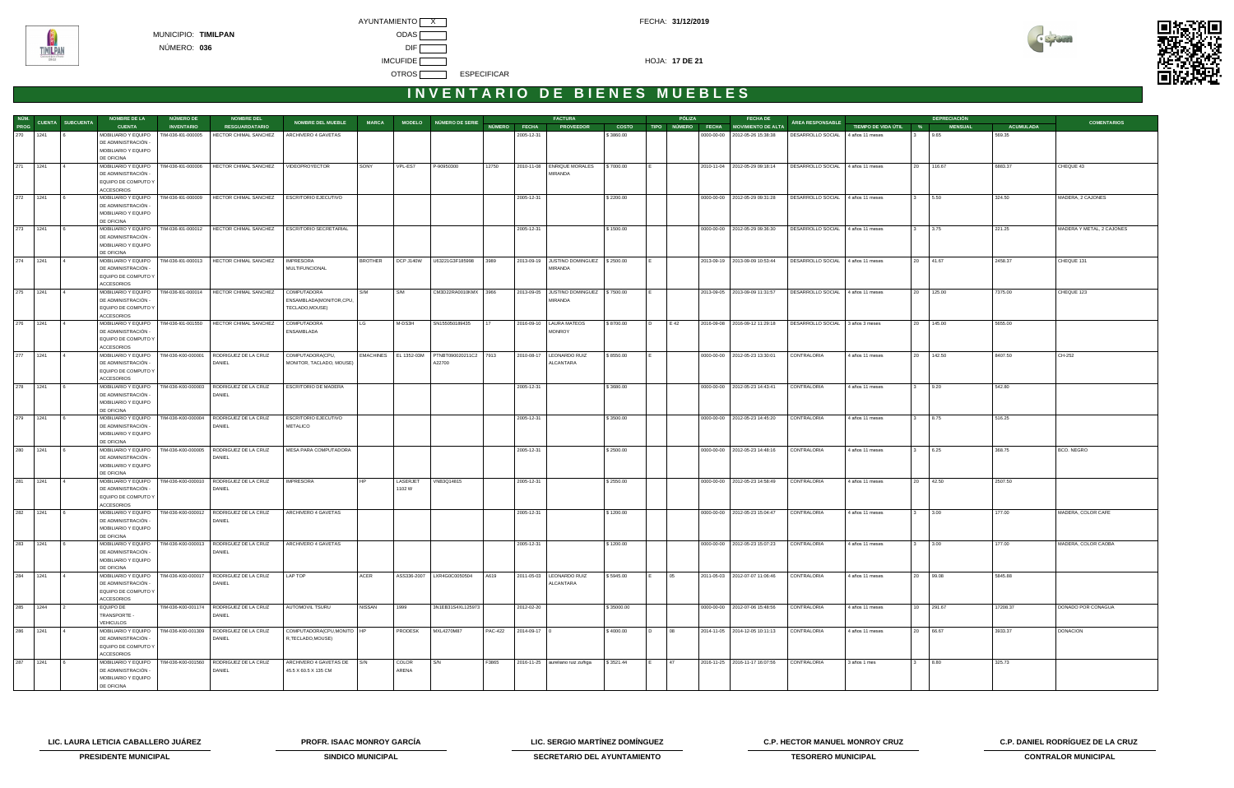



| NÚM.     |                          | <b>NOMBRE DE LA</b>                        | NÚMERO DE          | <b>NOMBRE DEL</b>                                                |                               |                |                   |                                             |       |                      | <b>FACTURA</b>                         |            |   | PÓLIZA | <b>FECHA DE</b>                      |                                   |                       |        | <b>DEPRECIACIÓN</b> |                  |                           |
|----------|--------------------------|--------------------------------------------|--------------------|------------------------------------------------------------------|-------------------------------|----------------|-------------------|---------------------------------------------|-------|----------------------|----------------------------------------|------------|---|--------|--------------------------------------|-----------------------------------|-----------------------|--------|---------------------|------------------|---------------------------|
| PROG     | CUENTA SUBCUENTA         | <b>CUENTA</b>                              | <b>INVENTARIO</b>  | <b>RESGUARDATARIO</b>                                            | <b>NOMBRE DEL MUEBLE</b>      | <b>MARCA</b>   |                   | MODELO NÚMERO DE SERIE                      |       | NÚMERO FECHA         | <b>PROVEEDOR</b>                       | COSTO      |   |        | TIPO NÚMERO FECHA MOVIMIENTO DE ALTA | <b>ÁREA RESPONSABLE</b>           | TIEMPO DE VIDA ÚTIL % |        | <b>MENSUAL</b>      | <b>ACUMULADA</b> | <b>COMENTARIOS</b>        |
|          | 270 1241 6               | MOBILIARIO Y EQUIPO                        | TIM-036-I01-000005 | HECTOR CHIMAL SANCHEZ                                            | ARCHIVERO 4 GAVETAS           |                |                   |                                             |       | 2005-12-31           |                                        | \$3860.00  |   |        | 0000-00-00   2012-05-26 15:38:38     | DESARROLLO SOCIAL 4 años 11 meses |                       |        | 9.65                | 569.35           |                           |
|          |                          | DE ADMINISTRACIÓN -                        |                    |                                                                  |                               |                |                   |                                             |       |                      |                                        |            |   |        |                                      |                                   |                       |        |                     |                  |                           |
|          |                          | MOBILIARIO Y EQUIPO                        |                    |                                                                  |                               |                |                   |                                             |       |                      |                                        |            |   |        |                                      |                                   |                       |        |                     |                  |                           |
|          |                          | DE OFICINA                                 |                    |                                                                  |                               |                |                   |                                             |       |                      |                                        |            |   |        |                                      |                                   |                       |        |                     |                  |                           |
| 271 1241 | $\vert$ 4                |                                            |                    | MOBILIARIO Y EQUIPO   TIM-036-101-000006   HECTOR CHIMAL SANCHEZ | VIDEOPROYECTOR                | SONY           | VPL-ES7           | P-90950300                                  | 12750 |                      | 2010-11-08 ENRIQUE MORALES             | \$7000.00  |   |        | 2010-11-04 2012-05-29 09:18:14       | DESARROLLO SOCIAL 4 años 11 meses |                       |        | 20 116.67           | 6883.37          | CHEQUE 43                 |
|          |                          | DE ADMINISTRACIÓN -                        |                    |                                                                  |                               |                |                   |                                             |       |                      | MIRANDA                                |            |   |        |                                      |                                   |                       |        |                     |                  |                           |
|          |                          | EQUIPO DE COMPUTO Y                        |                    |                                                                  |                               |                |                   |                                             |       |                      |                                        |            |   |        |                                      |                                   |                       |        |                     |                  |                           |
|          |                          | <b>ACCESORIOS</b>                          |                    |                                                                  |                               |                |                   |                                             |       |                      |                                        |            |   |        |                                      |                                   |                       |        |                     |                  |                           |
| 272 1241 |                          | MOBILIARIO Y EQUIPO                        |                    | TIM-036-101-000009 HECTOR CHIMAL SANCHEZ                         | ESCRITORIO EJECUTIVO          |                |                   |                                             |       | 2005-12-31           |                                        | \$2200.00  |   |        | 0000-00-00 2012-05-29 09:31:28       | DESARROLLO SOCIAL 4 años 11 meses |                       |        | 3 5.50              | 324.50           | MADERA, 2 CAJONES         |
|          |                          | DE ADMINISTRACIÓN -                        |                    |                                                                  |                               |                |                   |                                             |       |                      |                                        |            |   |        |                                      |                                   |                       |        |                     |                  |                           |
|          |                          | MOBILIARIO Y EQUIPO                        |                    |                                                                  |                               |                |                   |                                             |       |                      |                                        |            |   |        |                                      |                                   |                       |        |                     |                  |                           |
|          |                          | DE OFICINA                                 |                    |                                                                  |                               |                |                   |                                             |       |                      |                                        |            |   |        |                                      |                                   |                       |        |                     |                  |                           |
| 273 1241 |                          | MOBILIARIO Y EQUIPO                        |                    | TIM-036-101-000012   HECTOR CHIMAL SANCHEZ                       | <b>ESCRITORIO SECRETARIAL</b> |                |                   |                                             |       | 2005-12-31           |                                        | \$1500.00  |   |        | 0000-00-00   2012-05-29 09:36:30     | DESARROLLO SOCIAL 4 años 11 meses |                       |        | 3 3.75              | 221.25           | MADERA Y METAL, 2 CAJONES |
|          |                          | DE ADMINISTRACIÓN -                        |                    |                                                                  |                               |                |                   |                                             |       |                      |                                        |            |   |        |                                      |                                   |                       |        |                     |                  |                           |
|          |                          | MOBILIARIO Y EQUIPO                        |                    |                                                                  |                               |                |                   |                                             |       |                      |                                        |            |   |        |                                      |                                   |                       |        |                     |                  |                           |
|          |                          | DE OFICINA                                 |                    |                                                                  |                               |                |                   |                                             |       |                      |                                        |            |   |        |                                      |                                   |                       |        |                     |                  |                           |
| 274 1241 | $\overline{4}$           |                                            |                    | MOBILIARIO Y EQUIPO   TIM-036-101-000013   HECTOR CHIMAL SANCHEZ | <b>IMPRESORA</b>              | <b>BROTHER</b> | DCP J140W         | U63221G3F185998                             | 3989  |                      | 2013-09-19 JUSTINO DOMINGUEZ \$2500.00 |            |   |        | 2013-09-19 2013-09-09 10:53:44       | DESARROLLO SOCIAL 4 años 11 meses |                       |        | 20 41.67            | 2458.37          | CHEQUE 131                |
|          |                          | DE ADMINISTRACIÓN -                        |                    |                                                                  | MULTIFUNCIONAL                |                |                   |                                             |       |                      | MIRANDA                                |            |   |        |                                      |                                   |                       |        |                     |                  |                           |
|          |                          | EQUIPO DE COMPUTO Y                        |                    |                                                                  |                               |                |                   |                                             |       |                      |                                        |            |   |        |                                      |                                   |                       |        |                     |                  |                           |
|          |                          | <b>ACCESORIOS</b>                          |                    |                                                                  |                               |                |                   |                                             |       |                      |                                        |            |   |        |                                      |                                   |                       |        |                     |                  |                           |
| 275 1241 |                          | MOBILIARIO Y EQUIPO                        |                    | TIM-036-101-000014 HECTOR CHIMAL SANCHEZ                         | COMPUTADORA                   | S/M            | S/M               | CM3D22RA0010KMX                             | 3966  |                      | 2013-09-05 JUSTINO DOMINGUEZ \$7500.00 |            |   |        | 2013-09-05 2013-09-09 11:31:57       | DESARROLLO SOCIAL 4 años 11 meses |                       |        | 20 125.00           | 7375.00          | CHEQUE 123                |
|          |                          | DE ADMINISTRACIÓN -                        |                    |                                                                  | ENSAMBLADA(MONITOR,CPU,       |                |                   |                                             |       |                      | MIRANDA                                |            |   |        |                                      |                                   |                       |        |                     |                  |                           |
|          |                          | EQUIPO DE COMPUTO Y                        |                    |                                                                  | TECLADO, MOUSE)               |                |                   |                                             |       |                      |                                        |            |   |        |                                      |                                   |                       |        |                     |                  |                           |
|          |                          | <b>ACCESORIOS</b>                          |                    |                                                                  |                               |                |                   |                                             |       |                      |                                        |            |   |        |                                      |                                   |                       |        |                     |                  |                           |
| 276 1241 | $\overline{14}$          | MOBILIARIO Y EQUIPO   TIM-036-101-001550   |                    | HECTOR CHIMAL SANCHEZ                                            | COMPUTADORA                   | LG             | M-DS3H            | SN155050189435                              | 17    |                      | 2016-09-10   LAURA MATEOS              | \$8700.00  | D | E 42   | 2016-09-08 2016-09-12 11:29:18       | DESARROLLO SOCIAL 3 años 3 meses  |                       |        | 20 145.00           | 5655.00          |                           |
|          |                          | DE ADMINISTRACIÓN -                        |                    |                                                                  | ENSAMBLADA                    |                |                   |                                             |       |                      | <b>MONROY</b>                          |            |   |        |                                      |                                   |                       |        |                     |                  |                           |
|          |                          | EQUIPO DE COMPUTO Y                        |                    |                                                                  |                               |                |                   |                                             |       |                      |                                        |            |   |        |                                      |                                   |                       |        |                     |                  |                           |
|          |                          | <b>ACCESORIOS</b>                          |                    |                                                                  |                               |                |                   |                                             |       |                      |                                        |            |   |        |                                      |                                   |                       |        |                     |                  |                           |
| 277 1241 | $\vert$ 4                | MOBILIARIO Y EQUIPO   TIM-036-K00-000001   |                    | RODRIGUEZ DE LA CRUZ                                             | COMPUTADORA(CPU,              |                |                   | EMACHINES EL 1352-03M PTNBT090020211C2 7913 |       |                      | 2010-08-17   LEONARDO RUIZ             | \$8550.00  |   |        | 0000-00-00 2012-05-23 13:30:01       | CONTRALORIA                       | 4 años 11 meses       |        | 20 142.50           | 8407.50          | CH-252                    |
|          |                          | DE ADMINISTRACIÓN -                        |                    | DANIEL                                                           | MONITOR, TACLADO, MOUSE)      |                |                   | A22700                                      |       |                      | ALCANTARA                              |            |   |        |                                      |                                   |                       |        |                     |                  |                           |
|          |                          | EQUIPO DE COMPUTO Y                        |                    |                                                                  |                               |                |                   |                                             |       |                      |                                        |            |   |        |                                      |                                   |                       |        |                     |                  |                           |
|          |                          | <b>ACCESORIOS</b>                          |                    |                                                                  |                               |                |                   |                                             |       |                      |                                        |            |   |        |                                      |                                   |                       |        |                     |                  |                           |
|          | 278 1241 6               | MOBILIARIO Y EQUIPO                        |                    | TIM-036-K00-000003   RODRIGUEZ DE LA CRUZ                        | ESCRITORIO DE MADERA          |                |                   |                                             |       | 2005-12-31           |                                        | \$3680.00  |   |        | 0000-00-00 2012-05-23 14:43:41       | CONTRALORIA                       | 4 años 11 meses       | 3 9.20 |                     | 542.80           |                           |
|          |                          | DE ADMINISTRACIÓN -                        |                    | DANIEL                                                           |                               |                |                   |                                             |       |                      |                                        |            |   |        |                                      |                                   |                       |        |                     |                  |                           |
|          |                          | MOBILIARIO Y EQUIPO                        |                    |                                                                  |                               |                |                   |                                             |       |                      |                                        |            |   |        |                                      |                                   |                       |        |                     |                  |                           |
|          |                          | DE OFICINA                                 |                    |                                                                  |                               |                |                   |                                             |       |                      |                                        |            |   |        |                                      |                                   |                       |        |                     |                  |                           |
|          | 279 1241 6               | MOBILIARIO Y EQUIPO                        |                    | TIM-036-K00-000004 RODRIGUEZ DE LA CRUZ                          | <b>ESCRITORIO EJECUTIVO</b>   |                |                   |                                             |       | 2005-12-31           |                                        | \$3500.00  |   |        | 0000-00-00   2012-05-23 14:45:20     | CONTRALORIA                       | 4 años 11 meses       |        | 3 8.75              | 516.25           |                           |
|          |                          | DE ADMINISTRACIÓN -                        |                    | DANIEL                                                           | METALICO                      |                |                   |                                             |       |                      |                                        |            |   |        |                                      |                                   |                       |        |                     |                  |                           |
|          |                          | MOBILIARIO Y EQUIPO                        |                    |                                                                  |                               |                |                   |                                             |       |                      |                                        |            |   |        |                                      |                                   |                       |        |                     |                  |                           |
|          |                          | DE OFICINA                                 |                    |                                                                  |                               |                |                   |                                             |       |                      |                                        |            |   |        |                                      |                                   |                       |        |                     |                  |                           |
| 280 1241 | $\sqrt{6}$               |                                            |                    | MOBILIARIO Y EQUIPO   TIM-036-K00-000005   RODRIGUEZ DE LA CRUZ  | MESA PARA COMPUTADORA         |                |                   |                                             |       | 2005-12-31           |                                        | \$2500.00  |   |        | 0000-00-00 2012-05-23 14:48:16       | CONTRALORIA                       | 4 años 11 meses       | 3 6.25 |                     | 368.75           | BCO. NEGRO                |
|          |                          | DE ADMINISTRACIÓN -                        |                    | DANIEL                                                           |                               |                |                   |                                             |       |                      |                                        |            |   |        |                                      |                                   |                       |        |                     |                  |                           |
|          |                          | MOBILIARIO Y EQUIPO                        |                    |                                                                  |                               |                |                   |                                             |       |                      |                                        |            |   |        |                                      |                                   |                       |        |                     |                  |                           |
| 281 1241 |                          | DE OFICINA                                 |                    | TIM-036-K00-000010 RODRIGUEZ DE LA CRUZ                          |                               |                |                   |                                             |       |                      |                                        |            |   |        |                                      |                                   |                       |        |                     |                  |                           |
|          | $\overline{4}$           | MOBILIARIO Y EQUIPO<br>DE ADMINISTRACIÓN - |                    | DANIEL                                                           | <b>IMPRESORA</b>              |                | LASERJET<br>1102W | VNB3Q14815                                  |       | 2005-12-31           |                                        | \$2550.00  |   |        | 0000-00-00 2012-05-23 14:58:49       | CONTRALORIA                       | 4 años 11 meses       |        | 20 42.50            | 2507.50          |                           |
|          |                          |                                            |                    |                                                                  |                               |                |                   |                                             |       |                      |                                        |            |   |        |                                      |                                   |                       |        |                     |                  |                           |
|          |                          | EQUIPO DE COMPUTO Y<br><b>ACCESORIOS</b>   |                    |                                                                  |                               |                |                   |                                             |       |                      |                                        |            |   |        |                                      |                                   |                       |        |                     |                  |                           |
|          | 282 1241 6               | MOBILIARIO Y EQUIPO                        |                    | TIM-036-K00-000012 RODRIGUEZ DE LA CRUZ                          | ARCHIVERO 4 GAVETAS           |                |                   |                                             |       | 2005-12-31           |                                        | \$1200.00  |   |        | 0000-00-00   2012-05-23 15:04:47     | CONTRALORIA                       | 4 años 11 meses       | 3 3.00 |                     | 177.00           | MADERA, COLOR CAFE        |
|          |                          | DE ADMINISTRACIÓN -                        |                    | DANIEL                                                           |                               |                |                   |                                             |       |                      |                                        |            |   |        |                                      |                                   |                       |        |                     |                  |                           |
|          |                          | MOBILIARIO Y EQUIPO                        |                    |                                                                  |                               |                |                   |                                             |       |                      |                                        |            |   |        |                                      |                                   |                       |        |                     |                  |                           |
|          |                          | DE OFICINA                                 |                    |                                                                  |                               |                |                   |                                             |       |                      |                                        |            |   |        |                                      |                                   |                       |        |                     |                  |                           |
| 283 1241 | $\sqrt{6}$               |                                            |                    | MOBILIARIO Y EQUIPO   TIM-036-K00-000013   RODRIGUEZ DE LA CRUZ  | ARCHIVERO 4 GAVETAS           |                |                   |                                             |       | 2005-12-31           |                                        | \$1200.00  |   |        | 0000-00-00 2012-05-23 15:07:23       | CONTRALORIA                       | 4 años 11 meses       | 3 3.00 |                     | 177.00           | MADERA, COLOR CAOBA       |
|          |                          | DE ADMINISTRACIÓN -                        |                    | DANIEL                                                           |                               |                |                   |                                             |       |                      |                                        |            |   |        |                                      |                                   |                       |        |                     |                  |                           |
|          |                          | MOBILIARIO Y EQUIPO                        |                    |                                                                  |                               |                |                   |                                             |       |                      |                                        |            |   |        |                                      |                                   |                       |        |                     |                  |                           |
|          |                          | DE OFICINA                                 |                    |                                                                  |                               |                |                   |                                             |       |                      |                                        |            |   |        |                                      |                                   |                       |        |                     |                  |                           |
| 284 1241 | $\overline{4}$           |                                            |                    | MOBILIARIO Y EQUIPO   TIM-036-K00-000017   RODRIGUEZ DE LA CRUZ  | LAP TOP                       | ACER           |                   | ASS336-2007   LXR4G0C0050504                | A619  |                      | 2011-05-03   LEONARDO RUIZ             | \$5945.00  |   | 05     | 2011-05-03 2012-07-07 11:06:46       | CONTRALORIA                       | 4 años 11 meses       |        | 20 99.08            | 5845.88          |                           |
|          |                          | DE ADMINISTRACIÓN -                        |                    | DANIEL                                                           |                               |                |                   |                                             |       |                      | ALCANTARA                              |            |   |        |                                      |                                   |                       |        |                     |                  |                           |
|          |                          | EQUIPO DE COMPUTO Y                        |                    |                                                                  |                               |                |                   |                                             |       |                      |                                        |            |   |        |                                      |                                   |                       |        |                     |                  |                           |
|          |                          | <b>ACCESORIOS</b>                          |                    |                                                                  |                               |                |                   |                                             |       |                      |                                        |            |   |        |                                      |                                   |                       |        |                     |                  |                           |
| 285 1244 | $\overline{\phantom{a}}$ | EQUIPO DE                                  |                    | TIM-036-K00-001174 RODRIGUEZ DE LA CRUZ                          | AUTOMOVIL TSURU               | <b>NISSAN</b>  | 1999              | 3N1EB31S4XL125973                           |       | 2012-02-20           |                                        | \$35000.00 |   |        | 0000-00-00 2012-07-06 15:48:56       | CONTRALORIA                       | 4 años 11 meses       |        | 10 291.67           | 17208.37         | DONADO POR CONAGUA        |
|          |                          | TRANSPORTE -                               |                    | DANIEL                                                           |                               |                |                   |                                             |       |                      |                                        |            |   |        |                                      |                                   |                       |        |                     |                  |                           |
|          |                          | VEHICULOS                                  |                    |                                                                  |                               |                |                   |                                             |       |                      |                                        |            |   |        |                                      |                                   |                       |        |                     |                  |                           |
| 286 1241 | $\overline{4}$           |                                            |                    | MOBILIARIO Y EQUIPO   TIM-036-K00-001309   RODRIGUEZ DE LA CRUZ  | COMPUTADORA(CPU, MONITO   HP  |                | PRODESK           | MXL4270M87                                  |       | PAC-422 2014-09-17 0 |                                        | \$4000.00  | D | 08     | 2014-11-05 2014-12-05 10:11:13       | CONTRALORIA                       | 4 años 11 meses       |        | 20 66.67            | 3933.37          | DONACION                  |
|          |                          | DE ADMINISTRACIÓN -                        |                    | DANIEL                                                           | R,TECLADO,MOUSE)              |                |                   |                                             |       |                      |                                        |            |   |        |                                      |                                   |                       |        |                     |                  |                           |
|          |                          | EQUIPO DE COMPUTO Y                        |                    |                                                                  |                               |                |                   |                                             |       |                      |                                        |            |   |        |                                      |                                   |                       |        |                     |                  |                           |
|          |                          | <b>ACCESORIOS</b>                          |                    |                                                                  |                               |                |                   |                                             |       |                      |                                        |            |   |        |                                      |                                   |                       |        |                     |                  |                           |
|          | 287   1241   6           |                                            |                    | MOBILIARIO Y EQUIPO   TIM-036-K00-001560   RODRIGUEZ DE LA CRUZ  | ARCHIVERO 4 GAVETAS DE S/N    |                | COLOR             | S/N                                         | F3865 |                      | 2016-11-25 aureliano ruiz zuñiga       | \$3521.44  |   | 47     | 2016-11-25 2016-11-17 16:07:56       | CONTRALORIA                       | 3 años 1 mes          |        | 3 8.80              | 325.73           |                           |
|          |                          | DE ADMINISTRACIÓN -                        |                    | DANIEL                                                           | 45.5 X 60.5 X 135 CM          |                | ARENA             |                                             |       |                      |                                        |            |   |        |                                      |                                   |                       |        |                     |                  |                           |
|          |                          | MOBILIARIO Y EQUIPO                        |                    |                                                                  |                               |                |                   |                                             |       |                      |                                        |            |   |        |                                      |                                   |                       |        |                     |                  |                           |
|          |                          | DE OFICINA                                 |                    |                                                                  |                               |                |                   |                                             |       |                      |                                        |            |   |        |                                      |                                   |                       |        |                     |                  |                           |

**LIC. LAURA LETICIA CABALLERO JUÁREZ PROFR. ISAAC MONROY GARCÍA LIC. SERGIO MARTÍNEZ DOMÍNGUEZ C.P. HECTOR MANUEL MONROY CRUZ C.P. DANIEL RODRÍGUEZ DE LA CRUZ** 



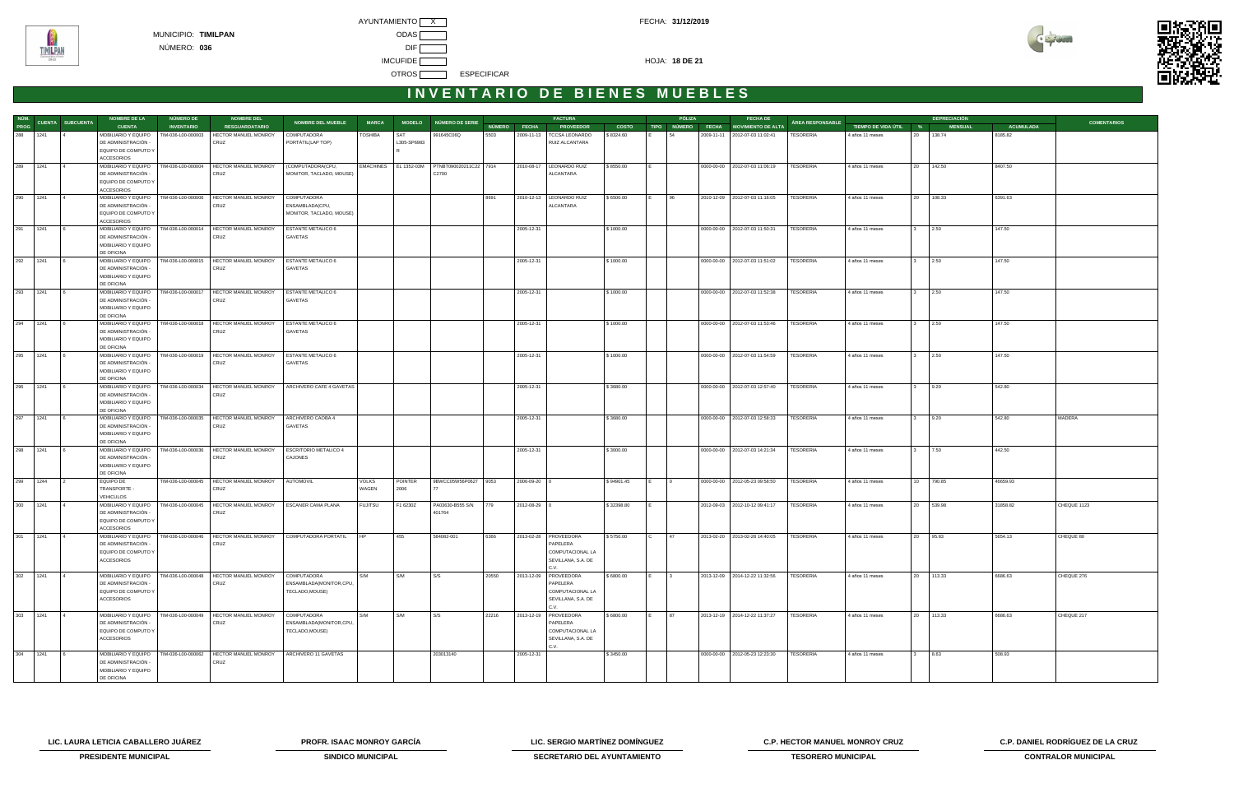



|             |                               | <b>NOMBRE DE LA</b>                        | <b>NÚMERO DE</b>   | <b>NOMBRE DEL</b>                                               |                                        |                       |             |                                              |       |                    | <b>FACTURA</b>              |              |                       | PÓLIZA | <b>FECHA DE</b>                      |                  |                       |                 | <b>DEPRECIACIÓN</b> |                  |                    |
|-------------|-------------------------------|--------------------------------------------|--------------------|-----------------------------------------------------------------|----------------------------------------|-----------------------|-------------|----------------------------------------------|-------|--------------------|-----------------------------|--------------|-----------------------|--------|--------------------------------------|------------------|-----------------------|-----------------|---------------------|------------------|--------------------|
|             | NÚM.<br>PROG CUENTA SUBCUENTA | <b>CUENTA</b>                              | <b>INVENTARIO</b>  | <b>RESGUARDATARIO</b>                                           | <b>NOMBRE DEL MUEBLE</b>               | <b>MARCA</b>          |             | MODELO NÚMERO DE SERIE                       |       | NÚMERO FECHA       | <b>PROVEEDOR</b>            | <b>COSTO</b> |                       |        | TIPO NÚMERO FECHA MOVIMIENTO DE ALTA | ÁREA RESPONSABLE | TIEMPO DE VIDA ÚTIL % |                 | <b>MENSUAL</b>      | <b>ACUMULADA</b> | <b>COMENTARIOS</b> |
| 288 1241    |                               | MOBILIARIO Y EQUIPO                        | TIM-036-L00-000003 | HECTOR MANUEL MONROY                                            | COMPUTADORA                            | TOSHIBA               | SAT         | 991645C06Q                                   | 5503  |                    | 2009-11-13   TCCSA LEONARDO | \$8324.60    | 154                   |        | 2009-11-11 2012-07-03 11:02:41       | TESORERIA        | 4 años 11 meses       |                 | 20 138.74           | 8185.82          |                    |
|             |                               | DE ADMINISTRACIÓN -                        |                    | CRUZ                                                            | PORTÁTIL(LAP TOP)                      |                       | L305-SP6983 |                                              |       |                    | RUIZ ALCANTARA              |              |                       |        |                                      |                  |                       |                 |                     |                  |                    |
|             |                               | EQUIPO DE COMPUTO Y                        |                    |                                                                 |                                        |                       |             |                                              |       |                    |                             |              |                       |        |                                      |                  |                       |                 |                     |                  |                    |
|             |                               | <b>ACCESORIOS</b>                          |                    |                                                                 |                                        |                       |             |                                              |       |                    |                             |              |                       |        |                                      |                  |                       |                 |                     |                  |                    |
| 289 1241    |                               | MOBILIARIO Y EQUIPO                        |                    | TIM-036-L00-000004 HECTOR MANUEL MONROY                         | (COMPUTADORA(CPU,                      |                       |             | EMACHINES EL 1352-03M PTNBT090020211C22 7914 |       |                    | 2010-08-17   LEONARDO RUIZ  | \$8550.00    |                       |        | 0000-00-00   2012-07-03 11:06:19     | <b>TESORERIA</b> | 4 años 11 meses       | 20              | 142.50              | 8407.50          |                    |
|             |                               | DE ADMINISTRACIÓN -                        |                    | CRUZ                                                            | MONITOR, TACLADO, MOUSE)               |                       |             | C2700                                        |       |                    | ALCANTARA                   |              |                       |        |                                      |                  |                       |                 |                     |                  |                    |
|             |                               | EQUIPO DE COMPUTO Y                        |                    |                                                                 |                                        |                       |             |                                              |       |                    |                             |              |                       |        |                                      |                  |                       |                 |                     |                  |                    |
|             |                               | ACCESORIOS                                 |                    |                                                                 |                                        |                       |             |                                              |       |                    |                             |              |                       |        |                                      |                  |                       |                 |                     |                  |                    |
| 290 1241    |                               | MOBILIARIO Y EQUIPO                        | TIM-036-L00-000006 | HECTOR MANUEL MONROY                                            | COMPUTADORA                            |                       |             |                                              | 8691  |                    | 2010-12-13   LEONARDO RUIZ  | \$6500.00    | 96<br>IE.             |        | 2010-12-09 2012-07-03 11:16:05       | <b>TESORERIA</b> | 4 años 11 meses       |                 | 20 108.33           | 6391.63          |                    |
|             |                               | DE ADMINISTRACIÓN -                        |                    | CRUZ                                                            | ENSAMBLADA(CPU,                        |                       |             |                                              |       |                    | ALCANTARA                   |              |                       |        |                                      |                  |                       |                 |                     |                  |                    |
|             |                               | EQUIPO DE COMPUTO Y                        |                    |                                                                 | MONITOR, TACLADO, MOUSE)               |                       |             |                                              |       |                    |                             |              |                       |        |                                      |                  |                       |                 |                     |                  |                    |
|             |                               | <b>ACCESORIOS</b>                          |                    |                                                                 |                                        |                       |             |                                              |       |                    |                             |              |                       |        |                                      |                  |                       |                 |                     |                  |                    |
| 291 1241    |                               | MOBILIARIO Y EQUIPO                        | TIM-036-L00-000014 | HECTOR MANUEL MONROY                                            | <b>ESTANTE METALICO 6</b>              |                       |             |                                              |       | 2005-12-31         |                             | \$1000.00    |                       |        | 0000-00-00 2012-07-03 11:50:31       | <b>TESORERIA</b> | 4 años 11 meses       | $3^{\circ}$     | 2.50                | 147.50           |                    |
|             |                               | DE ADMINISTRACIÓN -                        |                    | CRUZ                                                            | GAVETAS                                |                       |             |                                              |       |                    |                             |              |                       |        |                                      |                  |                       |                 |                     |                  |                    |
|             |                               | MOBILIARIO Y EQUIPO                        |                    |                                                                 |                                        |                       |             |                                              |       |                    |                             |              |                       |        |                                      |                  |                       |                 |                     |                  |                    |
|             |                               | DE OFICINA                                 |                    |                                                                 |                                        |                       |             |                                              |       |                    |                             |              |                       |        |                                      |                  |                       |                 |                     |                  |                    |
| 292 1241    |                               | MOBILIARIO Y EQUIPO                        |                    | TIM-036-L00-000015   HECTOR MANUEL MONROY                       | <b>ESTANTE METALICO 6</b>              |                       |             |                                              |       | 2005-12-31         |                             | \$1000.00    |                       |        | 0000-00-00   2012-07-03 11:51:02     | <b>TESORERIA</b> | 4 años 11 meses       |                 | 2.50                | 147.50           |                    |
|             |                               | DE ADMINISTRACIÓN -<br>MOBILIARIO Y EQUIPO |                    | CRUZ                                                            | GAVETAS                                |                       |             |                                              |       |                    |                             |              |                       |        |                                      |                  |                       |                 |                     |                  |                    |
|             |                               | DE OFICINA                                 |                    |                                                                 |                                        |                       |             |                                              |       |                    |                             |              |                       |        |                                      |                  |                       |                 |                     |                  |                    |
| 293 1241    |                               | MOBILIARIO Y EQUIPO                        | TIM-036-L00-000017 | HECTOR MANUEL MONROY                                            | ESTANTE METALICO 6                     |                       |             |                                              |       | 2005-12-31         |                             | \$1000.00    |                       |        | 0000-00-00   2012-07-03 11:52:38     | <b>TESORERIA</b> | 4 años 11 meses       | $\mathbf{3}$    | 2.50                | 147.50           |                    |
|             |                               | DE ADMINISTRACIÓN -                        |                    | CRUZ                                                            | GAVETAS                                |                       |             |                                              |       |                    |                             |              |                       |        |                                      |                  |                       |                 |                     |                  |                    |
|             |                               | MOBILIARIO Y EQUIPO                        |                    |                                                                 |                                        |                       |             |                                              |       |                    |                             |              |                       |        |                                      |                  |                       |                 |                     |                  |                    |
|             |                               | DE OFICINA                                 |                    |                                                                 |                                        |                       |             |                                              |       |                    |                             |              |                       |        |                                      |                  |                       |                 |                     |                  |                    |
| 294 1241    |                               | MOBILIARIO Y EQUIPO                        | TIM-036-L00-000018 | HECTOR MANUEL MONROY                                            | <b>ESTANTE METALICO 6</b>              |                       |             |                                              |       | 2005-12-31         |                             | \$1000.00    |                       |        | 0000-00-00 2012-07-03 11:53:46       | <b>TESORERIA</b> | 4 años 11 meses       | $3^{\circ}$     | 2.50                | 147.50           |                    |
|             |                               | DE ADMINISTRACIÓN -                        |                    | CRUZ                                                            | GAVETAS                                |                       |             |                                              |       |                    |                             |              |                       |        |                                      |                  |                       |                 |                     |                  |                    |
|             |                               | MOBILIARIO Y EQUIPO                        |                    |                                                                 |                                        |                       |             |                                              |       |                    |                             |              |                       |        |                                      |                  |                       |                 |                     |                  |                    |
|             |                               | DE OFICINA                                 |                    |                                                                 |                                        |                       |             |                                              |       |                    |                             |              |                       |        |                                      |                  |                       |                 |                     |                  |                    |
| 295 1241    |                               | MOBILIARIO Y EQUIPO                        |                    | TIM-036-L00-000019   HECTOR MANUEL MONROY                       | <b>ESTANTE METALICO 6</b>              |                       |             |                                              |       | 2005-12-31         |                             | \$1000.00    |                       |        | 0000-00-00 2012-07-03 11:54:59       | <b>TESORERIA</b> | 4 años 11 meses       | 3               | 2.50                | 147.50           |                    |
|             |                               | DE ADMINISTRACIÓN                          |                    | CRUZ                                                            | GAVETAS                                |                       |             |                                              |       |                    |                             |              |                       |        |                                      |                  |                       |                 |                     |                  |                    |
|             |                               | MOBILIARIO Y EQUIPO                        |                    |                                                                 |                                        |                       |             |                                              |       |                    |                             |              |                       |        |                                      |                  |                       |                 |                     |                  |                    |
|             |                               | DE OFICINA                                 |                    |                                                                 |                                        |                       |             |                                              |       |                    |                             |              |                       |        |                                      |                  |                       |                 |                     |                  |                    |
| 296 1241    |                               | MOBILIARIO Y EQUIPO                        | TIM-036-L00-000034 | HECTOR MANUEL MONROY                                            | ARCHIVERO CAFE 4 GAVETAS               |                       |             |                                              |       | 2005-12-31         |                             | \$3680.00    |                       |        | 0000-00-00 2012-07-03 12:57:40       | <b>TESORERIA</b> | 4 años 11 meses       |                 | 9.20                | 542.80           |                    |
|             |                               | DE ADMINISTRACIÓN -                        |                    | CRUZ                                                            |                                        |                       |             |                                              |       |                    |                             |              |                       |        |                                      |                  |                       |                 |                     |                  |                    |
|             |                               | MOBILIARIO Y EQUIPO<br>DE OFICINA          |                    |                                                                 |                                        |                       |             |                                              |       |                    |                             |              |                       |        |                                      |                  |                       |                 |                     |                  |                    |
| 297 1241    |                               | MOBILIARIO Y EQUIPO                        | TIM-036-L00-000035 | HECTOR MANUEL MONROY                                            | ARCHIVERO CAOBA 4                      |                       |             |                                              |       | 2005-12-31         |                             | \$3680.00    |                       |        | 0000-00-00 2012-07-03 12:58:33       | <b>TESORERIA</b> | 4 años 11 meses       | $3^{\circ}$     | 9.20                | 542.80           | MADERA             |
|             |                               | DE ADMINISTRACIÓN -                        |                    | CRUZ                                                            | GAVETAS                                |                       |             |                                              |       |                    |                             |              |                       |        |                                      |                  |                       |                 |                     |                  |                    |
|             |                               | MOBILIARIO Y EQUIPO                        |                    |                                                                 |                                        |                       |             |                                              |       |                    |                             |              |                       |        |                                      |                  |                       |                 |                     |                  |                    |
|             |                               | DE OFICINA                                 |                    |                                                                 |                                        |                       |             |                                              |       |                    |                             |              |                       |        |                                      |                  |                       |                 |                     |                  |                    |
| 298 1241    |                               | MOBILIARIO Y EQUIPO                        |                    | TIM-036-L00-000036   HECTOR MANUEL MONROY                       | ESCRITORIO METALICO 4                  |                       |             |                                              |       | 2005-12-31         |                             | \$3000.00    |                       |        | 0000-00-00 2012-07-03 14:21:34       | <b>TESORERIA</b> | 4 años 11 meses       |                 | 7.50                | 442.50           |                    |
|             |                               | DE ADMINISTRACIÓN -                        |                    | CRUZ                                                            | CAJONES                                |                       |             |                                              |       |                    |                             |              |                       |        |                                      |                  |                       |                 |                     |                  |                    |
|             |                               | MOBILIARIO Y EQUIPO                        |                    |                                                                 |                                        |                       |             |                                              |       |                    |                             |              |                       |        |                                      |                  |                       |                 |                     |                  |                    |
|             |                               | DE OFICINA                                 |                    |                                                                 |                                        |                       |             |                                              |       |                    |                             |              |                       |        |                                      |                  |                       |                 |                     |                  |                    |
| 299 1244    |                               | <b>EQUIPO DE</b><br>TRANSPORTE -           |                    | TIM-036-L00-000045   HECTOR MANUEL MONROY                       | <b>AUTOMOVIL</b>                       | <b>VOLKS</b><br>WAGEN | POINTER     | 9BWCC05W56P0627 9053                         |       | $2006 - 09 - 20$ 0 |                             | \$94901.45   | $\overline{0}$<br>LE. |        | 0000-00-00   2012-05-23 09:58:50     | <b>TESORERIA</b> | 4 años 11 meses       |                 | 10 790.85           | 46659.93         |                    |
|             |                               | <b>VEHICULOS</b>                           |                    | CRUZ                                                            |                                        |                       | 2006        |                                              |       |                    |                             |              |                       |        |                                      |                  |                       |                 |                     |                  |                    |
| 300 1241    |                               | MOBILIARIO Y EQUIPO                        |                    | TIM-036-L00-000045 HECTOR MANUEL MONROY                         | ESCANER CAMA PLANA                     | <b>FUJITSU</b>        | F1 6230Z    | PA03630-B555 S/N                             | 779   | 2012-08-29 0       |                             | \$32398.80   |                       |        | 2012-09-03 2012-10-12 09:41:17       | <b>TESORERIA</b> | 4 años 11 meses       | 20              | 539.98              | 31858.82         | CHEQUE 1123        |
|             |                               | DE ADMINISTRACIÓN -                        |                    | CRUZ                                                            |                                        |                       |             | 401764                                       |       |                    |                             |              |                       |        |                                      |                  |                       |                 |                     |                  |                    |
|             |                               | EQUIPO DE COMPUTO Y                        |                    |                                                                 |                                        |                       |             |                                              |       |                    |                             |              |                       |        |                                      |                  |                       |                 |                     |                  |                    |
|             |                               | ACCESORIOS                                 |                    |                                                                 |                                        |                       |             |                                              |       |                    |                             |              |                       |        |                                      |                  |                       |                 |                     |                  |                    |
| 301<br>1241 |                               | MOBILIARIO Y EQUIPO                        | TIM-036-L00-000046 | HECTOR MANUEL MONROY                                            | COMPUTADORA PORTATIL                   |                       | 455         | 584082-001                                   | 6366  |                    | 2013-02-28 PROVEEDORA       | \$5750.00    | LC.<br>47             |        | 2013-02-20 2013-02-28 14:40:05       | <b>TESORERIA</b> | 4 años 11 meses       | 20              | 95.83               | 5654.13          | CHEQUE 80          |
|             |                               | DE ADMINISTRACIÓN -                        |                    | CRUZ                                                            |                                        |                       |             |                                              |       |                    | PAPELERA                    |              |                       |        |                                      |                  |                       |                 |                     |                  |                    |
|             |                               | EQUIPO DE COMPUTO Y                        |                    |                                                                 |                                        |                       |             |                                              |       |                    | COMPUTACIONAL LA            |              |                       |        |                                      |                  |                       |                 |                     |                  |                    |
|             |                               | ACCESORIOS                                 |                    |                                                                 |                                        |                       |             |                                              |       |                    | SEVILLANA, S.A. DE          |              |                       |        |                                      |                  |                       |                 |                     |                  |                    |
|             |                               |                                            |                    |                                                                 |                                        |                       |             |                                              |       |                    | C.V.                        |              |                       |        |                                      |                  |                       |                 |                     |                  |                    |
| 302<br>1241 |                               | MOBILIARIO Y EQUIPO<br>DE ADMINISTRACIÓN - |                    | TIM-036-L00-000048   HECTOR MANUEL MONROY<br>CRUZ               | COMPUTADORA<br>ENSAMBLADA(MONITOR,CPU, | S/M                   | S/M         | S/S                                          | 20550 | 2013-12-09         | PROVEEDORA<br>PAPELERA      | \$6800.00    | $\mathsf{L}$ 3        |        | 2013-12-09 2014-12-22 11:32:56       | <b>TESORERIA</b> | 4 años 11 meses       | 20              | 113.33              | 6686.63          | CHEQUE 276         |
|             |                               | EQUIPO DE COMPUTO Y                        |                    |                                                                 | TECLADO, MOUSE)                        |                       |             |                                              |       |                    | COMPUTACIONAL LA            |              |                       |        |                                      |                  |                       |                 |                     |                  |                    |
|             |                               | <b>ACCESORIOS</b>                          |                    |                                                                 |                                        |                       |             |                                              |       |                    | SEVILLANA, S.A. DE          |              |                       |        |                                      |                  |                       |                 |                     |                  |                    |
|             |                               |                                            |                    |                                                                 |                                        |                       |             |                                              |       |                    | C.V.                        |              |                       |        |                                      |                  |                       |                 |                     |                  |                    |
| 303<br>1241 |                               | MOBILIARIO Y EQUIPO                        | TIM-036-L00-000049 | HECTOR MANUEL MONROY                                            | COMPUTADORA                            | S/M                   | S/M         | S/S                                          | 22216 | 2013-12-19         | PROVEEDORA                  | \$6800.00    | 87                    |        | 2013-12-19 2014-12-22 11:37:27       | <b>TESORERIA</b> | 4 años 11 meses       | 20              | 113.33              | 6686.63          | CHEQUE 217         |
|             |                               | DE ADMINISTRACIÓN -                        |                    | CRUZ                                                            | ENSAMBLADA(MONITOR,CPU,                |                       |             |                                              |       |                    | PAPELERA                    |              |                       |        |                                      |                  |                       |                 |                     |                  |                    |
|             |                               | EQUIPO DE COMPUTO Y                        |                    |                                                                 | TECLADO, MOUSE)                        |                       |             |                                              |       |                    | COMPUTACIONAL LA            |              |                       |        |                                      |                  |                       |                 |                     |                  |                    |
|             |                               | <b>ACCESORIOS</b>                          |                    |                                                                 |                                        |                       |             |                                              |       |                    | SEVILLANA, S.A. DE          |              |                       |        |                                      |                  |                       |                 |                     |                  |                    |
|             |                               |                                            |                    |                                                                 |                                        |                       |             |                                              |       |                    | l C.V.                      |              |                       |        |                                      |                  |                       |                 |                     |                  |                    |
| 1241<br>304 |                               |                                            |                    | MOBILIARIO Y EQUIPO   TIM-036-L00-000062   HECTOR MANUEL MONROY | ARCHIVERO 11 GAVETAS                   |                       |             | 203013140                                    |       | 2005-12-31         |                             | \$3450.00    |                       |        | 0000-00-00 2012-05-23 12:23:30       | <b>TESORERIA</b> | 4 años 11 meses       | $\vert 3 \vert$ | 8.63                | 508.93           |                    |
|             |                               | DE ADMINISTRACIÓN -                        |                    | CRUZ                                                            |                                        |                       |             |                                              |       |                    |                             |              |                       |        |                                      |                  |                       |                 |                     |                  |                    |
|             |                               | MOBILIARIO Y EQUIPO                        |                    |                                                                 |                                        |                       |             |                                              |       |                    |                             |              |                       |        |                                      |                  |                       |                 |                     |                  |                    |
|             |                               | DE OFICINA                                 |                    |                                                                 |                                        |                       |             |                                              |       |                    |                             |              |                       |        |                                      |                  |                       |                 |                     |                  |                    |

**LIC. LAURA LETICIA CABALLERO JUÁREZ PROFR. ISAAC MONROY GARCÍA LIC. SERGIO MARTÍNEZ DOMÍNGUEZ C.P. HECTOR MANUEL MONROY CRUZ C.P. DANIEL RODRÍGUEZ DE LA CRUZ** 



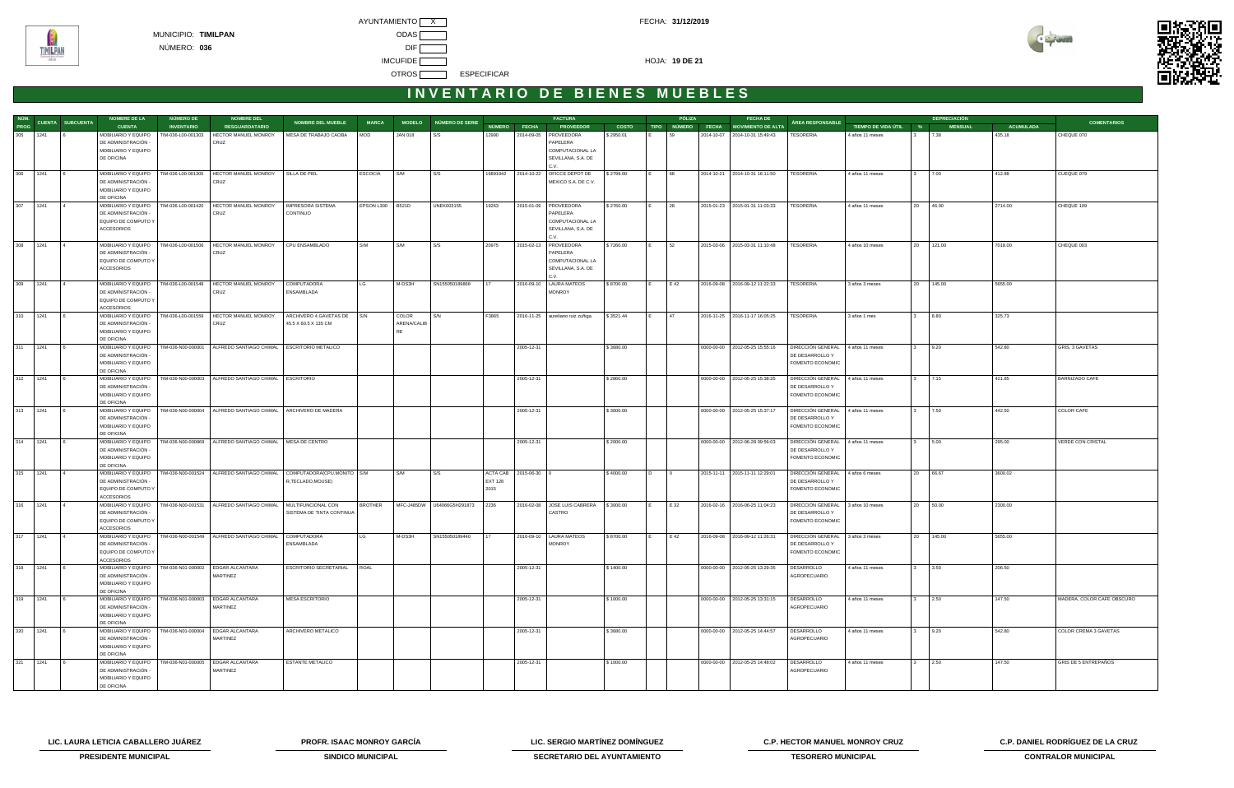





|          | NÚM. CUENTA SUBCUENTA | <b>NOMBRE DE LA</b>                                             | <b>NÚMERO DE</b>   | <b>NOMBRE DEL</b>                                                                       |                                                                             |                  |             |                                 |                |              | <b>FACTURA</b>                           |              |      | PÓLIZA | <b>FECHA DE</b>                      |                                                      |                       | <b>DEPRECIACIÓN</b>    |                  | <b>COMENTARIOS</b>         |
|----------|-----------------------|-----------------------------------------------------------------|--------------------|-----------------------------------------------------------------------------------------|-----------------------------------------------------------------------------|------------------|-------------|---------------------------------|----------------|--------------|------------------------------------------|--------------|------|--------|--------------------------------------|------------------------------------------------------|-----------------------|------------------------|------------------|----------------------------|
| PROG     |                       | <b>CUENTA</b>                                                   | <b>INVENTARIO</b>  | <b>RESGUARDATARIO</b>                                                                   | NOMBRE DEL MUEBLE                                                           | <b>MARCA</b>     |             | MODELO NÚMERO DE SERIE          | NÚMERO FECHA   |              | <b>PROVEEDOR</b>                         | <b>COSTO</b> |      |        | TIPO NÚMERO FECHA MOVIMIENTO DE ALTA | ÁREA RESPONSABLE                                     | TIEMPO DE VIDA ÚTIL % | <b>MENSUAL</b>         | <b>ACUMULADA</b> |                            |
| 305 1241 |                       | MOBILIARIO Y EQUIPO                                             | TIM-036-L00-001303 | HECTOR MANUEL MONROY                                                                    | MESA DE TRABAJO CAOBA                                                       | MOD              | JAN 018     | S/S                             | 12990          | 2014-09-05   | PROVEEDORA                               | \$2950.01    |      | 59     | 2014-10-07 2014-10-31 15:49:43       | <b>TESORERIA</b>                                     | 4 años 11 meses       | 7.38                   | 435.18           | CHEQUE 070                 |
|          |                       | DE ADMINISTRACIÓN -                                             |                    | CRUZ                                                                                    |                                                                             |                  |             |                                 |                |              | PAPELERA                                 |              |      |        |                                      |                                                      |                       |                        |                  |                            |
|          |                       | MOBILIARIO Y EQUIPO<br>DE OFICINA                               |                    |                                                                                         |                                                                             |                  |             |                                 |                |              | COMPUTACIONAL LA<br>SEVILLANA, S.A. DE   |              |      |        |                                      |                                                      |                       |                        |                  |                            |
|          |                       |                                                                 |                    |                                                                                         |                                                                             |                  |             |                                 |                |              |                                          |              |      |        |                                      |                                                      |                       |                        |                  |                            |
| 306 1241 |                       | MOBILIARIO Y EQUIPO                                             | TIM-036-L00-001305 | HECTOR MANUEL MONROY                                                                    | SILLA DE PIEL                                                               | <b>ESCOCIA</b>   | S/M         | S/S                             | 16891942       |              | 2014-10-22   OFICCE DEPOT DE             | \$2799.00    |      | 68     | 2014-10-21 2014-10-31 16:11:50       | <b>TESORERIA</b>                                     | 4 años 11 meses       | 7.00                   | 412.88           | CUEQUE 079                 |
|          |                       | DE ADMINISTRACIÓN -                                             |                    | CRUZ                                                                                    |                                                                             |                  |             |                                 |                |              | MEXICO S.A. DE C.V.                      |              |      |        |                                      |                                                      |                       |                        |                  |                            |
|          |                       | MOBILIARIO Y EQUIPO                                             |                    |                                                                                         |                                                                             |                  |             |                                 |                |              |                                          |              |      |        |                                      |                                                      |                       |                        |                  |                            |
|          |                       | DE OFICINA                                                      |                    |                                                                                         |                                                                             |                  |             |                                 |                |              |                                          |              |      |        |                                      |                                                      |                       |                        |                  |                            |
| 307 1241 |                       | MOBILIARIO Y EQUIPO                                             | TIM-036-L00-001420 | HECTOR MANUEL MONROY                                                                    | <b>IMPRESORA SISTEMA</b>                                                    | EPSON L300 B521D |             | <b>UNEK003155</b>               | 19263          |              | 2015-01-09 PROVEEDORA                    | \$2760.00    |      | 28     | 2015-01-23 2015-01-31 11:03:33       | TESORERIA                                            | 4 años 11 meses       | 20 46.00               | 2714.00          | CHEQUE 109                 |
|          |                       | DE ADMINISTRACIÓN -                                             |                    | CRUZ                                                                                    | CONTINUO                                                                    |                  |             |                                 |                |              | PAPELERA                                 |              |      |        |                                      |                                                      |                       |                        |                  |                            |
|          |                       | EQUIPO DE COMPUTO Y<br><b>ACCESORIOS</b>                        |                    |                                                                                         |                                                                             |                  |             |                                 |                |              | COMPUTACIONAL LA<br>SEVILLANA, S.A. DE   |              |      |        |                                      |                                                      |                       |                        |                  |                            |
|          |                       |                                                                 |                    |                                                                                         |                                                                             |                  |             |                                 |                |              | C.V.                                     |              |      |        |                                      |                                                      |                       |                        |                  |                            |
| 308 1241 |                       | MOBILIARIO Y EQUIPO                                             | TIM-036-L00-001506 | HECTOR MANUEL MONROY                                                                    | CPU ENSAMBLADO                                                              | S/M              | S/M         | S/S                             | 20975          |              | 2015-02-13   PROVEEDORA                  | \$7260.00    |      | 52     | 2015-03-06 2015-03-31 11:10:48       | <b>TESORERIA</b>                                     | 4 años 10 meses       | 20 121.00              | 7018.00          | CHEQUE 003                 |
|          |                       | DE ADMINISTRACIÓN -                                             |                    | CRUZ                                                                                    |                                                                             |                  |             |                                 |                |              | PAPELERA                                 |              |      |        |                                      |                                                      |                       |                        |                  |                            |
|          |                       | EQUIPO DE COMPUTO Y                                             |                    |                                                                                         |                                                                             |                  |             |                                 |                |              | COMPUTACIONAL LA                         |              |      |        |                                      |                                                      |                       |                        |                  |                            |
|          |                       | <b>ACCESORIOS</b>                                               |                    |                                                                                         |                                                                             |                  |             |                                 |                |              | SEVILLANA, S.A. DE                       |              |      |        |                                      |                                                      |                       |                        |                  |                            |
|          |                       |                                                                 |                    |                                                                                         |                                                                             |                  |             |                                 |                |              | C.V.                                     |              |      |        |                                      |                                                      |                       |                        |                  |                            |
| 309 1241 |                       | MOBILIARIO Y EQUIPO   TIM-036-L00-001548<br>DE ADMINISTRACIÓN - |                    | HECTOR MANUEL MONROY<br>CRUZ                                                            | <b>COMPUTADORA</b><br>ENSAMBLADA                                            | LG               | M-DS3H      | SN155050189868                  |                | 2016-09-10   | LAURA MATEOS<br><b>MONROY</b>            | \$8700.00    |      | E 42   | 2016-09-08 2016-09-12 11:22:33       | <b>TESORERIA</b>                                     | 3 años 3 meses        | 20 145.00              | 5655.00          |                            |
|          |                       | EQUIPO DE COMPUTO Y                                             |                    |                                                                                         |                                                                             |                  |             |                                 |                |              |                                          |              |      |        |                                      |                                                      |                       |                        |                  |                            |
|          |                       | <b>ACCESORIOS</b>                                               |                    |                                                                                         |                                                                             |                  |             |                                 |                |              |                                          |              |      |        |                                      |                                                      |                       |                        |                  |                            |
| 310 1241 |                       | MOBILIARIO Y EQUIPO   TIM-036-L00-001559                        |                    | HECTOR MANUEL MONROY                                                                    | ARCHIVERO 4 GAVETAS DE S/N                                                  |                  | COLOR       | S/N                             | F3865          |              | 2016-11-25 aureliano ruiz zuñiga         | \$3521.44    |      | 47     | 2016-11-25 2016-11-17 16:05:25       | <b>TESORERIA</b>                                     | 3 años 1 mes          | 8.80<br>$\mathbf{3}$   | 325.73           |                            |
|          |                       | DE ADMINISTRACIÓN -                                             |                    | CRUZ                                                                                    | 45.5 X 60.5 X 135 CM                                                        |                  | ARENA/CALIB |                                 |                |              |                                          |              |      |        |                                      |                                                      |                       |                        |                  |                            |
|          |                       | MOBILIARIO Y EQUIPO                                             |                    |                                                                                         |                                                                             |                  | <b>RF</b>   |                                 |                |              |                                          |              |      |        |                                      |                                                      |                       |                        |                  |                            |
|          |                       | DE OFICINA                                                      |                    |                                                                                         |                                                                             |                  |             |                                 |                |              |                                          |              |      |        |                                      |                                                      |                       |                        |                  |                            |
| 311 1241 |                       | MOBILIARIO Y EQUIPO   TIM-036-N00-000001<br>DE ADMINISTRACIÓN   |                    | ALFREDO SANTIAGO CHIMAL   ESCRITORIO METALICO                                           |                                                                             |                  |             |                                 |                | 2005-12-31   |                                          | \$3680.00    |      |        | 0000-00-00 2012-05-25 15:55:16       | DIRECCIÓN GENERAL 4 años 11 meses<br>DE DESARROLLO Y |                       | 9.20                   | 542.80           | GRIS, 3 GAVETAS            |
|          |                       | MOBILIARIO Y EQUIPO                                             |                    |                                                                                         |                                                                             |                  |             |                                 |                |              |                                          |              |      |        |                                      | FOMENTO ECONOMIC                                     |                       |                        |                  |                            |
|          |                       | DE OFICINA                                                      |                    |                                                                                         |                                                                             |                  |             |                                 |                |              |                                          |              |      |        |                                      |                                                      |                       |                        |                  |                            |
| 312 1241 |                       | MOBILIARIO Y EQUIPO                                             |                    | TIM-036-N00-000003   ALFREDO SANTIAGO CHIMAL   ESCRITORIO                               |                                                                             |                  |             |                                 |                | 2005-12-31   |                                          | \$2860.00    |      |        | 0000-00-00 2012-05-25 15:38:35       | DIRECCIÓN GENERAL                                    | 4 años 11 meses       | 7.15                   | 421.85           | BARNIZADO CAFE             |
|          |                       | DE ADMINISTRACIÓN                                               |                    |                                                                                         |                                                                             |                  |             |                                 |                |              |                                          |              |      |        |                                      | DE DESARROLLO Y                                      |                       |                        |                  |                            |
|          |                       | MOBILIARIO Y EQUIPO                                             |                    |                                                                                         |                                                                             |                  |             |                                 |                |              |                                          |              |      |        |                                      | FOMENTO ECONOMIC                                     |                       |                        |                  |                            |
| 313 1241 |                       | DE OFICINA<br>MOBILIARIO Y EQUIPO                               |                    | TIM-036-N00-000004 ALFREDO SANTIAGO CHIMAL ARCHIVERO DE MADERA                          |                                                                             |                  |             |                                 |                | 2005-12-31   |                                          | \$3000.00    |      |        | 0000-00-00 2012-05-25 15:37:17       | DIRECCIÓN GENERAL                                    | 4 años 11 meses       | 7.50                   | 442.50           | COLOR CAFE                 |
|          |                       | DE ADMINISTRACIÓN                                               |                    |                                                                                         |                                                                             |                  |             |                                 |                |              |                                          |              |      |        |                                      | DE DESARROLLO Y                                      |                       |                        |                  |                            |
|          |                       | MOBILIARIO Y EQUIPO                                             |                    |                                                                                         |                                                                             |                  |             |                                 |                |              |                                          |              |      |        |                                      | FOMENTO ECONOMIC                                     |                       |                        |                  |                            |
|          |                       | DE OFICINA                                                      |                    |                                                                                         |                                                                             |                  |             |                                 |                |              |                                          |              |      |        |                                      |                                                      |                       |                        |                  |                            |
| 314 1241 |                       | MOBILIARIO Y EQUIPO                                             |                    | TIM-036-N00-000869 ALFREDO SANTIAGO CHIMAL   MESA DE CENTRO                             |                                                                             |                  |             |                                 |                | 2005-12-31   |                                          | \$2000.00    |      |        | 0000-00-00   2012-06-28 09:56:03     | DIRECCIÓN GENERAL                                    | 4 años 11 meses       | 5.00                   | 295.00           | VERDE CON CRISTAL          |
|          |                       | DE ADMINISTRACIÓN                                               |                    |                                                                                         |                                                                             |                  |             |                                 |                |              |                                          |              |      |        |                                      | DE DESARROLLO Y                                      |                       |                        |                  |                            |
|          |                       | MOBILIARIO Y EQUIPO<br>DE OFICINA                               |                    |                                                                                         |                                                                             |                  |             |                                 |                |              |                                          |              |      |        |                                      | FOMENTO ECONOMIC                                     |                       |                        |                  |                            |
| 315 1241 |                       | MOBILIARIO Y EQUIPO                                             |                    |                                                                                         | TIM-036-N00-001524   ALFREDO SANTIAGO CHIMAL   COMPUTADORA(CPU,MONITO   S/M |                  | S/M         | S/S                             | ACTA CAB       | 2015-06-30 0 |                                          | \$4000.00    | I D. |        | 2015-11-11 2015-11-11 12:29:01       | DIRECCIÓN GENERAL                                    | 4 años 6 meses        | 20 66.67               | 3600.02          |                            |
|          |                       | DE ADMINISTRACIÓN -                                             |                    |                                                                                         | R,TECLADO,MOUSE)                                                            |                  |             |                                 | <b>EXT 128</b> |              |                                          |              |      |        |                                      | DE DESARROLLO Y                                      |                       |                        |                  |                            |
|          |                       | EQUIPO DE COMPUTO Y                                             |                    |                                                                                         |                                                                             |                  |             |                                 | 2015           |              |                                          |              |      |        |                                      | FOMENTO ECONOMIC                                     |                       |                        |                  |                            |
|          |                       | <b>ACCESORIOS</b>                                               |                    |                                                                                         |                                                                             |                  |             |                                 |                |              |                                          |              |      |        |                                      |                                                      |                       |                        |                  |                            |
|          | 316 1241              |                                                                 |                    | MOBILIARIO Y EQUIPO   TIM-036-N00-001531   ALFREDO SANTIAGO CHIMAL   MULTIFUNCIONAL CON |                                                                             | <b>BROTHER</b>   |             | MFC-J485DW U64066G5H291873 2236 |                |              | 2016-02-08 JOSE LUIS CABRERA   \$3000.00 |              | IE.  | E 32   | 2016-02-16 2016-06-25 11:04:23       | DIRECCIÓN GENERAL                                    | 3 años 10 meses       | 20 50.00               | 2300.00          |                            |
|          |                       | DE ADMINISTRACIÓN<br>EQUIPO DE COMPUTO Y                        |                    |                                                                                         | SISTEMA DE TINTA CONTINUA                                                   |                  |             |                                 |                |              | CASTRO                                   |              |      |        |                                      | DE DESARROLLO Y<br>FOMENTO ECONOMIC                  |                       |                        |                  |                            |
|          |                       | ACCESORIOS                                                      |                    |                                                                                         |                                                                             |                  |             |                                 |                |              |                                          |              |      |        |                                      |                                                      |                       |                        |                  |                            |
| 317 1241 |                       | MOBILIARIO Y EQUIPO   TIM-036-N00-001549                        |                    | ALFREDO SANTIAGO CHIMAL                                                                 | COMPUTADORA                                                                 | LG               | M-DS3H      | SN155050189440                  |                |              | 2016-09-10   LAURA MATEOS                | \$8700.00    |      | E 42   | 2016-09-08 2016-09-12 11:26:31       | DIRECCIÓN GENERAL 3 años 3 meses                     |                       | 145.00<br>20           | 5655.00          |                            |
|          |                       | DE ADMINISTRACIÓN -                                             |                    |                                                                                         | ENSAMBLADA                                                                  |                  |             |                                 |                |              | <b>MONROY</b>                            |              |      |        |                                      | DE DESARROLLO Y                                      |                       |                        |                  |                            |
|          |                       | EQUIPO DE COMPUTO Y                                             |                    |                                                                                         |                                                                             |                  |             |                                 |                |              |                                          |              |      |        |                                      | FOMENTO ECONOMIC                                     |                       |                        |                  |                            |
|          |                       | <b>ACCESORIOS</b>                                               |                    |                                                                                         |                                                                             |                  |             |                                 |                |              |                                          |              |      |        |                                      |                                                      |                       |                        |                  |                            |
| 318 1241 |                       | MOBILIARIO Y EQUIPO                                             | TIM-036-N01-000002 | EDGAR ALCANTARA                                                                         | ESCRITORIO SECRETARIAL                                                      | <b>ROAL</b>      |             |                                 |                | 2005-12-31   |                                          | \$1400.00    |      |        | 0000-00-00 2012-05-25 13:29:35       | DESARROLLO                                           | 4 años 11 meses       | 3.50                   | 206.50           |                            |
|          |                       | DE ADMINISTRACIÓN -<br>MOBILIARIO Y EQUIPO                      |                    | MARTINEZ                                                                                |                                                                             |                  |             |                                 |                |              |                                          |              |      |        |                                      | AGROPECUARIO                                         |                       |                        |                  |                            |
|          |                       | DE OFICINA                                                      |                    |                                                                                         |                                                                             |                  |             |                                 |                |              |                                          |              |      |        |                                      |                                                      |                       |                        |                  |                            |
| 319 1241 |                       | MOBILIARIO Y EQUIPO                                             | TIM-036-N01-000003 | <b>EDGAR ALCANTARA</b>                                                                  | <b>MESA ESCRITORIO</b>                                                      |                  |             |                                 |                | 2005-12-31   |                                          | \$1000.00    |      |        | 0000-00-00 2012-05-25 13:31:15       | DESARROLLO                                           | 4 años 11 meses       | 2.50<br>3 <sup>1</sup> | 147.50           | MADERA, COLOR CAFE OBSCURO |
|          |                       | DE ADMINISTRACIÓN -                                             |                    | MARTINEZ                                                                                |                                                                             |                  |             |                                 |                |              |                                          |              |      |        |                                      | AGROPECUARIO                                         |                       |                        |                  |                            |
|          |                       | MOBILIARIO Y EQUIPO                                             |                    |                                                                                         |                                                                             |                  |             |                                 |                |              |                                          |              |      |        |                                      |                                                      |                       |                        |                  |                            |
|          |                       | DE OFICINA                                                      |                    |                                                                                         |                                                                             |                  |             |                                 |                |              |                                          |              |      |        |                                      |                                                      |                       |                        |                  |                            |
| 320 1241 |                       | MOBILIARIO Y EQUIPO<br>DE ADMINISTRACIÓN                        | TIM-036-N01-000004 | EDGAR ALCANTARA<br>MARTINEZ                                                             | ARCHIVERO METALICO                                                          |                  |             |                                 |                | 2005-12-31   |                                          | \$3680.00    |      |        | 0000-00-00 2012-05-25 14:44:57       | DESARROLLO<br>AGROPECUARIO                           | 4 años 11 meses       | 9.20                   | 542.80           | COLOR CREMA 3 GAVETAS      |
|          |                       | MOBILIARIO Y EQUIPO                                             |                    |                                                                                         |                                                                             |                  |             |                                 |                |              |                                          |              |      |        |                                      |                                                      |                       |                        |                  |                            |
|          |                       | DE OFICINA                                                      |                    |                                                                                         |                                                                             |                  |             |                                 |                |              |                                          |              |      |        |                                      |                                                      |                       |                        |                  |                            |
| 321 1241 |                       | MOBILIARIO Y EQUIPO                                             | TIM-036-N01-000005 | EDGAR ALCANTARA                                                                         | ESTANTE METALICO                                                            |                  |             |                                 |                | 2005-12-31   |                                          | \$1000.00    |      |        | 0000-00-00   2012-05-25 14:48:02     | DESARROLLO                                           | 4 años 11 meses       | 2.50                   | 147.50           | GRIS DE 5 ENTREPAÑOS       |
|          |                       | DE ADMINISTRACIÓN -                                             |                    | MARTINEZ                                                                                |                                                                             |                  |             |                                 |                |              |                                          |              |      |        |                                      | AGROPECUARIO                                         |                       |                        |                  |                            |
|          |                       | MOBILIARIO Y EQUIPO                                             |                    |                                                                                         |                                                                             |                  |             |                                 |                |              |                                          |              |      |        |                                      |                                                      |                       |                        |                  |                            |
|          |                       | DE OFICINA                                                      |                    |                                                                                         |                                                                             |                  |             |                                 |                |              |                                          |              |      |        |                                      |                                                      |                       |                        |                  |                            |



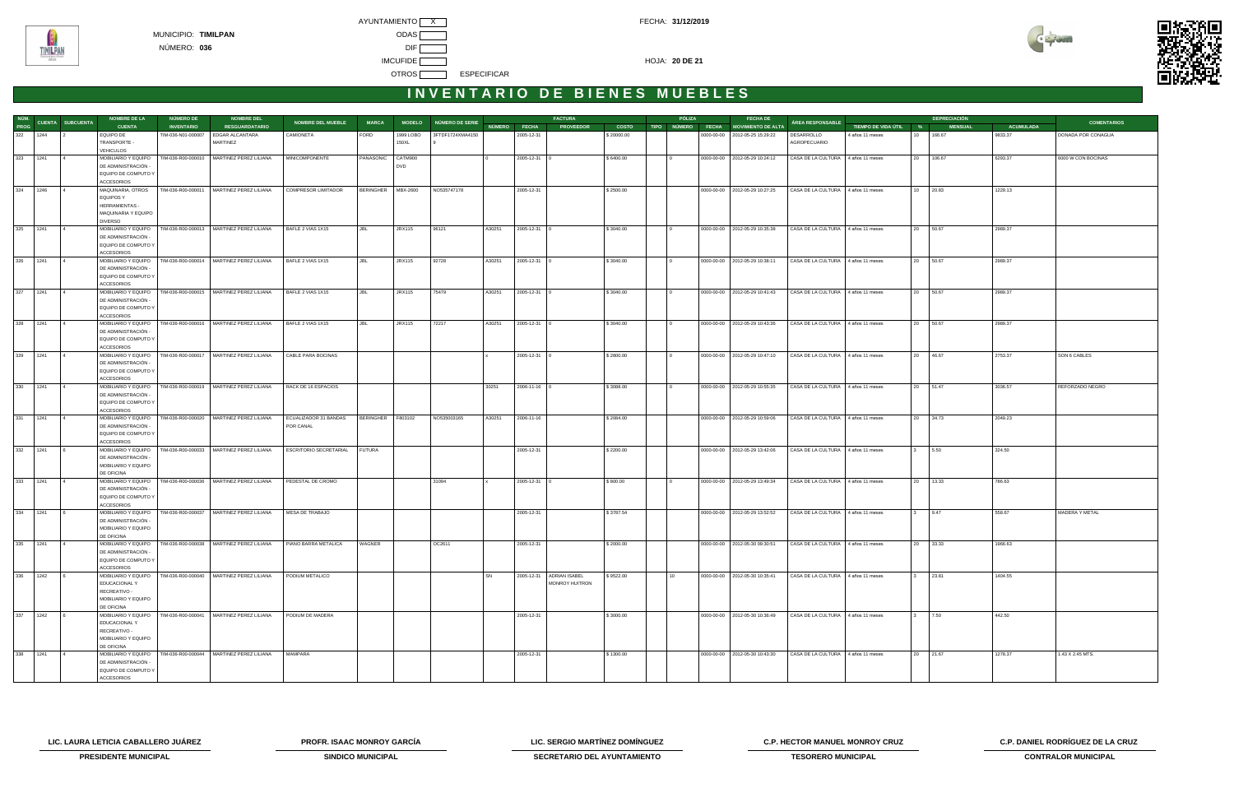



| NÚM.        |                  | <b>NOMBRE DE LA</b>                        | <b>NÚMERO DE</b>   | <b>NOMBRE DEL</b>                                                 |                            |                    |               |                        |        |                    | <b>FACTURA</b>                               |              | PÓLIZA | <b>FECHA DE</b>                      |                                    |                       |              | <b>DEPRECIACIÓN</b> |                  |                    |
|-------------|------------------|--------------------------------------------|--------------------|-------------------------------------------------------------------|----------------------------|--------------------|---------------|------------------------|--------|--------------------|----------------------------------------------|--------------|--------|--------------------------------------|------------------------------------|-----------------------|--------------|---------------------|------------------|--------------------|
| PROG        | CUENTA SUBCUENTA | <b>CUENTA</b>                              | <b>INVENTARIO</b>  | <b>RESGUARDATARIO</b>                                             | <b>NOMBRE DEL MUEBLE</b>   | <b>MARCA</b>       |               | MODELO NÚMERO DE SERIE |        | NÚMERO FECHA       | <b>PROVEEDOR</b>                             | <b>COSTO</b> |        | TIPO NÚMERO FECHA MOVIMIENTO DE ALTA | ÁREA RESPONSABLE                   | TIEMPO DE VIDA ÚTIL % |              | <b>MENSUAL</b>      | <b>ACUMULADA</b> | <b>COMENTARIOS</b> |
| 322 1244    |                  | EQUIPO DE                                  | TIM-036-N01-000007 | EDGAR ALCANTARA                                                   | CAMIONETA                  | FORD               | 1999 LOBO     | 3FTDF1724XMA4150       |        | 2005-12-31         |                                              | \$20000.00   |        | 0000-00-00 2012-05-25 15:29:22       | DESARROLLO                         | 4 años 11 meses       | 10           | 166.67              | 9833.37          | DONADA POR CONAGUA |
|             |                  | TRANSPORTE -                               |                    | MARTINEZ                                                          |                            |                    | 150XL         |                        |        |                    |                                              |              |        |                                      | AGROPECUARIO                       |                       |              |                     |                  |                    |
|             |                  | VEHICULOS                                  |                    |                                                                   |                            |                    |               |                        |        |                    |                                              |              |        |                                      |                                    |                       |              |                     |                  |                    |
| 323 1241    |                  | MOBILIARIO Y EQUIPO                        |                    | TIM-036-R00-000010   MARTINEZ PEREZ LILIANA                       | MINICOMPONENTE             | PANASONIC CATM900  |               |                        |        | 2005-12-31 0       |                                              | \$6400.00    |        | 0000-00-00 2012-05-29 10:24:12       | CASA DE LA CULTURA 4 años 11 meses |                       |              | 20 106.67           | 6293.37          | 6000 W CON BOCINAS |
|             |                  | DE ADMINISTRACIÓN -                        |                    |                                                                   |                            |                    | <b>DVD</b>    |                        |        |                    |                                              |              |        |                                      |                                    |                       |              |                     |                  |                    |
|             |                  | EQUIPO DE COMPUTO Y                        |                    |                                                                   |                            |                    |               |                        |        |                    |                                              |              |        |                                      |                                    |                       |              |                     |                  |                    |
| 1246<br>324 |                  | <b>ACCESORIOS</b><br>MAQUINARIA, OTROS     |                    | TIM-036-R00-000011   MARTINEZ PEREZ LILIANA                       | <b>COMPRESOR LIMITADOR</b> | BERINGHER MBX-2600 |               | NO535747178            |        | 2005-12-31         |                                              | \$2500.00    |        | 0000-00-00 2012-05-29 10:27:25       | CASA DE LA CULTURA 4 años 11 meses |                       | 10 20.83     |                     | 1229.13          |                    |
|             |                  | EQUIPOS Y                                  |                    |                                                                   |                            |                    |               |                        |        |                    |                                              |              |        |                                      |                                    |                       |              |                     |                  |                    |
|             |                  | <b>HERRAMIENTAS -</b>                      |                    |                                                                   |                            |                    |               |                        |        |                    |                                              |              |        |                                      |                                    |                       |              |                     |                  |                    |
|             |                  | MAQUINARIA Y EQUIPO                        |                    |                                                                   |                            |                    |               |                        |        |                    |                                              |              |        |                                      |                                    |                       |              |                     |                  |                    |
|             |                  | <b>DIVERSO</b>                             |                    |                                                                   |                            |                    |               |                        |        |                    |                                              |              |        |                                      |                                    |                       |              |                     |                  |                    |
| 325 1241    |                  | MOBILIARIO Y EQUIPO                        |                    | TIM-036-R00-000013   MARTINEZ PEREZ LILIANA                       | BAFLE 2 VIAS 1X15          | JBL                | <b>JRX115</b> | 96121                  | A30251 | $2005 - 12 - 31$ 0 |                                              | \$3040.00    | IΩ     | 0000-00-00   2012-05-29 10:35:38     | CASA DE LA CULTURA 4 años 11 meses |                       | 20 50.67     |                     | 2989.37          |                    |
|             |                  | DE ADMINISTRACIÓN -                        |                    |                                                                   |                            |                    |               |                        |        |                    |                                              |              |        |                                      |                                    |                       |              |                     |                  |                    |
|             |                  | EQUIPO DE COMPUTO Y                        |                    |                                                                   |                            |                    |               |                        |        |                    |                                              |              |        |                                      |                                    |                       |              |                     |                  |                    |
| 326 1241    |                  | <b>ACCESORIOS</b>                          |                    | MOBILIARIO Y EQUIPO   TIM-036-R00-000014   MARTINEZ PEREZ LILIANA | BAFLE 2 VIAS 1X15          |                    | <b>JRX115</b> |                        |        | $2005 - 12 - 31$ 0 |                                              |              |        | 0000-00-00 2012-05-29 10:38:11       |                                    |                       | 20 50.67     |                     |                  |                    |
|             |                  | DE ADMINISTRACIÓN -                        |                    |                                                                   |                            | JBL                |               | 92728                  | A30251 |                    |                                              | \$3040.00    |        |                                      | CASA DE LA CULTURA 4 años 11 meses |                       |              |                     | 2989.37          |                    |
|             |                  | EQUIPO DE COMPUTO Y                        |                    |                                                                   |                            |                    |               |                        |        |                    |                                              |              |        |                                      |                                    |                       |              |                     |                  |                    |
|             |                  | <b>ACCESORIOS</b>                          |                    |                                                                   |                            |                    |               |                        |        |                    |                                              |              |        |                                      |                                    |                       |              |                     |                  |                    |
| 327<br>1241 |                  | MOBILIARIO Y EQUIPO                        |                    | TIM-036-R00-000015   MARTINEZ PEREZ LILIANA                       | BAFLE 2 VIAS 1X15          |                    | <b>JRX115</b> | 75479                  | A30251 | 2005-12-31 0       |                                              | \$3040.00    |        | 0000-00-00 2012-05-29 10:41:43       | CASA DE LA CULTURA 4 años 11 meses |                       | 20 50.67     |                     | 2989.37          |                    |
|             |                  | DE ADMINISTRACIÓN -                        |                    |                                                                   |                            |                    |               |                        |        |                    |                                              |              |        |                                      |                                    |                       |              |                     |                  |                    |
|             |                  | EQUIPO DE COMPUTO Y                        |                    |                                                                   |                            |                    |               |                        |        |                    |                                              |              |        |                                      |                                    |                       |              |                     |                  |                    |
|             |                  | <b>ACCESORIOS</b>                          |                    |                                                                   |                            |                    |               |                        |        |                    |                                              |              |        |                                      |                                    |                       |              |                     |                  |                    |
| 328<br>1241 |                  | MOBILIARIO Y EQUIPO<br>DE ADMINISTRACIÓN - |                    | TIM-036-R00-000016   MARTINEZ PEREZ LILIANA                       | BAFLE 2 VIAS 1X15          | JBL.               | <b>JRX115</b> | 72217                  | A30251 | 2005-12-31 0       |                                              | \$3040.00    |        | 0000-00-00 2012-05-29 10:43:36       | CASA DE LA CULTURA 4 años 11 meses |                       | 20 50.67     |                     | 2989.37          |                    |
|             |                  | EQUIPO DE COMPUTO Y                        |                    |                                                                   |                            |                    |               |                        |        |                    |                                              |              |        |                                      |                                    |                       |              |                     |                  |                    |
|             |                  | ACCESORIOS                                 |                    |                                                                   |                            |                    |               |                        |        |                    |                                              |              |        |                                      |                                    |                       |              |                     |                  |                    |
| 329 1241    |                  |                                            |                    | MOBILIARIO Y EQUIPO   TIM-036-R00-000017   MARTINEZ PEREZ LILIANA | CABLE PARA BOCINAS         |                    |               |                        |        | 2005-12-31 0       |                                              | \$2800.00    |        | 0000-00-00   2012-05-29 10:47:10     | CASA DE LA CULTURA 4 años 11 meses |                       | 20 46.67     |                     | 2753.37          | SON 6 CABLES       |
|             |                  | DE ADMINISTRACIÓN -                        |                    |                                                                   |                            |                    |               |                        |        |                    |                                              |              |        |                                      |                                    |                       |              |                     |                  |                    |
|             |                  | EQUIPO DE COMPUTO Y                        |                    |                                                                   |                            |                    |               |                        |        |                    |                                              |              |        |                                      |                                    |                       |              |                     |                  |                    |
|             |                  | <b>ACCESORIOS</b>                          |                    |                                                                   |                            |                    |               |                        |        |                    |                                              |              |        |                                      |                                    |                       |              |                     |                  |                    |
| 330<br>1241 |                  | MOBILIARIO Y EQUIPO<br>DE ADMINISTRACIÓN - |                    | TIM-036-R00-000019   MARTINEZ PEREZ LILIANA                       | RACK DE 16 ESPACIOS        |                    |               |                        | 30251  | 2006-11-16 0       |                                              | \$3088.00    |        | 0000-00-00 2012-05-29 10:55:35       | CASA DE LA CULTURA 4 años 11 meses |                       |              | 20 51.47            | 3036.57          | REFORZADO NEGRO    |
|             |                  | EQUIPO DE COMPUTO Y                        |                    |                                                                   |                            |                    |               |                        |        |                    |                                              |              |        |                                      |                                    |                       |              |                     |                  |                    |
|             |                  | ACCESORIOS                                 |                    |                                                                   |                            |                    |               |                        |        |                    |                                              |              |        |                                      |                                    |                       |              |                     |                  |                    |
| 331 1241    |                  | MOBILIARIO Y EQUIPO                        |                    | TIM-036-R00-000020   MARTINEZ PEREZ LILIANA                       | ECUALIZADOR 31 BANDAS      | BERINGHER F803102  |               | NO535003165            | A30251 | 2006-11-16         |                                              | \$2084.00    |        | 0000-00-00   2012-05-29 10:59:06     | CASA DE LA CULTURA 4 años 11 meses |                       | 20 34.73     |                     | 2049.23          |                    |
|             |                  | DE ADMINISTRACIÓN -                        |                    |                                                                   | POR CANAL                  |                    |               |                        |        |                    |                                              |              |        |                                      |                                    |                       |              |                     |                  |                    |
|             |                  | EQUIPO DE COMPUTO Y                        |                    |                                                                   |                            |                    |               |                        |        |                    |                                              |              |        |                                      |                                    |                       |              |                     |                  |                    |
|             |                  | ACCESORIOS                                 |                    |                                                                   |                            |                    |               |                        |        |                    |                                              |              |        |                                      |                                    |                       |              |                     |                  |                    |
| 332 1241    |                  | MOBILIARIO Y EQUIPO<br>DE ADMINISTRACIÓN - |                    | TIM-036-R00-000033   MARTINEZ PEREZ LILIANA                       | ESCRITORIO SECRETARIAL     | <b>FUTURA</b>      |               |                        |        | 2005-12-31         |                                              | \$2200.00    |        | 0000-00-00 2012-05-29 13:42:06       | CASA DE LA CULTURA 4 años 11 meses |                       | $\mathbf{3}$ | 5.50                | 324.50           |                    |
|             |                  | MOBILIARIO Y EQUIPO                        |                    |                                                                   |                            |                    |               |                        |        |                    |                                              |              |        |                                      |                                    |                       |              |                     |                  |                    |
|             |                  | DE OFICINA                                 |                    |                                                                   |                            |                    |               |                        |        |                    |                                              |              |        |                                      |                                    |                       |              |                     |                  |                    |
| 333 1241    |                  | MOBILIARIO Y EQUIPO                        |                    | TIM-036-R00-000036 MARTINEZ PEREZ LILIANA                         | PEDESTAL DE CROMO          |                    |               | 31094                  |        | 2005-12-31 0       |                                              | \$800.00     |        | 0000-00-00 2012-05-29 13:49:34       | CASA DE LA CULTURA 4 años 11 meses |                       | 20 13.33     |                     | 786.63           |                    |
|             |                  | DE ADMINISTRACIÓN -                        |                    |                                                                   |                            |                    |               |                        |        |                    |                                              |              |        |                                      |                                    |                       |              |                     |                  |                    |
|             |                  | EQUIPO DE COMPUTO Y                        |                    |                                                                   |                            |                    |               |                        |        |                    |                                              |              |        |                                      |                                    |                       |              |                     |                  |                    |
|             |                  | <b>ACCESORIOS</b>                          |                    |                                                                   |                            |                    |               |                        |        |                    |                                              |              |        |                                      |                                    |                       |              |                     |                  |                    |
| 334 1241    |                  | MOBILIARIO Y EQUIPO<br>DE ADMINISTRACIÓN - |                    | TIM-036-R00-000037   MARTINEZ PEREZ LILIANA                       | MESA DE TRABAJO            |                    |               |                        |        | 2005-12-31         |                                              | \$3787.54    |        | 0000-00-00   2012-05-29 13:52:52     | CASA DE LA CULTURA 4 años 11 meses |                       |              | 9.47                | 558.67           | MADERA Y METAL     |
|             |                  | MOBILIARIO Y EQUIPO                        |                    |                                                                   |                            |                    |               |                        |        |                    |                                              |              |        |                                      |                                    |                       |              |                     |                  |                    |
|             |                  | DE OFICINA                                 |                    |                                                                   |                            |                    |               |                        |        |                    |                                              |              |        |                                      |                                    |                       |              |                     |                  |                    |
| 335 1241    |                  |                                            |                    | MOBILIARIO Y EQUIPO   TIM-036-R00-000038   MARTINEZ PEREZ LILIANA | PIANO BARRA METALICA       | WAGNER             |               | OC2611                 |        | 2005-12-31         |                                              | \$2000.00    |        | 0000-00-00 2012-05-30 09:30:51       | CASA DE LA CULTURA 4 años 11 meses |                       |              | 20 33.33            | 1966.63          |                    |
|             |                  | DE ADMINISTRACIÓN -                        |                    |                                                                   |                            |                    |               |                        |        |                    |                                              |              |        |                                      |                                    |                       |              |                     |                  |                    |
|             |                  | EQUIPO DE COMPUTO Y                        |                    |                                                                   |                            |                    |               |                        |        |                    |                                              |              |        |                                      |                                    |                       |              |                     |                  |                    |
|             |                  | ACCESORIOS                                 |                    |                                                                   |                            |                    |               |                        |        |                    |                                              |              |        |                                      |                                    |                       |              |                     |                  |                    |
| 336<br>1242 |                  | MOBILIARIO Y EQUIPO                        |                    | TIM-036-R00-000040 MARTINEZ PEREZ LILIANA                         | PODIUM METALICO            |                    |               |                        | SN     |                    | 2005-12-31   ADRIAN ISABEL<br>MONROY HUITRON | \$9522.00    | 10     | 0000-00-00 2012-05-30 10:35:41       | CASA DE LA CULTURA 4 años 11 meses |                       |              | 23.81               | 1404.55          |                    |
|             |                  | EDUCACIONAL Y<br>RECREATIVO -              |                    |                                                                   |                            |                    |               |                        |        |                    |                                              |              |        |                                      |                                    |                       |              |                     |                  |                    |
|             |                  | MOBILIARIO Y EQUIPO                        |                    |                                                                   |                            |                    |               |                        |        |                    |                                              |              |        |                                      |                                    |                       |              |                     |                  |                    |
|             |                  | DE OFICINA                                 |                    |                                                                   |                            |                    |               |                        |        |                    |                                              |              |        |                                      |                                    |                       |              |                     |                  |                    |
| 337<br>1242 |                  | MOBILIARIO Y EQUIPO                        |                    | TIM-036-R00-000041 MARTINEZ PEREZ LILIANA                         | PODIUM DE MADERA           |                    |               |                        |        | 2005-12-31         |                                              | \$3000.00    |        | 0000-00-00   2012-05-30 10:36:49     | CASA DE LA CULTURA 4 años 11 meses |                       |              | 7.50                | 442.50           |                    |
|             |                  | EDUCACIONAL Y                              |                    |                                                                   |                            |                    |               |                        |        |                    |                                              |              |        |                                      |                                    |                       |              |                     |                  |                    |
|             |                  | RECREATIVO -                               |                    |                                                                   |                            |                    |               |                        |        |                    |                                              |              |        |                                      |                                    |                       |              |                     |                  |                    |
|             |                  | MOBILIARIO Y EQUIPO                        |                    |                                                                   |                            |                    |               |                        |        |                    |                                              |              |        |                                      |                                    |                       |              |                     |                  |                    |
| 338<br>1241 |                  | DE OFICINA                                 |                    | MOBILIARIO Y EQUIPO   TIM-036-R00-000044   MARTINEZ PEREZ LILIANA | MAMPARA                    |                    |               |                        |        | 2005-12-31         |                                              | \$1300.00    |        | 0000-00-00   2012-05-30 10:43:30     | CASA DE LA CULTURA 4 años 11 meses |                       |              | 20 21.67            | 1278.37          | 1.43 X 2.45 MTS.   |
|             |                  | DE ADMINISTRACIÓN -                        |                    |                                                                   |                            |                    |               |                        |        |                    |                                              |              |        |                                      |                                    |                       |              |                     |                  |                    |
|             |                  | EQUIPO DE COMPUTO Y                        |                    |                                                                   |                            |                    |               |                        |        |                    |                                              |              |        |                                      |                                    |                       |              |                     |                  |                    |
|             |                  | ACCESORIOS                                 |                    |                                                                   |                            |                    |               |                        |        |                    |                                              |              |        |                                      |                                    |                       |              |                     |                  |                    |

**LIC. LAURA LETICIA CABALLERO JUÁREZ PROFR. ISAAC MONROY GARCÍA LIC. SERGIO MARTÍNEZ DOMÍNGUEZ C.P. HECTOR MANUEL MONROY CRUZ C.P. DANIEL RODRÍGUEZ DE LA CRUZ**